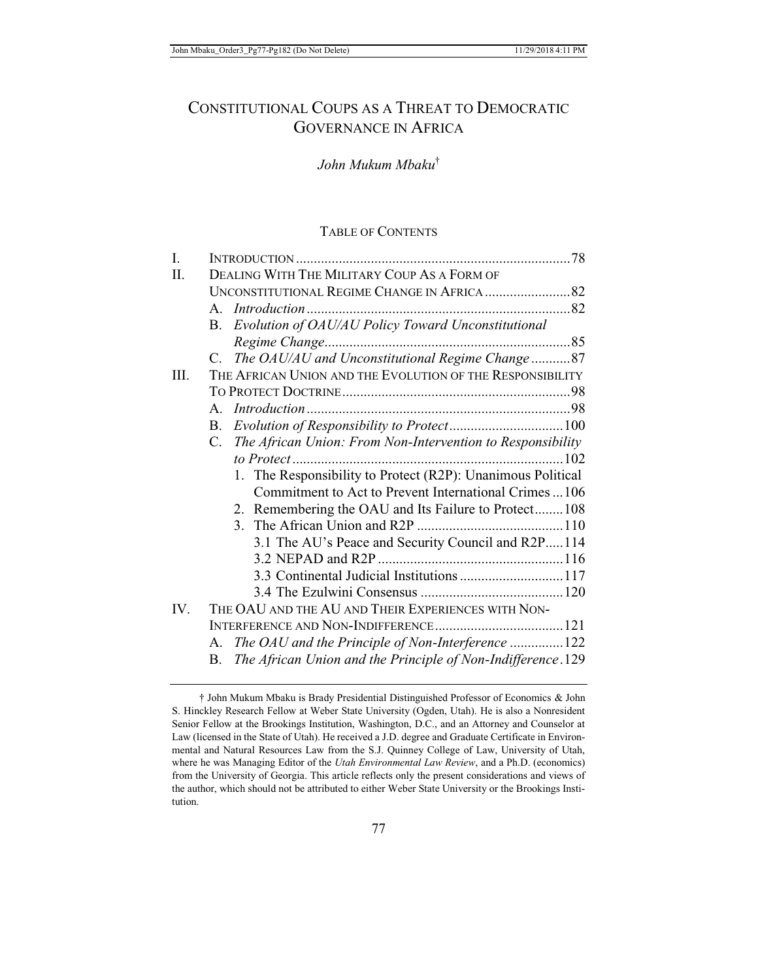# CONSTITUTIONAL COUPS AS A THREAT TO DEMOCRATIC GOVERNANCE IN AFRICA

# *John Mukum Mbaku*†

## TABLE OF CONTENTS

| I.   |                                                                   |  |
|------|-------------------------------------------------------------------|--|
| Π.   | DEALING WITH THE MILITARY COUP AS A FORM OF                       |  |
|      |                                                                   |  |
|      |                                                                   |  |
|      | Evolution of OAU/AU Policy Toward Unconstitutional<br>B.          |  |
|      |                                                                   |  |
|      | C. The OAU/AU and Unconstitutional Regime Change87                |  |
| III. | THE AFRICAN UNION AND THE EVOLUTION OF THE RESPONSIBILITY         |  |
|      |                                                                   |  |
|      | $A_{\cdot}$                                                       |  |
|      | $B_{\cdot}$                                                       |  |
|      | C. The African Union: From Non-Intervention to Responsibility     |  |
|      |                                                                   |  |
|      | 1. The Responsibility to Protect (R2P): Unanimous Political       |  |
|      | Commitment to Act to Prevent International Crimes 106             |  |
|      | 2. Remembering the OAU and Its Failure to Protect108              |  |
|      |                                                                   |  |
|      | 3.1 The AU's Peace and Security Council and R2P114                |  |
|      |                                                                   |  |
|      | 3.3 Continental Judicial Institutions 117                         |  |
|      |                                                                   |  |
| IV.  | THE OAU AND THE AU AND THEIR EXPERIENCES WITH NON-                |  |
|      |                                                                   |  |
|      | The OAU and the Principle of Non-Interference 122<br>$A_{\cdot}$  |  |
|      | The African Union and the Principle of Non-Indifference.129<br>B. |  |

† John Mukum Mbaku is Brady Presidential Distinguished Professor of Economics & John S. Hinckley Research Fellow at Weber State University (Ogden, Utah). He is also a Nonresident Senior Fellow at the Brookings Institution, Washington, D.C., and an Attorney and Counselor at Law (licensed in the State of Utah). He received a J.D. degree and Graduate Certificate in Environmental and Natural Resources Law from the S.J. Quinney College of Law, University of Utah, where he was Managing Editor of the *Utah Environmental Law Review*, and a Ph.D. (economics) from the University of Georgia. This article reflects only the present considerations and views of the author, which should not be attributed to either Weber State University or the Brookings Institution.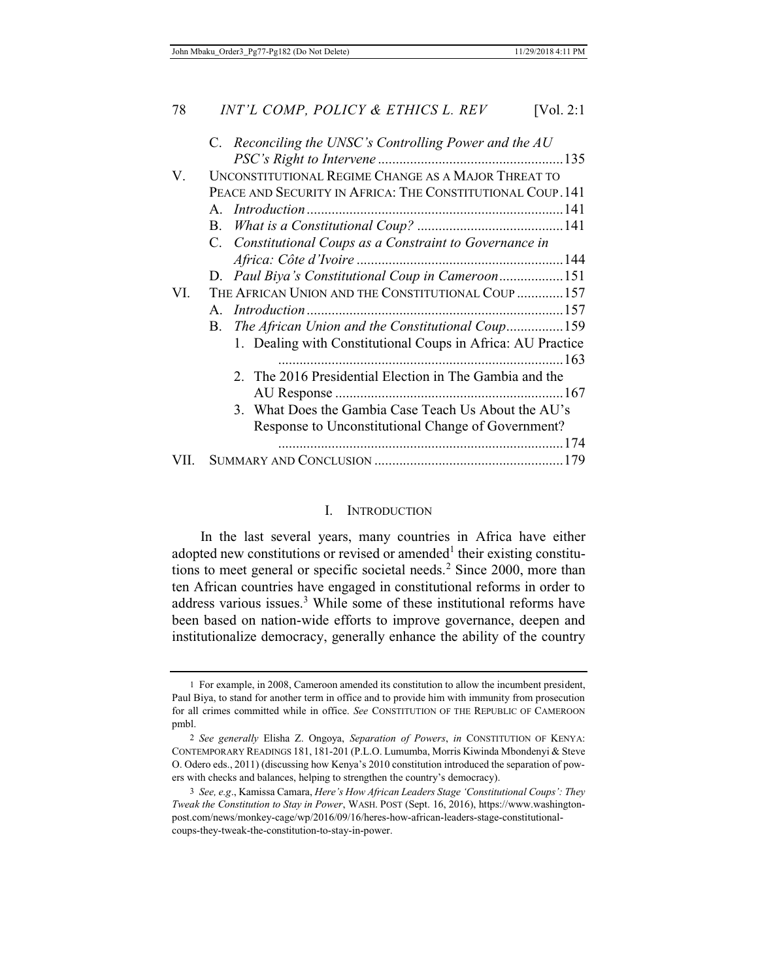|     | C. Reconciling the UNSC's Controlling Power and the AU      |  |
|-----|-------------------------------------------------------------|--|
|     |                                                             |  |
| V.  | UNCONSTITUTIONAL REGIME CHANGE AS A MAJOR THREAT TO         |  |
|     | PEACE AND SECURITY IN AFRICA: THE CONSTITUTIONAL COUP. 141  |  |
|     |                                                             |  |
|     |                                                             |  |
|     | C. Constitutional Coups as a Constraint to Governance in    |  |
|     |                                                             |  |
|     | D. Paul Biya's Constitutional Coup in Cameroon151           |  |
| VI. | THE AFRICAN UNION AND THE CONSTITUTIONAL COUP  157          |  |
|     | A.                                                          |  |
|     | B. The African Union and the Constitutional Coup159         |  |
|     | 1. Dealing with Constitutional Coups in Africa: AU Practice |  |
|     |                                                             |  |
|     | 2. The 2016 Presidential Election in The Gambia and the     |  |
|     |                                                             |  |
|     | 3. What Does the Gambia Case Teach Us About the AU's        |  |
|     | Response to Unconstitutional Change of Government?          |  |
|     |                                                             |  |
|     |                                                             |  |
|     |                                                             |  |

#### I. INTRODUCTION

In the last several years, many countries in Africa have either adopted new constitutions or revised or amended<sup>1</sup> their existing constitutions to meet general or specific societal needs.<sup>2</sup> Since 2000, more than ten African countries have engaged in constitutional reforms in order to address various issues.<sup>3</sup> While some of these institutional reforms have been based on nation-wide efforts to improve governance, deepen and institutionalize democracy, generally enhance the ability of the country

<sup>1</sup> For example, in 2008, Cameroon amended its constitution to allow the incumbent president, Paul Biya, to stand for another term in office and to provide him with immunity from prosecution for all crimes committed while in office. *See* CONSTITUTION OF THE REPUBLIC OF CAMEROON pmbl.

<sup>2</sup> *See generally* Elisha Z. Ongoya, *Separation of Powers*, *in* CONSTITUTION OF KENYA: CONTEMPORARY READINGS 181, 181-201 (P.L.O. Lumumba, Morris Kiwinda Mbondenyi & Steve O. Odero eds., 2011) (discussing how Kenya's 2010 constitution introduced the separation of powers with checks and balances, helping to strengthen the country's democracy).

<sup>3</sup> *See, e.g*., Kamissa Camara, *Here's How African Leaders Stage 'Constitutional Coups': They Tweak the Constitution to Stay in Power*, WASH. POST (Sept. 16, 2016), https://www.washingtonpost.com/news/monkey-cage/wp/2016/09/16/heres-how-african-leaders-stage-constitutionalcoups-they-tweak-the-constitution-to-stay-in-power.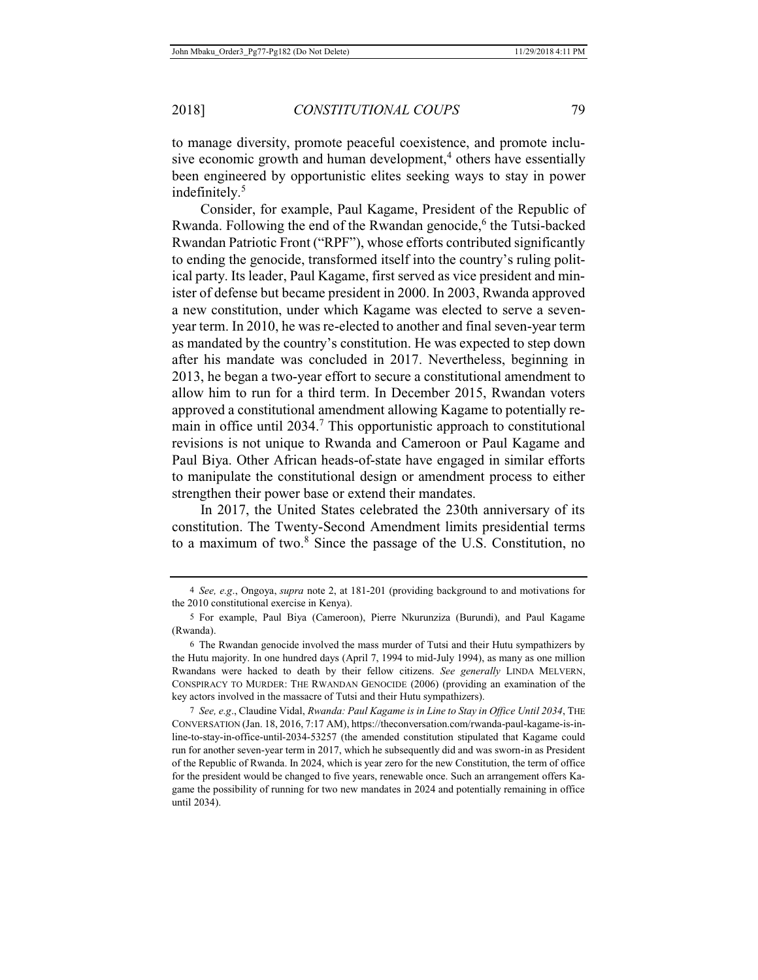to manage diversity, promote peaceful coexistence, and promote inclusive economic growth and human development,<sup>4</sup> others have essentially been engineered by opportunistic elites seeking ways to stay in power indefinitely.<sup>5</sup>

Consider, for example, Paul Kagame, President of the Republic of Rwanda. Following the end of the Rwandan genocide,<sup>6</sup> the Tutsi-backed Rwandan Patriotic Front ("RPF"), whose efforts contributed significantly to ending the genocide, transformed itself into the country's ruling political party. Its leader, Paul Kagame, first served as vice president and minister of defense but became president in 2000. In 2003, Rwanda approved a new constitution, under which Kagame was elected to serve a sevenyear term. In 2010, he was re-elected to another and final seven-year term as mandated by the country's constitution. He was expected to step down after his mandate was concluded in 2017. Nevertheless, beginning in 2013, he began a two-year effort to secure a constitutional amendment to allow him to run for a third term. In December 2015, Rwandan voters approved a constitutional amendment allowing Kagame to potentially remain in office until 2034.<sup>7</sup> This opportunistic approach to constitutional revisions is not unique to Rwanda and Cameroon or Paul Kagame and Paul Biya. Other African heads-of-state have engaged in similar efforts to manipulate the constitutional design or amendment process to either strengthen their power base or extend their mandates.

In 2017, the United States celebrated the 230th anniversary of its constitution. The Twenty-Second Amendment limits presidential terms to a maximum of two.<sup>8</sup> Since the passage of the U.S. Constitution, no

<sup>4</sup> *See, e.g*., Ongoya, *supra* note 2, at 181-201 (providing background to and motivations for the 2010 constitutional exercise in Kenya).

<sup>5</sup> For example, Paul Biya (Cameroon), Pierre Nkurunziza (Burundi), and Paul Kagame (Rwanda).

<sup>6</sup> The Rwandan genocide involved the mass murder of Tutsi and their Hutu sympathizers by the Hutu majority. In one hundred days (April 7, 1994 to mid-July 1994), as many as one million Rwandans were hacked to death by their fellow citizens. *See generally* LINDA MELVERN, CONSPIRACY TO MURDER: THE RWANDAN GENOCIDE (2006) (providing an examination of the key actors involved in the massacre of Tutsi and their Hutu sympathizers).

<sup>7</sup> *See, e.g*., Claudine Vidal, *Rwanda: Paul Kagame is in Line to Stay in Office Until 2034*, THE CONVERSATION (Jan. 18, 2016, 7:17 AM), https://theconversation.com/rwanda-paul-kagame-is-inline-to-stay-in-office-until-2034-53257 (the amended constitution stipulated that Kagame could run for another seven-year term in 2017, which he subsequently did and was sworn-in as President of the Republic of Rwanda. In 2024, which is year zero for the new Constitution, the term of office for the president would be changed to five years, renewable once. Such an arrangement offers Kagame the possibility of running for two new mandates in 2024 and potentially remaining in office until 2034).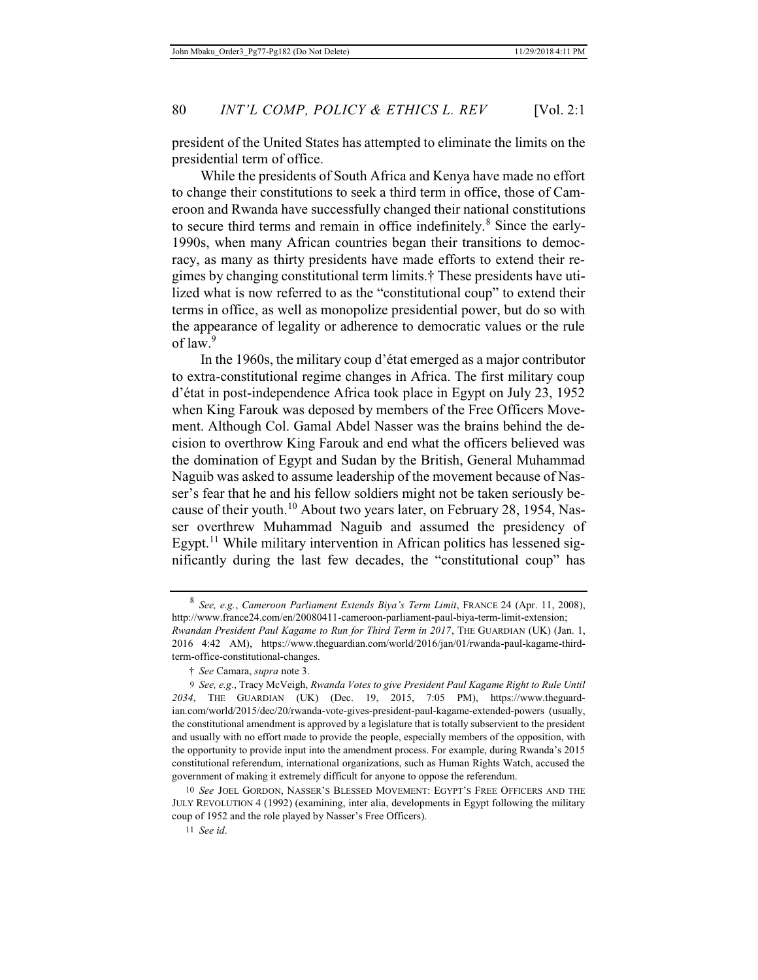president of the United States has attempted to eliminate the limits on the presidential term of office.

While the presidents of South Africa and Kenya have made no effort to change their constitutions to seek a third term in office, those of Cameroon and Rwanda have successfully changed their national constitutions to secure third terms and remain in office indefinitely.<sup>8</sup> Since the early-1990s, when many African countries began their transitions to democracy, as many as thirty presidents have made efforts to extend their regimes by changing constitutional term limits.† These presidents have utilized what is now referred to as the "constitutional coup" to extend their terms in office, as well as monopolize presidential power, but do so with the appearance of legality or adherence to democratic values or the rule of law.<sup>9</sup>

In the 1960s, the military coup d'état emerged as a major contributor to extra-constitutional regime changes in Africa. The first military coup d'état in post-independence Africa took place in Egypt on July 23, 1952 when King Farouk was deposed by members of the Free Officers Movement. Although Col. Gamal Abdel Nasser was the brains behind the decision to overthrow King Farouk and end what the officers believed was the domination of Egypt and Sudan by the British, General Muhammad Naguib was asked to assume leadership of the movement because of Nasser's fear that he and his fellow soldiers might not be taken seriously because of their youth.<sup>10</sup> About two years later, on February 28, 1954, Nasser overthrew Muhammad Naguib and assumed the presidency of Egypt.<sup>11</sup> While military intervention in African politics has lessened significantly during the last few decades, the "constitutional coup" has

10 *See* JOEL GORDON, NASSER'S BLESSED MOVEMENT: EGYPT'S FREE OFFICERS AND THE JULY REVOLUTION 4 (1992) (examining, inter alia, developments in Egypt following the military coup of 1952 and the role played by Nasser's Free Officers).

<sup>8</sup> *See, e.g.*, *Cameroon Parliament Extends Biya's Term Limit*, FRANCE 24 (Apr. 11, 2008), http://www.france24.com/en/20080411-cameroon-parliament-paul-biya-term-limit-extension; *Rwandan President Paul Kagame to Run for Third Term in 2017*, THE GUARDIAN (UK) (Jan. 1, 2016 4:42 AM), https://www.theguardian.com/world/2016/jan/01/rwanda-paul-kagame-thirdterm-office-constitutional-changes.

<sup>†</sup> *See* Camara, *supra* note 3.

<sup>9</sup> *See, e.g*., Tracy McVeigh, *Rwanda Votes to give President Paul Kagame Right to Rule Until 2034*, THE GUARDIAN (UK) (Dec. 19, 2015, 7:05 PM), https://www.theguardian.com/world/2015/dec/20/rwanda-vote-gives-president-paul-kagame-extended-powers (usually, the constitutional amendment is approved by a legislature that is totally subservient to the president and usually with no effort made to provide the people, especially members of the opposition, with the opportunity to provide input into the amendment process. For example, during Rwanda's 2015 constitutional referendum, international organizations, such as Human Rights Watch, accused the government of making it extremely difficult for anyone to oppose the referendum.

<sup>11</sup> *See id*.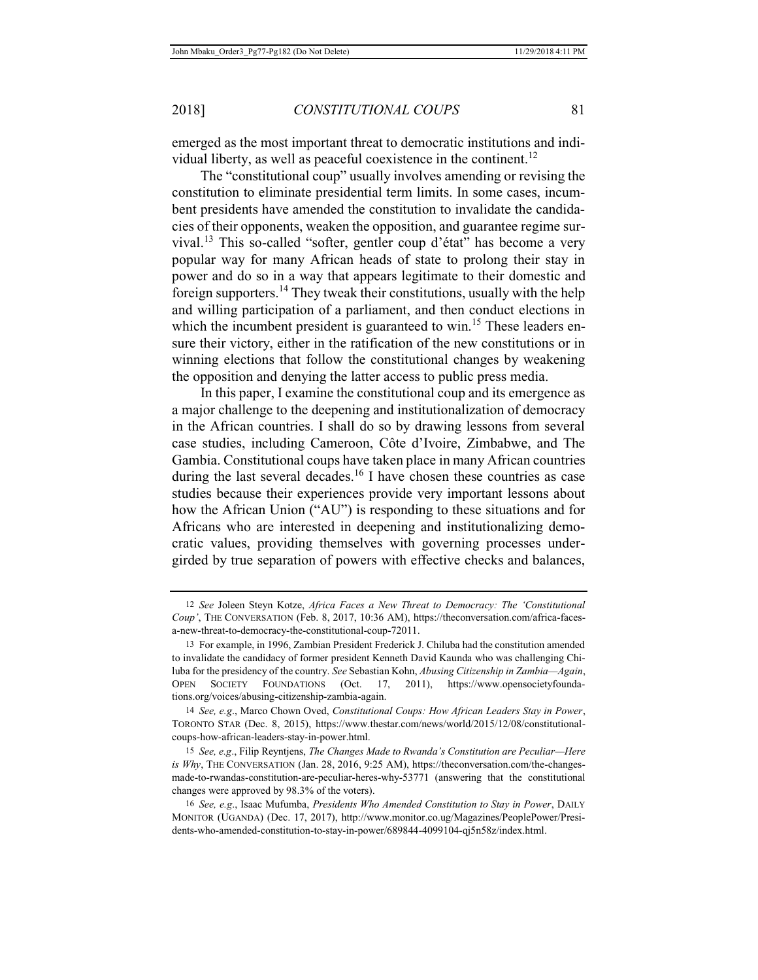emerged as the most important threat to democratic institutions and individual liberty, as well as peaceful coexistence in the continent.<sup>12</sup>

The "constitutional coup" usually involves amending or revising the constitution to eliminate presidential term limits. In some cases, incumbent presidents have amended the constitution to invalidate the candidacies of their opponents, weaken the opposition, and guarantee regime survival.13 This so-called "softer, gentler coup d'état" has become a very popular way for many African heads of state to prolong their stay in power and do so in a way that appears legitimate to their domestic and foreign supporters.14 They tweak their constitutions, usually with the help and willing participation of a parliament, and then conduct elections in which the incumbent president is guaranteed to win.<sup>15</sup> These leaders ensure their victory, either in the ratification of the new constitutions or in winning elections that follow the constitutional changes by weakening the opposition and denying the latter access to public press media.

In this paper, I examine the constitutional coup and its emergence as a major challenge to the deepening and institutionalization of democracy in the African countries. I shall do so by drawing lessons from several case studies, including Cameroon, Côte d'Ivoire, Zimbabwe, and The Gambia. Constitutional coups have taken place in many African countries during the last several decades.<sup>16</sup> I have chosen these countries as case studies because their experiences provide very important lessons about how the African Union ("AU") is responding to these situations and for Africans who are interested in deepening and institutionalizing democratic values, providing themselves with governing processes undergirded by true separation of powers with effective checks and balances,

<sup>12</sup> *See* Joleen Steyn Kotze, *Africa Faces a New Threat to Democracy: The 'Constitutional Coup'*, THE CONVERSATION (Feb. 8, 2017, 10:36 AM), https://theconversation.com/africa-facesa-new-threat-to-democracy-the-constitutional-coup-72011.

<sup>13</sup> For example, in 1996, Zambian President Frederick J. Chiluba had the constitution amended to invalidate the candidacy of former president Kenneth David Kaunda who was challenging Chiluba for the presidency of the country. *See* Sebastian Kohn, *Abusing Citizenship in Zambia—Again*, OPEN SOCIETY FOUNDATIONS (Oct. 17, 2011), https://www.opensocietyfoundations.org/voices/abusing-citizenship-zambia-again.

<sup>14</sup> *See, e.g*., Marco Chown Oved, *Constitutional Coups: How African Leaders Stay in Power*, TORONTO STAR (Dec. 8, 2015), https://www.thestar.com/news/world/2015/12/08/constitutionalcoups-how-african-leaders-stay-in-power.html.

<sup>15</sup> *See, e.g*., Filip Reyntjens, *The Changes Made to Rwanda's Constitution are Peculiar—Here is Why*, THE CONVERSATION (Jan. 28, 2016, 9:25 AM), https://theconversation.com/the-changesmade-to-rwandas-constitution-are-peculiar-heres-why-53771 (answering that the constitutional changes were approved by 98.3% of the voters).

<sup>16</sup> *See, e.g*., Isaac Mufumba, *Presidents Who Amended Constitution to Stay in Power*, DAILY MONITOR (UGANDA) (Dec. 17, 2017), http://www.monitor.co.ug/Magazines/PeoplePower/Presidents-who-amended-constitution-to-stay-in-power/689844-4099104-qj5n58z/index.html.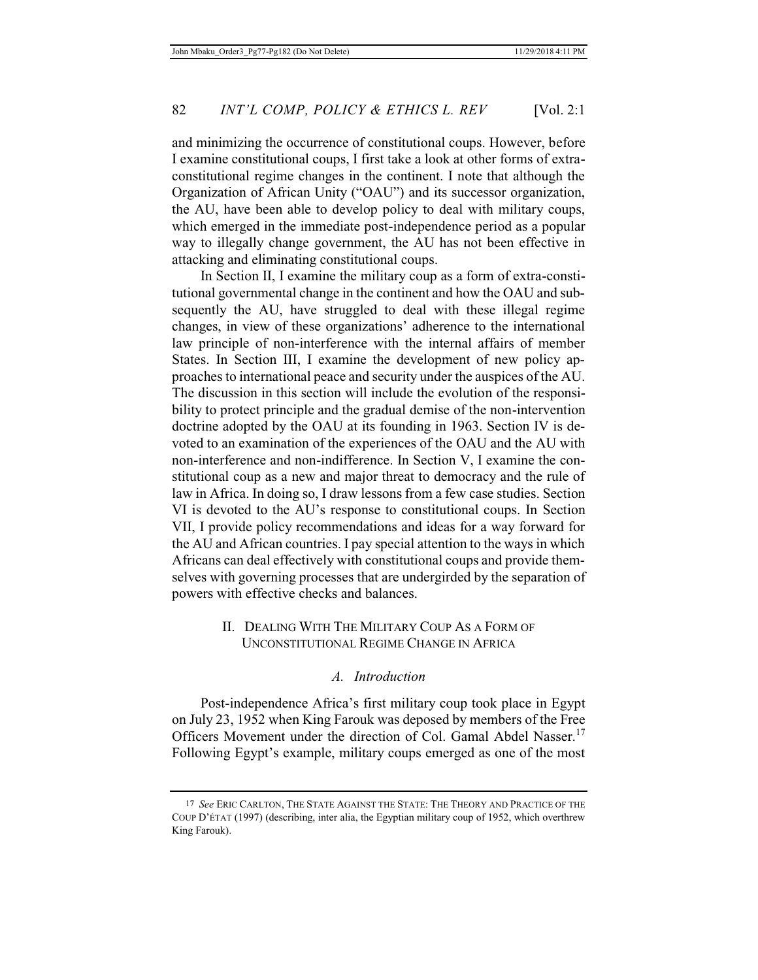and minimizing the occurrence of constitutional coups. However, before I examine constitutional coups, I first take a look at other forms of extraconstitutional regime changes in the continent. I note that although the Organization of African Unity ("OAU") and its successor organization, the AU, have been able to develop policy to deal with military coups, which emerged in the immediate post-independence period as a popular way to illegally change government, the AU has not been effective in attacking and eliminating constitutional coups.

In Section II, I examine the military coup as a form of extra-constitutional governmental change in the continent and how the OAU and subsequently the AU, have struggled to deal with these illegal regime changes, in view of these organizations' adherence to the international law principle of non-interference with the internal affairs of member States. In Section III, I examine the development of new policy approaches to international peace and security under the auspices of the AU. The discussion in this section will include the evolution of the responsibility to protect principle and the gradual demise of the non-intervention doctrine adopted by the OAU at its founding in 1963. Section IV is devoted to an examination of the experiences of the OAU and the AU with non-interference and non-indifference. In Section V, I examine the constitutional coup as a new and major threat to democracy and the rule of law in Africa. In doing so, I draw lessons from a few case studies. Section VI is devoted to the AU's response to constitutional coups. In Section VII, I provide policy recommendations and ideas for a way forward for the AU and African countries. I pay special attention to the ways in which Africans can deal effectively with constitutional coups and provide themselves with governing processes that are undergirded by the separation of powers with effective checks and balances.

# II. DEALING WITH THE MILITARY COUP AS A FORM OF UNCONSTITUTIONAL REGIME CHANGE IN AFRICA

### *A. Introduction*

Post-independence Africa's first military coup took place in Egypt on July 23, 1952 when King Farouk was deposed by members of the Free Officers Movement under the direction of Col. Gamal Abdel Nasser.<sup>17</sup> Following Egypt's example, military coups emerged as one of the most

<sup>17</sup> *See* ERIC CARLTON, THE STATE AGAINST THE STATE: THE THEORY AND PRACTICE OF THE COUP D'ÉTAT (1997) (describing, inter alia, the Egyptian military coup of 1952, which overthrew King Farouk).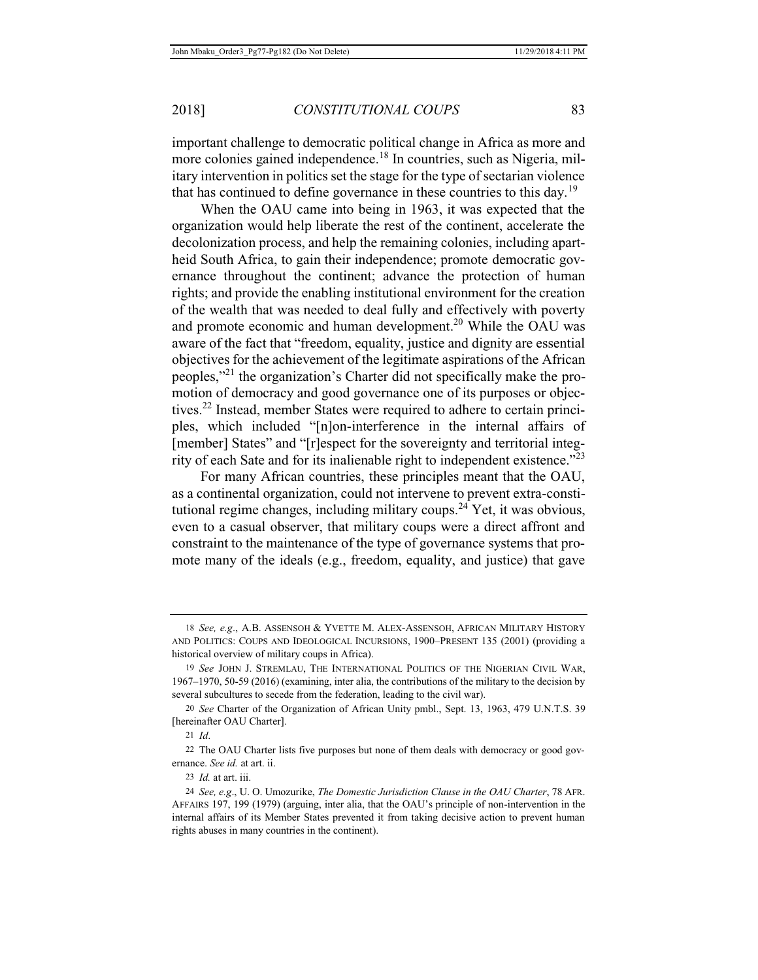important challenge to democratic political change in Africa as more and more colonies gained independence.<sup>18</sup> In countries, such as Nigeria, military intervention in politics set the stage for the type of sectarian violence that has continued to define governance in these countries to this day.<sup>19</sup>

When the OAU came into being in 1963, it was expected that the organization would help liberate the rest of the continent, accelerate the decolonization process, and help the remaining colonies, including apartheid South Africa, to gain their independence; promote democratic governance throughout the continent; advance the protection of human rights; and provide the enabling institutional environment for the creation of the wealth that was needed to deal fully and effectively with poverty and promote economic and human development.<sup>20</sup> While the OAU was aware of the fact that "freedom, equality, justice and dignity are essential objectives for the achievement of the legitimate aspirations of the African peoples,"<sup>21</sup> the organization's Charter did not specifically make the promotion of democracy and good governance one of its purposes or objectives.<sup>22</sup> Instead, member States were required to adhere to certain principles, which included "[n]on-interference in the internal affairs of [member] States" and "[r]espect for the sovereignty and territorial integrity of each Sate and for its inalienable right to independent existence."<sup>23</sup>

For many African countries, these principles meant that the OAU, as a continental organization, could not intervene to prevent extra-constitutional regime changes, including military coups.<sup>24</sup> Yet, it was obvious, even to a casual observer, that military coups were a direct affront and constraint to the maintenance of the type of governance systems that promote many of the ideals (e.g., freedom, equality, and justice) that gave

<sup>18</sup> *See, e.g*., A.B. ASSENSOH & YVETTE M. ALEX-ASSENSOH, AFRICAN MILITARY HISTORY AND POLITICS: COUPS AND IDEOLOGICAL INCURSIONS, 1900–PRESENT 135 (2001) (providing a historical overview of military coups in Africa).

<sup>19</sup> *See* JOHN J. STREMLAU, THE INTERNATIONAL POLITICS OF THE NIGERIAN CIVIL WAR, 1967–1970, 50-59 (2016) (examining, inter alia, the contributions of the military to the decision by several subcultures to secede from the federation, leading to the civil war).

<sup>20</sup> *See* Charter of the Organization of African Unity pmbl., Sept. 13, 1963, 479 U.N.T.S. 39 [hereinafter OAU Charter].

<sup>21</sup> *Id*.

<sup>22</sup> The OAU Charter lists five purposes but none of them deals with democracy or good governance. *See id.* at art. ii.

<sup>23</sup> *Id.* at art. iii.

<sup>24</sup> *See, e.g*., U. O. Umozurike, *The Domestic Jurisdiction Clause in the OAU Charter*, 78 AFR. AFFAIRS 197, 199 (1979) (arguing, inter alia, that the OAU's principle of non-intervention in the internal affairs of its Member States prevented it from taking decisive action to prevent human rights abuses in many countries in the continent).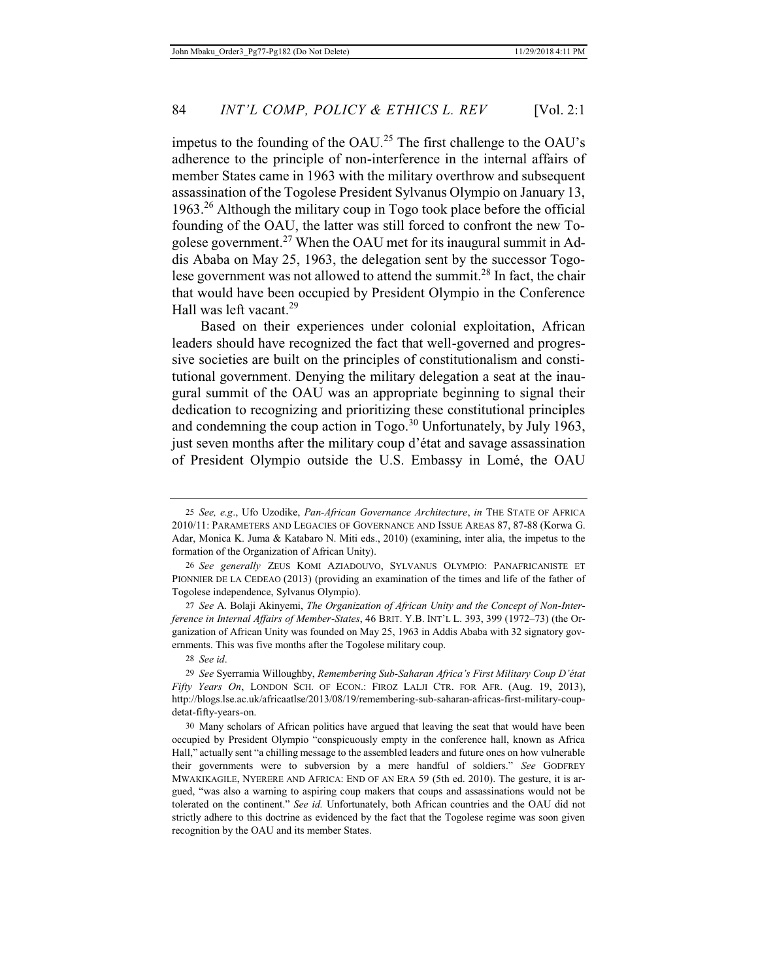impetus to the founding of the OAU.<sup>25</sup> The first challenge to the OAU's adherence to the principle of non-interference in the internal affairs of member States came in 1963 with the military overthrow and subsequent assassination of the Togolese President Sylvanus Olympio on January 13, 1963.26 Although the military coup in Togo took place before the official founding of the OAU, the latter was still forced to confront the new Togolese government.<sup>27</sup> When the OAU met for its inaugural summit in Addis Ababa on May 25, 1963, the delegation sent by the successor Togolese government was not allowed to attend the summit.<sup>28</sup> In fact, the chair that would have been occupied by President Olympio in the Conference Hall was left vacant.<sup>29</sup>

Based on their experiences under colonial exploitation, African leaders should have recognized the fact that well-governed and progressive societies are built on the principles of constitutionalism and constitutional government. Denying the military delegation a seat at the inaugural summit of the OAU was an appropriate beginning to signal their dedication to recognizing and prioritizing these constitutional principles and condemning the coup action in Togo.<sup>30</sup> Unfortunately, by July 1963, just seven months after the military coup d'état and savage assassination of President Olympio outside the U.S. Embassy in Lomé, the OAU

27 *See* A. Bolaji Akinyemi, *The Organization of African Unity and the Concept of Non-Interference in Internal Affairs of Member-States*, 46 BRIT. Y.B. INT'L L. 393, 399 (1972–73) (the Organization of African Unity was founded on May 25, 1963 in Addis Ababa with 32 signatory governments. This was five months after the Togolese military coup.

28 *See id*.

<sup>25</sup> *See, e.g*., Ufo Uzodike, *Pan-African Governance Architecture*, *in* THE STATE OF AFRICA 2010/11: PARAMETERS AND LEGACIES OF GOVERNANCE AND ISSUE AREAS 87, 87-88 (Korwa G. Adar, Monica K. Juma & Katabaro N. Miti eds., 2010) (examining, inter alia, the impetus to the formation of the Organization of African Unity).

<sup>26</sup> *See generally* ZEUS KOMI AZIADOUVO, SYLVANUS OLYMPIO: PANAFRICANISTE ET PIONNIER DE LA CEDEAO (2013) (providing an examination of the times and life of the father of Togolese independence, Sylvanus Olympio).

<sup>29</sup> *See* Syerramia Willoughby, *Remembering Sub-Saharan Africa's First Military Coup D'état Fifty Years On*, LONDON SCH. OF ECON.: FIROZ LALJI CTR. FOR AFR. (Aug. 19, 2013), http://blogs.lse.ac.uk/africaatlse/2013/08/19/remembering-sub-saharan-africas-first-military-coupdetat-fifty-years-on.

<sup>30</sup> Many scholars of African politics have argued that leaving the seat that would have been occupied by President Olympio "conspicuously empty in the conference hall, known as Africa Hall," actually sent "a chilling message to the assembled leaders and future ones on how vulnerable their governments were to subversion by a mere handful of soldiers." *See* GODFREY MWAKIKAGILE, NYERERE AND AFRICA: END OF AN ERA 59 (5th ed. 2010). The gesture, it is argued, "was also a warning to aspiring coup makers that coups and assassinations would not be tolerated on the continent." *See id.* Unfortunately, both African countries and the OAU did not strictly adhere to this doctrine as evidenced by the fact that the Togolese regime was soon given recognition by the OAU and its member States.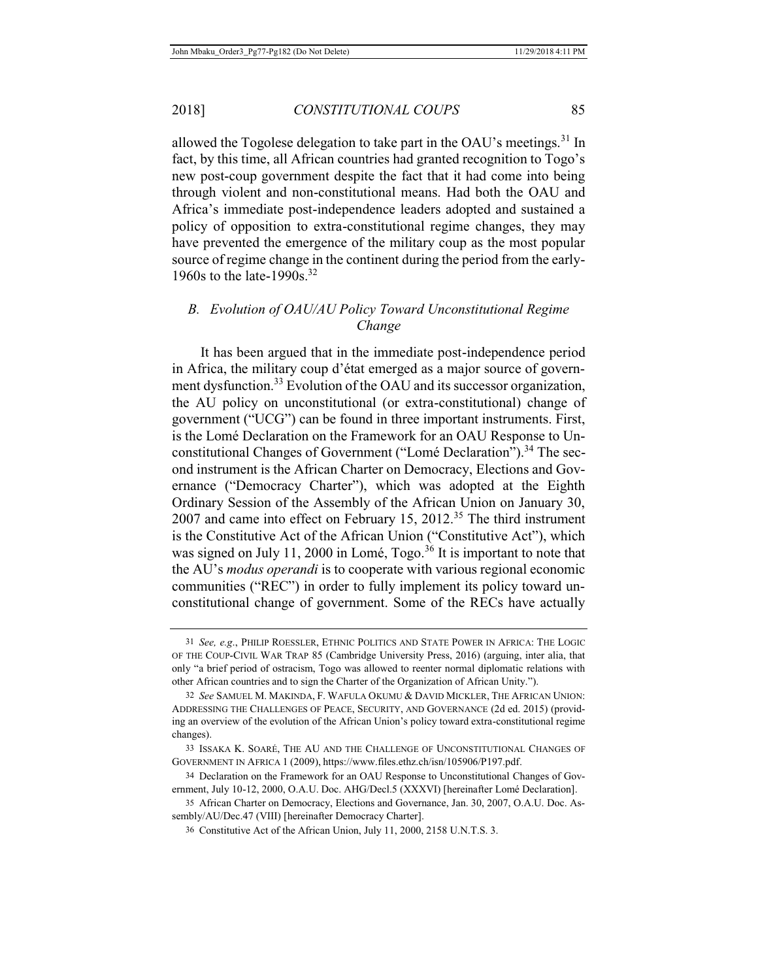allowed the Togolese delegation to take part in the OAU's meetings.<sup>31</sup> In fact, by this time, all African countries had granted recognition to Togo's new post-coup government despite the fact that it had come into being through violent and non-constitutional means. Had both the OAU and Africa's immediate post-independence leaders adopted and sustained a policy of opposition to extra-constitutional regime changes, they may have prevented the emergence of the military coup as the most popular source of regime change in the continent during the period from the early-1960s to the late-1990s.<sup>32</sup>

# *B. Evolution of OAU/AU Policy Toward Unconstitutional Regime Change*

It has been argued that in the immediate post-independence period in Africa, the military coup d'état emerged as a major source of government dysfunction.<sup>33</sup> Evolution of the OAU and its successor organization, the AU policy on unconstitutional (or extra-constitutional) change of government ("UCG") can be found in three important instruments. First, is the Lomé Declaration on the Framework for an OAU Response to Unconstitutional Changes of Government ("Lomé Declaration").<sup>34</sup> The second instrument is the African Charter on Democracy, Elections and Governance ("Democracy Charter"), which was adopted at the Eighth Ordinary Session of the Assembly of the African Union on January 30,  $2007$  and came into effect on February 15,  $2012<sup>35</sup>$  The third instrument is the Constitutive Act of the African Union ("Constitutive Act"), which was signed on July 11, 2000 in Lomé,  $Togo.<sup>36</sup>$  It is important to note that the AU's *modus operandi* is to cooperate with various regional economic communities ("REC") in order to fully implement its policy toward unconstitutional change of government. Some of the RECs have actually

<sup>31</sup> *See, e.g*., PHILIP ROESSLER, ETHNIC POLITICS AND STATE POWER IN AFRICA: THE LOGIC OF THE COUP-CIVIL WAR TRAP 85 (Cambridge University Press, 2016) (arguing, inter alia, that only "a brief period of ostracism, Togo was allowed to reenter normal diplomatic relations with other African countries and to sign the Charter of the Organization of African Unity.").

<sup>32</sup> *See* SAMUEL M. MAKINDA, F. WAFULA OKUMU & DAVID MICKLER, THE AFRICAN UNION: ADDRESSING THE CHALLENGES OF PEACE, SECURITY, AND GOVERNANCE (2d ed. 2015) (providing an overview of the evolution of the African Union's policy toward extra-constitutional regime changes).

<sup>33</sup> ISSAKA K. SOARÉ, THE AU AND THE CHALLENGE OF UNCONSTITUTIONAL CHANGES OF GOVERNMENT IN AFRICA 1 (2009), https://www.files.ethz.ch/isn/105906/P197.pdf.

<sup>34</sup> Declaration on the Framework for an OAU Response to Unconstitutional Changes of Government, July 10-12, 2000, O.A.U. Doc. AHG/Decl.5 (XXXVI) [hereinafter Lomé Declaration].

<sup>35</sup> African Charter on Democracy, Elections and Governance, Jan. 30, 2007, O.A.U. Doc. Assembly/AU/Dec.47 (VIII) [hereinafter Democracy Charter].

<sup>36</sup> Constitutive Act of the African Union, July 11, 2000, 2158 U.N.T.S. 3.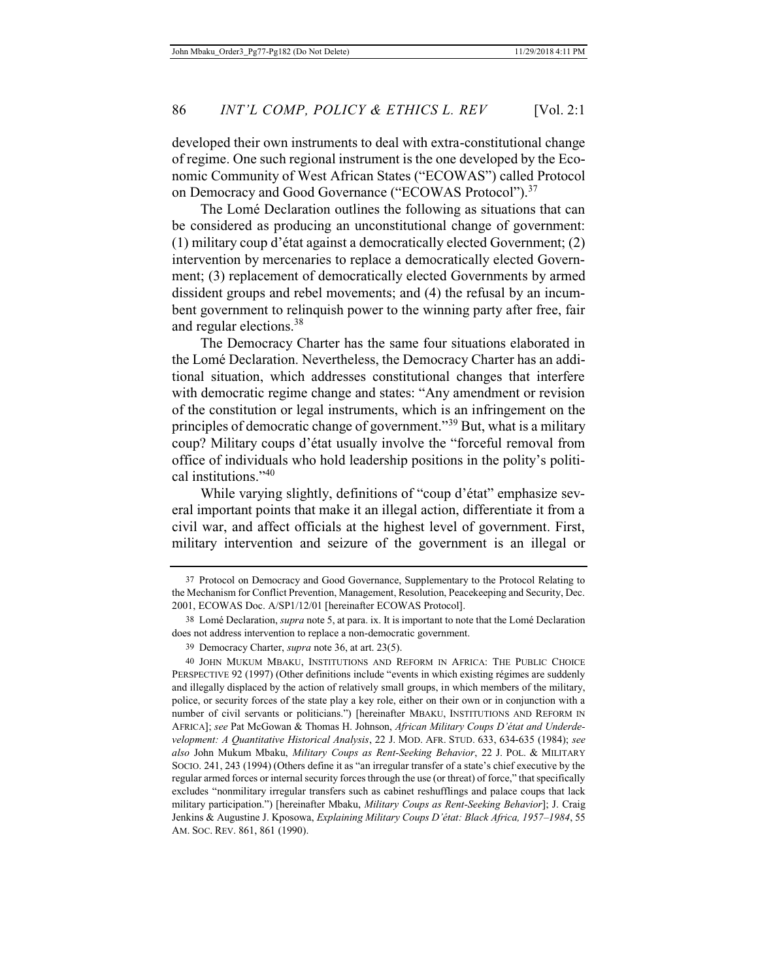developed their own instruments to deal with extra-constitutional change of regime. One such regional instrument is the one developed by the Economic Community of West African States ("ECOWAS") called Protocol on Democracy and Good Governance ("ECOWAS Protocol").<sup>37</sup>

The Lomé Declaration outlines the following as situations that can be considered as producing an unconstitutional change of government: (1) military coup d'état against a democratically elected Government; (2) intervention by mercenaries to replace a democratically elected Government; (3) replacement of democratically elected Governments by armed dissident groups and rebel movements; and (4) the refusal by an incumbent government to relinquish power to the winning party after free, fair and regular elections.38

The Democracy Charter has the same four situations elaborated in the Lomé Declaration. Nevertheless, the Democracy Charter has an additional situation, which addresses constitutional changes that interfere with democratic regime change and states: "Any amendment or revision of the constitution or legal instruments, which is an infringement on the principles of democratic change of government."39 But, what is a military coup? Military coups d'état usually involve the "forceful removal from office of individuals who hold leadership positions in the polity's political institutions."<sup>40</sup>

While varying slightly, definitions of "coup d'état" emphasize several important points that make it an illegal action, differentiate it from a civil war, and affect officials at the highest level of government. First, military intervention and seizure of the government is an illegal or

<sup>37</sup> Protocol on Democracy and Good Governance, Supplementary to the Protocol Relating to the Mechanism for Conflict Prevention, Management, Resolution, Peacekeeping and Security, Dec. 2001, ECOWAS Doc. A/SP1/12/01 [hereinafter ECOWAS Protocol].

<sup>38</sup> Lomé Declaration, *supra* note 5, at para. ix. It is important to note that the Lomé Declaration does not address intervention to replace a non-democratic government.

<sup>39</sup> Democracy Charter, *supra* note 36, at art. 23(5).

<sup>40</sup> JOHN MUKUM MBAKU, INSTITUTIONS AND REFORM IN AFRICA: THE PUBLIC CHOICE PERSPECTIVE 92 (1997) (Other definitions include "events in which existing régimes are suddenly and illegally displaced by the action of relatively small groups, in which members of the military, police, or security forces of the state play a key role, either on their own or in conjunction with a number of civil servants or politicians.") [hereinafter MBAKU, INSTITUTIONS AND REFORM IN AFRICA]; *see* Pat McGowan & Thomas H. Johnson, *African Military Coups D'état and Underdevelopment: A Quantitative Historical Analysis*, 22 J. MOD. AFR. STUD. 633, 634-635 (1984); *see also* John Mukum Mbaku, *Military Coups as Rent-Seeking Behavior*, 22 J. POL. & MILITARY SOCIO. 241, 243 (1994) (Others define it as "an irregular transfer of a state's chief executive by the regular armed forces or internal security forces through the use (or threat) of force," that specifically excludes "nonmilitary irregular transfers such as cabinet reshufflings and palace coups that lack military participation.") [hereinafter Mbaku, *Military Coups as Rent-Seeking Behavior*]; J. Craig Jenkins & Augustine J. Kposowa, *Explaining Military Coups D'état: Black Africa, 1957–1984*, 55 AM. SOC. REV. 861, 861 (1990).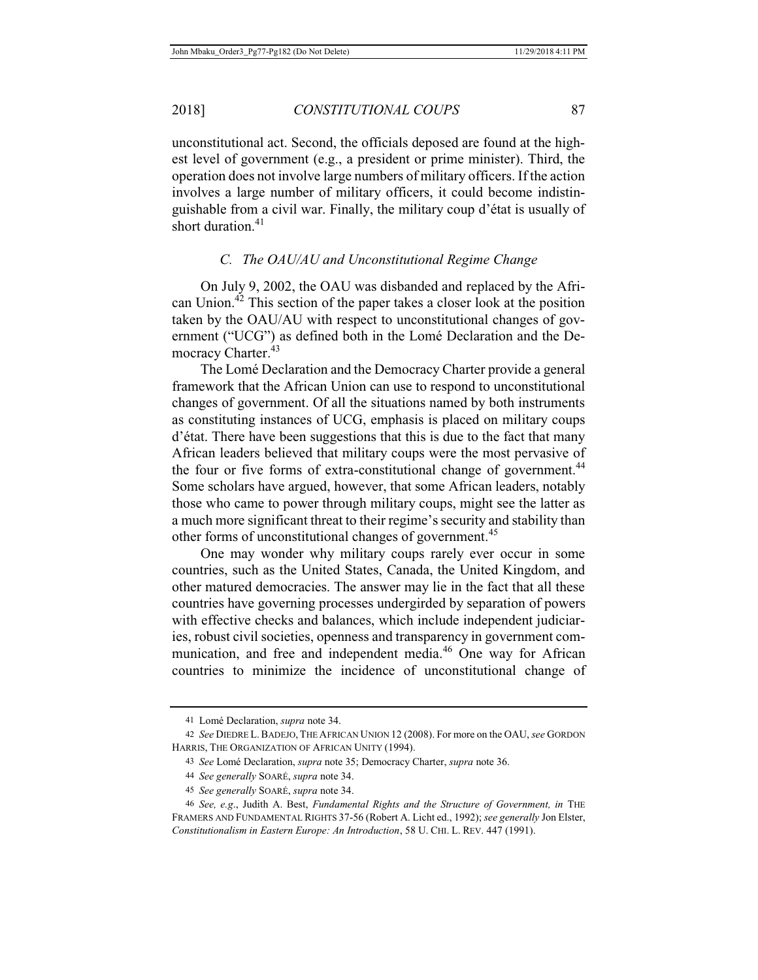unconstitutional act. Second, the officials deposed are found at the highest level of government (e.g., a president or prime minister). Third, the operation does not involve large numbers of military officers. If the action involves a large number of military officers, it could become indistinguishable from a civil war. Finally, the military coup d'état is usually of short duration.<sup>41</sup>

# *C. The OAU/AU and Unconstitutional Regime Change*

On July 9, 2002, the OAU was disbanded and replaced by the African Union.<sup>42</sup> This section of the paper takes a closer look at the position taken by the OAU/AU with respect to unconstitutional changes of government ("UCG") as defined both in the Lomé Declaration and the Democracy Charter.<sup>43</sup>

The Lomé Declaration and the Democracy Charter provide a general framework that the African Union can use to respond to unconstitutional changes of government. Of all the situations named by both instruments as constituting instances of UCG, emphasis is placed on military coups d'état. There have been suggestions that this is due to the fact that many African leaders believed that military coups were the most pervasive of the four or five forms of extra-constitutional change of government.<sup>44</sup> Some scholars have argued, however, that some African leaders, notably those who came to power through military coups, might see the latter as a much more significant threat to their regime's security and stability than other forms of unconstitutional changes of government.<sup>45</sup>

One may wonder why military coups rarely ever occur in some countries, such as the United States, Canada, the United Kingdom, and other matured democracies. The answer may lie in the fact that all these countries have governing processes undergirded by separation of powers with effective checks and balances, which include independent judiciaries, robust civil societies, openness and transparency in government communication, and free and independent media.<sup>46</sup> One way for African countries to minimize the incidence of unconstitutional change of

<sup>41</sup> Lomé Declaration, *supra* note 34.

<sup>42</sup> *See* DIEDRE L.BADEJO, THE AFRICAN UNION 12 (2008). For more on the OAU, *see* GORDON HARRIS, THE ORGANIZATION OF AFRICAN UNITY (1994).

<sup>43</sup> *See* Lomé Declaration, *supra* note 35; Democracy Charter, *supra* note 36.

<sup>44</sup> *See generally* SOARÉ, *supra* note 34.

<sup>45</sup> *See generally* SOARÉ, *supra* note 34.

<sup>46</sup> *See, e.g*., Judith A. Best, *Fundamental Rights and the Structure of Government, in* THE FRAMERS AND FUNDAMENTAL RIGHTS 37-56 (Robert A. Licht ed., 1992); *see generally* Jon Elster, *Constitutionalism in Eastern Europe: An Introduction*, 58 U. CHI. L. REV. 447 (1991).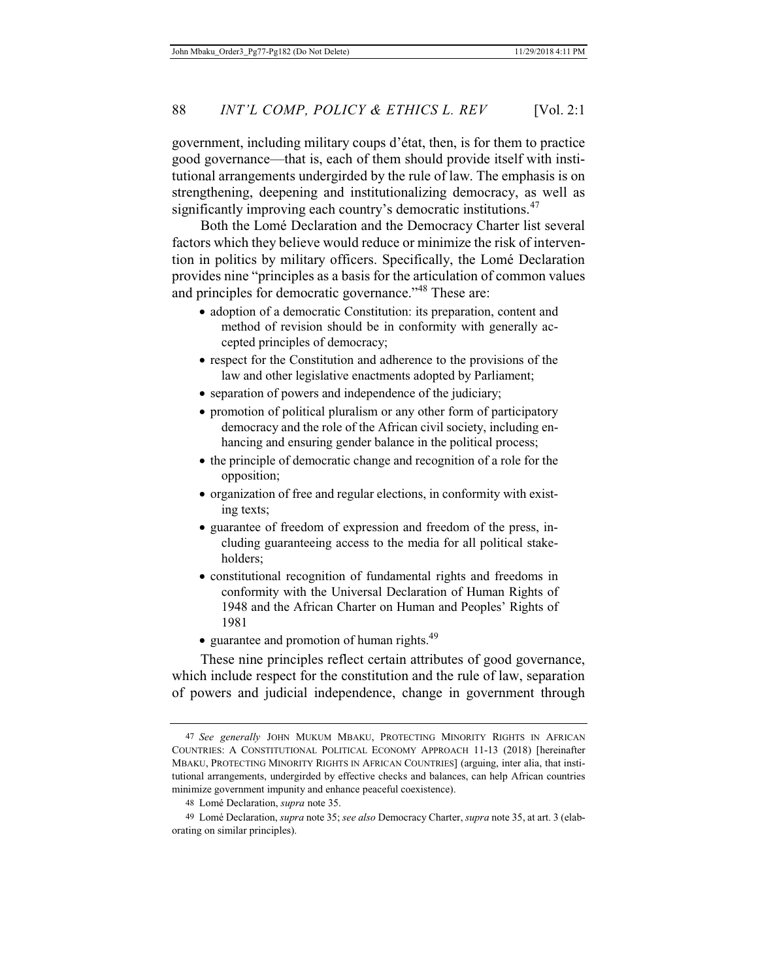government, including military coups d'état, then, is for them to practice good governance—that is, each of them should provide itself with institutional arrangements undergirded by the rule of law. The emphasis is on strengthening, deepening and institutionalizing democracy, as well as significantly improving each country's democratic institutions.<sup>47</sup>

Both the Lomé Declaration and the Democracy Charter list several factors which they believe would reduce or minimize the risk of intervention in politics by military officers. Specifically, the Lomé Declaration provides nine "principles as a basis for the articulation of common values and principles for democratic governance."<sup>48</sup> These are:

- adoption of a democratic Constitution: its preparation, content and method of revision should be in conformity with generally accepted principles of democracy;
- $\bullet$  respect for the Constitution and adherence to the provisions of the law and other legislative enactments adopted by Parliament;
- separation of powers and independence of the judiciary;
- promotion of political pluralism or any other form of participatory democracy and the role of the African civil society, including enhancing and ensuring gender balance in the political process;
- the principle of democratic change and recognition of a role for the opposition;
- organization of free and regular elections, in conformity with existing texts;
- guarantee of freedom of expression and freedom of the press, including guaranteeing access to the media for all political stakeholders;
- constitutional recognition of fundamental rights and freedoms in conformity with the Universal Declaration of Human Rights of 1948 and the African Charter on Human and Peoples' Rights of 1981
- $\bullet$  guarantee and promotion of human rights.<sup>49</sup>

These nine principles reflect certain attributes of good governance, which include respect for the constitution and the rule of law, separation of powers and judicial independence, change in government through

<sup>47</sup> *See generally* JOHN MUKUM MBAKU, PROTECTING MINORITY RIGHTS IN AFRICAN COUNTRIES: A CONSTITUTIONAL POLITICAL ECONOMY APPROACH 11-13 (2018) [hereinafter MBAKU, PROTECTING MINORITY RIGHTS IN AFRICAN COUNTRIES] (arguing, inter alia, that institutional arrangements, undergirded by effective checks and balances, can help African countries minimize government impunity and enhance peaceful coexistence).

<sup>48</sup> Lomé Declaration, *supra* note 35.

<sup>49</sup> Lomé Declaration, *supra* note 35; *see also* Democracy Charter, *supra* note 35, at art. 3 (elaborating on similar principles).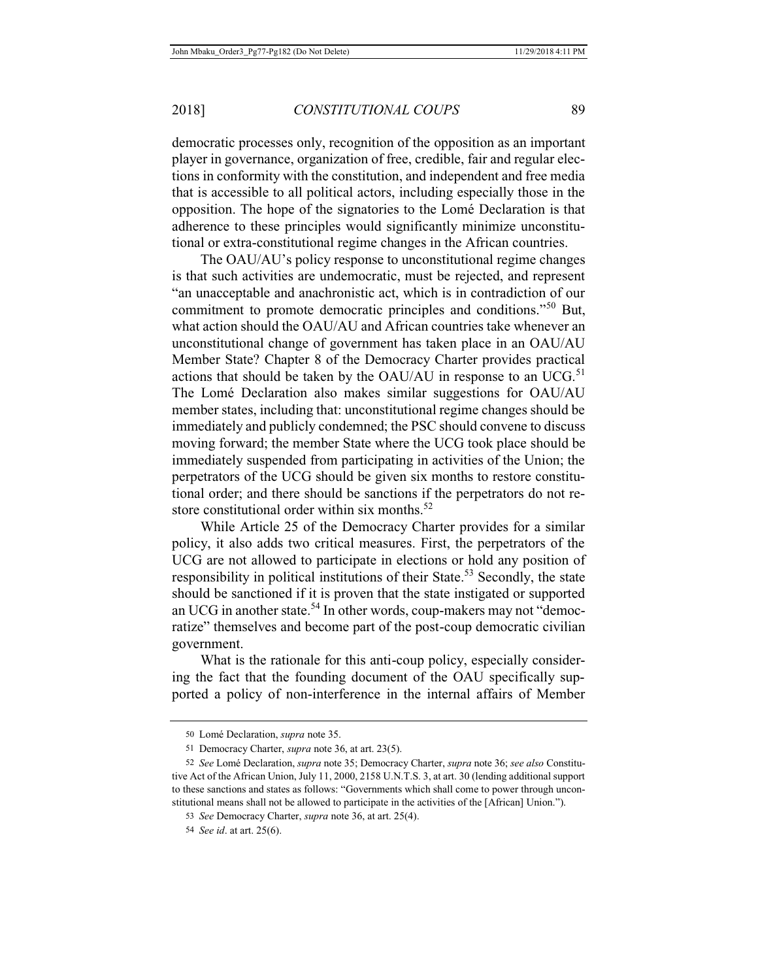democratic processes only, recognition of the opposition as an important player in governance, organization of free, credible, fair and regular elections in conformity with the constitution, and independent and free media that is accessible to all political actors, including especially those in the opposition. The hope of the signatories to the Lomé Declaration is that adherence to these principles would significantly minimize unconstitutional or extra-constitutional regime changes in the African countries.

The OAU/AU's policy response to unconstitutional regime changes is that such activities are undemocratic, must be rejected, and represent "an unacceptable and anachronistic act, which is in contradiction of our commitment to promote democratic principles and conditions."50 But, what action should the OAU/AU and African countries take whenever an unconstitutional change of government has taken place in an OAU/AU Member State? Chapter 8 of the Democracy Charter provides practical actions that should be taken by the OAU/AU in response to an UCG.<sup>51</sup> The Lomé Declaration also makes similar suggestions for OAU/AU member states, including that: unconstitutional regime changes should be immediately and publicly condemned; the PSC should convene to discuss moving forward; the member State where the UCG took place should be immediately suspended from participating in activities of the Union; the perpetrators of the UCG should be given six months to restore constitutional order; and there should be sanctions if the perpetrators do not restore constitutional order within six months. $52$ 

While Article 25 of the Democracy Charter provides for a similar policy, it also adds two critical measures. First, the perpetrators of the UCG are not allowed to participate in elections or hold any position of responsibility in political institutions of their State.<sup>53</sup> Secondly, the state should be sanctioned if it is proven that the state instigated or supported an UCG in another state.<sup>54</sup> In other words, coup-makers may not "democratize" themselves and become part of the post-coup democratic civilian government.

What is the rationale for this anti-coup policy, especially considering the fact that the founding document of the OAU specifically supported a policy of non-interference in the internal affairs of Member

<sup>50</sup> Lomé Declaration, *supra* note 35.

<sup>51</sup> Democracy Charter, *supra* note 36, at art. 23(5).

<sup>52</sup> *See* Lomé Declaration, *supra* note 35; Democracy Charter, *supra* note 36; *see also* Constitutive Act of the African Union, July 11, 2000, 2158 U.N.T.S. 3, at art. 30 (lending additional support to these sanctions and states as follows: "Governments which shall come to power through unconstitutional means shall not be allowed to participate in the activities of the [African] Union.").

<sup>53</sup> *See* Democracy Charter, *supra* note 36, at art. 25(4).

<sup>54</sup> *See id*. at art. 25(6).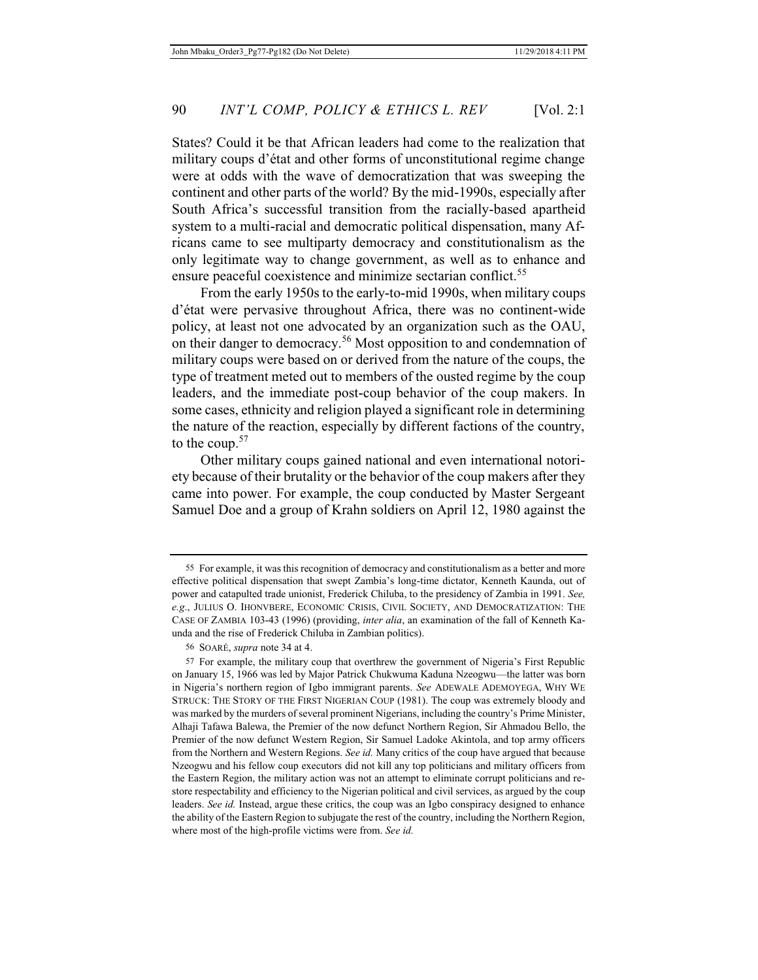States? Could it be that African leaders had come to the realization that military coups d'état and other forms of unconstitutional regime change were at odds with the wave of democratization that was sweeping the continent and other parts of the world? By the mid-1990s, especially after South Africa's successful transition from the racially-based apartheid system to a multi-racial and democratic political dispensation, many Africans came to see multiparty democracy and constitutionalism as the only legitimate way to change government, as well as to enhance and ensure peaceful coexistence and minimize sectarian conflict.<sup>55</sup>

From the early 1950s to the early-to-mid 1990s, when military coups d'état were pervasive throughout Africa, there was no continent-wide policy, at least not one advocated by an organization such as the OAU, on their danger to democracy.<sup>56</sup> Most opposition to and condemnation of military coups were based on or derived from the nature of the coups, the type of treatment meted out to members of the ousted regime by the coup leaders, and the immediate post-coup behavior of the coup makers. In some cases, ethnicity and religion played a significant role in determining the nature of the reaction, especially by different factions of the country, to the coup.<sup>57</sup>

Other military coups gained national and even international notoriety because of their brutality or the behavior of the coup makers after they came into power. For example, the coup conducted by Master Sergeant Samuel Doe and a group of Krahn soldiers on April 12, 1980 against the

<sup>55</sup> For example, it was this recognition of democracy and constitutionalism as a better and more effective political dispensation that swept Zambia's long-time dictator, Kenneth Kaunda, out of power and catapulted trade unionist, Frederick Chiluba, to the presidency of Zambia in 1991. *See, e.g*., JULIUS O. IHONVBERE, ECONOMIC CRISIS, CIVIL SOCIETY, AND DEMOCRATIZATION: THE CASE OF ZAMBIA 103-43 (1996) (providing, *inter alia*, an examination of the fall of Kenneth Kaunda and the rise of Frederick Chiluba in Zambian politics).

<sup>56</sup> SOARÉ, *supra* note 34 at 4.

<sup>57</sup> For example, the military coup that overthrew the government of Nigeria's First Republic on January 15, 1966 was led by Major Patrick Chukwuma Kaduna Nzeogwu—the latter was born in Nigeria's northern region of Igbo immigrant parents. *See* ADEWALE ADEMOYEGA, WHY WE STRUCK: THE STORY OF THE FIRST NIGERIAN COUP (1981). The coup was extremely bloody and was marked by the murders of several prominent Nigerians, including the country's Prime Minister, Alhaji Tafawa Balewa, the Premier of the now defunct Northern Region, Sir Ahmadou Bello, the Premier of the now defunct Western Region, Sir Samuel Ladoke Akintola, and top army officers from the Northern and Western Regions. *See id.* Many critics of the coup have argued that because Nzeogwu and his fellow coup executors did not kill any top politicians and military officers from the Eastern Region, the military action was not an attempt to eliminate corrupt politicians and restore respectability and efficiency to the Nigerian political and civil services, as argued by the coup leaders. *See id.* Instead, argue these critics, the coup was an Igbo conspiracy designed to enhance the ability of the Eastern Region to subjugate the rest of the country, including the Northern Region, where most of the high-profile victims were from. *See id.*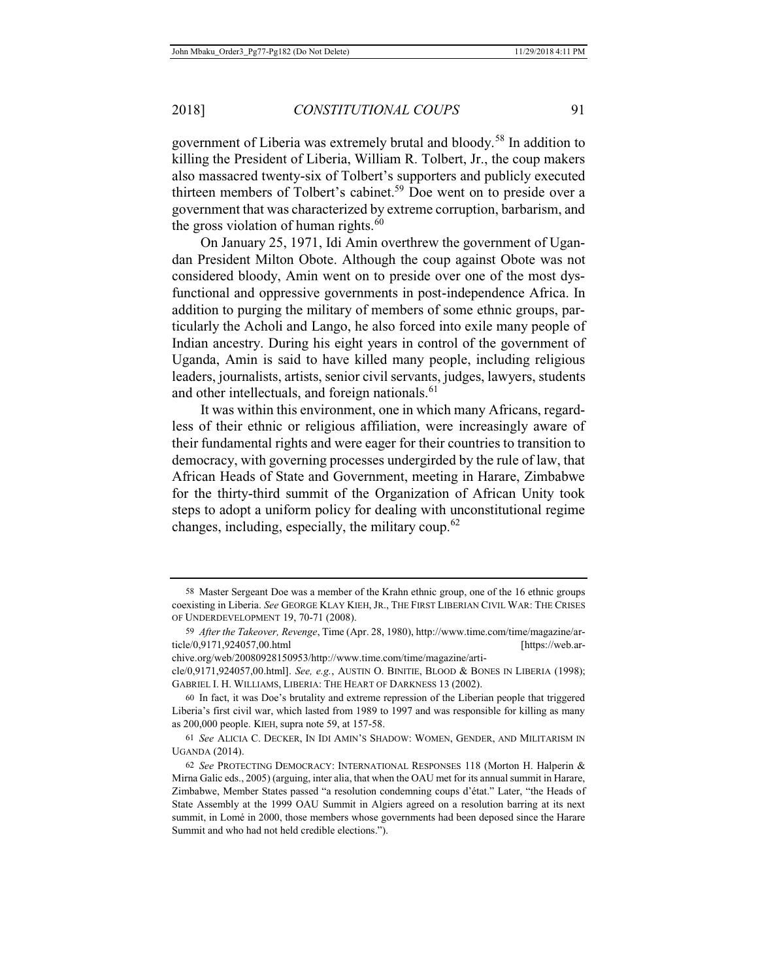government of Liberia was extremely brutal and bloody.58 In addition to killing the President of Liberia, William R. Tolbert, Jr., the coup makers also massacred twenty-six of Tolbert's supporters and publicly executed thirteen members of Tolbert's cabinet.<sup>59</sup> Doe went on to preside over a government that was characterized by extreme corruption, barbarism, and the gross violation of human rights. $60$ 

On January 25, 1971, Idi Amin overthrew the government of Ugandan President Milton Obote. Although the coup against Obote was not considered bloody, Amin went on to preside over one of the most dysfunctional and oppressive governments in post-independence Africa. In addition to purging the military of members of some ethnic groups, particularly the Acholi and Lango, he also forced into exile many people of Indian ancestry. During his eight years in control of the government of Uganda, Amin is said to have killed many people, including religious leaders, journalists, artists, senior civil servants, judges, lawyers, students and other intellectuals, and foreign nationals.<sup>61</sup>

It was within this environment, one in which many Africans, regardless of their ethnic or religious affiliation, were increasingly aware of their fundamental rights and were eager for their countries to transition to democracy, with governing processes undergirded by the rule of law, that African Heads of State and Government, meeting in Harare, Zimbabwe for the thirty-third summit of the Organization of African Unity took steps to adopt a uniform policy for dealing with unconstitutional regime changes, including, especially, the military coup.<sup>62</sup>

chive.org/web/20080928150953/http://www.time.com/time/magazine/arti-

<sup>58</sup> Master Sergeant Doe was a member of the Krahn ethnic group, one of the 16 ethnic groups coexisting in Liberia. *See* GEORGE KLAY KIEH, JR., THE FIRST LIBERIAN CIVIL WAR: THE CRISES OF UNDERDEVELOPMENT 19, 70-71 (2008).

<sup>59</sup> *After the Takeover, Revenge*, Time (Apr. 28, 1980), http://www.time.com/time/magazine/article/0,9171,924057,00.html [https://web.ar-

cle/0,9171,924057,00.html]. *See, e.g.*, AUSTIN O. BINITIE, BLOOD & BONES IN LIBERIA (1998); GABRIEL I. H. WILLIAMS, LIBERIA: THE HEART OF DARKNESS 13 (2002).

<sup>60</sup> In fact, it was Doe's brutality and extreme repression of the Liberian people that triggered Liberia's first civil war, which lasted from 1989 to 1997 and was responsible for killing as many as 200,000 people. KIEH, supra note 59, at 157-58.

<sup>61</sup> *See* ALICIA C. DECKER, IN IDI AMIN'S SHADOW: WOMEN, GENDER, AND MILITARISM IN UGANDA (2014).

<sup>62</sup> *See* PROTECTING DEMOCRACY: INTERNATIONAL RESPONSES 118 (Morton H. Halperin & Mirna Galic eds., 2005) (arguing, inter alia, that when the OAU met for its annual summit in Harare, Zimbabwe, Member States passed "a resolution condemning coups d'état." Later, "the Heads of State Assembly at the 1999 OAU Summit in Algiers agreed on a resolution barring at its next summit, in Lomé in 2000, those members whose governments had been deposed since the Harare Summit and who had not held credible elections.").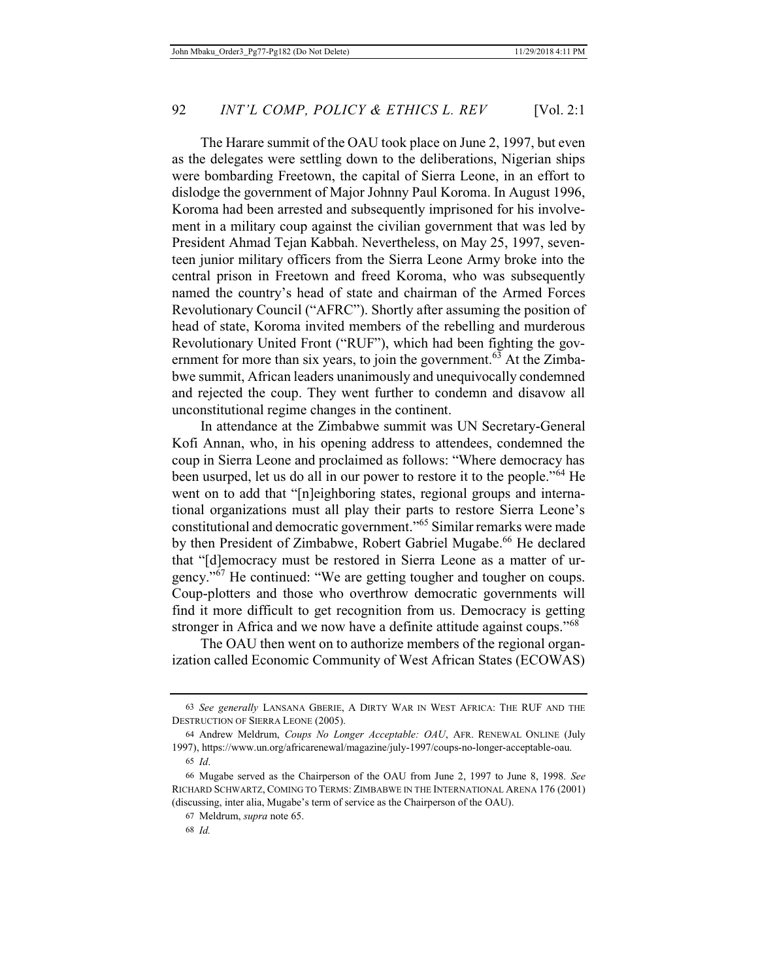The Harare summit of the OAU took place on June 2, 1997, but even as the delegates were settling down to the deliberations, Nigerian ships were bombarding Freetown, the capital of Sierra Leone, in an effort to dislodge the government of Major Johnny Paul Koroma. In August 1996, Koroma had been arrested and subsequently imprisoned for his involvement in a military coup against the civilian government that was led by President Ahmad Tejan Kabbah. Nevertheless, on May 25, 1997, seventeen junior military officers from the Sierra Leone Army broke into the central prison in Freetown and freed Koroma, who was subsequently named the country's head of state and chairman of the Armed Forces Revolutionary Council ("AFRC"). Shortly after assuming the position of head of state, Koroma invited members of the rebelling and murderous Revolutionary United Front ("RUF"), which had been fighting the government for more than six years, to join the government.<sup>63</sup> At the Zimbabwe summit, African leaders unanimously and unequivocally condemned and rejected the coup. They went further to condemn and disavow all unconstitutional regime changes in the continent.

In attendance at the Zimbabwe summit was UN Secretary-General Kofi Annan, who, in his opening address to attendees, condemned the coup in Sierra Leone and proclaimed as follows: "Where democracy has been usurped, let us do all in our power to restore it to the people."64 He went on to add that "[n]eighboring states, regional groups and international organizations must all play their parts to restore Sierra Leone's constitutional and democratic government."65 Similar remarks were made by then President of Zimbabwe, Robert Gabriel Mugabe.<sup>66</sup> He declared that "[d]emocracy must be restored in Sierra Leone as a matter of urgency."<sup>67</sup> He continued: "We are getting tougher and tougher on coups. Coup-plotters and those who overthrow democratic governments will find it more difficult to get recognition from us. Democracy is getting stronger in Africa and we now have a definite attitude against coups."<sup>68</sup>

The OAU then went on to authorize members of the regional organization called Economic Community of West African States (ECOWAS)

<sup>63</sup> *See generally* LANSANA GBERIE, A DIRTY WAR IN WEST AFRICA: THE RUF AND THE DESTRUCTION OF SIERRA LEONE (2005).

<sup>64</sup> Andrew Meldrum, *Coups No Longer Acceptable: OAU*, AFR. RENEWAL ONLINE (July 1997), https://www.un.org/africarenewal/magazine/july-1997/coups-no-longer-acceptable-oau. 65 *Id*.

<sup>66</sup> Mugabe served as the Chairperson of the OAU from June 2, 1997 to June 8, 1998. *See* RICHARD SCHWARTZ, COMING TO TERMS: ZIMBABWE IN THE INTERNATIONAL ARENA 176 (2001) (discussing, inter alia, Mugabe's term of service as the Chairperson of the OAU).

<sup>67</sup> Meldrum, *supra* note 65.

<sup>68</sup> *Id.*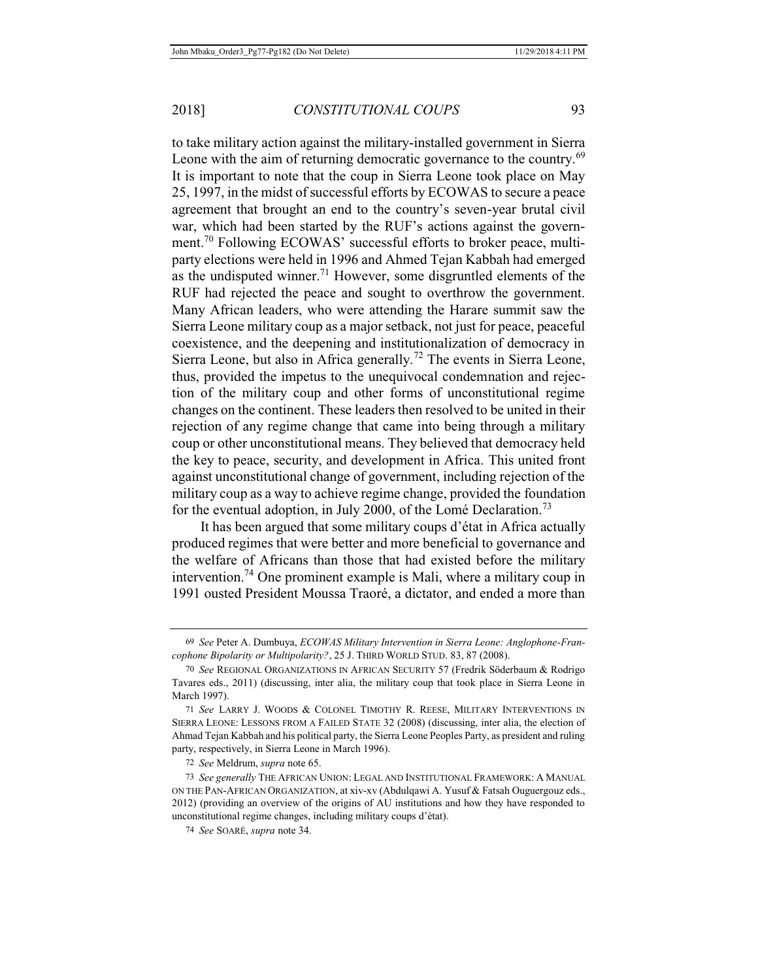to take military action against the military-installed government in Sierra Leone with the aim of returning democratic governance to the country.<sup>69</sup> It is important to note that the coup in Sierra Leone took place on May 25, 1997, in the midst of successful efforts by ECOWAS to secure a peace agreement that brought an end to the country's seven-year brutal civil war, which had been started by the RUF's actions against the government.70 Following ECOWAS' successful efforts to broker peace, multiparty elections were held in 1996 and Ahmed Tejan Kabbah had emerged as the undisputed winner.<sup>71</sup> However, some disgruntled elements of the RUF had rejected the peace and sought to overthrow the government. Many African leaders, who were attending the Harare summit saw the Sierra Leone military coup as a major setback, not just for peace, peaceful coexistence, and the deepening and institutionalization of democracy in Sierra Leone, but also in Africa generally.<sup>72</sup> The events in Sierra Leone, thus, provided the impetus to the unequivocal condemnation and rejection of the military coup and other forms of unconstitutional regime changes on the continent. These leaders then resolved to be united in their rejection of any regime change that came into being through a military coup or other unconstitutional means. They believed that democracy held the key to peace, security, and development in Africa. This united front against unconstitutional change of government, including rejection of the military coup as a way to achieve regime change, provided the foundation for the eventual adoption, in July 2000, of the Lomé Declaration.<sup>73</sup>

It has been argued that some military coups d'état in Africa actually produced regimes that were better and more beneficial to governance and the welfare of Africans than those that had existed before the military intervention.<sup>74</sup> One prominent example is Mali, where a military coup in 1991 ousted President Moussa Traoré, a dictator, and ended a more than

72 *See* Meldrum, *supra* note 65.

<sup>69</sup> *See* Peter A. Dumbuya, *ECOWAS Military Intervention in Sierra Leone: Anglophone-Francophone Bipolarity or Multipolarity?*, 25 J. THIRD WORLD STUD. 83, 87 (2008).

<sup>70</sup> *See* REGIONAL ORGANIZATIONS IN AFRICAN SECURITY 57 (Fredrik Söderbaum & Rodrigo Tavares eds., 2011) (discussing, inter alia, the military coup that took place in Sierra Leone in March 1997).

<sup>71</sup> *See* LARRY J. WOODS & COLONEL TIMOTHY R. REESE, MILITARY INTERVENTIONS IN SIERRA LEONE: LESSONS FROM A FAILED STATE 32 (2008) (discussing, inter alia, the election of Ahmad Tejan Kabbah and his political party, the Sierra Leone Peoples Party, as president and ruling party, respectively, in Sierra Leone in March 1996).

<sup>73</sup> *See generally* THE AFRICAN UNION: LEGAL AND INSTITUTIONAL FRAMEWORK: A MANUAL ON THE PAN-AFRICAN ORGANIZATION, at xiv-xv (Abdulqawi A. Yusuf & Fatsah Ouguergouz eds., 2012) (providing an overview of the origins of AU institutions and how they have responded to unconstitutional regime changes, including military coups d'état).

<sup>74</sup> *See* SOARÉ, *supra* note 34.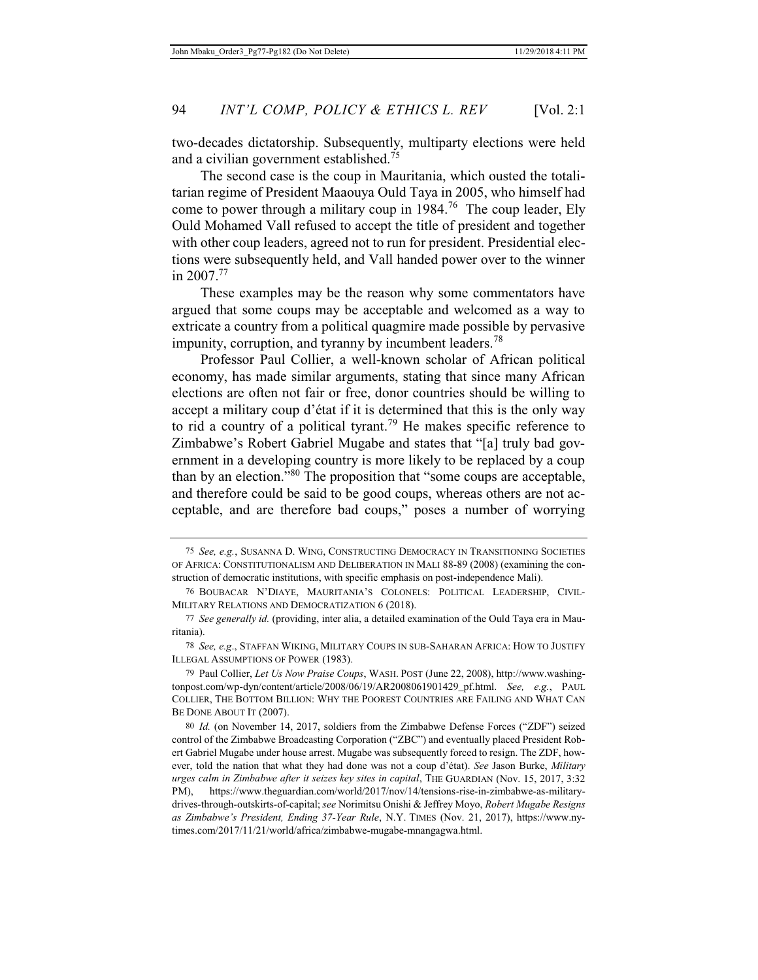two-decades dictatorship. Subsequently, multiparty elections were held and a civilian government established.<sup>75</sup>

The second case is the coup in Mauritania, which ousted the totalitarian regime of President Maaouya Ould Taya in 2005, who himself had come to power through a military coup in  $1984$ <sup>76</sup>. The coup leader, Ely Ould Mohamed Vall refused to accept the title of president and together with other coup leaders, agreed not to run for president. Presidential elections were subsequently held, and Vall handed power over to the winner in  $2007^{77}$ 

These examples may be the reason why some commentators have argued that some coups may be acceptable and welcomed as a way to extricate a country from a political quagmire made possible by pervasive impunity, corruption, and tyranny by incumbent leaders.<sup>78</sup>

Professor Paul Collier, a well-known scholar of African political economy, has made similar arguments, stating that since many African elections are often not fair or free, donor countries should be willing to accept a military coup d'état if it is determined that this is the only way to rid a country of a political tyrant.<sup>79</sup> He makes specific reference to Zimbabwe's Robert Gabriel Mugabe and states that "[a] truly bad government in a developing country is more likely to be replaced by a coup than by an election."<sup>80</sup> The proposition that "some coups are acceptable, and therefore could be said to be good coups, whereas others are not acceptable, and are therefore bad coups," poses a number of worrying

<sup>75</sup> *See, e.g.*, SUSANNA D. WING, CONSTRUCTING DEMOCRACY IN TRANSITIONING SOCIETIES OF AFRICA: CONSTITUTIONALISM AND DELIBERATION IN MALI 88-89 (2008) (examining the construction of democratic institutions, with specific emphasis on post-independence Mali).

<sup>76</sup> BOUBACAR N'DIAYE, MAURITANIA'S COLONELS: POLITICAL LEADERSHIP, CIVIL-MILITARY RELATIONS AND DEMOCRATIZATION 6 (2018).

<sup>77</sup> *See generally id.* (providing, inter alia, a detailed examination of the Ould Taya era in Mauritania).

<sup>78</sup> *See, e.g*., STAFFAN WIKING, MILITARY COUPS IN SUB-SAHARAN AFRICA: HOW TO JUSTIFY ILLEGAL ASSUMPTIONS OF POWER (1983).

<sup>79</sup> Paul Collier, *Let Us Now Praise Coups*, WASH. POST (June 22, 2008), http://www.washingtonpost.com/wp-dyn/content/article/2008/06/19/AR2008061901429\_pf.html. *See, e.g.*, PAUL COLLIER, THE BOTTOM BILLION: WHY THE POOREST COUNTRIES ARE FAILING AND WHAT CAN BE DONE ABOUT IT (2007).

<sup>80</sup> *Id.* (on November 14, 2017, soldiers from the Zimbabwe Defense Forces ("ZDF") seized control of the Zimbabwe Broadcasting Corporation ("ZBC") and eventually placed President Robert Gabriel Mugabe under house arrest. Mugabe was subsequently forced to resign. The ZDF, however, told the nation that what they had done was not a coup d'état). *See* Jason Burke, *Military urges calm in Zimbabwe after it seizes key sites in capital*, THE GUARDIAN (Nov. 15, 2017, 3:32 PM), https://www.theguardian.com/world/2017/nov/14/tensions-rise-in-zimbabwe-as-militarydrives-through-outskirts-of-capital; *see* Norimitsu Onishi & Jeffrey Moyo, *Robert Mugabe Resigns as Zimbabwe's President, Ending 37-Year Rule*, N.Y. TIMES (Nov. 21, 2017), https://www.nytimes.com/2017/11/21/world/africa/zimbabwe-mugabe-mnangagwa.html.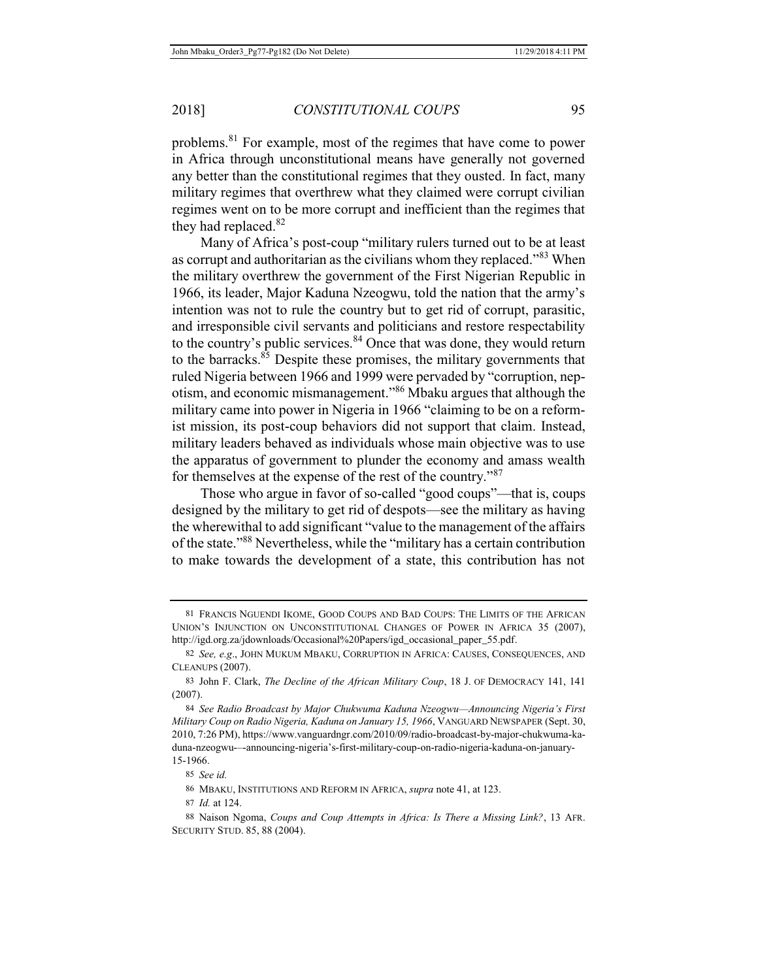problems.81 For example, most of the regimes that have come to power in Africa through unconstitutional means have generally not governed any better than the constitutional regimes that they ousted. In fact, many military regimes that overthrew what they claimed were corrupt civilian regimes went on to be more corrupt and inefficient than the regimes that they had replaced.<sup>82</sup>

Many of Africa's post-coup "military rulers turned out to be at least as corrupt and authoritarian as the civilians whom they replaced."83 When the military overthrew the government of the First Nigerian Republic in 1966, its leader, Major Kaduna Nzeogwu, told the nation that the army's intention was not to rule the country but to get rid of corrupt, parasitic, and irresponsible civil servants and politicians and restore respectability to the country's public services. $84$  Once that was done, they would return to the barracks. $85$  Despite these promises, the military governments that ruled Nigeria between 1966 and 1999 were pervaded by "corruption, nepotism, and economic mismanagement."86 Mbaku argues that although the military came into power in Nigeria in 1966 "claiming to be on a reformist mission, its post-coup behaviors did not support that claim. Instead, military leaders behaved as individuals whose main objective was to use the apparatus of government to plunder the economy and amass wealth for themselves at the expense of the rest of the country."<sup>87</sup>

Those who argue in favor of so-called "good coups"—that is, coups designed by the military to get rid of despots—see the military as having the wherewithal to add significant "value to the management of the affairs of the state."<sup>88</sup> Nevertheless, while the "military has a certain contribution to make towards the development of a state, this contribution has not

85 *See id.*

<sup>81</sup> FRANCIS NGUENDI IKOME, GOOD COUPS AND BAD COUPS: THE LIMITS OF THE AFRICAN UNION'S INJUNCTION ON UNCONSTITUTIONAL CHANGES OF POWER IN AFRICA 35 (2007), http://igd.org.za/jdownloads/Occasional%20Papers/igd\_occasional\_paper\_55.pdf.

<sup>82</sup> *See, e.g*., JOHN MUKUM MBAKU, CORRUPTION IN AFRICA: CAUSES, CONSEQUENCES, AND CLEANUPS (2007).

<sup>83</sup> John F. Clark, *The Decline of the African Military Coup*, 18 J. OF DEMOCRACY 141, 141 (2007).

<sup>84</sup> *See Radio Broadcast by Major Chukwuma Kaduna Nzeogwu—Announcing Nigeria's First Military Coup on Radio Nigeria, Kaduna on January 15, 1966*, VANGUARD NEWSPAPER (Sept. 30, 2010, 7:26 PM), https://www.vanguardngr.com/2010/09/radio-broadcast-by-major-chukwuma-kaduna-nzeogwu-–-announcing-nigeria's-first-military-coup-on-radio-nigeria-kaduna-on-january-15-1966.

<sup>86</sup> MBAKU, INSTITUTIONS AND REFORM IN AFRICA, *supra* note 41, at 123.

<sup>87</sup> *Id.* at 124.

<sup>88</sup> Naison Ngoma, *Coups and Coup Attempts in Africa: Is There a Missing Link?*, 13 AFR. SECURITY STUD. 85, 88 (2004).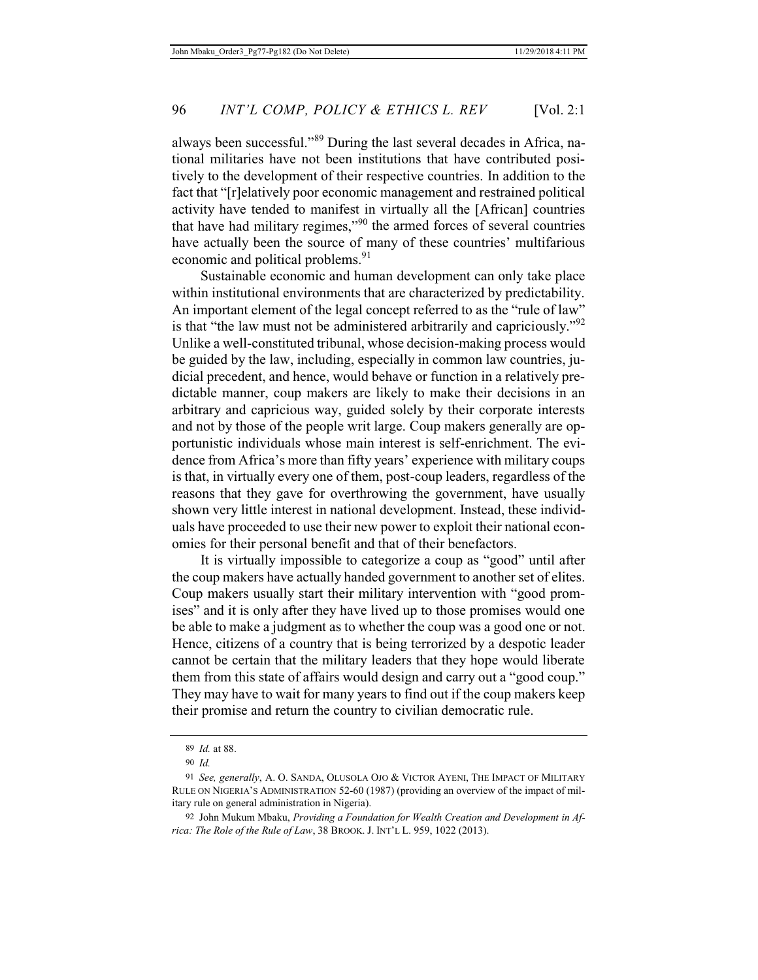always been successful."89 During the last several decades in Africa, national militaries have not been institutions that have contributed positively to the development of their respective countries. In addition to the fact that "[r]elatively poor economic management and restrained political activity have tended to manifest in virtually all the [African] countries that have had military regimes,"90 the armed forces of several countries have actually been the source of many of these countries' multifarious economic and political problems.<sup>91</sup>

Sustainable economic and human development can only take place within institutional environments that are characterized by predictability. An important element of the legal concept referred to as the "rule of law" is that "the law must not be administered arbitrarily and capriciously."<sup>92</sup> Unlike a well-constituted tribunal, whose decision-making process would be guided by the law, including, especially in common law countries, judicial precedent, and hence, would behave or function in a relatively predictable manner, coup makers are likely to make their decisions in an arbitrary and capricious way, guided solely by their corporate interests and not by those of the people writ large. Coup makers generally are opportunistic individuals whose main interest is self-enrichment. The evidence from Africa's more than fifty years' experience with military coups is that, in virtually every one of them, post-coup leaders, regardless of the reasons that they gave for overthrowing the government, have usually shown very little interest in national development. Instead, these individuals have proceeded to use their new power to exploit their national economies for their personal benefit and that of their benefactors.

It is virtually impossible to categorize a coup as "good" until after the coup makers have actually handed government to another set of elites. Coup makers usually start their military intervention with "good promises" and it is only after they have lived up to those promises would one be able to make a judgment as to whether the coup was a good one or not. Hence, citizens of a country that is being terrorized by a despotic leader cannot be certain that the military leaders that they hope would liberate them from this state of affairs would design and carry out a "good coup." They may have to wait for many years to find out if the coup makers keep their promise and return the country to civilian democratic rule.

<sup>89</sup> *Id.* at 88.

<sup>90</sup> *Id.*

<sup>91</sup> *See, generally*, A. O. SANDA, OLUSOLA OJO & VICTOR AYENI, THE IMPACT OF MILITARY RULE ON NIGERIA'S ADMINISTRATION 52-60 (1987) (providing an overview of the impact of military rule on general administration in Nigeria).

<sup>92</sup> John Mukum Mbaku, *Providing a Foundation for Wealth Creation and Development in Africa: The Role of the Rule of Law*, 38 BROOK. J. INT'L L. 959, 1022 (2013).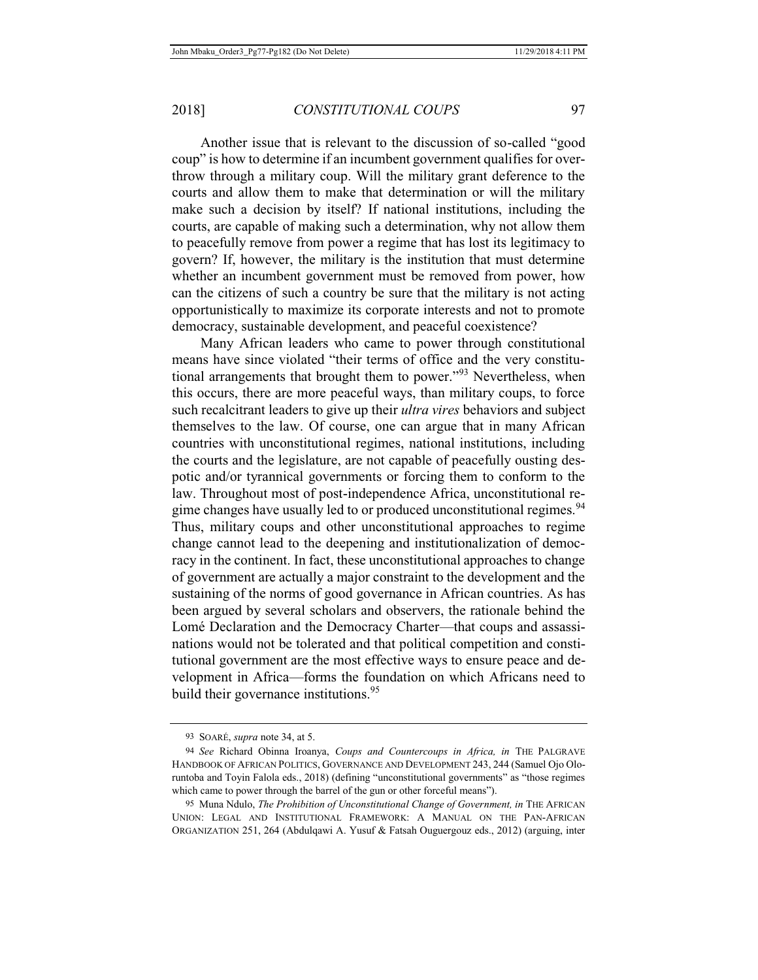Another issue that is relevant to the discussion of so-called "good coup" is how to determine if an incumbent government qualifies for overthrow through a military coup. Will the military grant deference to the courts and allow them to make that determination or will the military make such a decision by itself? If national institutions, including the courts, are capable of making such a determination, why not allow them to peacefully remove from power a regime that has lost its legitimacy to govern? If, however, the military is the institution that must determine whether an incumbent government must be removed from power, how can the citizens of such a country be sure that the military is not acting opportunistically to maximize its corporate interests and not to promote democracy, sustainable development, and peaceful coexistence?

Many African leaders who came to power through constitutional means have since violated "their terms of office and the very constitutional arrangements that brought them to power."<sup>93</sup> Nevertheless, when this occurs, there are more peaceful ways, than military coups, to force such recalcitrant leaders to give up their *ultra vires* behaviors and subject themselves to the law. Of course, one can argue that in many African countries with unconstitutional regimes, national institutions, including the courts and the legislature, are not capable of peacefully ousting despotic and/or tyrannical governments or forcing them to conform to the law. Throughout most of post-independence Africa, unconstitutional regime changes have usually led to or produced unconstitutional regimes.<sup>94</sup> Thus, military coups and other unconstitutional approaches to regime change cannot lead to the deepening and institutionalization of democracy in the continent. In fact, these unconstitutional approaches to change of government are actually a major constraint to the development and the sustaining of the norms of good governance in African countries. As has been argued by several scholars and observers, the rationale behind the Lomé Declaration and the Democracy Charter—that coups and assassinations would not be tolerated and that political competition and constitutional government are the most effective ways to ensure peace and development in Africa—forms the foundation on which Africans need to build their governance institutions.<sup>95</sup>

<sup>93</sup> SOARÉ, *supra* note 34, at 5.

<sup>94</sup> *See* Richard Obinna Iroanya, *Coups and Countercoups in Africa, in* THE PALGRAVE HANDBOOK OF AFRICAN POLITICS, GOVERNANCE AND DEVELOPMENT 243, 244 (Samuel Ojo Oloruntoba and Toyin Falola eds., 2018) (defining "unconstitutional governments" as "those regimes which came to power through the barrel of the gun or other forceful means").

<sup>95</sup> Muna Ndulo, *The Prohibition of Unconstitutional Change of Government, in* THE AFRICAN UNION: LEGAL AND INSTITUTIONAL FRAMEWORK: A MANUAL ON THE PAN-AFRICAN ORGANIZATION 251, 264 (Abdulqawi A. Yusuf & Fatsah Ouguergouz eds., 2012) (arguing, inter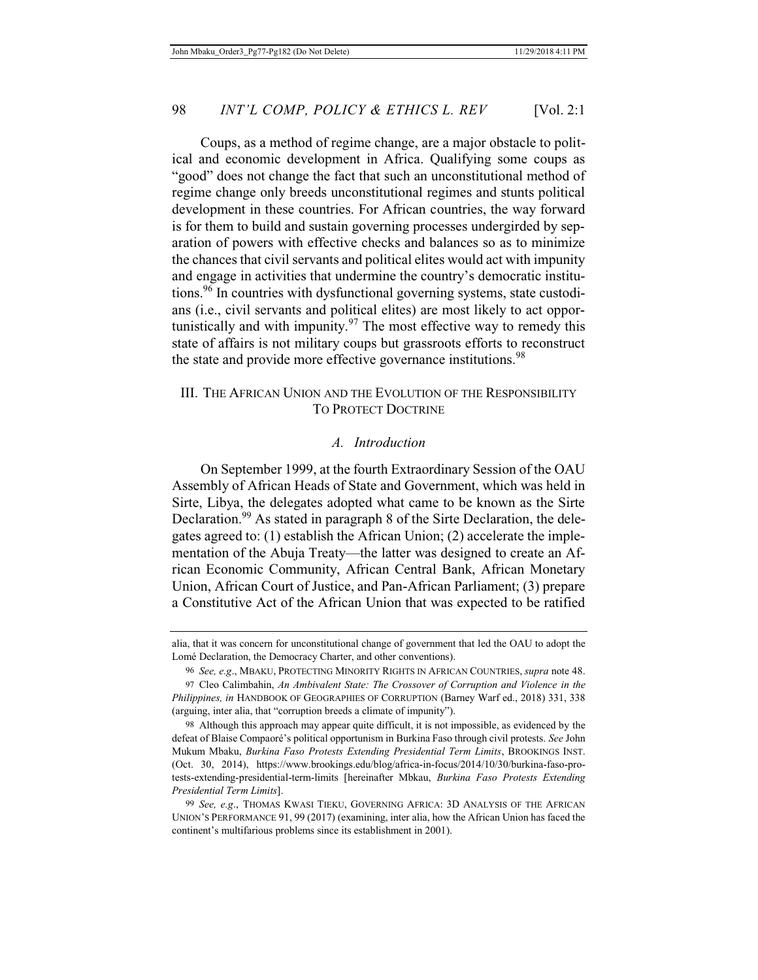Coups, as a method of regime change, are a major obstacle to political and economic development in Africa. Qualifying some coups as "good" does not change the fact that such an unconstitutional method of regime change only breeds unconstitutional regimes and stunts political development in these countries. For African countries, the way forward is for them to build and sustain governing processes undergirded by separation of powers with effective checks and balances so as to minimize the chances that civil servants and political elites would act with impunity and engage in activities that undermine the country's democratic institutions.96 In countries with dysfunctional governing systems, state custodians (i.e., civil servants and political elites) are most likely to act opportunistically and with impunity. $97$  The most effective way to remedy this state of affairs is not military coups but grassroots efforts to reconstruct the state and provide more effective governance institutions.<sup>98</sup>

### III. THE AFRICAN UNION AND THE EVOLUTION OF THE RESPONSIBILITY TO PROTECT DOCTRINE

#### *A. Introduction*

On September 1999, at the fourth Extraordinary Session of the OAU Assembly of African Heads of State and Government, which was held in Sirte, Libya, the delegates adopted what came to be known as the Sirte Declaration.<sup>99</sup> As stated in paragraph 8 of the Sirte Declaration, the delegates agreed to: (1) establish the African Union; (2) accelerate the implementation of the Abuja Treaty—the latter was designed to create an African Economic Community, African Central Bank, African Monetary Union, African Court of Justice, and Pan-African Parliament; (3) prepare a Constitutive Act of the African Union that was expected to be ratified

alia, that it was concern for unconstitutional change of government that led the OAU to adopt the Lomé Declaration, the Democracy Charter, and other conventions).

<sup>96</sup> *See, e.g*., MBAKU, PROTECTING MINORITY RIGHTS IN AFRICAN COUNTRIES, *supra* note 48.

<sup>97</sup> Cleo Calimbahin, *An Ambivalent State: The Crossover of Corruption and Violence in the Philippines, in* HANDBOOK OF GEOGRAPHIES OF CORRUPTION (Barney Warf ed., 2018) 331, 338 (arguing, inter alia, that "corruption breeds a climate of impunity").

<sup>98</sup> Although this approach may appear quite difficult, it is not impossible, as evidenced by the defeat of Blaise Compaoré's political opportunism in Burkina Faso through civil protests. *See* John Mukum Mbaku, *Burkina Faso Protests Extending Presidential Term Limits*, BROOKINGS INST. (Oct. 30, 2014), https://www.brookings.edu/blog/africa-in-focus/2014/10/30/burkina-faso-protests-extending-presidential-term-limits [hereinafter Mbkau, *Burkina Faso Protests Extending Presidential Term Limits*].

<sup>99</sup> *See, e.g*., THOMAS KWASI TIEKU, GOVERNING AFRICA: 3D ANALYSIS OF THE AFRICAN UNION'S PERFORMANCE 91, 99 (2017) (examining, inter alia, how the African Union has faced the continent's multifarious problems since its establishment in 2001).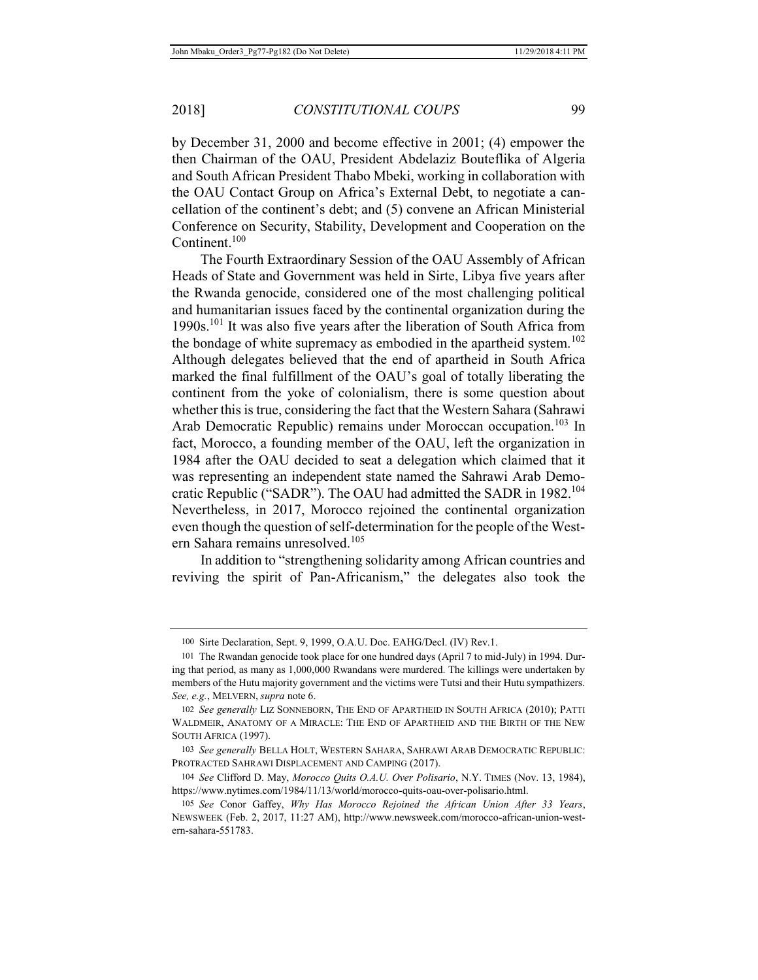by December 31, 2000 and become effective in 2001; (4) empower the then Chairman of the OAU, President Abdelaziz Bouteflika of Algeria and South African President Thabo Mbeki, working in collaboration with the OAU Contact Group on Africa's External Debt, to negotiate a cancellation of the continent's debt; and (5) convene an African Ministerial Conference on Security, Stability, Development and Cooperation on the Continent.<sup>100</sup>

The Fourth Extraordinary Session of the OAU Assembly of African Heads of State and Government was held in Sirte, Libya five years after the Rwanda genocide, considered one of the most challenging political and humanitarian issues faced by the continental organization during the 1990s.<sup>101</sup> It was also five years after the liberation of South Africa from the bondage of white supremacy as embodied in the apartheid system.<sup>102</sup> Although delegates believed that the end of apartheid in South Africa marked the final fulfillment of the OAU's goal of totally liberating the continent from the yoke of colonialism, there is some question about whether this is true, considering the fact that the Western Sahara (Sahrawi Arab Democratic Republic) remains under Moroccan occupation.<sup>103</sup> In fact, Morocco, a founding member of the OAU, left the organization in 1984 after the OAU decided to seat a delegation which claimed that it was representing an independent state named the Sahrawi Arab Democratic Republic ("SADR"). The OAU had admitted the SADR in 1982.<sup>104</sup> Nevertheless, in 2017, Morocco rejoined the continental organization even though the question of self-determination for the people of the Western Sahara remains unresolved.<sup>105</sup>

In addition to "strengthening solidarity among African countries and reviving the spirit of Pan-Africanism," the delegates also took the

<sup>100</sup> Sirte Declaration, Sept. 9, 1999, O.A.U. Doc. EAHG/Decl. (IV) Rev.1.

<sup>101</sup> The Rwandan genocide took place for one hundred days (April 7 to mid-July) in 1994. During that period, as many as 1,000,000 Rwandans were murdered. The killings were undertaken by members of the Hutu majority government and the victims were Tutsi and their Hutu sympathizers. *See, e.g.*, MELVERN, *supra* note 6.

<sup>102</sup> *See generally* LIZ SONNEBORN, THE END OF APARTHEID IN SOUTH AFRICA (2010); PATTI WALDMEIR, ANATOMY OF A MIRACLE: THE END OF APARTHEID AND THE BIRTH OF THE NEW SOUTH AFRICA (1997).

<sup>103</sup> *See generally* BELLA HOLT, WESTERN SAHARA, SAHRAWI ARAB DEMOCRATIC REPUBLIC: PROTRACTED SAHRAWI DISPLACEMENT AND CAMPING (2017).

<sup>104</sup> *See* Clifford D. May, *Morocco Quits O.A.U. Over Polisario*, N.Y. TIMES (Nov. 13, 1984), https://www.nytimes.com/1984/11/13/world/morocco-quits-oau-over-polisario.html.

<sup>105</sup> *See* Conor Gaffey, *Why Has Morocco Rejoined the African Union After 33 Years*, NEWSWEEK (Feb. 2, 2017, 11:27 AM), http://www.newsweek.com/morocco-african-union-western-sahara-551783.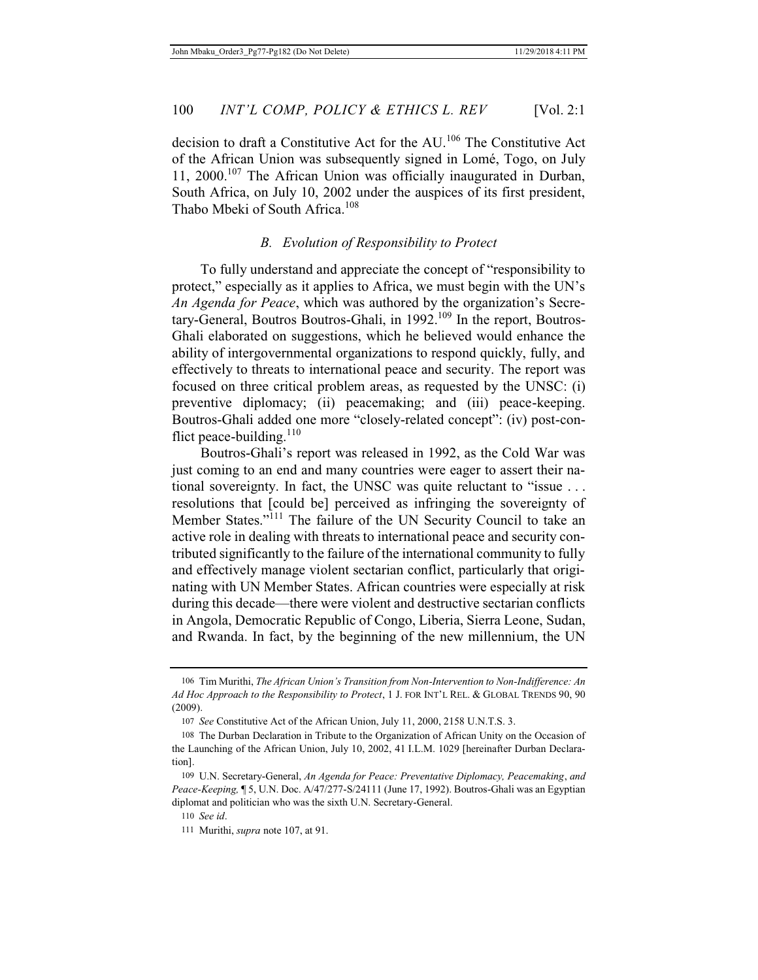decision to draft a Constitutive Act for the AU.106 The Constitutive Act of the African Union was subsequently signed in Lomé, Togo, on July 11, 2000.<sup>107</sup> The African Union was officially inaugurated in Durban, South Africa, on July 10, 2002 under the auspices of its first president, Thabo Mbeki of South Africa.<sup>108</sup>

#### *B. Evolution of Responsibility to Protect*

To fully understand and appreciate the concept of "responsibility to protect," especially as it applies to Africa, we must begin with the UN's *An Agenda for Peace*, which was authored by the organization's Secretary-General, Boutros Boutros-Ghali, in 1992.<sup>109</sup> In the report, Boutros-Ghali elaborated on suggestions, which he believed would enhance the ability of intergovernmental organizations to respond quickly, fully, and effectively to threats to international peace and security. The report was focused on three critical problem areas, as requested by the UNSC: (i) preventive diplomacy; (ii) peacemaking; and (iii) peace-keeping. Boutros-Ghali added one more "closely-related concept": (iv) post-conflict peace-building.<sup>110</sup>

Boutros-Ghali's report was released in 1992, as the Cold War was just coming to an end and many countries were eager to assert their national sovereignty. In fact, the UNSC was quite reluctant to "issue . . . resolutions that [could be] perceived as infringing the sovereignty of Member States."<sup>111</sup> The failure of the UN Security Council to take an active role in dealing with threats to international peace and security contributed significantly to the failure of the international community to fully and effectively manage violent sectarian conflict, particularly that originating with UN Member States. African countries were especially at risk during this decade—there were violent and destructive sectarian conflicts in Angola, Democratic Republic of Congo, Liberia, Sierra Leone, Sudan, and Rwanda. In fact, by the beginning of the new millennium, the UN

<sup>106</sup> Tim Murithi, *The African Union's Transition from Non-Intervention to Non-Indifference: An Ad Hoc Approach to the Responsibility to Protect*, 1 J. FOR INT'L REL. & GLOBAL TRENDS 90, 90 (2009).

<sup>107</sup> *See* Constitutive Act of the African Union, July 11, 2000, 2158 U.N.T.S. 3.

<sup>108</sup> The Durban Declaration in Tribute to the Organization of African Unity on the Occasion of the Launching of the African Union, July 10, 2002, 41 I.L.M. 1029 [hereinafter Durban Declaration].

<sup>109</sup> U.N. Secretary-General, *An Agenda for Peace: Preventative Diplomacy, Peacemaking*, *and Peace-Keeping,* ¶ 5, U.N. Doc. A/47/277-S/24111 (June 17, 1992). Boutros-Ghali was an Egyptian diplomat and politician who was the sixth U.N. Secretary-General.

<sup>110</sup> *See id*.

<sup>111</sup> Murithi, *supra* note 107, at 91.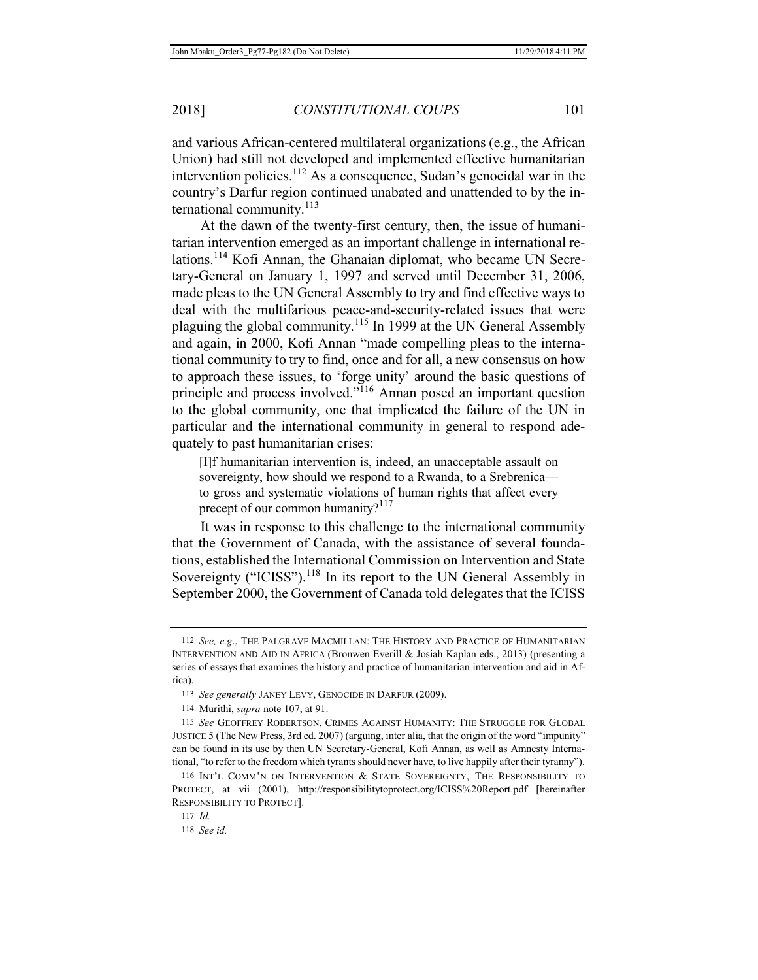and various African-centered multilateral organizations (e.g., the African Union) had still not developed and implemented effective humanitarian intervention policies.<sup>112</sup> As a consequence, Sudan's genocidal war in the country's Darfur region continued unabated and unattended to by the international community. $^{113}$ 

At the dawn of the twenty-first century, then, the issue of humanitarian intervention emerged as an important challenge in international relations.114 Kofi Annan, the Ghanaian diplomat, who became UN Secretary-General on January 1, 1997 and served until December 31, 2006, made pleas to the UN General Assembly to try and find effective ways to deal with the multifarious peace-and-security-related issues that were plaguing the global community.115 In 1999 at the UN General Assembly and again, in 2000, Kofi Annan "made compelling pleas to the international community to try to find, once and for all, a new consensus on how to approach these issues, to 'forge unity' around the basic questions of principle and process involved."<sup>116</sup> Annan posed an important question to the global community, one that implicated the failure of the UN in particular and the international community in general to respond adequately to past humanitarian crises:

[I]f humanitarian intervention is, indeed, an unacceptable assault on sovereignty, how should we respond to a Rwanda, to a Srebrenica to gross and systematic violations of human rights that affect every precept of our common humanity?<sup>117</sup>

It was in response to this challenge to the international community that the Government of Canada, with the assistance of several foundations, established the International Commission on Intervention and State Sovereignty ("ICISS").<sup>118</sup> In its report to the UN General Assembly in September 2000, the Government of Canada told delegates that the ICISS

<sup>112</sup> *See, e.g*., THE PALGRAVE MACMILLAN: THE HISTORY AND PRACTICE OF HUMANITARIAN INTERVENTION AND AID IN AFRICA (Bronwen Everill & Josiah Kaplan eds., 2013) (presenting a series of essays that examines the history and practice of humanitarian intervention and aid in Africa).

<sup>113</sup> *See generally* JANEY LEVY, GENOCIDE IN DARFUR (2009).

<sup>114</sup> Murithi, *supra* note 107, at 91.

<sup>115</sup> *See* GEOFFREY ROBERTSON, CRIMES AGAINST HUMANITY: THE STRUGGLE FOR GLOBAL JUSTICE 5 (The New Press, 3rd ed. 2007) (arguing, inter alia, that the origin of the word "impunity" can be found in its use by then UN Secretary-General, Kofi Annan, as well as Amnesty International, "to refer to the freedom which tyrants should never have, to live happily after their tyranny").

<sup>116</sup> INT'L COMM'N ON INTERVENTION & STATE SOVEREIGNTY, THE RESPONSIBILITY TO PROTECT, at vii (2001), http://responsibilitytoprotect.org/ICISS%20Report.pdf [hereinafter RESPONSIBILITY TO PROTECT].

<sup>117</sup> *Id.* 118 *See id.*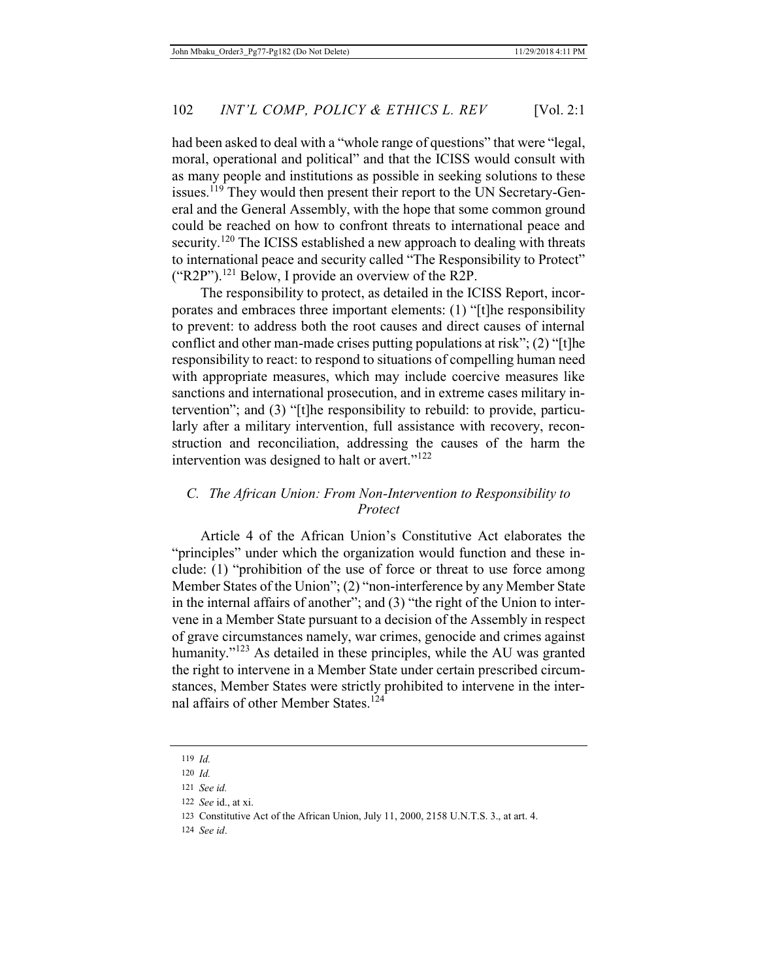had been asked to deal with a "whole range of questions" that were "legal, moral, operational and political" and that the ICISS would consult with as many people and institutions as possible in seeking solutions to these issues.<sup>119</sup> They would then present their report to the UN Secretary-General and the General Assembly, with the hope that some common ground could be reached on how to confront threats to international peace and security.<sup>120</sup> The ICISS established a new approach to dealing with threats to international peace and security called "The Responsibility to Protect" ("R2P").121 Below, I provide an overview of the R2P.

The responsibility to protect, as detailed in the ICISS Report, incorporates and embraces three important elements: (1) "[t]he responsibility to prevent: to address both the root causes and direct causes of internal conflict and other man-made crises putting populations at risk"; (2) "[t]he responsibility to react: to respond to situations of compelling human need with appropriate measures, which may include coercive measures like sanctions and international prosecution, and in extreme cases military intervention"; and (3) "[t]he responsibility to rebuild: to provide, particularly after a military intervention, full assistance with recovery, reconstruction and reconciliation, addressing the causes of the harm the intervention was designed to halt or avert."<sup>122</sup>

# *C. The African Union: From Non-Intervention to Responsibility to Protect*

Article 4 of the African Union's Constitutive Act elaborates the "principles" under which the organization would function and these include: (1) "prohibition of the use of force or threat to use force among Member States of the Union"; (2) "non-interference by any Member State in the internal affairs of another"; and (3) "the right of the Union to intervene in a Member State pursuant to a decision of the Assembly in respect of grave circumstances namely, war crimes, genocide and crimes against humanity."<sup>123</sup> As detailed in these principles, while the AU was granted the right to intervene in a Member State under certain prescribed circumstances, Member States were strictly prohibited to intervene in the internal affairs of other Member States.<sup>124</sup>

124 *See id*.

<sup>119</sup> *Id.*

<sup>120</sup> *Id.*

<sup>121</sup> *See id.*

<sup>122</sup> *See* id., at xi.

<sup>123</sup> Constitutive Act of the African Union, July 11, 2000, 2158 U.N.T.S. 3., at art. 4.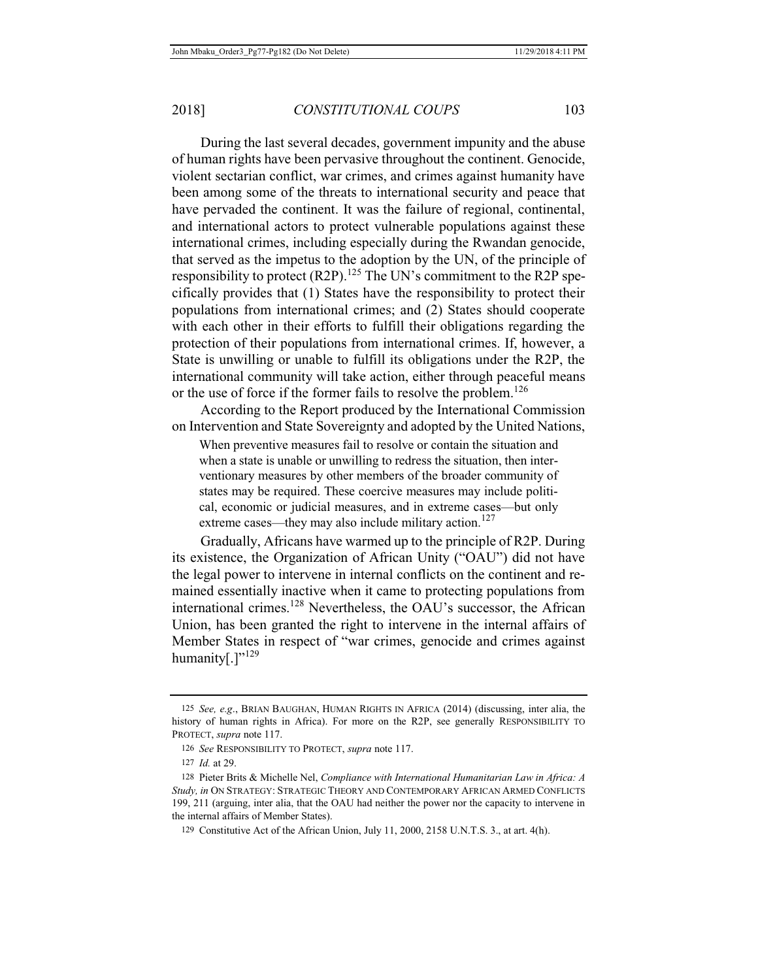During the last several decades, government impunity and the abuse of human rights have been pervasive throughout the continent. Genocide, violent sectarian conflict, war crimes, and crimes against humanity have been among some of the threats to international security and peace that have pervaded the continent. It was the failure of regional, continental, and international actors to protect vulnerable populations against these international crimes, including especially during the Rwandan genocide, that served as the impetus to the adoption by the UN, of the principle of responsibility to protect (R2P).<sup>125</sup> The UN's commitment to the R2P specifically provides that (1) States have the responsibility to protect their populations from international crimes; and (2) States should cooperate with each other in their efforts to fulfill their obligations regarding the protection of their populations from international crimes. If, however, a State is unwilling or unable to fulfill its obligations under the R2P, the international community will take action, either through peaceful means or the use of force if the former fails to resolve the problem.<sup>126</sup>

According to the Report produced by the International Commission on Intervention and State Sovereignty and adopted by the United Nations,

When preventive measures fail to resolve or contain the situation and when a state is unable or unwilling to redress the situation, then interventionary measures by other members of the broader community of states may be required. These coercive measures may include political, economic or judicial measures, and in extreme cases—but only extreme cases—they may also include military action.<sup>127</sup>

Gradually, Africans have warmed up to the principle of R2P. During its existence, the Organization of African Unity ("OAU") did not have the legal power to intervene in internal conflicts on the continent and remained essentially inactive when it came to protecting populations from international crimes.<sup>128</sup> Nevertheless, the OAU's successor, the African Union, has been granted the right to intervene in the internal affairs of Member States in respect of "war crimes, genocide and crimes against humanity[.]"<sup>129</sup>

<sup>125</sup> *See, e.g*., BRIAN BAUGHAN, HUMAN RIGHTS IN AFRICA (2014) (discussing, inter alia, the history of human rights in Africa). For more on the R2P, see generally RESPONSIBILITY TO PROTECT, *supra* note 117.

<sup>126</sup> *See* RESPONSIBILITY TO PROTECT, *supra* note 117.

<sup>127</sup> *Id.* at 29.

<sup>128</sup> Pieter Brits & Michelle Nel, *Compliance with International Humanitarian Law in Africa: A Study, in* ON STRATEGY: STRATEGIC THEORY AND CONTEMPORARY AFRICAN ARMED CONFLICTS 199, 211 (arguing, inter alia, that the OAU had neither the power nor the capacity to intervene in the internal affairs of Member States).

<sup>129</sup> Constitutive Act of the African Union, July 11, 2000, 2158 U.N.T.S. 3., at art. 4(h).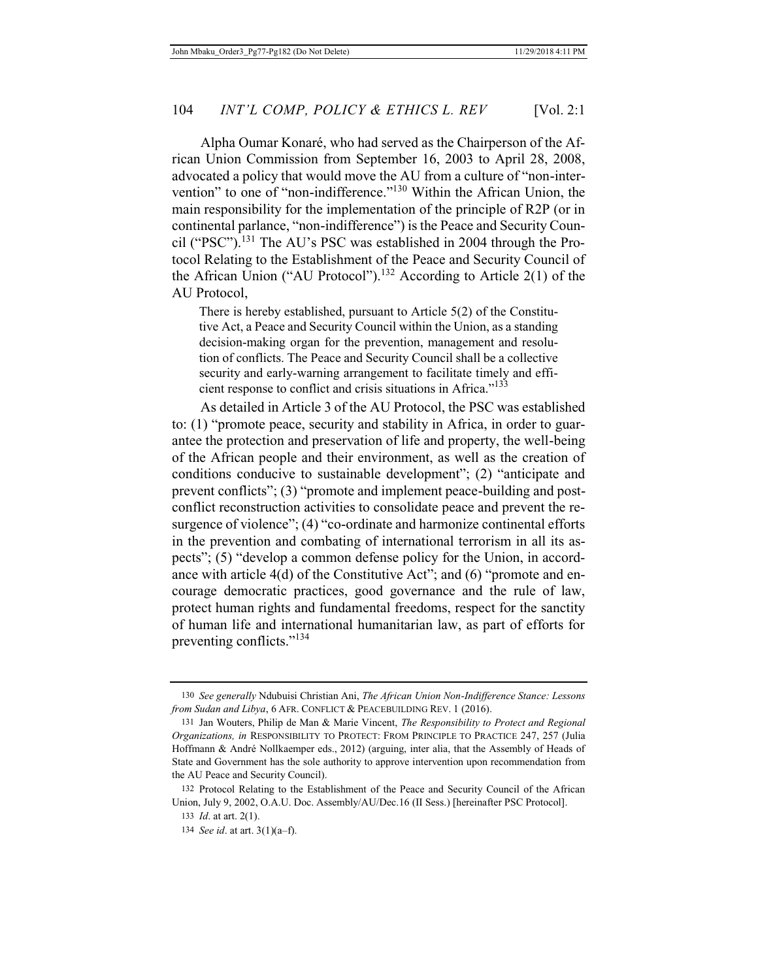Alpha Oumar Konaré, who had served as the Chairperson of the African Union Commission from September 16, 2003 to April 28, 2008, advocated a policy that would move the AU from a culture of "non-intervention" to one of "non-indifference."<sup>130</sup> Within the African Union, the main responsibility for the implementation of the principle of R2P (or in continental parlance, "non-indifference") is the Peace and Security Council ("PSC").<sup>131</sup> The AU's PSC was established in 2004 through the Protocol Relating to the Establishment of the Peace and Security Council of the African Union ("AU Protocol").<sup>132</sup> According to Article 2(1) of the AU Protocol,

There is hereby established, pursuant to Article 5(2) of the Constitutive Act, a Peace and Security Council within the Union, as a standing decision-making organ for the prevention, management and resolution of conflicts. The Peace and Security Council shall be a collective security and early-warning arrangement to facilitate timely and efficient response to conflict and crisis situations in Africa."<sup>133</sup>

As detailed in Article 3 of the AU Protocol, the PSC was established to: (1) "promote peace, security and stability in Africa, in order to guarantee the protection and preservation of life and property, the well-being of the African people and their environment, as well as the creation of conditions conducive to sustainable development"; (2) "anticipate and prevent conflicts"; (3) "promote and implement peace-building and postconflict reconstruction activities to consolidate peace and prevent the resurgence of violence"; (4) "co-ordinate and harmonize continental efforts in the prevention and combating of international terrorism in all its aspects"; (5) "develop a common defense policy for the Union, in accordance with article 4(d) of the Constitutive Act"; and (6) "promote and encourage democratic practices, good governance and the rule of law, protect human rights and fundamental freedoms, respect for the sanctity of human life and international humanitarian law, as part of efforts for preventing conflicts."<sup>134</sup>

<sup>130</sup> *See generally* Ndubuisi Christian Ani, *The African Union Non-Indifference Stance: Lessons from Sudan and Libya*, 6 AFR. CONFLICT & PEACEBUILDING REV. 1 (2016).

<sup>131</sup> Jan Wouters, Philip de Man & Marie Vincent, *The Responsibility to Protect and Regional Organizations, in* RESPONSIBILITY TO PROTECT: FROM PRINCIPLE TO PRACTICE 247, 257 (Julia Hoffmann & André Nollkaemper eds., 2012) (arguing, inter alia, that the Assembly of Heads of State and Government has the sole authority to approve intervention upon recommendation from the AU Peace and Security Council).

<sup>132</sup> Protocol Relating to the Establishment of the Peace and Security Council of the African Union, July 9, 2002, O.A.U. Doc. Assembly/AU/Dec.16 (II Sess.) [hereinafter PSC Protocol].

<sup>133</sup> *Id*. at art. 2(1).

<sup>134</sup> *See id*. at art. 3(1)(a–f).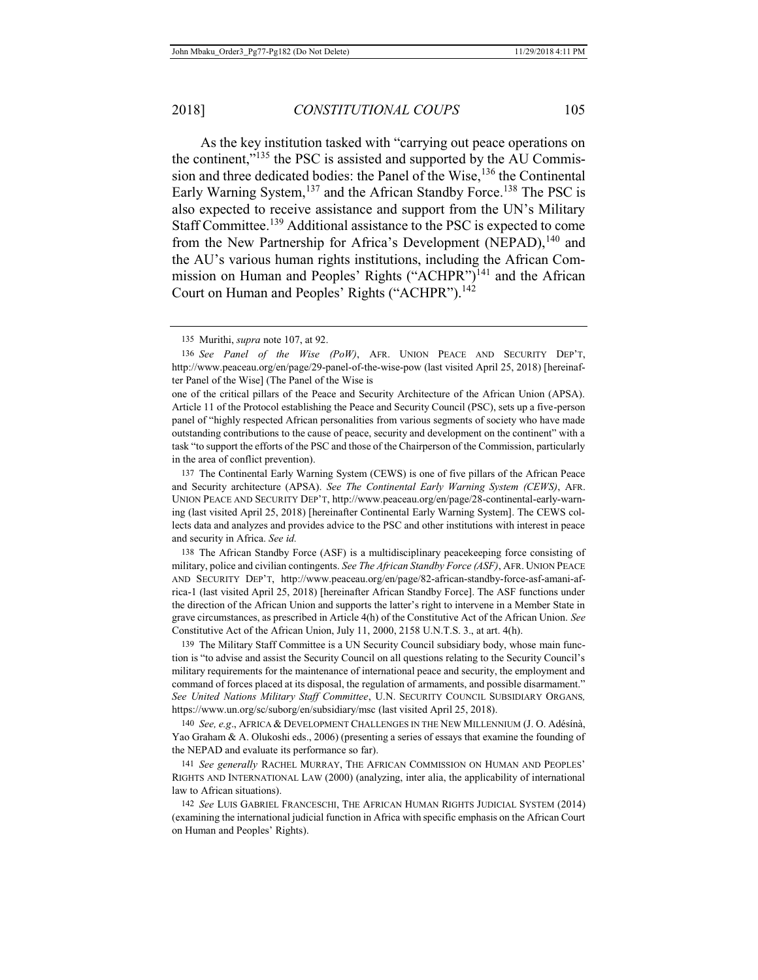As the key institution tasked with "carrying out peace operations on the continent,"135 the PSC is assisted and supported by the AU Commission and three dedicated bodies: the Panel of the Wise,<sup>136</sup> the Continental Early Warning System,<sup>137</sup> and the African Standby Force.<sup>138</sup> The PSC is also expected to receive assistance and support from the UN's Military Staff Committee.139 Additional assistance to the PSC is expected to come from the New Partnership for Africa's Development (NEPAD),<sup>140</sup> and the AU's various human rights institutions, including the African Commission on Human and Peoples' Rights ("ACHPR")<sup>141</sup> and the African Court on Human and Peoples' Rights ("ACHPR").<sup>142</sup>

one of the critical pillars of the Peace and Security Architecture of the African Union (APSA). Article 11 of the Protocol establishing the Peace and Security Council (PSC), sets up a five-person panel of "highly respected African personalities from various segments of society who have made outstanding contributions to the cause of peace, security and development on the continent" with a task "to support the efforts of the PSC and those of the Chairperson of the Commission, particularly in the area of conflict prevention).

137 The Continental Early Warning System (CEWS) is one of five pillars of the African Peace and Security architecture (APSA). *See The Continental Early Warning System (CEWS)*, AFR. UNION PEACE AND SECURITY DEP'T, http://www.peaceau.org/en/page/28-continental-early-warning (last visited April 25, 2018) [hereinafter Continental Early Warning System]. The CEWS collects data and analyzes and provides advice to the PSC and other institutions with interest in peace and security in Africa. *See id.*

138 The African Standby Force (ASF) is a multidisciplinary peacekeeping force consisting of military, police and civilian contingents. *See The African Standby Force (ASF)*, AFR. UNION PEACE AND SECURITY DEP'T, http://www.peaceau.org/en/page/82-african-standby-force-asf-amani-africa-1 (last visited April 25, 2018) [hereinafter African Standby Force]. The ASF functions under the direction of the African Union and supports the latter's right to intervene in a Member State in grave circumstances, as prescribed in Article 4(h) of the Constitutive Act of the African Union. *See*  Constitutive Act of the African Union, July 11, 2000, 2158 U.N.T.S. 3., at art. 4(h).

139 The Military Staff Committee is a UN Security Council subsidiary body, whose main function is "to advise and assist the Security Council on all questions relating to the Security Council's military requirements for the maintenance of international peace and security, the employment and command of forces placed at its disposal, the regulation of armaments, and possible disarmament." *See United Nations Military Staff Committee*, U.N. SECURITY COUNCIL SUBSIDIARY ORGANS*,*  https://www.un.org/sc/suborg/en/subsidiary/msc (last visited April 25, 2018).

140 *See, e.g*., AFRICA & DEVELOPMENT CHALLENGES IN THE NEW MILLENNIUM (J. O. Adésínà, Yao Graham & A. Olukoshi eds., 2006) (presenting a series of essays that examine the founding of the NEPAD and evaluate its performance so far).

141 *See generally* RACHEL MURRAY, THE AFRICAN COMMISSION ON HUMAN AND PEOPLES' RIGHTS AND INTERNATIONAL LAW (2000) (analyzing, inter alia, the applicability of international law to African situations).

142 *See* LUIS GABRIEL FRANCESCHI, THE AFRICAN HUMAN RIGHTS JUDICIAL SYSTEM (2014) (examining the international judicial function in Africa with specific emphasis on the African Court on Human and Peoples' Rights).

<sup>135</sup> Murithi, *supra* note 107, at 92.

<sup>136</sup> *See Panel of the Wise (PoW)*, AFR. UNION PEACE AND SECURITY DEP'T, http://www.peaceau.org/en/page/29-panel-of-the-wise-pow (last visited April 25, 2018) [hereinafter Panel of the Wise] (The Panel of the Wise is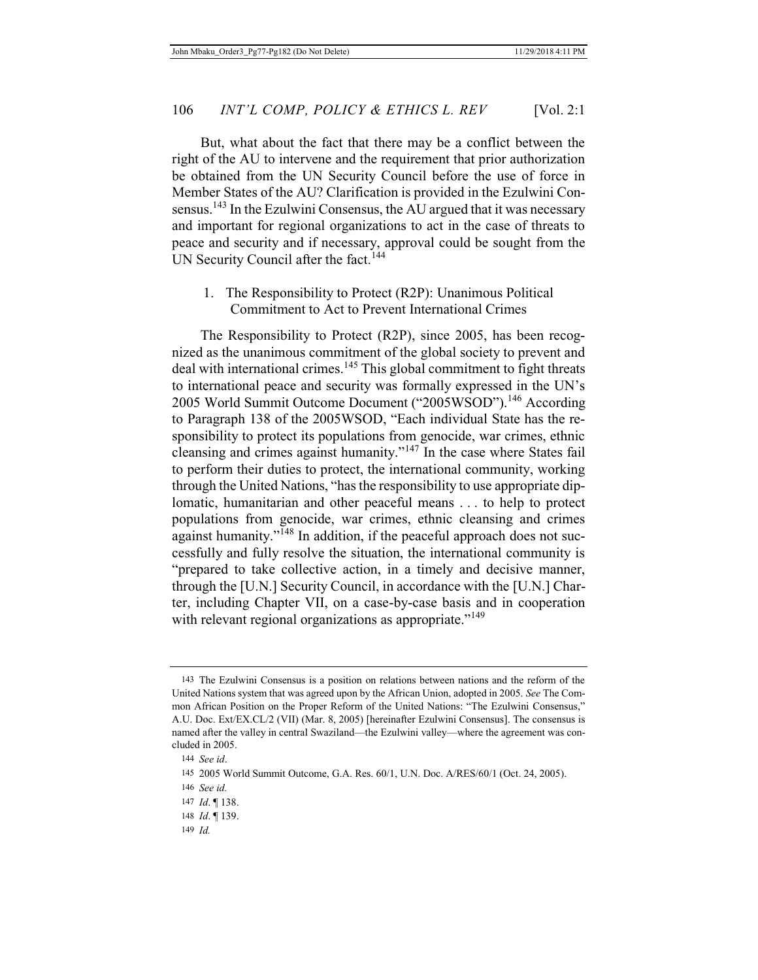But, what about the fact that there may be a conflict between the right of the AU to intervene and the requirement that prior authorization be obtained from the UN Security Council before the use of force in Member States of the AU? Clarification is provided in the Ezulwini Consensus.<sup>143</sup> In the Ezulwini Consensus, the AU argued that it was necessary and important for regional organizations to act in the case of threats to peace and security and if necessary, approval could be sought from the UN Security Council after the fact.<sup>144</sup>

1. The Responsibility to Protect (R2P): Unanimous Political Commitment to Act to Prevent International Crimes

The Responsibility to Protect (R2P), since 2005, has been recognized as the unanimous commitment of the global society to prevent and deal with international crimes.<sup>145</sup> This global commitment to fight threats to international peace and security was formally expressed in the UN's 2005 World Summit Outcome Document ("2005WSOD").146 According to Paragraph 138 of the 2005WSOD, "Each individual State has the responsibility to protect its populations from genocide, war crimes, ethnic cleansing and crimes against humanity."147 In the case where States fail to perform their duties to protect, the international community, working through the United Nations, "has the responsibility to use appropriate diplomatic, humanitarian and other peaceful means . . . to help to protect populations from genocide, war crimes, ethnic cleansing and crimes against humanity."148 In addition, if the peaceful approach does not successfully and fully resolve the situation, the international community is "prepared to take collective action, in a timely and decisive manner, through the [U.N.] Security Council, in accordance with the [U.N.] Charter, including Chapter VII, on a case-by-case basis and in cooperation with relevant regional organizations as appropriate."<sup>149</sup>

- 148 *Id*. ¶ 139.
- 149 *Id.*

<sup>143</sup> The Ezulwini Consensus is a position on relations between nations and the reform of the United Nations system that was agreed upon by the African Union, adopted in 2005. *See* The Common African Position on the Proper Reform of the United Nations: "The Ezulwini Consensus," A.U. Doc. Ext/EX.CL/2 (VII) (Mar. 8, 2005) [hereinafter Ezulwini Consensus]. The consensus is named after the valley in central Swaziland—the Ezulwini valley—where the agreement was concluded in 2005.

<sup>144</sup> *See id*.

<sup>145 2005</sup> World Summit Outcome, G.A. Res. 60/1, U.N. Doc. A/RES/60/1 (Oct. 24, 2005).

<sup>146</sup> *See id.*

<sup>147</sup> *Id*. ¶ 138.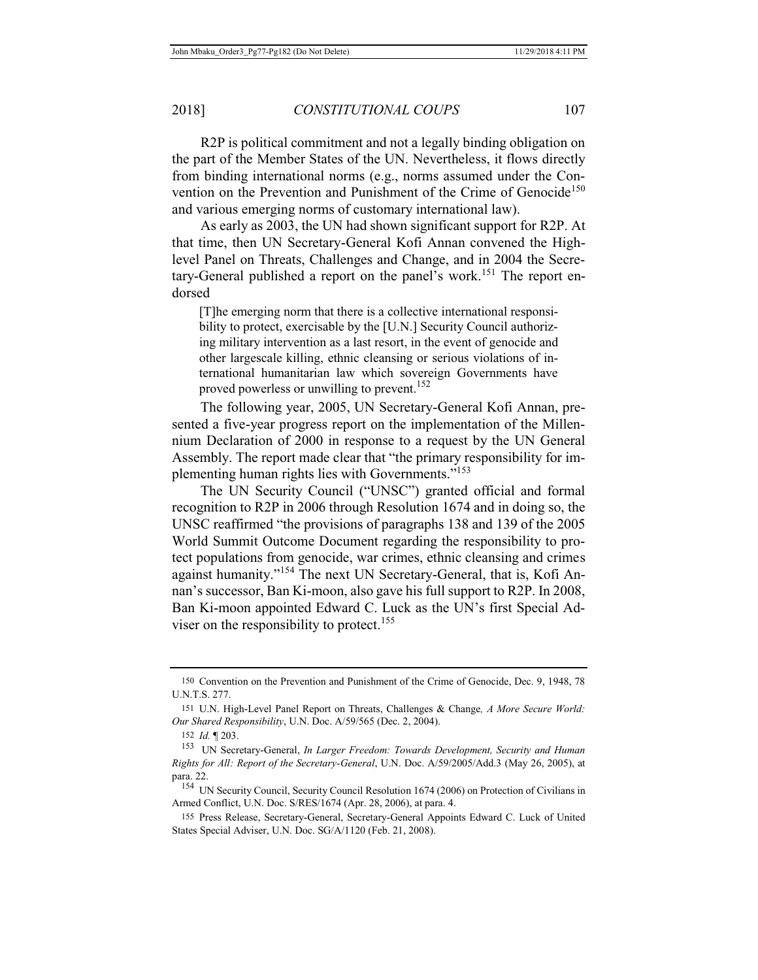R2P is political commitment and not a legally binding obligation on the part of the Member States of the UN. Nevertheless, it flows directly from binding international norms (e.g., norms assumed under the Convention on the Prevention and Punishment of the Crime of Genocide<sup>150</sup> and various emerging norms of customary international law).

As early as 2003, the UN had shown significant support for R2P. At that time, then UN Secretary-General Kofi Annan convened the Highlevel Panel on Threats, Challenges and Change, and in 2004 the Secretary-General published a report on the panel's work.<sup>151</sup> The report endorsed

[T]he emerging norm that there is a collective international responsibility to protect, exercisable by the [U.N.] Security Council authorizing military intervention as a last resort, in the event of genocide and other largescale killing, ethnic cleansing or serious violations of international humanitarian law which sovereign Governments have proved powerless or unwilling to prevent.<sup>152</sup>

The following year, 2005, UN Secretary-General Kofi Annan, presented a five-year progress report on the implementation of the Millennium Declaration of 2000 in response to a request by the UN General Assembly. The report made clear that "the primary responsibility for implementing human rights lies with Governments."<sup>153</sup>

The UN Security Council ("UNSC") granted official and formal recognition to R2P in 2006 through Resolution 1674 and in doing so, the UNSC reaffirmed "the provisions of paragraphs 138 and 139 of the 2005 World Summit Outcome Document regarding the responsibility to protect populations from genocide, war crimes, ethnic cleansing and crimes against humanity."154 The next UN Secretary-General, that is, Kofi Annan's successor, Ban Ki-moon, also gave his full support to R2P. In 2008, Ban Ki-moon appointed Edward C. Luck as the UN's first Special Adviser on the responsibility to protect.<sup>155</sup>

<sup>150</sup> Convention on the Prevention and Punishment of the Crime of Genocide, Dec. 9, 1948, 78 U.N.T.S. 277.

<sup>151</sup> U.N. High-Level Panel Report on Threats, Challenges & Change*, A More Secure World: Our Shared Responsibility*, U.N. Doc. A/59/565 (Dec. 2, 2004).

<sup>152</sup> *Id.* ¶ 203.

<sup>153</sup> UN Secretary-General, *In Larger Freedom: Towards Development, Security and Human Rights for All: Report of the Secretary-General*, U.N. Doc. A/59/2005/Add.3 (May 26, 2005), at para. 22.

<sup>&</sup>lt;sup>154</sup> UN Security Council, Security Council Resolution 1674 (2006) on Protection of Civilians in Armed Conflict, U.N. Doc. S/RES/1674 (Apr. 28, 2006), at para. 4.

<sup>155</sup> Press Release, Secretary-General, Secretary-General Appoints Edward C. Luck of United States Special Adviser, U.N. Doc. SG/A/1120 (Feb. 21, 2008).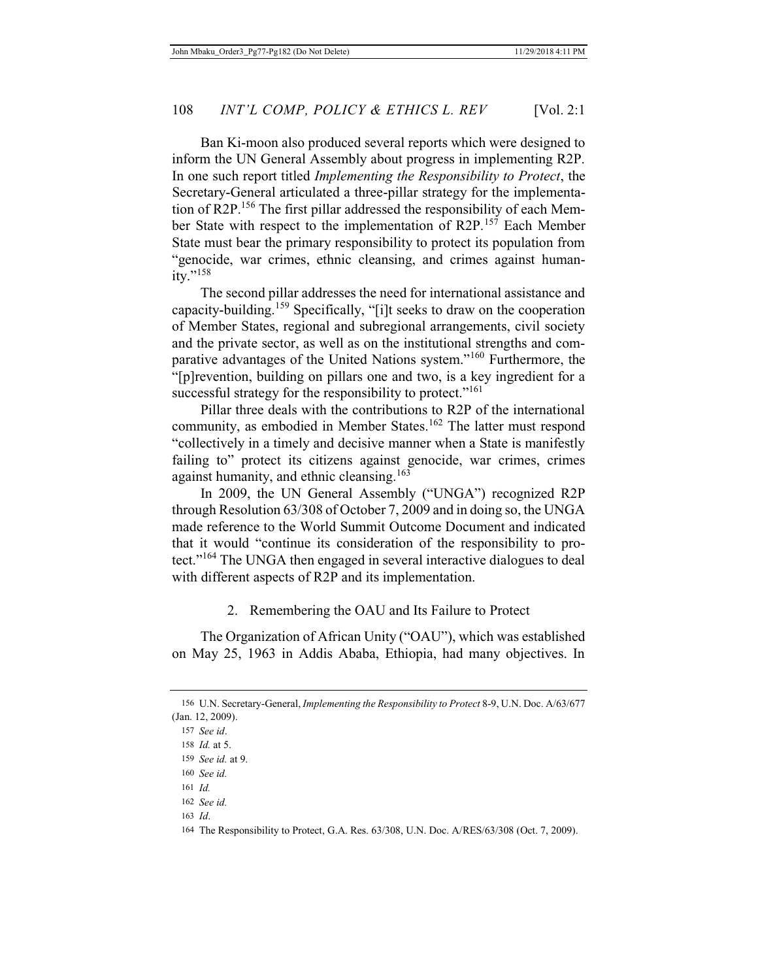Ban Ki-moon also produced several reports which were designed to inform the UN General Assembly about progress in implementing R2P. In one such report titled *Implementing the Responsibility to Protect*, the Secretary-General articulated a three-pillar strategy for the implementation of R2P.<sup>156</sup> The first pillar addressed the responsibility of each Member State with respect to the implementation of R2P.<sup>157</sup> Each Member State must bear the primary responsibility to protect its population from "genocide, war crimes, ethnic cleansing, and crimes against human $itv.$ "<sup>158</sup>

The second pillar addresses the need for international assistance and capacity-building.<sup>159</sup> Specifically, "[i]t seeks to draw on the cooperation of Member States, regional and subregional arrangements, civil society and the private sector, as well as on the institutional strengths and comparative advantages of the United Nations system."160 Furthermore, the "[p]revention, building on pillars one and two, is a key ingredient for a successful strategy for the responsibility to protect."<sup>161</sup>

Pillar three deals with the contributions to R2P of the international community, as embodied in Member States.<sup>162</sup> The latter must respond "collectively in a timely and decisive manner when a State is manifestly failing to" protect its citizens against genocide, war crimes, crimes against humanity, and ethnic cleansing.<sup>163</sup>

In 2009, the UN General Assembly ("UNGA") recognized R2P through Resolution 63/308 of October 7, 2009 and in doing so, the UNGA made reference to the World Summit Outcome Document and indicated that it would "continue its consideration of the responsibility to protect."164 The UNGA then engaged in several interactive dialogues to deal with different aspects of R2P and its implementation.

### 2. Remembering the OAU and Its Failure to Protect

The Organization of African Unity ("OAU"), which was established on May 25, 1963 in Addis Ababa, Ethiopia, had many objectives. In

163 *Id*.

<sup>156</sup> U.N. Secretary-General, *Implementing the Responsibility to Protect* 8-9, U.N. Doc. A/63/677 (Jan. 12, 2009).

<sup>157</sup> *See id*.

<sup>158</sup> *Id.* at 5.

<sup>159</sup> *See id.* at 9.

<sup>160</sup> *See id.*

<sup>161</sup> *Id.*

<sup>162</sup> *See id.*

<sup>164</sup> The Responsibility to Protect, G.A. Res. 63/308, U.N. Doc. A/RES/63/308 (Oct. 7, 2009).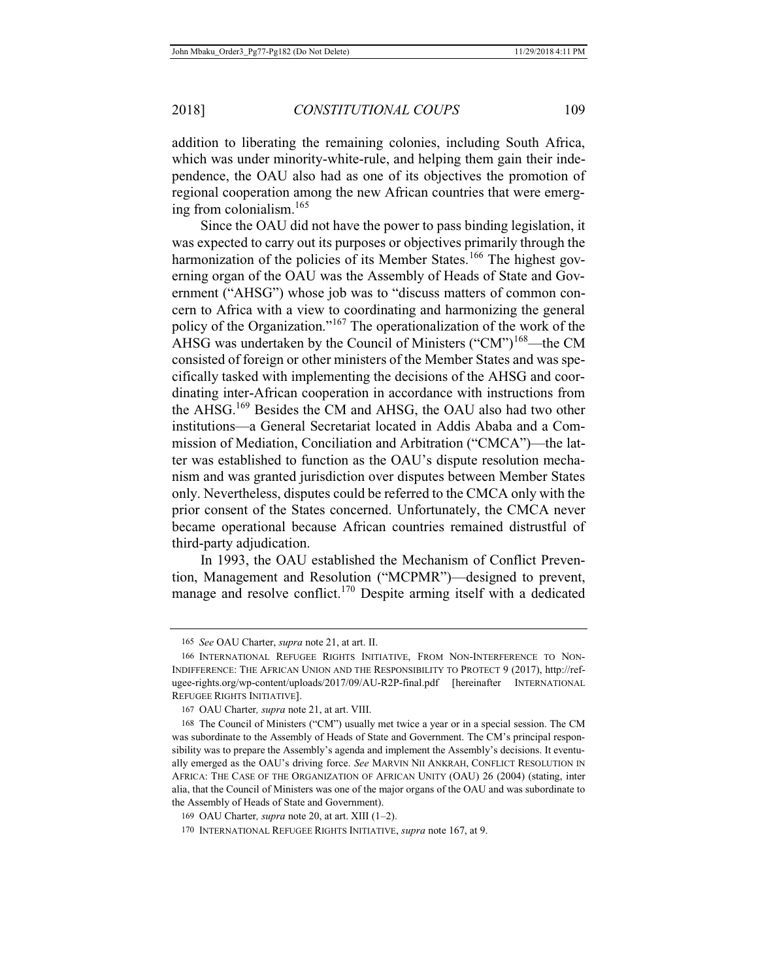addition to liberating the remaining colonies, including South Africa, which was under minority-white-rule, and helping them gain their independence, the OAU also had as one of its objectives the promotion of regional cooperation among the new African countries that were emerging from colonialism. $165$ 

Since the OAU did not have the power to pass binding legislation, it was expected to carry out its purposes or objectives primarily through the harmonization of the policies of its Member States.<sup>166</sup> The highest governing organ of the OAU was the Assembly of Heads of State and Government ("AHSG") whose job was to "discuss matters of common concern to Africa with a view to coordinating and harmonizing the general policy of the Organization."167 The operationalization of the work of the AHSG was undertaken by the Council of Ministers ("CM")<sup>168</sup>—the CM consisted of foreign or other ministers of the Member States and was specifically tasked with implementing the decisions of the AHSG and coordinating inter-African cooperation in accordance with instructions from the AHSG.169 Besides the CM and AHSG, the OAU also had two other institutions—a General Secretariat located in Addis Ababa and a Commission of Mediation, Conciliation and Arbitration ("CMCA")—the latter was established to function as the OAU's dispute resolution mechanism and was granted jurisdiction over disputes between Member States only. Nevertheless, disputes could be referred to the CMCA only with the prior consent of the States concerned. Unfortunately, the CMCA never became operational because African countries remained distrustful of third-party adjudication.

In 1993, the OAU established the Mechanism of Conflict Prevention, Management and Resolution ("MCPMR")—designed to prevent, manage and resolve conflict.<sup>170</sup> Despite arming itself with a dedicated

<sup>165</sup> *See* OAU Charter, *supra* note 21, at art. II.

<sup>166</sup> INTERNATIONAL REFUGEE RIGHTS INITIATIVE, FROM NON-INTERFERENCE TO NON-INDIFFERENCE: THE AFRICAN UNION AND THE RESPONSIBILITY TO PROTECT 9 (2017), http://refugee-rights.org/wp-content/uploads/2017/09/AU-R2P-final.pdf [hereinafter INTERNATIONAL REFUGEE RIGHTS INITIATIVE].

<sup>167</sup> OAU Charter*, supra* note 21, at art. VIII.

<sup>168</sup> The Council of Ministers ("CM") usually met twice a year or in a special session. The CM was subordinate to the Assembly of Heads of State and Government. The CM's principal responsibility was to prepare the Assembly's agenda and implement the Assembly's decisions. It eventually emerged as the OAU's driving force. *See* MARVIN NII ANKRAH, CONFLICT RESOLUTION IN AFRICA: THE CASE OF THE ORGANIZATION OF AFRICAN UNITY (OAU) 26 (2004) (stating, inter alia, that the Council of Ministers was one of the major organs of the OAU and was subordinate to the Assembly of Heads of State and Government).

<sup>169</sup> OAU Charter*, supra* note 20, at art. XIII (1–2).

<sup>170</sup> INTERNATIONAL REFUGEE RIGHTS INITIATIVE, *supra* note 167, at 9.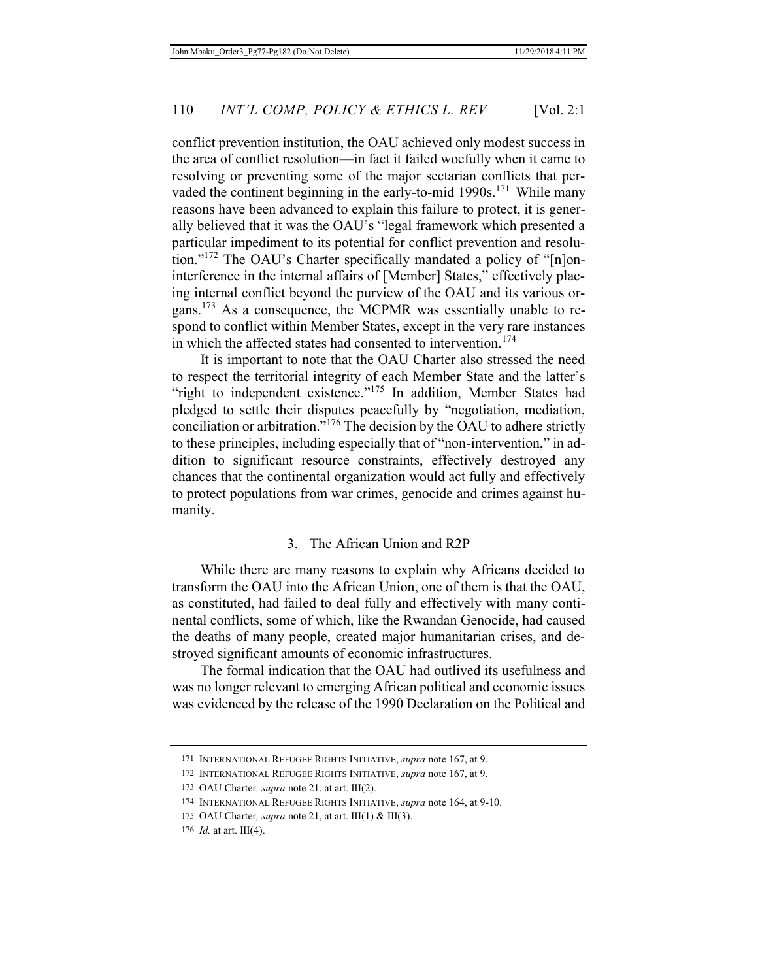conflict prevention institution, the OAU achieved only modest success in the area of conflict resolution—in fact it failed woefully when it came to resolving or preventing some of the major sectarian conflicts that pervaded the continent beginning in the early-to-mid 1990s.<sup>171</sup> While many reasons have been advanced to explain this failure to protect, it is generally believed that it was the OAU's "legal framework which presented a particular impediment to its potential for conflict prevention and resolution."<sup>172</sup> The OAU's Charter specifically mandated a policy of "[n]oninterference in the internal affairs of [Member] States," effectively placing internal conflict beyond the purview of the OAU and its various organs.173 As a consequence, the MCPMR was essentially unable to respond to conflict within Member States, except in the very rare instances in which the affected states had consented to intervention.<sup>174</sup>

It is important to note that the OAU Charter also stressed the need to respect the territorial integrity of each Member State and the latter's "right to independent existence."<sup>175</sup> In addition, Member States had pledged to settle their disputes peacefully by "negotiation, mediation, conciliation or arbitration."176 The decision by the OAU to adhere strictly to these principles, including especially that of "non-intervention," in addition to significant resource constraints, effectively destroyed any chances that the continental organization would act fully and effectively to protect populations from war crimes, genocide and crimes against humanity.

### 3. The African Union and R2P

While there are many reasons to explain why Africans decided to transform the OAU into the African Union, one of them is that the OAU, as constituted, had failed to deal fully and effectively with many continental conflicts, some of which, like the Rwandan Genocide, had caused the deaths of many people, created major humanitarian crises, and destroyed significant amounts of economic infrastructures.

The formal indication that the OAU had outlived its usefulness and was no longer relevant to emerging African political and economic issues was evidenced by the release of the 1990 Declaration on the Political and

<sup>171</sup> INTERNATIONAL REFUGEE RIGHTS INITIATIVE, *supra* note 167, at 9.

<sup>172</sup> INTERNATIONAL REFUGEE RIGHTS INITIATIVE, *supra* note 167, at 9.

<sup>173</sup> OAU Charter*, supra* note 21, at art. III(2).

<sup>174</sup> INTERNATIONAL REFUGEE RIGHTS INITIATIVE, *supra* note 164, at 9-10.

<sup>175</sup> OAU Charter*, supra* note 21, at art. III(1) & III(3).

<sup>176</sup> *Id.* at art. III(4).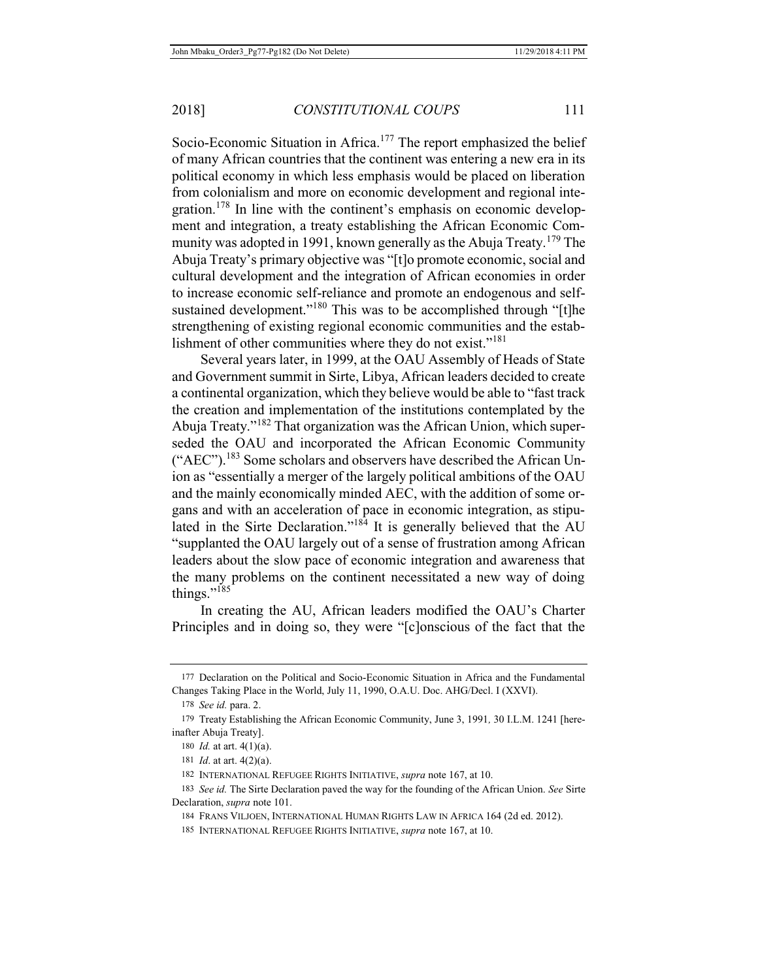Socio-Economic Situation in Africa.<sup>177</sup> The report emphasized the belief of many African countries that the continent was entering a new era in its political economy in which less emphasis would be placed on liberation from colonialism and more on economic development and regional integration.<sup>178</sup> In line with the continent's emphasis on economic development and integration, a treaty establishing the African Economic Community was adopted in 1991, known generally as the Abuja Treaty.<sup>179</sup> The Abuja Treaty's primary objective was "[t]o promote economic, social and cultural development and the integration of African economies in order to increase economic self-reliance and promote an endogenous and selfsustained development."<sup>180</sup> This was to be accomplished through "[t]he strengthening of existing regional economic communities and the establishment of other communities where they do not exist."<sup>181</sup>

Several years later, in 1999, at the OAU Assembly of Heads of State and Government summit in Sirte, Libya, African leaders decided to create a continental organization, which they believe would be able to "fast track the creation and implementation of the institutions contemplated by the Abuja Treaty."182 That organization was the African Union, which superseded the OAU and incorporated the African Economic Community ("AEC").<sup>183</sup> Some scholars and observers have described the African Union as "essentially a merger of the largely political ambitions of the OAU and the mainly economically minded AEC, with the addition of some organs and with an acceleration of pace in economic integration, as stipulated in the Sirte Declaration."<sup>184</sup> It is generally believed that the AU "supplanted the OAU largely out of a sense of frustration among African leaders about the slow pace of economic integration and awareness that the many problems on the continent necessitated a new way of doing things."<sup>185</sup>

In creating the AU, African leaders modified the OAU's Charter Principles and in doing so, they were "[c]onscious of the fact that the

<sup>177</sup> Declaration on the Political and Socio-Economic Situation in Africa and the Fundamental Changes Taking Place in the World, July 11, 1990, O.A.U. Doc. AHG/Decl. I (XXVI).

<sup>178</sup> *See id.* para. 2.

<sup>179</sup> Treaty Establishing the African Economic Community, June 3, 1991*,* 30 I.L.M. 1241 [hereinafter Abuja Treaty].

<sup>180</sup> *Id.* at art. 4(1)(a).

<sup>181</sup> *Id*. at art. 4(2)(a).

<sup>182</sup> INTERNATIONAL REFUGEE RIGHTS INITIATIVE, *supra* note 167, at 10.

<sup>183</sup> *See id.* The Sirte Declaration paved the way for the founding of the African Union. *See* Sirte Declaration, *supra* note 101.

<sup>184</sup> FRANS VILJOEN, INTERNATIONAL HUMAN RIGHTS LAW IN AFRICA 164 (2d ed. 2012).

<sup>185</sup> INTERNATIONAL REFUGEE RIGHTS INITIATIVE, *supra* note 167, at 10.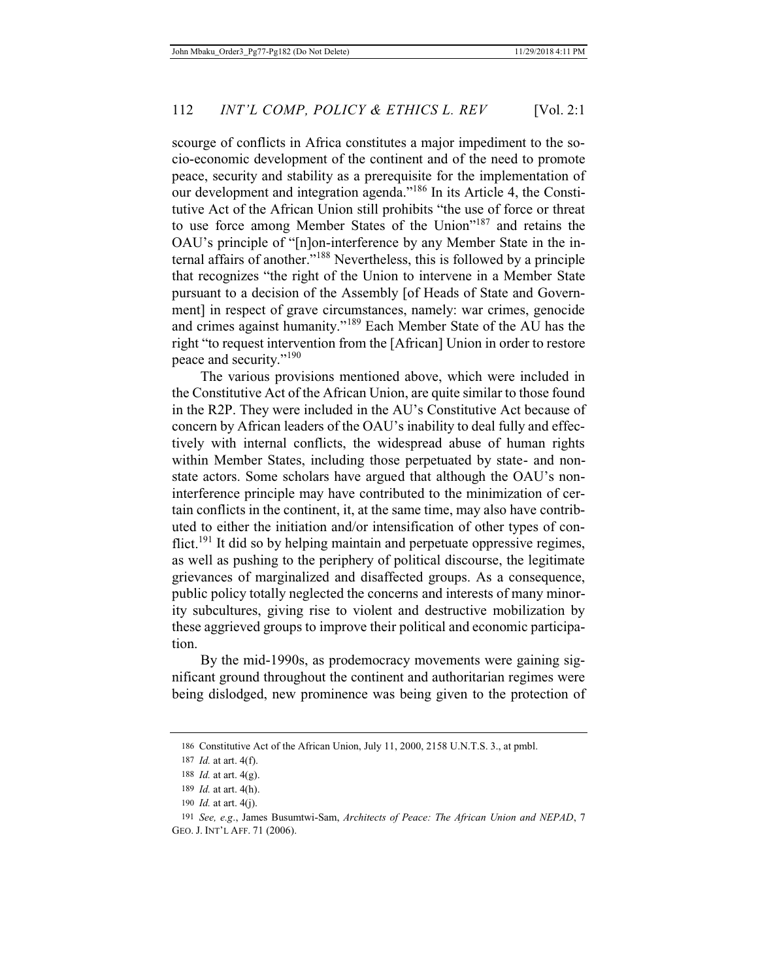scourge of conflicts in Africa constitutes a major impediment to the socio-economic development of the continent and of the need to promote peace, security and stability as a prerequisite for the implementation of our development and integration agenda."<sup>186</sup> In its Article 4, the Constitutive Act of the African Union still prohibits "the use of force or threat to use force among Member States of the Union"187 and retains the OAU's principle of "[n]on-interference by any Member State in the internal affairs of another."188 Nevertheless, this is followed by a principle that recognizes "the right of the Union to intervene in a Member State pursuant to a decision of the Assembly [of Heads of State and Government] in respect of grave circumstances, namely: war crimes, genocide and crimes against humanity."189 Each Member State of the AU has the right "to request intervention from the [African] Union in order to restore peace and security."<sup>190</sup>

The various provisions mentioned above, which were included in the Constitutive Act of the African Union, are quite similar to those found in the R2P. They were included in the AU's Constitutive Act because of concern by African leaders of the OAU's inability to deal fully and effectively with internal conflicts, the widespread abuse of human rights within Member States, including those perpetuated by state- and nonstate actors. Some scholars have argued that although the OAU's noninterference principle may have contributed to the minimization of certain conflicts in the continent, it, at the same time, may also have contributed to either the initiation and/or intensification of other types of conflict.<sup>191</sup> It did so by helping maintain and perpetuate oppressive regimes, as well as pushing to the periphery of political discourse, the legitimate grievances of marginalized and disaffected groups. As a consequence, public policy totally neglected the concerns and interests of many minority subcultures, giving rise to violent and destructive mobilization by these aggrieved groups to improve their political and economic participation.

By the mid-1990s, as prodemocracy movements were gaining significant ground throughout the continent and authoritarian regimes were being dislodged, new prominence was being given to the protection of

<sup>186</sup> Constitutive Act of the African Union, July 11, 2000, 2158 U.N.T.S. 3., at pmbl.

<sup>187</sup> *Id.* at art. 4(f).

<sup>188</sup> *Id.* at art. 4(g).

<sup>189</sup> *Id.* at art. 4(h).

<sup>190</sup> *Id.* at art. 4(j).

<sup>191</sup> *See, e.g*., James Busumtwi-Sam, *Architects of Peace: The African Union and NEPAD*, 7 GEO. J. INT'L AFF. 71 (2006).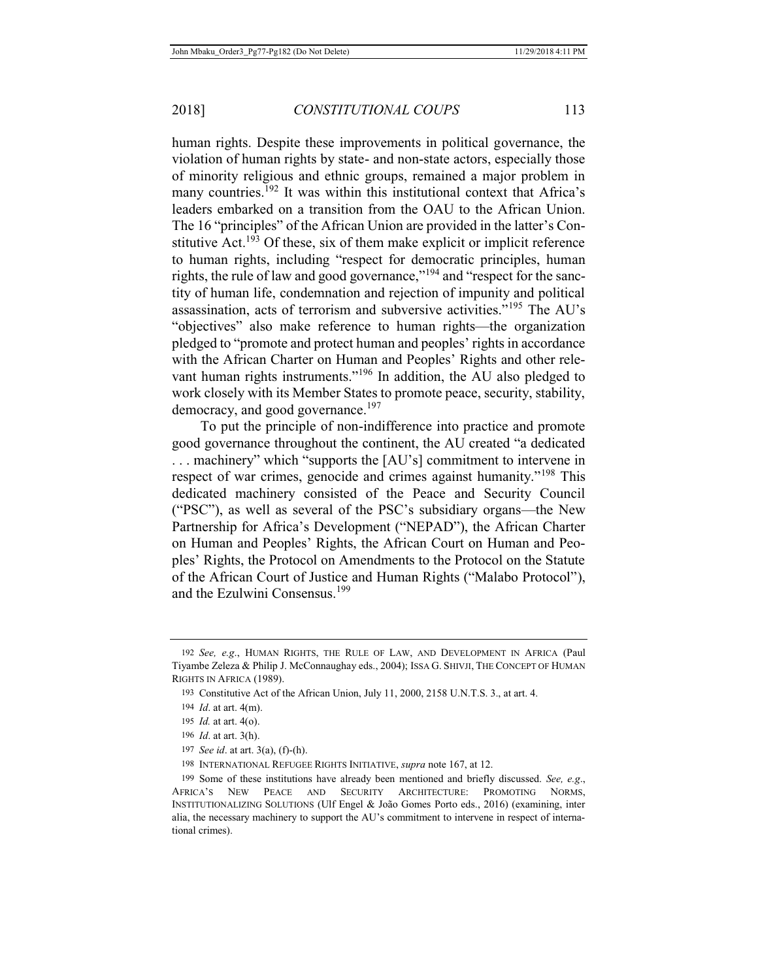human rights. Despite these improvements in political governance, the violation of human rights by state- and non-state actors, especially those of minority religious and ethnic groups, remained a major problem in many countries.<sup>192</sup> It was within this institutional context that Africa's leaders embarked on a transition from the OAU to the African Union. The 16 "principles" of the African Union are provided in the latter's Constitutive  $Act^{193}$  Of these, six of them make explicit or implicit reference to human rights, including "respect for democratic principles, human rights, the rule of law and good governance,"<sup>194</sup> and "respect for the sanctity of human life, condemnation and rejection of impunity and political assassination, acts of terrorism and subversive activities."<sup>195</sup> The AU's "objectives" also make reference to human rights—the organization pledged to "promote and protect human and peoples' rights in accordance with the African Charter on Human and Peoples' Rights and other relevant human rights instruments."196 In addition, the AU also pledged to work closely with its Member States to promote peace, security, stability, democracy, and good governance. $197$ 

To put the principle of non-indifference into practice and promote good governance throughout the continent, the AU created "a dedicated . . . machinery" which "supports the [AU's] commitment to intervene in respect of war crimes, genocide and crimes against humanity."<sup>198</sup> This dedicated machinery consisted of the Peace and Security Council ("PSC"), as well as several of the PSC's subsidiary organs—the New Partnership for Africa's Development ("NEPAD"), the African Charter on Human and Peoples' Rights, the African Court on Human and Peoples' Rights, the Protocol on Amendments to the Protocol on the Statute of the African Court of Justice and Human Rights ("Malabo Protocol"), and the Ezulwini Consensus.<sup>199</sup>

<sup>192</sup> *See, e.g*., HUMAN RIGHTS, THE RULE OF LAW, AND DEVELOPMENT IN AFRICA (Paul Tiyambe Zeleza & Philip J. McConnaughay eds., 2004); ISSA G. SHIVJI, THE CONCEPT OF HUMAN RIGHTS IN AFRICA (1989).

<sup>193</sup> Constitutive Act of the African Union, July 11, 2000, 2158 U.N.T.S. 3., at art. 4.

<sup>194</sup> *Id*. at art. 4(m).

<sup>195</sup> *Id.* at art. 4(o).

<sup>196</sup> *Id*. at art. 3(h).

<sup>197</sup> *See id*. at art. 3(a), (f)-(h).

<sup>198</sup> INTERNATIONAL REFUGEE RIGHTS INITIATIVE, *supra* note 167, at 12.

<sup>199</sup> Some of these institutions have already been mentioned and briefly discussed. *See, e.g*., AFRICA'S NEW PEACE AND SECURITY ARCHITECTURE: PROMOTING NORMS, INSTITUTIONALIZING SOLUTIONS (Ulf Engel & João Gomes Porto eds., 2016) (examining, inter alia, the necessary machinery to support the AU's commitment to intervene in respect of international crimes).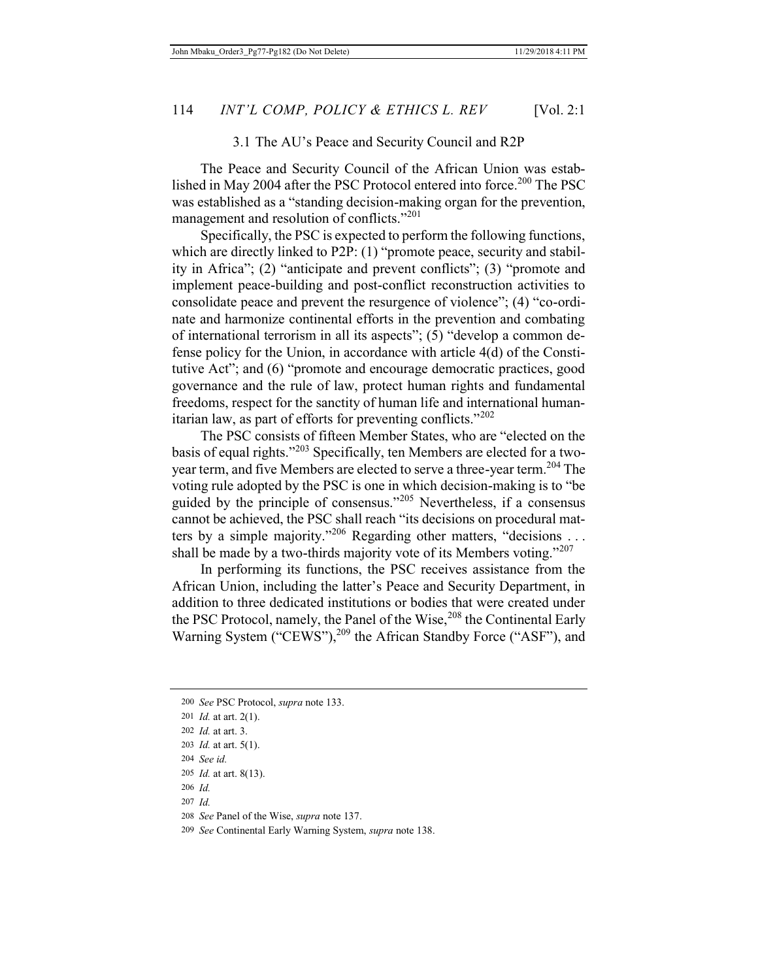#### 3.1 The AU's Peace and Security Council and R2P

The Peace and Security Council of the African Union was established in May 2004 after the PSC Protocol entered into force.<sup>200</sup> The PSC was established as a "standing decision-making organ for the prevention, management and resolution of conflicts."<sup>201</sup>

Specifically, the PSC is expected to perform the following functions, which are directly linked to P2P: (1) "promote peace, security and stability in Africa"; (2) "anticipate and prevent conflicts"; (3) "promote and implement peace-building and post-conflict reconstruction activities to consolidate peace and prevent the resurgence of violence"; (4) "co-ordinate and harmonize continental efforts in the prevention and combating of international terrorism in all its aspects"; (5) "develop a common defense policy for the Union, in accordance with article 4(d) of the Constitutive Act"; and (6) "promote and encourage democratic practices, good governance and the rule of law, protect human rights and fundamental freedoms, respect for the sanctity of human life and international humanitarian law, as part of efforts for preventing conflicts."<sup>202</sup>

The PSC consists of fifteen Member States, who are "elected on the basis of equal rights."203 Specifically, ten Members are elected for a twoyear term, and five Members are elected to serve a three-year term.<sup>204</sup> The voting rule adopted by the PSC is one in which decision-making is to "be guided by the principle of consensus."205 Nevertheless, if a consensus cannot be achieved, the PSC shall reach "its decisions on procedural matters by a simple majority."<sup>206</sup> Regarding other matters, "decisions ... shall be made by a two-thirds majority vote of its Members voting."<sup>207</sup>

In performing its functions, the PSC receives assistance from the African Union, including the latter's Peace and Security Department, in addition to three dedicated institutions or bodies that were created under the PSC Protocol, namely, the Panel of the Wise,<sup>208</sup> the Continental Early Warning System ("CEWS"),<sup>209</sup> the African Standby Force ("ASF"), and

- 206 *Id.*
- 207 *Id.*

<sup>200</sup> *See* PSC Protocol, *supra* note 133.

<sup>201</sup> *Id.* at art. 2(1).

<sup>202</sup> *Id.* at art. 3.

<sup>203</sup> *Id.* at art. 5(1).

<sup>204</sup> *See id.*

<sup>205</sup> *Id.* at art. 8(13).

<sup>208</sup> *See* Panel of the Wise, *supra* note 137.

<sup>209</sup> *See* Continental Early Warning System, *supra* note 138.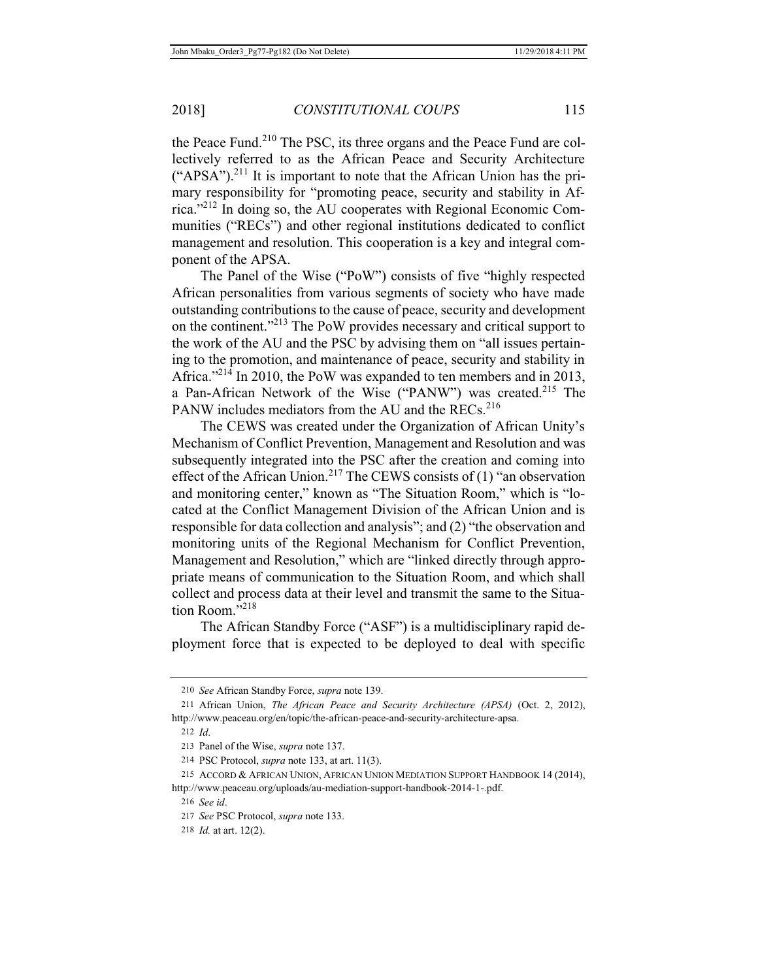the Peace Fund.<sup>210</sup> The PSC, its three organs and the Peace Fund are collectively referred to as the African Peace and Security Architecture  $("APSA")$ .<sup>211</sup> It is important to note that the African Union has the primary responsibility for "promoting peace, security and stability in Africa."212 In doing so, the AU cooperates with Regional Economic Communities ("RECs") and other regional institutions dedicated to conflict management and resolution. This cooperation is a key and integral component of the APSA.

The Panel of the Wise ("PoW") consists of five "highly respected African personalities from various segments of society who have made outstanding contributions to the cause of peace, security and development on the continent."213 The PoW provides necessary and critical support to the work of the AU and the PSC by advising them on "all issues pertaining to the promotion, and maintenance of peace, security and stability in Africa." $^{214}$  In 2010, the PoW was expanded to ten members and in 2013, a Pan-African Network of the Wise ("PANW") was created.<sup>215</sup> The PANW includes mediators from the AU and the RECs.<sup>216</sup>

The CEWS was created under the Organization of African Unity's Mechanism of Conflict Prevention, Management and Resolution and was subsequently integrated into the PSC after the creation and coming into effect of the African Union.<sup>217</sup> The CEWS consists of (1) "an observation and monitoring center," known as "The Situation Room," which is "located at the Conflict Management Division of the African Union and is responsible for data collection and analysis"; and (2) "the observation and monitoring units of the Regional Mechanism for Conflict Prevention, Management and Resolution," which are "linked directly through appropriate means of communication to the Situation Room, and which shall collect and process data at their level and transmit the same to the Situation Room<sup>"218</sup>

The African Standby Force ("ASF") is a multidisciplinary rapid deployment force that is expected to be deployed to deal with specific

<sup>210</sup> *See* African Standby Force, *supra* note 139.

<sup>211</sup> African Union, *The African Peace and Security Architecture (APSA)* (Oct. 2, 2012), http://www.peaceau.org/en/topic/the-african-peace-and-security-architecture-apsa.

<sup>212</sup> *Id*.

<sup>213</sup> Panel of the Wise, *supra* note 137.

<sup>214</sup> PSC Protocol, *supra* note 133, at art. 11(3).

<sup>215</sup> ACCORD & AFRICAN UNION, AFRICAN UNION MEDIATION SUPPORT HANDBOOK 14 (2014), http://www.peaceau.org/uploads/au-mediation-support-handbook-2014-1-.pdf.

<sup>216</sup> *See id*.

<sup>217</sup> *See* PSC Protocol, *supra* note 133.

<sup>218</sup> *Id.* at art. 12(2).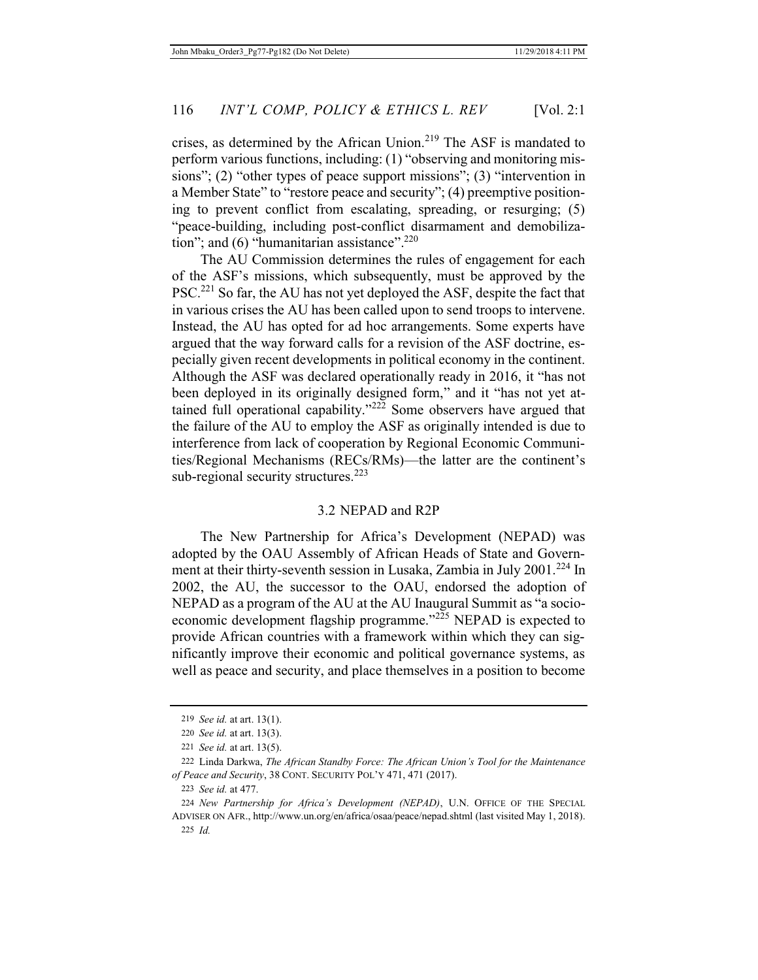crises, as determined by the African Union.<sup>219</sup> The ASF is mandated to perform various functions, including: (1) "observing and monitoring missions"; (2) "other types of peace support missions"; (3) "intervention in a Member State" to "restore peace and security"; (4) preemptive positioning to prevent conflict from escalating, spreading, or resurging; (5) "peace-building, including post-conflict disarmament and demobilization"; and  $(6)$  "humanitarian assistance".<sup>220</sup>

The AU Commission determines the rules of engagement for each of the ASF's missions, which subsequently, must be approved by the PSC.<sup>221</sup> So far, the AU has not yet deployed the ASF, despite the fact that in various crises the AU has been called upon to send troops to intervene. Instead, the AU has opted for ad hoc arrangements. Some experts have argued that the way forward calls for a revision of the ASF doctrine, especially given recent developments in political economy in the continent. Although the ASF was declared operationally ready in 2016, it "has not been deployed in its originally designed form," and it "has not yet attained full operational capability."<sup>222</sup> Some observers have argued that the failure of the AU to employ the ASF as originally intended is due to interference from lack of cooperation by Regional Economic Communities/Regional Mechanisms (RECs/RMs)—the latter are the continent's sub-regional security structures. $223$ 

#### 3.2 NEPAD and R2P

The New Partnership for Africa's Development (NEPAD) was adopted by the OAU Assembly of African Heads of State and Government at their thirty-seventh session in Lusaka, Zambia in July 2001.<sup>224</sup> In 2002, the AU, the successor to the OAU, endorsed the adoption of NEPAD as a program of the AU at the AU Inaugural Summit as "a socioeconomic development flagship programme."<sup>225</sup> NEPAD is expected to provide African countries with a framework within which they can significantly improve their economic and political governance systems, as well as peace and security, and place themselves in a position to become

<sup>219</sup> *See id.* at art. 13(1).

<sup>220</sup> *See id.* at art. 13(3).

<sup>221</sup> *See id.* at art. 13(5).

<sup>222</sup> Linda Darkwa, *The African Standby Force: The African Union's Tool for the Maintenance of Peace and Security*, 38 CONT. SECURITY POL'Y 471, 471 (2017).

<sup>223</sup> *See id.* at 477.

<sup>224</sup> *New Partnership for Africa's Development (NEPAD)*, U.N. OFFICE OF THE SPECIAL ADVISER ON AFR., http://www.un.org/en/africa/osaa/peace/nepad.shtml (last visited May 1, 2018). 225 *Id.*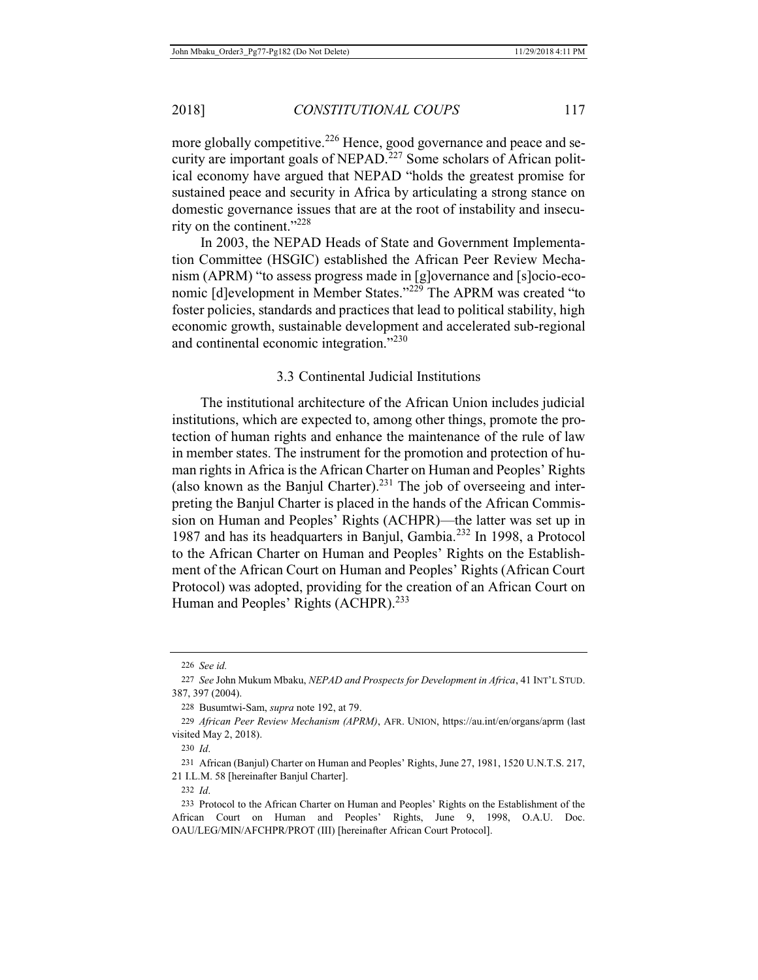more globally competitive.<sup>226</sup> Hence, good governance and peace and security are important goals of NEPAD.<sup>227</sup> Some scholars of African political economy have argued that NEPAD "holds the greatest promise for sustained peace and security in Africa by articulating a strong stance on domestic governance issues that are at the root of instability and insecurity on the continent."<sup>228</sup>

In 2003, the NEPAD Heads of State and Government Implementation Committee (HSGIC) established the African Peer Review Mechanism (APRM) "to assess progress made in [g]overnance and [s]ocio-economic [d]evelopment in Member States."<sup>229</sup> The APRM was created "to foster policies, standards and practices that lead to political stability, high economic growth, sustainable development and accelerated sub-regional and continental economic integration."<sup>230</sup>

### 3.3 Continental Judicial Institutions

The institutional architecture of the African Union includes judicial institutions, which are expected to, among other things, promote the protection of human rights and enhance the maintenance of the rule of law in member states. The instrument for the promotion and protection of human rights in Africa is the African Charter on Human and Peoples' Rights (also known as the Banjul Charter).<sup>231</sup> The job of overseeing and interpreting the Banjul Charter is placed in the hands of the African Commission on Human and Peoples' Rights (ACHPR)—the latter was set up in 1987 and has its headquarters in Banjul, Gambia.232 In 1998, a Protocol to the African Charter on Human and Peoples' Rights on the Establishment of the African Court on Human and Peoples' Rights (African Court Protocol) was adopted, providing for the creation of an African Court on Human and Peoples' Rights (ACHPR).<sup>233</sup>

<sup>226</sup> *See id.*

<sup>227</sup> *See* John Mukum Mbaku, *NEPAD and Prospects for Development in Africa*, 41 INT'L STUD. 387, 397 (2004).

<sup>228</sup> Busumtwi-Sam, *supra* note 192, at 79.

<sup>229</sup> *African Peer Review Mechanism (APRM)*, AFR. UNION, https://au.int/en/organs/aprm (last visited May 2, 2018).

<sup>230</sup> *Id*.

<sup>231</sup> African (Banjul) Charter on Human and Peoples' Rights, June 27, 1981, 1520 U.N.T.S. 217, 21 I.L.M. 58 [hereinafter Banjul Charter].

<sup>232</sup> *Id*.

<sup>233</sup> Protocol to the African Charter on Human and Peoples' Rights on the Establishment of the African Court on Human and Peoples' Rights, June 9, 1998, O.A.U. Doc. OAU/LEG/MIN/AFCHPR/PROT (III) [hereinafter African Court Protocol].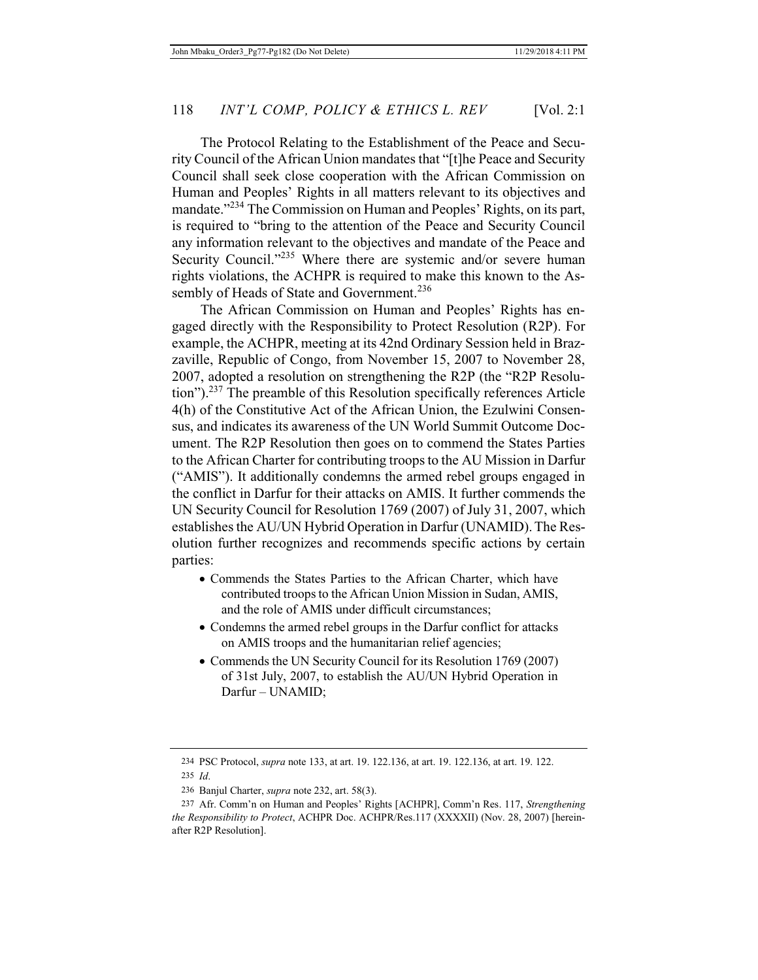The Protocol Relating to the Establishment of the Peace and Security Council of the African Union mandates that "[t]he Peace and Security Council shall seek close cooperation with the African Commission on Human and Peoples' Rights in all matters relevant to its objectives and mandate."<sup>234</sup> The Commission on Human and Peoples' Rights, on its part, is required to "bring to the attention of the Peace and Security Council any information relevant to the objectives and mandate of the Peace and Security Council."<sup>235</sup> Where there are systemic and/or severe human rights violations, the ACHPR is required to make this known to the Assembly of Heads of State and Government.<sup>236</sup>

The African Commission on Human and Peoples' Rights has engaged directly with the Responsibility to Protect Resolution (R2P). For example, the ACHPR, meeting at its 42nd Ordinary Session held in Brazzaville, Republic of Congo, from November 15, 2007 to November 28, 2007, adopted a resolution on strengthening the R2P (the "R2P Resolution").<sup>237</sup> The preamble of this Resolution specifically references Article 4(h) of the Constitutive Act of the African Union, the Ezulwini Consensus, and indicates its awareness of the UN World Summit Outcome Document. The R2P Resolution then goes on to commend the States Parties to the African Charter for contributing troops to the AU Mission in Darfur ("AMIS"). It additionally condemns the armed rebel groups engaged in the conflict in Darfur for their attacks on AMIS. It further commends the UN Security Council for Resolution 1769 (2007) of July 31, 2007, which establishes the AU/UN Hybrid Operation in Darfur (UNAMID).The Resolution further recognizes and recommends specific actions by certain parties:

- Commends the States Parties to the African Charter, which have contributed troops to the African Union Mission in Sudan, AMIS, and the role of AMIS under difficult circumstances;
- Condemns the armed rebel groups in the Darfur conflict for attacks on AMIS troops and the humanitarian relief agencies;
- Commends the UN Security Council for its Resolution 1769 (2007) of 31st July, 2007, to establish the AU/UN Hybrid Operation in Darfur – UNAMID;

<sup>234</sup> PSC Protocol, *supra* note 133, at art. 19. 122.136, at art. 19. 122.136, at art. 19. 122. 235 *Id*.

<sup>236</sup> Banjul Charter, *supra* note 232, art. 58(3).

<sup>237</sup> Afr. Comm'n on Human and Peoples' Rights [ACHPR], Comm'n Res. 117, *Strengthening the Responsibility to Protect*, ACHPR Doc. ACHPR/Res.117 (XXXXII) (Nov. 28, 2007) [hereinafter R2P Resolution].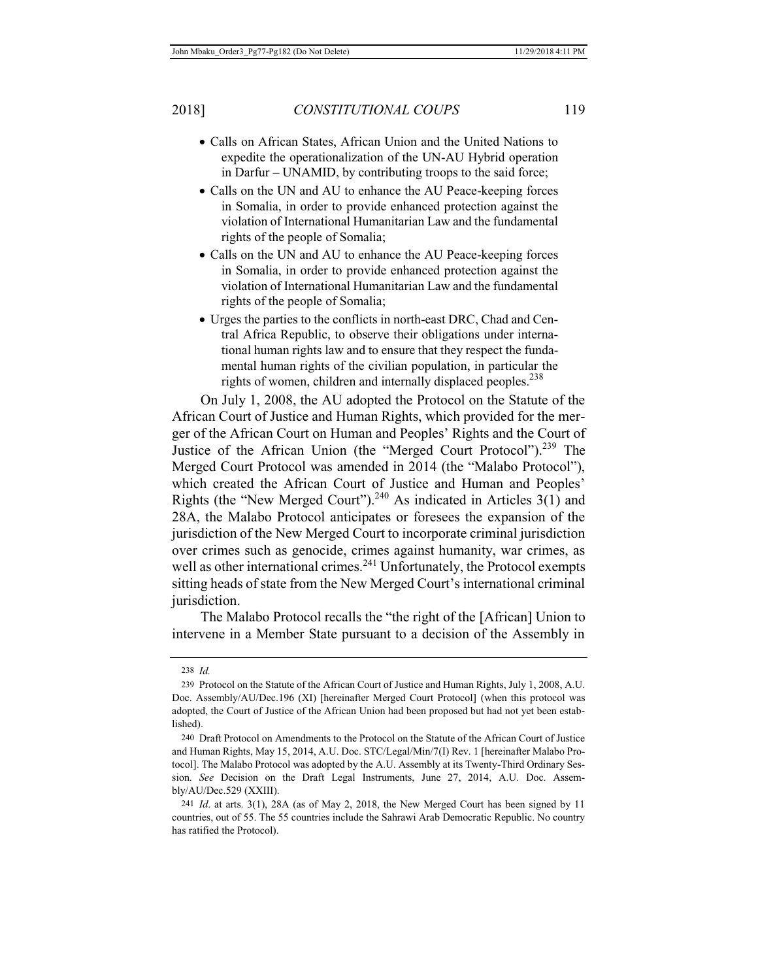- Calls on African States, African Union and the United Nations to expedite the operationalization of the UN-AU Hybrid operation in Darfur – UNAMID, by contributing troops to the said force;
- Calls on the UN and AU to enhance the AU Peace-keeping forces in Somalia, in order to provide enhanced protection against the violation of International Humanitarian Law and the fundamental rights of the people of Somalia;
- Calls on the UN and AU to enhance the AU Peace-keeping forces in Somalia, in order to provide enhanced protection against the violation of International Humanitarian Law and the fundamental rights of the people of Somalia;
- Urges the parties to the conflicts in north-east DRC, Chad and Central Africa Republic, to observe their obligations under international human rights law and to ensure that they respect the fundamental human rights of the civilian population, in particular the rights of women, children and internally displaced peoples.<sup>238</sup>

On July 1, 2008, the AU adopted the Protocol on the Statute of the African Court of Justice and Human Rights, which provided for the merger of the African Court on Human and Peoples' Rights and the Court of Justice of the African Union (the "Merged Court Protocol").<sup>239</sup> The Merged Court Protocol was amended in 2014 (the "Malabo Protocol"), which created the African Court of Justice and Human and Peoples' Rights (the "New Merged Court").<sup>240</sup> As indicated in Articles  $3(1)$  and 28A, the Malabo Protocol anticipates or foresees the expansion of the jurisdiction of the New Merged Court to incorporate criminal jurisdiction over crimes such as genocide, crimes against humanity, war crimes, as well as other international crimes.<sup>241</sup> Unfortunately, the Protocol exempts sitting heads of state from the New Merged Court's international criminal jurisdiction.

The Malabo Protocol recalls the "the right of the [African] Union to intervene in a Member State pursuant to a decision of the Assembly in

<sup>238</sup> *Id.*

<sup>239</sup> Protocol on the Statute of the African Court of Justice and Human Rights, July 1, 2008, A.U. Doc. Assembly/AU/Dec.196 (XI) [hereinafter Merged Court Protocol] (when this protocol was adopted, the Court of Justice of the African Union had been proposed but had not yet been established).

<sup>240</sup> Draft Protocol on Amendments to the Protocol on the Statute of the African Court of Justice and Human Rights, May 15, 2014, A.U. Doc. STC/Legal/Min/7(I) Rev. 1 [hereinafter Malabo Protocol]. The Malabo Protocol was adopted by the A.U. Assembly at its Twenty-Third Ordinary Session. *See* Decision on the Draft Legal Instruments, June 27, 2014, A.U. Doc. Assembly/AU/Dec.529 (XXIII).

<sup>241</sup> *Id*. at arts. 3(1), 28A (as of May 2, 2018, the New Merged Court has been signed by 11 countries, out of 55. The 55 countries include the Sahrawi Arab Democratic Republic. No country has ratified the Protocol).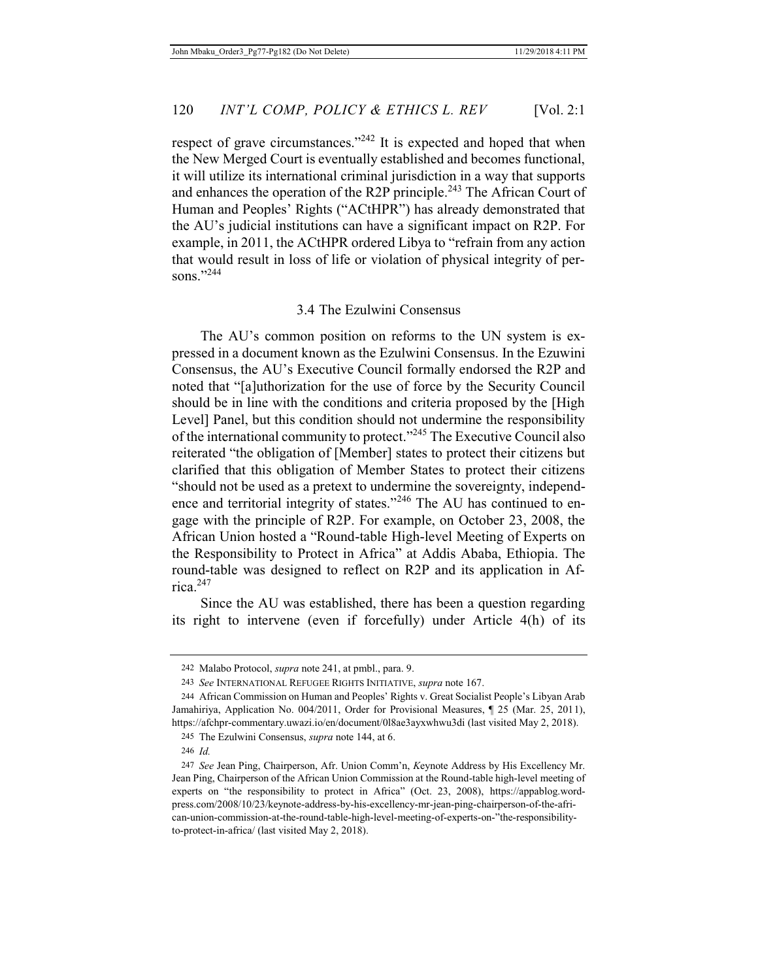respect of grave circumstances."<sup>242</sup> It is expected and hoped that when the New Merged Court is eventually established and becomes functional, it will utilize its international criminal jurisdiction in a way that supports and enhances the operation of the R2P principle.<sup>243</sup> The African Court of Human and Peoples' Rights ("ACtHPR") has already demonstrated that the AU's judicial institutions can have a significant impact on R2P. For example, in 2011, the ACtHPR ordered Libya to "refrain from any action that would result in loss of life or violation of physical integrity of persons<sup>"244</sup>

#### 3.4 The Ezulwini Consensus

The AU's common position on reforms to the UN system is expressed in a document known as the Ezulwini Consensus. In the Ezuwini Consensus, the AU's Executive Council formally endorsed the R2P and noted that "[a]uthorization for the use of force by the Security Council should be in line with the conditions and criteria proposed by the [High Level] Panel, but this condition should not undermine the responsibility of the international community to protect."245 The Executive Council also reiterated "the obligation of [Member] states to protect their citizens but clarified that this obligation of Member States to protect their citizens "should not be used as a pretext to undermine the sovereignty, independence and territorial integrity of states."<sup>246</sup> The AU has continued to engage with the principle of R2P. For example, on October 23, 2008, the African Union hosted a "Round-table High-level Meeting of Experts on the Responsibility to Protect in Africa" at Addis Ababa, Ethiopia. The round-table was designed to reflect on R2P and its application in Africa.247

Since the AU was established, there has been a question regarding its right to intervene (even if forcefully) under Article 4(h) of its

<sup>242</sup> Malabo Protocol, *supra* note 241, at pmbl., para. 9.

<sup>243</sup> *See* INTERNATIONAL REFUGEE RIGHTS INITIATIVE, *supra* note 167.

<sup>244</sup> African Commission on Human and Peoples' Rights v. Great Socialist People's Libyan Arab Jamahiriya, Application No. 004/2011, Order for Provisional Measures, ¶ 25 (Mar. 25, 2011), https://afchpr-commentary.uwazi.io/en/document/0l8ae3ayxwhwu3di (last visited May 2, 2018).

<sup>245</sup> The Ezulwini Consensus, *supra* note 144, at 6.

<sup>246</sup> *Id.*

<sup>247</sup> *See* Jean Ping, Chairperson, Afr. Union Comm'n, *K*eynote Address by His Excellency Mr. Jean Ping, Chairperson of the African Union Commission at the Round-table high-level meeting of experts on "the responsibility to protect in Africa" (Oct. 23, 2008), https://appablog.wordpress.com/2008/10/23/keynote-address-by-his-excellency-mr-jean-ping-chairperson-of-the-african-union-commission-at-the-round-table-high-level-meeting-of-experts-on-"the-responsibilityto-protect-in-africa/ (last visited May 2, 2018).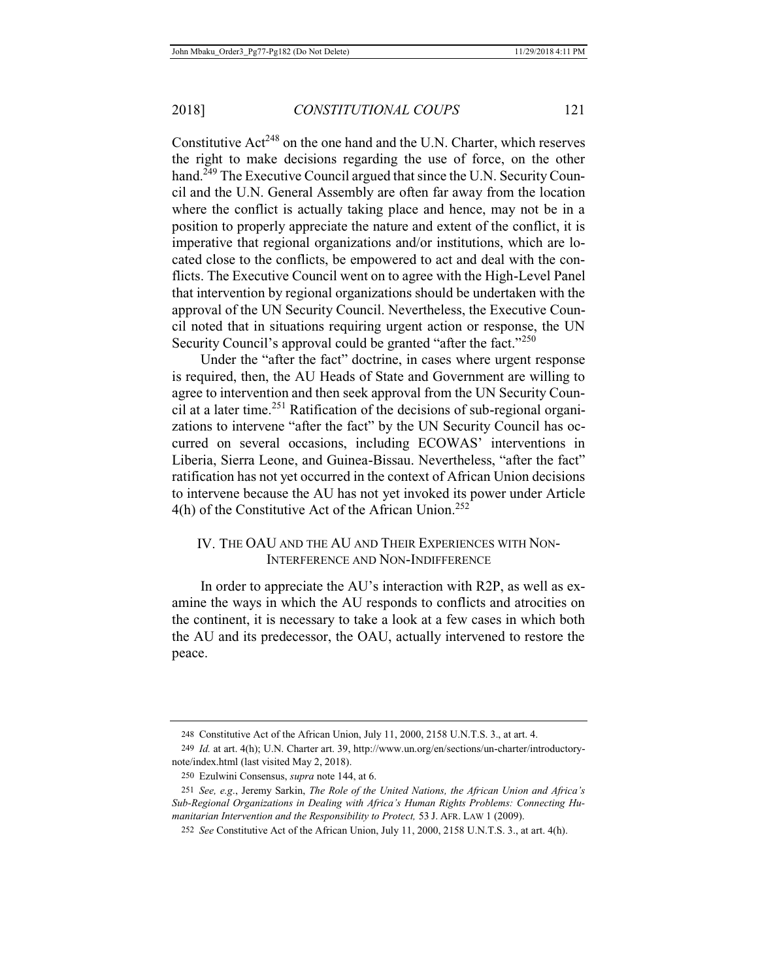Constitutive  $Act^{248}$  on the one hand and the U.N. Charter, which reserves the right to make decisions regarding the use of force, on the other hand.<sup> $249$ </sup> The Executive Council argued that since the U.N. Security Council and the U.N. General Assembly are often far away from the location where the conflict is actually taking place and hence, may not be in a position to properly appreciate the nature and extent of the conflict, it is imperative that regional organizations and/or institutions, which are located close to the conflicts, be empowered to act and deal with the conflicts. The Executive Council went on to agree with the High-Level Panel that intervention by regional organizations should be undertaken with the approval of the UN Security Council. Nevertheless, the Executive Council noted that in situations requiring urgent action or response, the UN Security Council's approval could be granted "after the fact."<sup>250</sup>

Under the "after the fact" doctrine, in cases where urgent response is required, then, the AU Heads of State and Government are willing to agree to intervention and then seek approval from the UN Security Council at a later time.<sup>251</sup> Ratification of the decisions of sub-regional organizations to intervene "after the fact" by the UN Security Council has occurred on several occasions, including ECOWAS' interventions in Liberia, Sierra Leone, and Guinea-Bissau. Nevertheless, "after the fact" ratification has not yet occurred in the context of African Union decisions to intervene because the AU has not yet invoked its power under Article  $4(h)$  of the Constitutive Act of the African Union.<sup>252</sup>

### IV. THE OAU AND THE AU AND THEIR EXPERIENCES WITH NON-INTERFERENCE AND NON-INDIFFERENCE

In order to appreciate the AU's interaction with R2P, as well as examine the ways in which the AU responds to conflicts and atrocities on the continent, it is necessary to take a look at a few cases in which both the AU and its predecessor, the OAU, actually intervened to restore the peace.

<sup>248</sup> Constitutive Act of the African Union, July 11, 2000, 2158 U.N.T.S. 3., at art. 4.

<sup>249</sup> *Id.* at art. 4(h); U.N. Charter art. 39, http://www.un.org/en/sections/un-charter/introductorynote/index.html (last visited May 2, 2018).

<sup>250</sup> Ezulwini Consensus, *supra* note 144, at 6.

<sup>251</sup> *See, e.g*., Jeremy Sarkin, *The Role of the United Nations, the African Union and Africa's Sub-Regional Organizations in Dealing with Africa's Human Rights Problems: Connecting Humanitarian Intervention and the Responsibility to Protect,* 53 J. AFR. LAW 1 (2009).

<sup>252</sup> *See* Constitutive Act of the African Union, July 11, 2000, 2158 U.N.T.S. 3., at art. 4(h).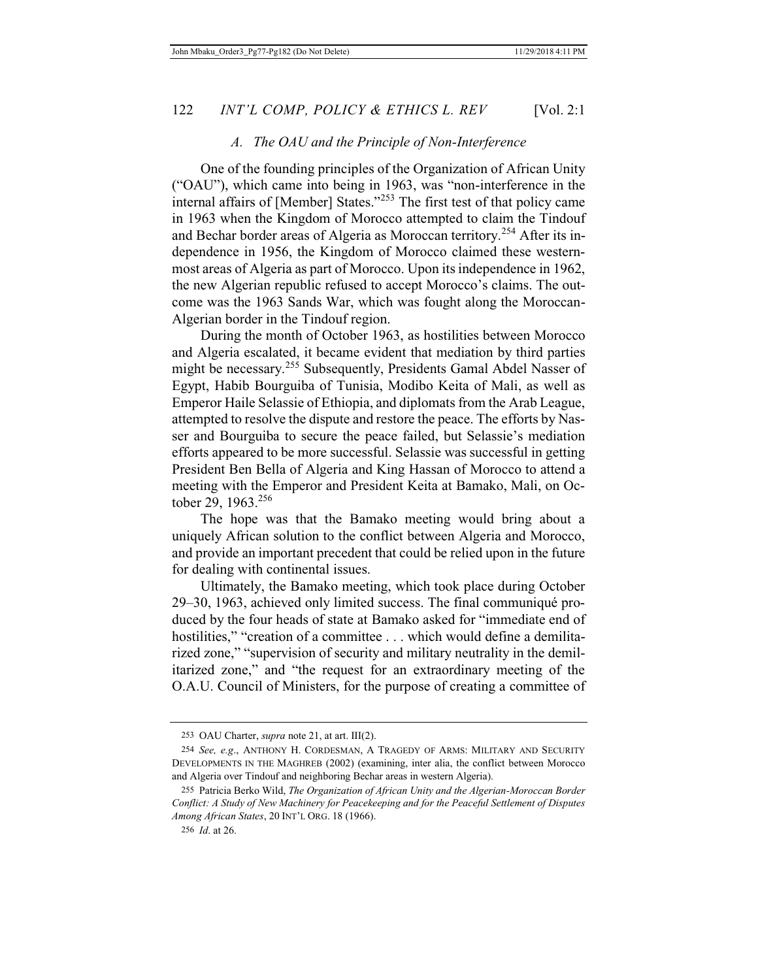#### *A. The OAU and the Principle of Non-Interference*

One of the founding principles of the Organization of African Unity ("OAU"), which came into being in 1963, was "non-interference in the internal affairs of [Member] States."253 The first test of that policy came in 1963 when the Kingdom of Morocco attempted to claim the Tindouf and Bechar border areas of Algeria as Moroccan territory.<sup>254</sup> After its independence in 1956, the Kingdom of Morocco claimed these westernmost areas of Algeria as part of Morocco. Upon its independence in 1962, the new Algerian republic refused to accept Morocco's claims. The outcome was the 1963 Sands War, which was fought along the Moroccan-Algerian border in the Tindouf region.

During the month of October 1963, as hostilities between Morocco and Algeria escalated, it became evident that mediation by third parties might be necessary.<sup>255</sup> Subsequently, Presidents Gamal Abdel Nasser of Egypt, Habib Bourguiba of Tunisia, Modibo Keita of Mali, as well as Emperor Haile Selassie of Ethiopia, and diplomats from the Arab League, attempted to resolve the dispute and restore the peace. The efforts by Nasser and Bourguiba to secure the peace failed, but Selassie's mediation efforts appeared to be more successful. Selassie was successful in getting President Ben Bella of Algeria and King Hassan of Morocco to attend a meeting with the Emperor and President Keita at Bamako, Mali, on October 29, 1963.<sup>256</sup>

The hope was that the Bamako meeting would bring about a uniquely African solution to the conflict between Algeria and Morocco, and provide an important precedent that could be relied upon in the future for dealing with continental issues.

Ultimately, the Bamako meeting, which took place during October 29–30, 1963, achieved only limited success. The final communiqué produced by the four heads of state at Bamako asked for "immediate end of hostilities," "creation of a committee . . . which would define a demilitarized zone," "supervision of security and military neutrality in the demilitarized zone," and "the request for an extraordinary meeting of the O.A.U. Council of Ministers, for the purpose of creating a committee of

<sup>253</sup> OAU Charter, *supra* note 21, at art. III(2).

<sup>254</sup> *See, e.g*., ANTHONY H. CORDESMAN, A TRAGEDY OF ARMS: MILITARY AND SECURITY DEVELOPMENTS IN THE MAGHREB (2002) (examining, inter alia, the conflict between Morocco and Algeria over Tindouf and neighboring Bechar areas in western Algeria).

<sup>255</sup> Patricia Berko Wild, *The Organization of African Unity and the Algerian-Moroccan Border Conflict: A Study of New Machinery for Peacekeeping and for the Peaceful Settlement of Disputes Among African States*, 20 INT'L ORG. 18 (1966).

<sup>256</sup> *Id*. at 26.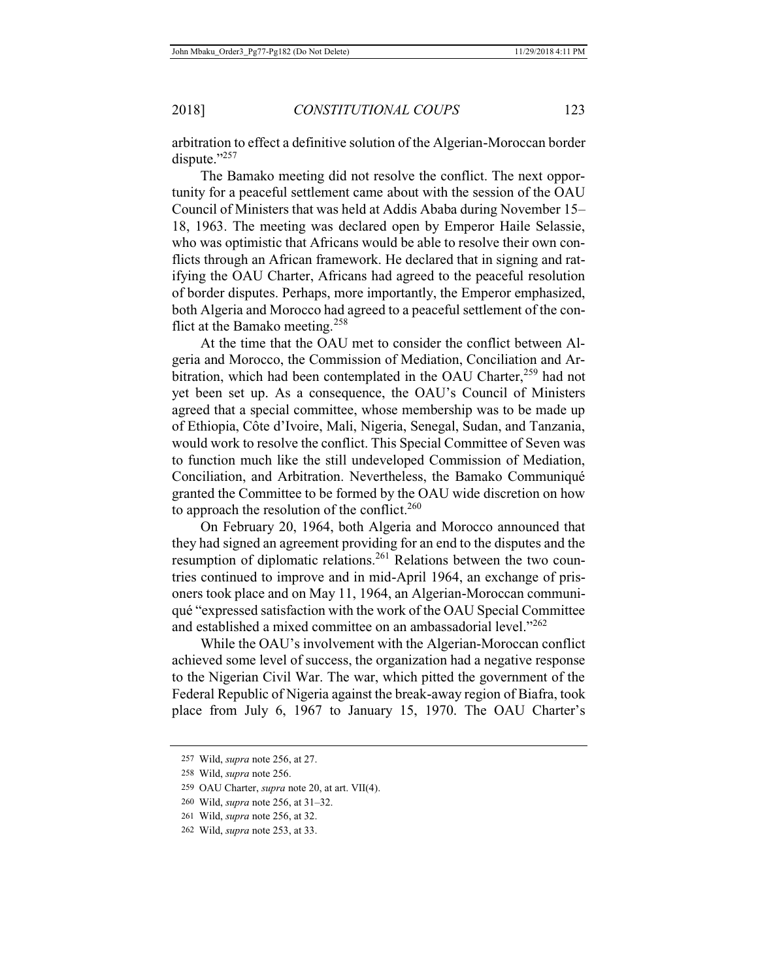arbitration to effect a definitive solution of the Algerian-Moroccan border dispute."257

The Bamako meeting did not resolve the conflict. The next opportunity for a peaceful settlement came about with the session of the OAU Council of Ministers that was held at Addis Ababa during November 15– 18, 1963. The meeting was declared open by Emperor Haile Selassie, who was optimistic that Africans would be able to resolve their own conflicts through an African framework. He declared that in signing and ratifying the OAU Charter, Africans had agreed to the peaceful resolution of border disputes. Perhaps, more importantly, the Emperor emphasized, both Algeria and Morocco had agreed to a peaceful settlement of the conflict at the Bamako meeting.<sup>258</sup>

At the time that the OAU met to consider the conflict between Algeria and Morocco, the Commission of Mediation, Conciliation and Arbitration, which had been contemplated in the OAU Charter,<sup>259</sup> had not yet been set up. As a consequence, the OAU's Council of Ministers agreed that a special committee, whose membership was to be made up of Ethiopia, Côte d'Ivoire, Mali, Nigeria, Senegal, Sudan, and Tanzania, would work to resolve the conflict. This Special Committee of Seven was to function much like the still undeveloped Commission of Mediation, Conciliation, and Arbitration. Nevertheless, the Bamako Communiqué granted the Committee to be formed by the OAU wide discretion on how to approach the resolution of the conflict. $260$ 

On February 20, 1964, both Algeria and Morocco announced that they had signed an agreement providing for an end to the disputes and the resumption of diplomatic relations.<sup>261</sup> Relations between the two countries continued to improve and in mid-April 1964, an exchange of prisoners took place and on May 11, 1964, an Algerian-Moroccan communiqué "expressed satisfaction with the work of the OAU Special Committee and established a mixed committee on an ambassadorial level."<sup>262</sup>

While the OAU's involvement with the Algerian-Moroccan conflict achieved some level of success, the organization had a negative response to the Nigerian Civil War. The war, which pitted the government of the Federal Republic of Nigeria against the break-away region of Biafra, took place from July 6, 1967 to January 15, 1970. The OAU Charter's

<sup>257</sup> Wild, *supra* note 256, at 27.

<sup>258</sup> Wild, *supra* note 256.

<sup>259</sup> OAU Charter, *supra* note 20, at art. VII(4).

<sup>260</sup> Wild, *supra* note 256, at 31–32.

<sup>261</sup> Wild, *supra* note 256, at 32.

<sup>262</sup> Wild, *supra* note 253, at 33.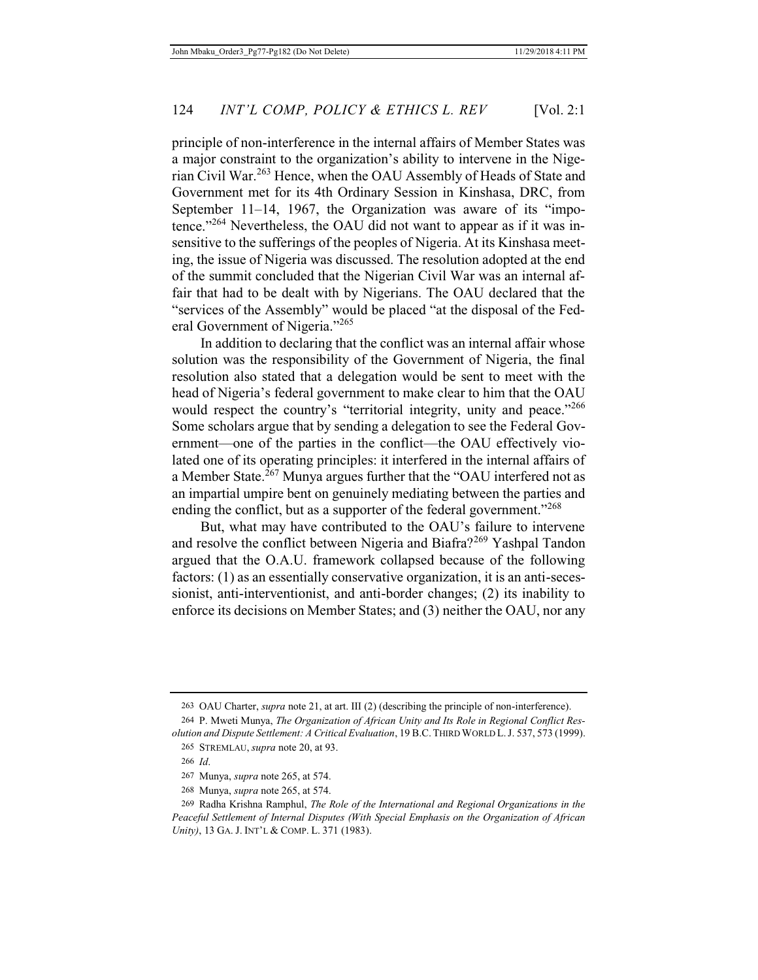principle of non-interference in the internal affairs of Member States was a major constraint to the organization's ability to intervene in the Nigerian Civil War.263 Hence, when the OAU Assembly of Heads of State and Government met for its 4th Ordinary Session in Kinshasa, DRC, from September 11–14, 1967, the Organization was aware of its "impotence."<sup>264</sup> Nevertheless, the OAU did not want to appear as if it was insensitive to the sufferings of the peoples of Nigeria. At its Kinshasa meeting, the issue of Nigeria was discussed. The resolution adopted at the end of the summit concluded that the Nigerian Civil War was an internal affair that had to be dealt with by Nigerians. The OAU declared that the "services of the Assembly" would be placed "at the disposal of the Federal Government of Nigeria."<sup>265</sup>

In addition to declaring that the conflict was an internal affair whose solution was the responsibility of the Government of Nigeria, the final resolution also stated that a delegation would be sent to meet with the head of Nigeria's federal government to make clear to him that the OAU would respect the country's "territorial integrity, unity and peace."<sup>266</sup> Some scholars argue that by sending a delegation to see the Federal Government—one of the parties in the conflict—the OAU effectively violated one of its operating principles: it interfered in the internal affairs of a Member State.<sup>267</sup> Munya argues further that the "OAU interfered not as an impartial umpire bent on genuinely mediating between the parties and ending the conflict, but as a supporter of the federal government."268

But, what may have contributed to the OAU's failure to intervene and resolve the conflict between Nigeria and Biafra?<sup>269</sup> Yashpal Tandon argued that the O.A.U. framework collapsed because of the following factors: (1) as an essentially conservative organization, it is an anti-secessionist, anti-interventionist, and anti-border changes; (2) its inability to enforce its decisions on Member States; and (3) neither the OAU, nor any

<sup>263</sup> OAU Charter, *supra* note 21, at art. III (2) (describing the principle of non-interference).

<sup>264</sup> P. Mweti Munya, *The Organization of African Unity and Its Role in Regional Conflict Resolution and Dispute Settlement: A Critical Evaluation*, 19 B.C. THIRD WORLD L.J. 537, 573 (1999). 265 STREMLAU, *supra* note 20, at 93.

<sup>266</sup> *Id*.

<sup>267</sup> Munya, *supra* note 265, at 574.

<sup>268</sup> Munya, *supra* note 265, at 574.

<sup>269</sup> Radha Krishna Ramphul, *The Role of the International and Regional Organizations in the Peaceful Settlement of Internal Disputes (With Special Emphasis on the Organization of African Unity)*, 13 GA. J. INT'L & COMP. L. 371 (1983).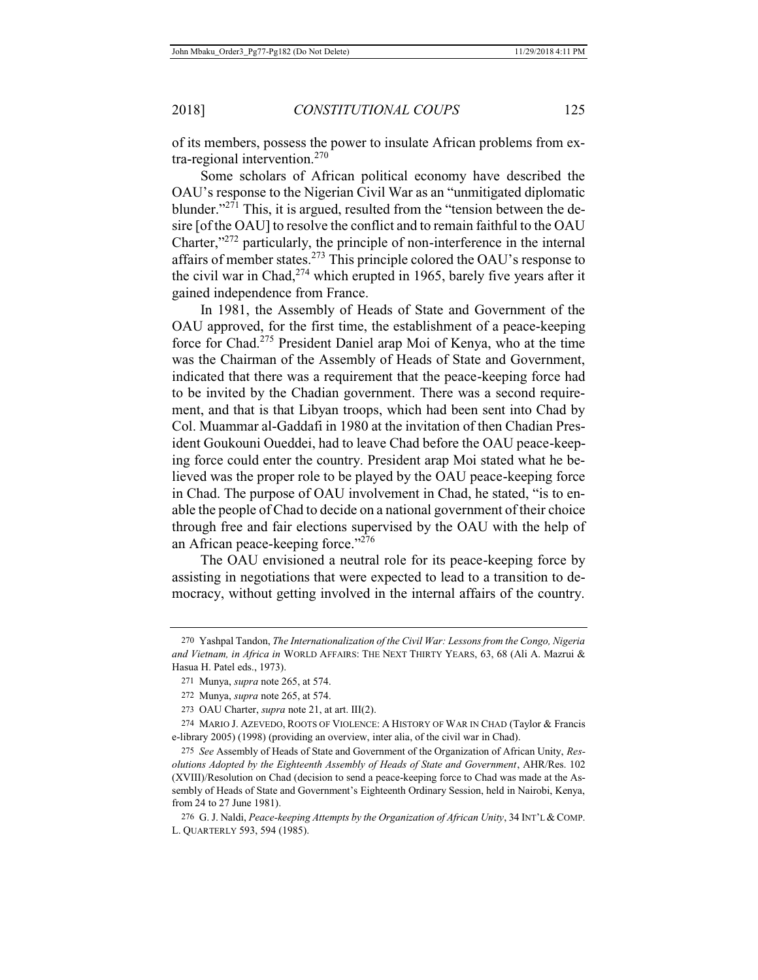of its members, possess the power to insulate African problems from extra-regional intervention.<sup>270</sup>

Some scholars of African political economy have described the OAU's response to the Nigerian Civil War as an "unmitigated diplomatic blunder."<sup>271</sup> This, it is argued, resulted from the "tension between the desire [of the OAU] to resolve the conflict and to remain faithful to the OAU Charter,"272 particularly, the principle of non-interference in the internal affairs of member states.<sup>273</sup> This principle colored the OAU's response to the civil war in Chad,<sup>274</sup> which erupted in 1965, barely five years after it gained independence from France.

In 1981, the Assembly of Heads of State and Government of the OAU approved, for the first time, the establishment of a peace-keeping force for Chad.275 President Daniel arap Moi of Kenya, who at the time was the Chairman of the Assembly of Heads of State and Government, indicated that there was a requirement that the peace-keeping force had to be invited by the Chadian government. There was a second requirement, and that is that Libyan troops, which had been sent into Chad by Col. Muammar al-Gaddafi in 1980 at the invitation of then Chadian President Goukouni Oueddei, had to leave Chad before the OAU peace-keeping force could enter the country. President arap Moi stated what he believed was the proper role to be played by the OAU peace-keeping force in Chad. The purpose of OAU involvement in Chad, he stated, "is to enable the people of Chad to decide on a national government of their choice through free and fair elections supervised by the OAU with the help of an African peace-keeping force."<sup>276</sup>

The OAU envisioned a neutral role for its peace-keeping force by assisting in negotiations that were expected to lead to a transition to democracy, without getting involved in the internal affairs of the country.

275 *See* Assembly of Heads of State and Government of the Organization of African Unity, *Resolutions Adopted by the Eighteenth Assembly of Heads of State and Government*, AHR/Res. 102 (XVIII)/Resolution on Chad (decision to send a peace-keeping force to Chad was made at the Assembly of Heads of State and Government's Eighteenth Ordinary Session, held in Nairobi, Kenya, from 24 to 27 June 1981).

276 G. J. Naldi, *Peace-keeping Attempts by the Organization of African Unity*, 34 INT'L & COMP. L. QUARTERLY 593, 594 (1985).

<sup>270</sup> Yashpal Tandon, *The Internationalization of the Civil War: Lessons from the Congo, Nigeria and Vietnam, in Africa in* WORLD AFFAIRS: THE NEXT THIRTY YEARS, 63, 68 (Ali A. Mazrui & Hasua H. Patel eds., 1973).

<sup>271</sup> Munya, *supra* note 265, at 574.

<sup>272</sup> Munya, *supra* note 265, at 574.

<sup>273</sup> OAU Charter, *supra* note 21, at art. III(2).

<sup>274</sup> MARIO J. AZEVEDO, ROOTS OF VIOLENCE: A HISTORY OF WAR IN CHAD (Taylor & Francis e-library 2005) (1998) (providing an overview, inter alia, of the civil war in Chad).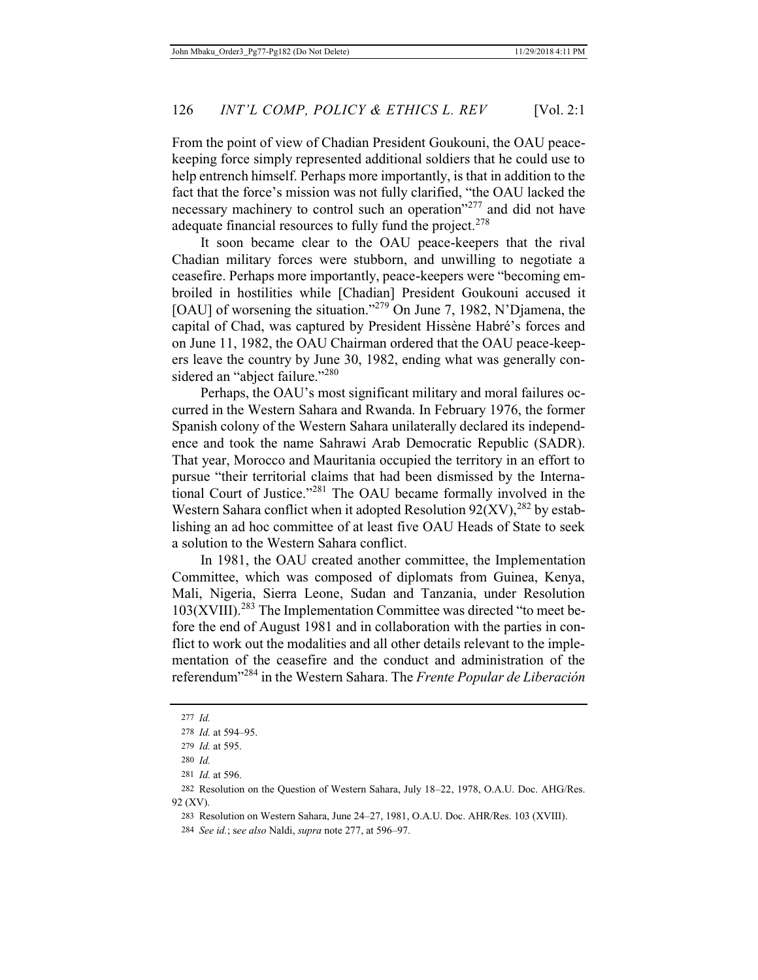From the point of view of Chadian President Goukouni, the OAU peacekeeping force simply represented additional soldiers that he could use to help entrench himself. Perhaps more importantly, is that in addition to the fact that the force's mission was not fully clarified, "the OAU lacked the necessary machinery to control such an operation"<sup>277</sup> and did not have adequate financial resources to fully fund the project.<sup>278</sup>

It soon became clear to the OAU peace-keepers that the rival Chadian military forces were stubborn, and unwilling to negotiate a ceasefire. Perhaps more importantly, peace-keepers were "becoming embroiled in hostilities while [Chadian] President Goukouni accused it [OAU] of worsening the situation."<sup>279</sup> On June 7, 1982, N'Djamena, the capital of Chad, was captured by President Hissène Habré's forces and on June 11, 1982, the OAU Chairman ordered that the OAU peace-keepers leave the country by June 30, 1982, ending what was generally considered an "abject failure."<sup>280</sup>

Perhaps, the OAU's most significant military and moral failures occurred in the Western Sahara and Rwanda. In February 1976, the former Spanish colony of the Western Sahara unilaterally declared its independence and took the name Sahrawi Arab Democratic Republic (SADR). That year, Morocco and Mauritania occupied the territory in an effort to pursue "their territorial claims that had been dismissed by the International Court of Justice."281 The OAU became formally involved in the Western Sahara conflict when it adopted Resolution  $92(XV)$ ,  $^{282}$  by establishing an ad hoc committee of at least five OAU Heads of State to seek a solution to the Western Sahara conflict.

In 1981, the OAU created another committee, the Implementation Committee, which was composed of diplomats from Guinea, Kenya, Mali, Nigeria, Sierra Leone, Sudan and Tanzania, under Resolution  $103(XVIII).<sup>283</sup>$  The Implementation Committee was directed "to meet before the end of August 1981 and in collaboration with the parties in conflict to work out the modalities and all other details relevant to the implementation of the ceasefire and the conduct and administration of the referendum"284 in the Western Sahara. The *Frente Popular de Liberación* 

<sup>277</sup> *Id.*

<sup>278</sup> *Id.* at 594–95.

<sup>279</sup> *Id.* at 595.

<sup>280</sup> *Id.*

<sup>281</sup> *Id.* at 596.

<sup>282</sup> Resolution on the Question of Western Sahara, July 18–22, 1978, O.A.U. Doc. AHG/Res. 92 (XV).

<sup>283</sup> Resolution on Western Sahara, June 24–27, 1981, O.A.U. Doc. AHR/Res. 103 (XVIII).

<sup>284</sup> *See id.*; s*ee also* Naldi, *supra* note 277, at 596–97.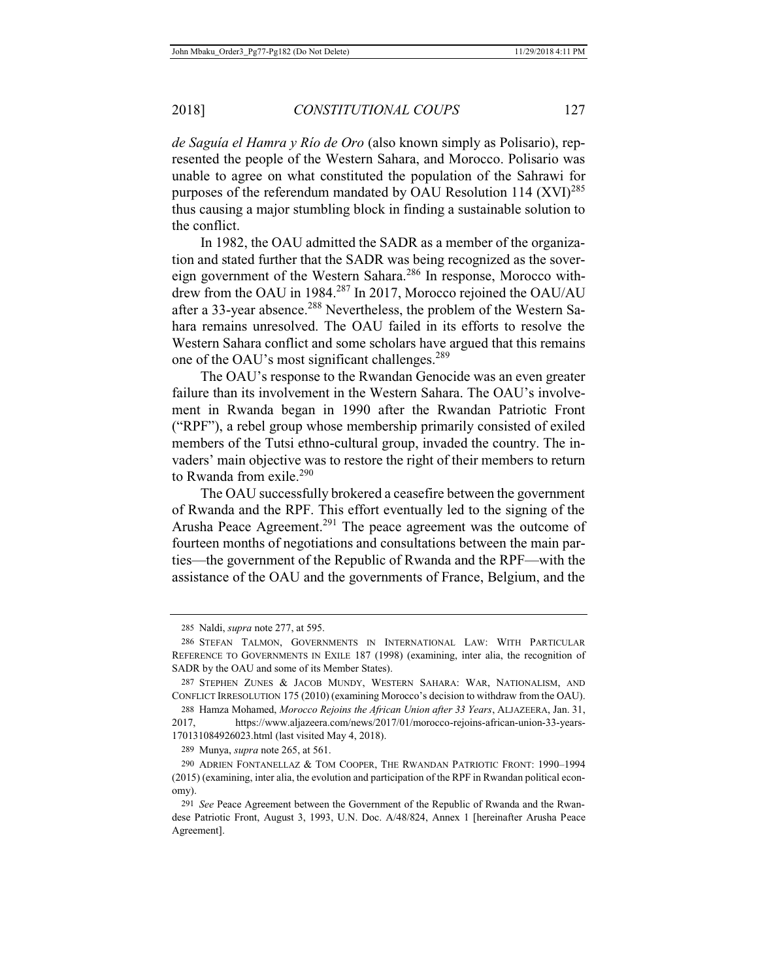*de Saguía el Hamra y Río de Oro* (also known simply as Polisario), represented the people of the Western Sahara, and Morocco. Polisario was unable to agree on what constituted the population of the Sahrawi for purposes of the referendum mandated by OAU Resolution 114  $(XVI)^{285}$ thus causing a major stumbling block in finding a sustainable solution to the conflict.

In 1982, the OAU admitted the SADR as a member of the organization and stated further that the SADR was being recognized as the sovereign government of the Western Sahara.<sup>286</sup> In response, Morocco withdrew from the OAU in 1984.<sup>287</sup> In 2017, Morocco rejoined the OAU/AU after a 33-year absence.<sup>288</sup> Nevertheless, the problem of the Western Sahara remains unresolved. The OAU failed in its efforts to resolve the Western Sahara conflict and some scholars have argued that this remains one of the OAU's most significant challenges.<sup>289</sup>

The OAU's response to the Rwandan Genocide was an even greater failure than its involvement in the Western Sahara. The OAU's involvement in Rwanda began in 1990 after the Rwandan Patriotic Front ("RPF"), a rebel group whose membership primarily consisted of exiled members of the Tutsi ethno-cultural group, invaded the country. The invaders' main objective was to restore the right of their members to return to Rwanda from exile.<sup>290</sup>

The OAU successfully brokered a ceasefire between the government of Rwanda and the RPF. This effort eventually led to the signing of the Arusha Peace Agreement.<sup>291</sup> The peace agreement was the outcome of fourteen months of negotiations and consultations between the main parties—the government of the Republic of Rwanda and the RPF—with the assistance of the OAU and the governments of France, Belgium, and the

<sup>285</sup> Naldi, *supra* note 277, at 595.

<sup>286</sup> STEFAN TALMON, GOVERNMENTS IN INTERNATIONAL LAW: WITH PARTICULAR REFERENCE TO GOVERNMENTS IN EXILE 187 (1998) (examining, inter alia, the recognition of SADR by the OAU and some of its Member States).

<sup>287</sup> STEPHEN ZUNES & JACOB MUNDY, WESTERN SAHARA: WAR, NATIONALISM, AND CONFLICT IRRESOLUTION 175 (2010) (examining Morocco's decision to withdraw from the OAU).

<sup>288</sup> Hamza Mohamed, *Morocco Rejoins the African Union after 33 Years*, ALJAZEERA, Jan. 31, 2017, https://www.aljazeera.com/news/2017/01/morocco-rejoins-african-union-33-years-170131084926023.html (last visited May 4, 2018).

<sup>289</sup> Munya, *supra* note 265, at 561.

<sup>290</sup> ADRIEN FONTANELLAZ & TOM COOPER, THE RWANDAN PATRIOTIC FRONT: 1990–1994 (2015) (examining, inter alia, the evolution and participation of the RPF in Rwandan political economy).

<sup>291</sup> *See* Peace Agreement between the Government of the Republic of Rwanda and the Rwandese Patriotic Front, August 3, 1993, U.N. Doc. A/48/824, Annex 1 [hereinafter Arusha Peace Agreement].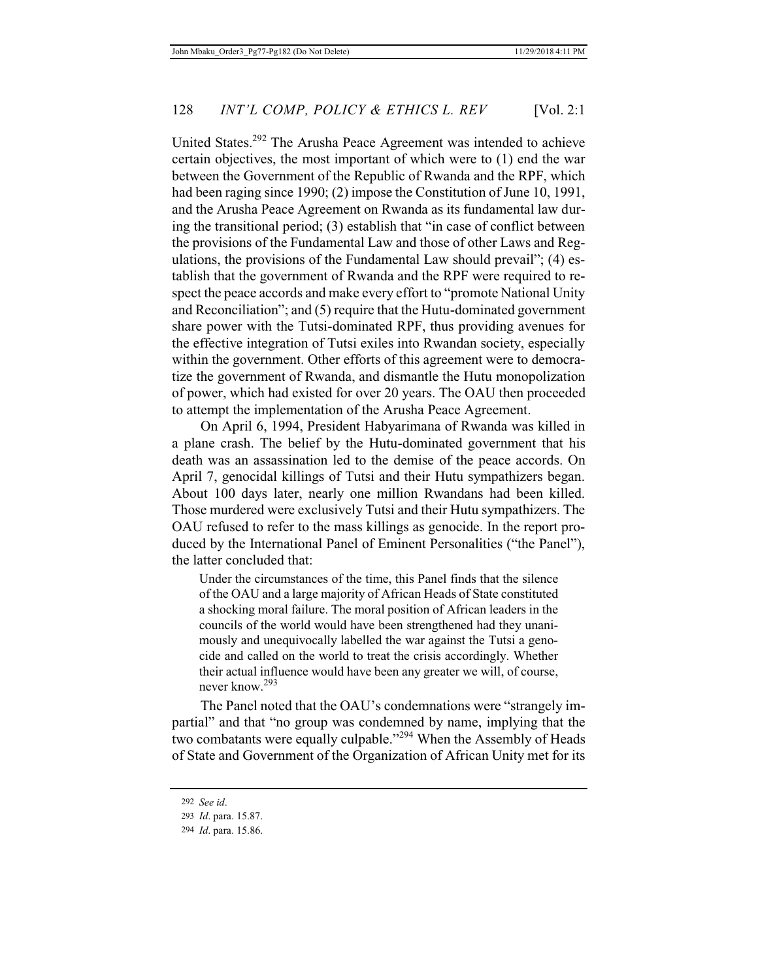United States.292 The Arusha Peace Agreement was intended to achieve certain objectives, the most important of which were to (1) end the war between the Government of the Republic of Rwanda and the RPF, which had been raging since 1990; (2) impose the Constitution of June 10, 1991, and the Arusha Peace Agreement on Rwanda as its fundamental law during the transitional period; (3) establish that "in case of conflict between the provisions of the Fundamental Law and those of other Laws and Regulations, the provisions of the Fundamental Law should prevail"; (4) establish that the government of Rwanda and the RPF were required to respect the peace accords and make every effort to "promote National Unity and Reconciliation"; and (5) require that the Hutu-dominated government share power with the Tutsi-dominated RPF, thus providing avenues for the effective integration of Tutsi exiles into Rwandan society, especially within the government. Other efforts of this agreement were to democratize the government of Rwanda, and dismantle the Hutu monopolization of power, which had existed for over 20 years. The OAU then proceeded to attempt the implementation of the Arusha Peace Agreement.

On April 6, 1994, President Habyarimana of Rwanda was killed in a plane crash. The belief by the Hutu-dominated government that his death was an assassination led to the demise of the peace accords. On April 7, genocidal killings of Tutsi and their Hutu sympathizers began. About 100 days later, nearly one million Rwandans had been killed. Those murdered were exclusively Tutsi and their Hutu sympathizers. The OAU refused to refer to the mass killings as genocide. In the report produced by the International Panel of Eminent Personalities ("the Panel"), the latter concluded that:

Under the circumstances of the time, this Panel finds that the silence of the OAU and a large majority of African Heads of State constituted a shocking moral failure. The moral position of African leaders in the councils of the world would have been strengthened had they unanimously and unequivocally labelled the war against the Tutsi a genocide and called on the world to treat the crisis accordingly. Whether their actual influence would have been any greater we will, of course, never know.<sup>293</sup>

The Panel noted that the OAU's condemnations were "strangely impartial" and that "no group was condemned by name, implying that the two combatants were equally culpable."<sup>294</sup> When the Assembly of Heads of State and Government of the Organization of African Unity met for its

<sup>292</sup> *See id*.

<sup>293</sup> *Id*. para. 15.87.

<sup>294</sup> *Id*. para. 15.86.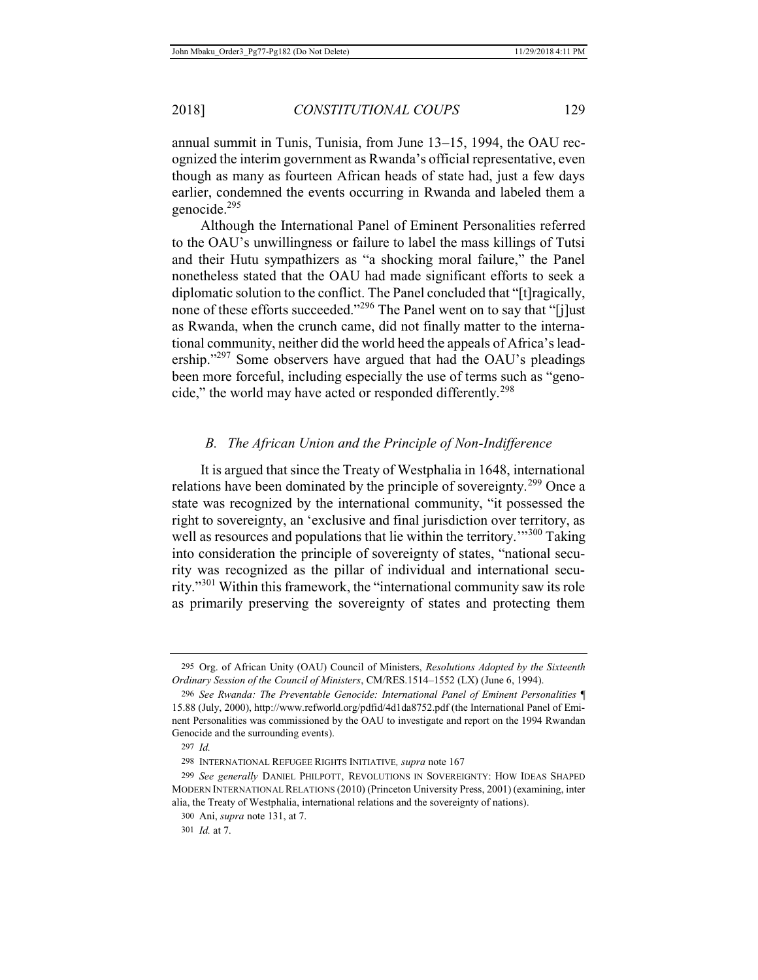annual summit in Tunis, Tunisia, from June 13–15, 1994, the OAU recognized the interim government as Rwanda's official representative, even though as many as fourteen African heads of state had, just a few days earlier, condemned the events occurring in Rwanda and labeled them a genocide.295

Although the International Panel of Eminent Personalities referred to the OAU's unwillingness or failure to label the mass killings of Tutsi and their Hutu sympathizers as "a shocking moral failure," the Panel nonetheless stated that the OAU had made significant efforts to seek a diplomatic solution to the conflict. The Panel concluded that "[t]ragically, none of these efforts succeeded."<sup>296</sup> The Panel went on to say that "[j]ust as Rwanda, when the crunch came, did not finally matter to the international community, neither did the world heed the appeals of Africa's leadership."<sup>297</sup> Some observers have argued that had the OAU's pleadings been more forceful, including especially the use of terms such as "genocide," the world may have acted or responded differently.<sup>298</sup>

### *B. The African Union and the Principle of Non-Indifference*

It is argued that since the Treaty of Westphalia in 1648, international relations have been dominated by the principle of sovereignty.<sup>299</sup> Once a state was recognized by the international community, "it possessed the right to sovereignty, an 'exclusive and final jurisdiction over territory, as well as resources and populations that lie within the territory.<sup>"300</sup> Taking" into consideration the principle of sovereignty of states, "national security was recognized as the pillar of individual and international security."<sup>301</sup> Within this framework, the "international community saw its role as primarily preserving the sovereignty of states and protecting them

<sup>295</sup> Org. of African Unity (OAU) Council of Ministers, *Resolutions Adopted by the Sixteenth Ordinary Session of the Council of Ministers*, CM/RES.1514–1552 (LX) (June 6, 1994).

<sup>296</sup> *See Rwanda: The Preventable Genocide: International Panel of Eminent Personalities* ¶ 15.88 (July, 2000), http://www.refworld.org/pdfid/4d1da8752.pdf (the International Panel of Eminent Personalities was commissioned by the OAU to investigate and report on the 1994 Rwandan Genocide and the surrounding events).

<sup>297</sup> *Id.*

<sup>298</sup> INTERNATIONAL REFUGEE RIGHTS INITIATIVE*, supra* note 167

<sup>299</sup> *See generally* DANIEL PHILPOTT, REVOLUTIONS IN SOVEREIGNTY: HOW IDEAS SHAPED MODERN INTERNATIONAL RELATIONS (2010) (Princeton University Press, 2001) (examining, inter alia, the Treaty of Westphalia, international relations and the sovereignty of nations).

<sup>300</sup> Ani, *supra* note 131, at 7.

<sup>301</sup> *Id.* at 7.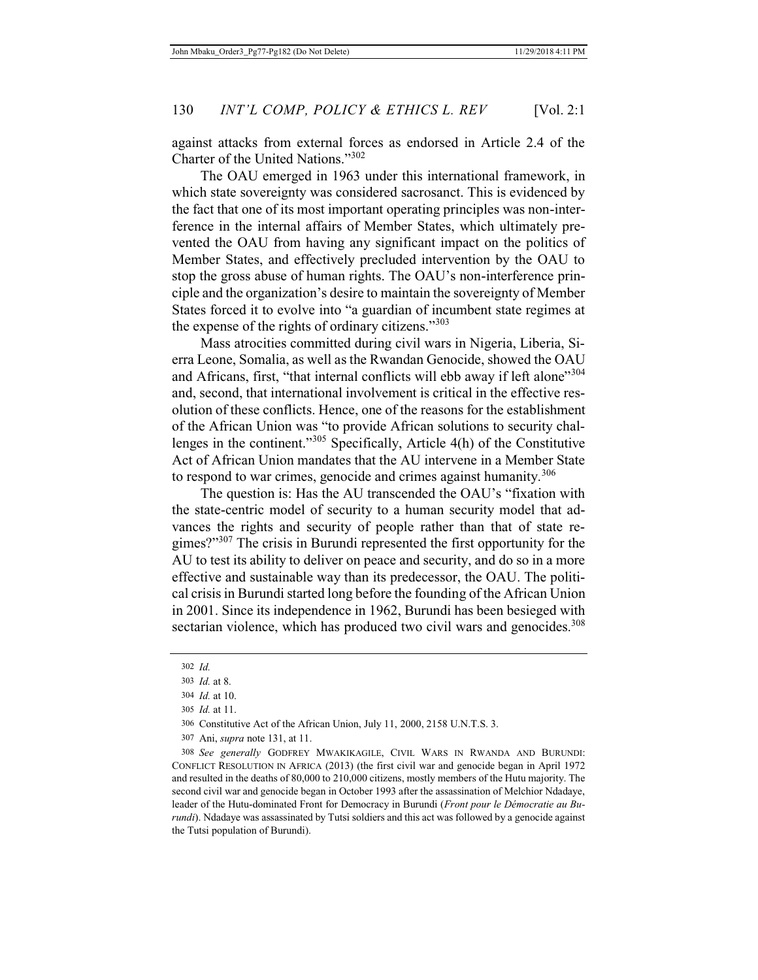against attacks from external forces as endorsed in Article 2.4 of the Charter of the United Nations."<sup>302</sup>

The OAU emerged in 1963 under this international framework, in which state sovereignty was considered sacrosanct. This is evidenced by the fact that one of its most important operating principles was non-interference in the internal affairs of Member States, which ultimately prevented the OAU from having any significant impact on the politics of Member States, and effectively precluded intervention by the OAU to stop the gross abuse of human rights. The OAU's non-interference principle and the organization's desire to maintain the sovereignty of Member States forced it to evolve into "a guardian of incumbent state regimes at the expense of the rights of ordinary citizens."<sup>303</sup>

Mass atrocities committed during civil wars in Nigeria, Liberia, Sierra Leone, Somalia, as well as the Rwandan Genocide, showed the OAU and Africans, first, "that internal conflicts will ebb away if left alone"<sup>304</sup> and, second, that international involvement is critical in the effective resolution of these conflicts. Hence, one of the reasons for the establishment of the African Union was "to provide African solutions to security challenges in the continent." $305$  Specifically, Article 4(h) of the Constitutive Act of African Union mandates that the AU intervene in a Member State to respond to war crimes, genocide and crimes against humanity.<sup>306</sup>

The question is: Has the AU transcended the OAU's "fixation with the state-centric model of security to a human security model that advances the rights and security of people rather than that of state regimes?"307 The crisis in Burundi represented the first opportunity for the AU to test its ability to deliver on peace and security, and do so in a more effective and sustainable way than its predecessor, the OAU. The political crisis in Burundi started long before the founding of the African Union in 2001. Since its independence in 1962, Burundi has been besieged with sectarian violence, which has produced two civil wars and genocides.<sup>308</sup>

308 *See generally* GODFREY MWAKIKAGILE, CIVIL WARS IN RWANDA AND BURUNDI: CONFLICT RESOLUTION IN AFRICA (2013) (the first civil war and genocide began in April 1972 and resulted in the deaths of 80,000 to 210,000 citizens, mostly members of the Hutu majority. The second civil war and genocide began in October 1993 after the assassination of Melchior Ndadaye, leader of the Hutu-dominated Front for Democracy in Burundi (*Front pour le Démocratie au Burundi*). Ndadaye was assassinated by Tutsi soldiers and this act was followed by a genocide against the Tutsi population of Burundi).

<sup>302</sup> *Id.*

<sup>303</sup> *Id.* at 8.

<sup>304</sup> *Id.* at 10.

<sup>305</sup> *Id.* at 11.

<sup>306</sup> Constitutive Act of the African Union, July 11, 2000, 2158 U.N.T.S. 3.

<sup>307</sup> Ani, *supra* note 131, at 11.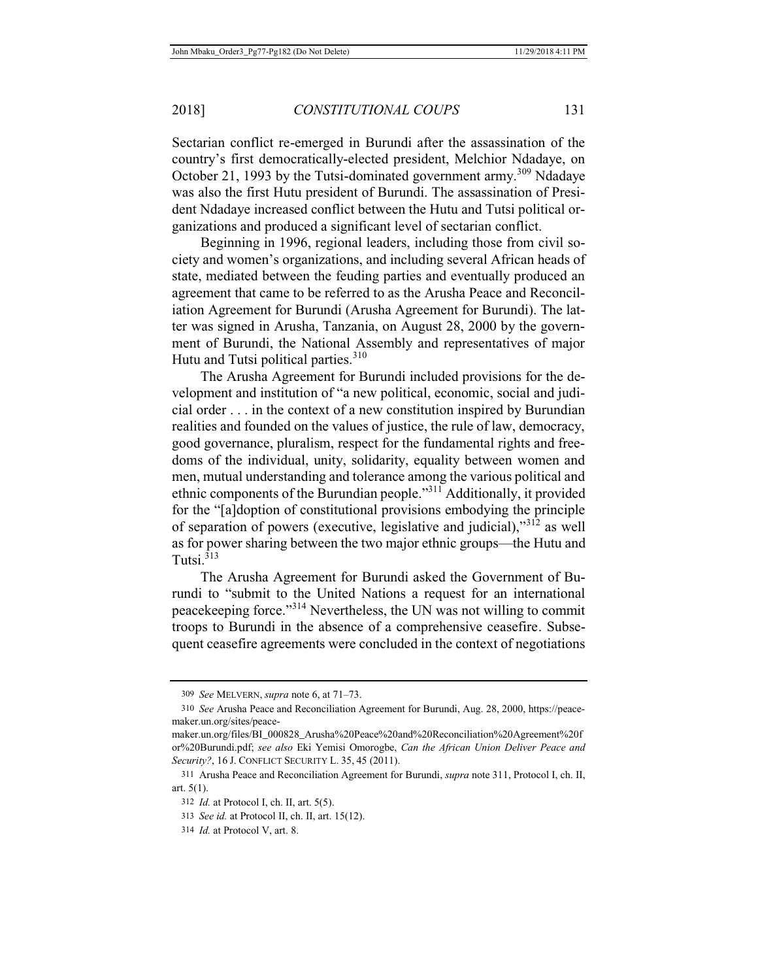Sectarian conflict re-emerged in Burundi after the assassination of the country's first democratically-elected president, Melchior Ndadaye, on October 21, 1993 by the Tutsi-dominated government army.<sup>309</sup> Ndadaye was also the first Hutu president of Burundi. The assassination of President Ndadaye increased conflict between the Hutu and Tutsi political organizations and produced a significant level of sectarian conflict.

Beginning in 1996, regional leaders, including those from civil society and women's organizations, and including several African heads of state, mediated between the feuding parties and eventually produced an agreement that came to be referred to as the Arusha Peace and Reconciliation Agreement for Burundi (Arusha Agreement for Burundi). The latter was signed in Arusha, Tanzania, on August 28, 2000 by the government of Burundi, the National Assembly and representatives of major Hutu and Tutsi political parties.<sup>310</sup>

The Arusha Agreement for Burundi included provisions for the development and institution of "a new political, economic, social and judicial order . . . in the context of a new constitution inspired by Burundian realities and founded on the values of justice, the rule of law, democracy, good governance, pluralism, respect for the fundamental rights and freedoms of the individual, unity, solidarity, equality between women and men, mutual understanding and tolerance among the various political and ethnic components of the Burundian people."311 Additionally, it provided for the "[a]doption of constitutional provisions embodying the principle of separation of powers (executive, legislative and judicial),"312 as well as for power sharing between the two major ethnic groups—the Hutu and Tutsi $^{313}$ 

The Arusha Agreement for Burundi asked the Government of Burundi to "submit to the United Nations a request for an international peacekeeping force."314 Nevertheless, the UN was not willing to commit troops to Burundi in the absence of a comprehensive ceasefire. Subsequent ceasefire agreements were concluded in the context of negotiations

<sup>309</sup> *See* MELVERN, *supra* note 6, at 71–73.

<sup>310</sup> *See* Arusha Peace and Reconciliation Agreement for Burundi, Aug. 28, 2000, https://peacemaker.un.org/sites/peace-

maker.un.org/files/BI\_000828\_Arusha%20Peace%20and%20Reconciliation%20Agreement%20f or%20Burundi.pdf; *see also* Eki Yemisi Omorogbe, *Can the African Union Deliver Peace and Security?*, 16 J. CONFLICT SECURITY L. 35, 45 (2011).

<sup>311</sup> Arusha Peace and Reconciliation Agreement for Burundi, *supra* note 311, Protocol I, ch. II, art. 5(1).

<sup>312</sup> *Id.* at Protocol I, ch. II, art. 5(5).

<sup>313</sup> *See id.* at Protocol II, ch. II, art. 15(12).

<sup>314</sup> *Id.* at Protocol V, art. 8.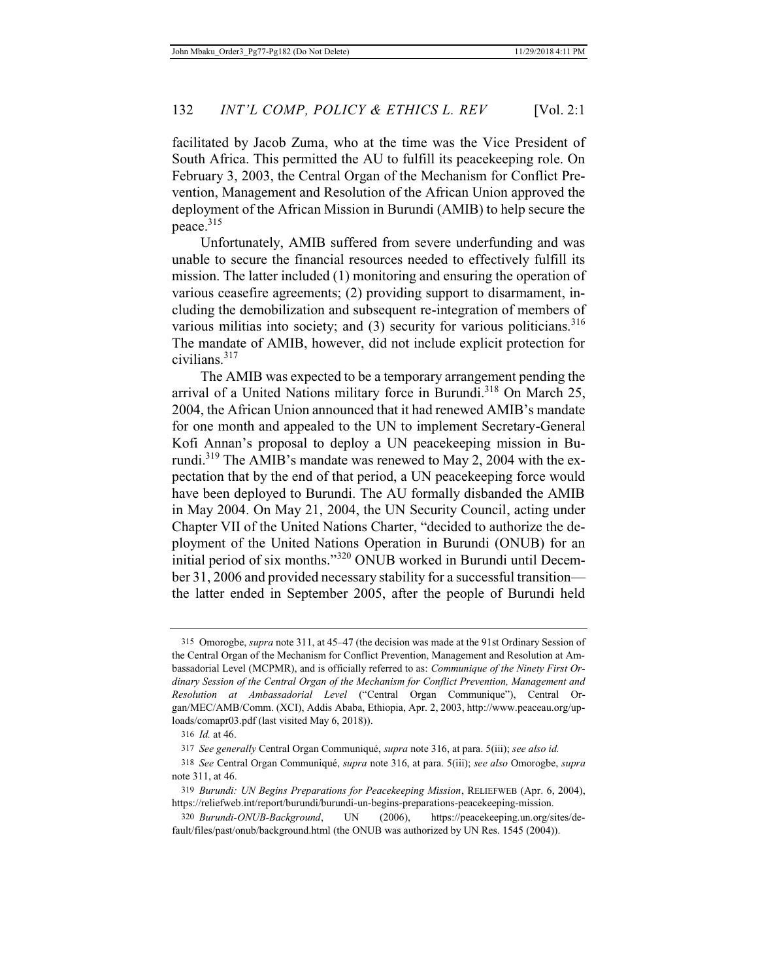facilitated by Jacob Zuma, who at the time was the Vice President of South Africa. This permitted the AU to fulfill its peacekeeping role. On February 3, 2003, the Central Organ of the Mechanism for Conflict Prevention, Management and Resolution of the African Union approved the deployment of the African Mission in Burundi (AMIB) to help secure the peace.315

Unfortunately, AMIB suffered from severe underfunding and was unable to secure the financial resources needed to effectively fulfill its mission. The latter included (1) monitoring and ensuring the operation of various ceasefire agreements; (2) providing support to disarmament, including the demobilization and subsequent re-integration of members of various militias into society; and (3) security for various politicians.<sup>316</sup> The mandate of AMIB, however, did not include explicit protection for civilians.<sup>317</sup>

The AMIB was expected to be a temporary arrangement pending the arrival of a United Nations military force in Burundi.<sup>318</sup> On March 25, 2004, the African Union announced that it had renewed AMIB's mandate for one month and appealed to the UN to implement Secretary-General Kofi Annan's proposal to deploy a UN peacekeeping mission in Burundi.<sup>319</sup> The AMIB's mandate was renewed to May 2, 2004 with the expectation that by the end of that period, a UN peacekeeping force would have been deployed to Burundi. The AU formally disbanded the AMIB in May 2004. On May 21, 2004, the UN Security Council, acting under Chapter VII of the United Nations Charter, "decided to authorize the deployment of the United Nations Operation in Burundi (ONUB) for an initial period of six months."320 ONUB worked in Burundi until December 31, 2006 and provided necessary stability for a successful transition the latter ended in September 2005, after the people of Burundi held

<sup>315</sup> Omorogbe, *supra* note 311, at 45–47 (the decision was made at the 91st Ordinary Session of the Central Organ of the Mechanism for Conflict Prevention, Management and Resolution at Ambassadorial Level (MCPMR), and is officially referred to as: *Communique of the Ninety First Ordinary Session of the Central Organ of the Mechanism for Conflict Prevention, Management and Resolution at Ambassadorial Level* ("Central Organ Communique"), Central Organ/MEC/AMB/Comm. (XCI), Addis Ababa, Ethiopia, Apr. 2, 2003, http://www.peaceau.org/uploads/comapr03.pdf (last visited May 6, 2018)).

<sup>316</sup> *Id.* at 46.

<sup>317</sup> *See generally* Central Organ Communiqué, *supra* note 316, at para. 5(iii); *see also id.*

<sup>318</sup> *See* Central Organ Communiqué, *supra* note 316, at para. 5(iii); *see also* Omorogbe, *supra* note 311, at 46.

<sup>319</sup> *Burundi: UN Begins Preparations for Peacekeeping Mission*, RELIEFWEB (Apr. 6, 2004), https://reliefweb.int/report/burundi/burundi-un-begins-preparations-peacekeeping-mission.

<sup>320</sup> *Burundi-ONUB-Background*, UN (2006), https://peacekeeping.un.org/sites/default/files/past/onub/background.html (the ONUB was authorized by UN Res. 1545 (2004)).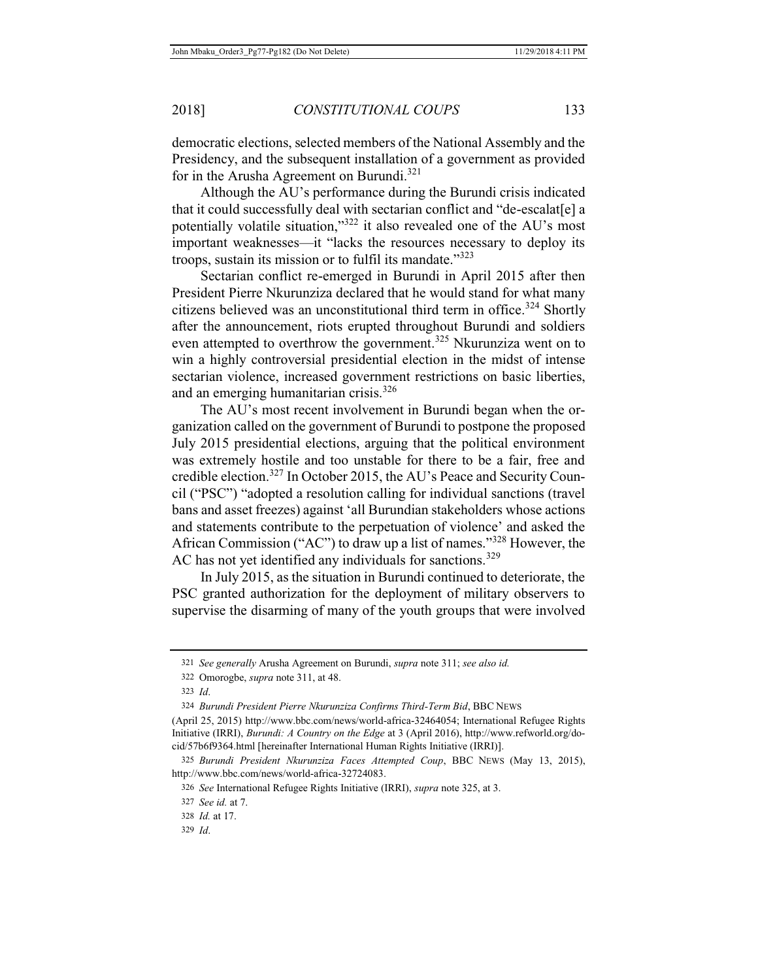democratic elections, selected members of the National Assembly and the Presidency, and the subsequent installation of a government as provided for in the Arusha Agreement on Burundi.<sup>321</sup>

Although the AU's performance during the Burundi crisis indicated that it could successfully deal with sectarian conflict and "de-escalat[e] a potentially volatile situation,"<sup>322</sup> it also revealed one of the AU's most important weaknesses—it "lacks the resources necessary to deploy its troops, sustain its mission or to fulfil its mandate."<sup>323</sup>

Sectarian conflict re-emerged in Burundi in April 2015 after then President Pierre Nkurunziza declared that he would stand for what many citizens believed was an unconstitutional third term in office.<sup>324</sup> Shortly after the announcement, riots erupted throughout Burundi and soldiers even attempted to overthrow the government.<sup>325</sup> Nkurunziza went on to win a highly controversial presidential election in the midst of intense sectarian violence, increased government restrictions on basic liberties, and an emerging humanitarian crisis.<sup>326</sup>

The AU's most recent involvement in Burundi began when the organization called on the government of Burundi to postpone the proposed July 2015 presidential elections, arguing that the political environment was extremely hostile and too unstable for there to be a fair, free and credible election.327 In October 2015, the AU's Peace and Security Council ("PSC") "adopted a resolution calling for individual sanctions (travel bans and asset freezes) against 'all Burundian stakeholders whose actions and statements contribute to the perpetuation of violence' and asked the African Commission ("AC") to draw up a list of names."328 However, the AC has not yet identified any individuals for sanctions.<sup>329</sup>

In July 2015, as the situation in Burundi continued to deteriorate, the PSC granted authorization for the deployment of military observers to supervise the disarming of many of the youth groups that were involved

<sup>321</sup> *See generally* Arusha Agreement on Burundi, *supra* note 311; *see also id.*

<sup>322</sup> Omorogbe, *supra* note 311, at 48.

<sup>323</sup> *Id*.

<sup>324</sup> *Burundi President Pierre Nkurunziza Confirms Third-Term Bid*, BBC NEWS

<sup>(</sup>April 25, 2015) http://www.bbc.com/news/world-africa-32464054; International Refugee Rights Initiative (IRRI), *Burundi: A Country on the Edge* at 3 (April 2016), http://www.refworld.org/docid/57b6f9364.html [hereinafter International Human Rights Initiative (IRRI)].

<sup>325</sup> *Burundi President Nkurunziza Faces Attempted Coup*, BBC NEWS (May 13, 2015), http://www.bbc.com/news/world-africa-32724083.

<sup>326</sup> *See* International Refugee Rights Initiative (IRRI), *supra* note 325, at 3.

<sup>327</sup> *See id.* at 7.

<sup>328</sup> *Id.* at 17.

<sup>329</sup> *Id*.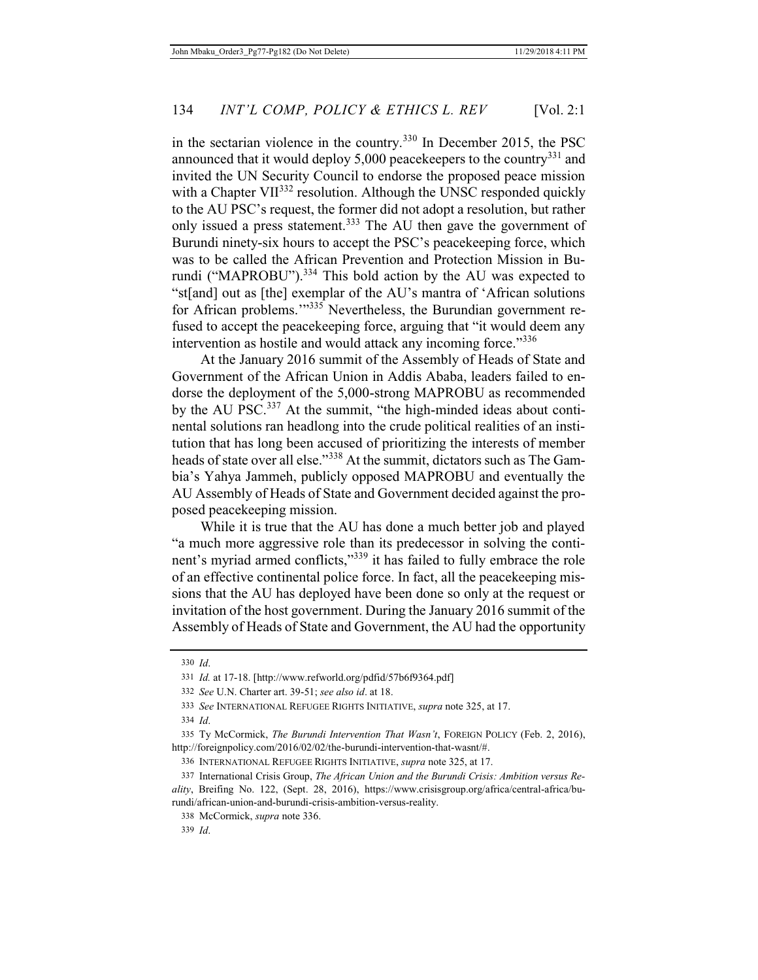in the sectarian violence in the country.<sup>330</sup> In December 2015, the PSC announced that it would deploy  $5,000$  peacekeepers to the country<sup>331</sup> and invited the UN Security Council to endorse the proposed peace mission with a Chapter VII<sup>332</sup> resolution. Although the UNSC responded quickly to the AU PSC's request, the former did not adopt a resolution, but rather only issued a press statement.<sup>333</sup> The AU then gave the government of Burundi ninety-six hours to accept the PSC's peacekeeping force, which was to be called the African Prevention and Protection Mission in Burundi ("MAPROBU").<sup>334</sup> This bold action by the AU was expected to "st[and] out as [the] exemplar of the AU's mantra of 'African solutions for African problems.'"335 Nevertheless, the Burundian government refused to accept the peacekeeping force, arguing that "it would deem any intervention as hostile and would attack any incoming force."<sup>336</sup>

At the January 2016 summit of the Assembly of Heads of State and Government of the African Union in Addis Ababa, leaders failed to endorse the deployment of the 5,000-strong MAPROBU as recommended by the AU PSC.<sup>337</sup> At the summit, "the high-minded ideas about continental solutions ran headlong into the crude political realities of an institution that has long been accused of prioritizing the interests of member heads of state over all else."<sup>338</sup> At the summit, dictators such as The Gambia's Yahya Jammeh, publicly opposed MAPROBU and eventually the AU Assembly of Heads of State and Government decided against the proposed peacekeeping mission.

While it is true that the AU has done a much better job and played "a much more aggressive role than its predecessor in solving the continent's myriad armed conflicts,"<sup>339</sup> it has failed to fully embrace the role of an effective continental police force. In fact, all the peacekeeping missions that the AU has deployed have been done so only at the request or invitation of the host government. During the January 2016 summit of the Assembly of Heads of State and Government, the AU had the opportunity

<sup>330</sup> *Id*.

<sup>331</sup> *Id.* at 17-18. [http://www.refworld.org/pdfid/57b6f9364.pdf]

<sup>332</sup> *See* U.N. Charter art. 39-51; *see also id*. at 18.

<sup>333</sup> *See* INTERNATIONAL REFUGEE RIGHTS INITIATIVE, *supra* note 325, at 17.

<sup>334</sup> *Id*.

<sup>335</sup> Ty McCormick, *The Burundi Intervention That Wasn't*, FOREIGN POLICY (Feb. 2, 2016), http://foreignpolicy.com/2016/02/02/the-burundi-intervention-that-wasnt/#.

<sup>336</sup> INTERNATIONAL REFUGEE RIGHTS INITIATIVE, *supra* note 325, at 17.

<sup>337</sup> International Crisis Group, *The African Union and the Burundi Crisis: Ambition versus Reality*, Breifing No. 122, (Sept. 28, 2016), https://www.crisisgroup.org/africa/central-africa/burundi/african-union-and-burundi-crisis-ambition-versus-reality.

<sup>338</sup> McCormick, *supra* note 336.

<sup>339</sup> *Id*.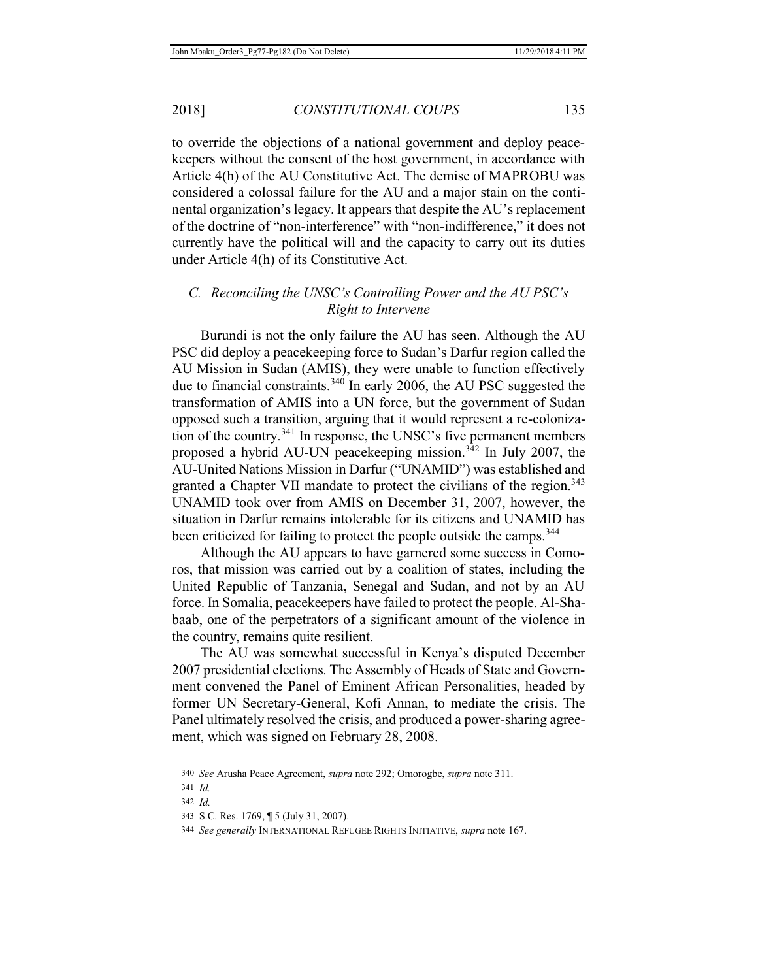to override the objections of a national government and deploy peacekeepers without the consent of the host government, in accordance with Article 4(h) of the AU Constitutive Act. The demise of MAPROBU was considered a colossal failure for the AU and a major stain on the continental organization's legacy. It appears that despite the AU's replacement of the doctrine of "non-interference" with "non-indifference," it does not currently have the political will and the capacity to carry out its duties under Article 4(h) of its Constitutive Act.

## *C. Reconciling the UNSC's Controlling Power and the AU PSC's Right to Intervene*

Burundi is not the only failure the AU has seen. Although the AU PSC did deploy a peacekeeping force to Sudan's Darfur region called the AU Mission in Sudan (AMIS), they were unable to function effectively due to financial constraints.<sup>340</sup> In early 2006, the AU PSC suggested the transformation of AMIS into a UN force, but the government of Sudan opposed such a transition, arguing that it would represent a re-colonization of the country.<sup>341</sup> In response, the UNSC's five permanent members proposed a hybrid AU-UN peacekeeping mission.342 In July 2007, the AU-United Nations Mission in Darfur ("UNAMID") was established and granted a Chapter VII mandate to protect the civilians of the region.<sup>343</sup> UNAMID took over from AMIS on December 31, 2007, however, the situation in Darfur remains intolerable for its citizens and UNAMID has been criticized for failing to protect the people outside the camps.<sup>344</sup>

Although the AU appears to have garnered some success in Comoros, that mission was carried out by a coalition of states, including the United Republic of Tanzania, Senegal and Sudan, and not by an AU force. In Somalia, peacekeepers have failed to protect the people. Al-Shabaab, one of the perpetrators of a significant amount of the violence in the country, remains quite resilient.

The AU was somewhat successful in Kenya's disputed December 2007 presidential elections. The Assembly of Heads of State and Government convened the Panel of Eminent African Personalities, headed by former UN Secretary-General, Kofi Annan, to mediate the crisis. The Panel ultimately resolved the crisis, and produced a power-sharing agreement, which was signed on February 28, 2008.

<sup>340</sup> *See* Arusha Peace Agreement, *supra* note 292; Omorogbe, *supra* note 311.

<sup>341</sup> *Id.*

<sup>342</sup> *Id.*

<sup>343</sup> S.C. Res. 1769, ¶ 5 (July 31, 2007).

<sup>344</sup> *See generally* INTERNATIONAL REFUGEE RIGHTS INITIATIVE, *supra* note 167.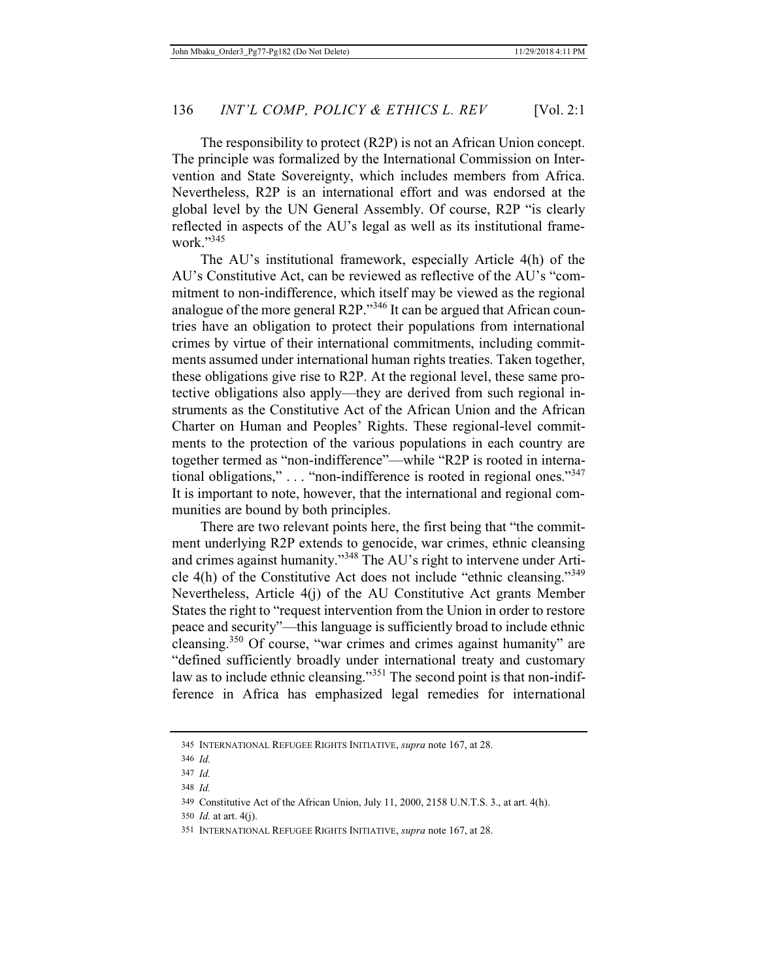The responsibility to protect (R2P) is not an African Union concept. The principle was formalized by the International Commission on Intervention and State Sovereignty, which includes members from Africa. Nevertheless, R2P is an international effort and was endorsed at the global level by the UN General Assembly. Of course, R2P "is clearly reflected in aspects of the AU's legal as well as its institutional framework."345

The AU's institutional framework, especially Article 4(h) of the AU's Constitutive Act, can be reviewed as reflective of the AU's "commitment to non-indifference, which itself may be viewed as the regional analogue of the more general R2P."346 It can be argued that African countries have an obligation to protect their populations from international crimes by virtue of their international commitments, including commitments assumed under international human rights treaties. Taken together, these obligations give rise to R2P. At the regional level, these same protective obligations also apply—they are derived from such regional instruments as the Constitutive Act of the African Union and the African Charter on Human and Peoples' Rights. These regional-level commitments to the protection of the various populations in each country are together termed as "non-indifference"—while "R2P is rooted in international obligations," . . . "non-indifference is rooted in regional ones."<sup>347</sup> It is important to note, however, that the international and regional communities are bound by both principles.

There are two relevant points here, the first being that "the commitment underlying R2P extends to genocide, war crimes, ethnic cleansing and crimes against humanity."<sup>348</sup> The AU's right to intervene under Article 4(h) of the Constitutive Act does not include "ethnic cleansing."<sup>349</sup> Nevertheless, Article 4(j) of the AU Constitutive Act grants Member States the right to "request intervention from the Union in order to restore peace and security"—this language is sufficiently broad to include ethnic cleansing.<sup>350</sup> Of course, "war crimes and crimes against humanity" are "defined sufficiently broadly under international treaty and customary law as to include ethnic cleansing."<sup>351</sup> The second point is that non-indifference in Africa has emphasized legal remedies for international

<sup>345</sup> INTERNATIONAL REFUGEE RIGHTS INITIATIVE, *supra* note 167, at 28.

<sup>346</sup> *Id.*

<sup>347</sup> *Id.*

<sup>348</sup> *Id.*

<sup>349</sup> Constitutive Act of the African Union, July 11, 2000, 2158 U.N.T.S. 3., at art. 4(h).

<sup>350</sup> *Id.* at art. 4(j).

<sup>351</sup> INTERNATIONAL REFUGEE RIGHTS INITIATIVE, *supra* note 167, at 28.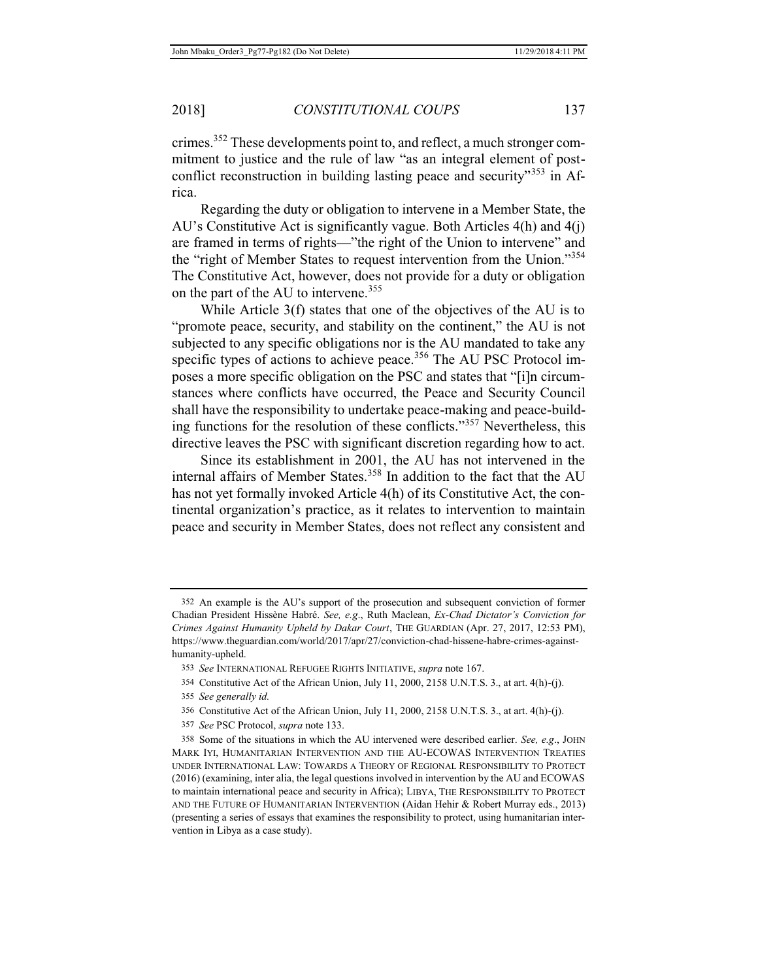Regarding the duty or obligation to intervene in a Member State, the AU's Constitutive Act is significantly vague. Both Articles 4(h) and 4(j) are framed in terms of rights—"the right of the Union to intervene" and the "right of Member States to request intervention from the Union."<sup>354</sup> The Constitutive Act, however, does not provide for a duty or obligation on the part of the AU to intervene.<sup>355</sup>

While Article 3(f) states that one of the objectives of the AU is to "promote peace, security, and stability on the continent," the AU is not subjected to any specific obligations nor is the AU mandated to take any specific types of actions to achieve peace.<sup>356</sup> The AU PSC Protocol imposes a more specific obligation on the PSC and states that "[i]n circumstances where conflicts have occurred, the Peace and Security Council shall have the responsibility to undertake peace-making and peace-building functions for the resolution of these conflicts."357 Nevertheless, this directive leaves the PSC with significant discretion regarding how to act.

Since its establishment in 2001, the AU has not intervened in the internal affairs of Member States.<sup>358</sup> In addition to the fact that the AU has not yet formally invoked Article 4(h) of its Constitutive Act, the continental organization's practice, as it relates to intervention to maintain peace and security in Member States, does not reflect any consistent and

357 *See* PSC Protocol, *supra* note 133.

<sup>352</sup> An example is the AU's support of the prosecution and subsequent conviction of former Chadian President Hissène Habré. *See, e.g*., Ruth Maclean, *Ex-Chad Dictator's Conviction for Crimes Against Humanity Upheld by Dakar Court*, THE GUARDIAN (Apr. 27, 2017, 12:53 PM), https://www.theguardian.com/world/2017/apr/27/conviction-chad-hissene-habre-crimes-againsthumanity-upheld.

<sup>353</sup> *See* INTERNATIONAL REFUGEE RIGHTS INITIATIVE, *supra* note 167.

<sup>354</sup> Constitutive Act of the African Union, July 11, 2000, 2158 U.N.T.S. 3., at art. 4(h)-(j).

<sup>355</sup> *See generally id.*

<sup>356</sup> Constitutive Act of the African Union, July 11, 2000, 2158 U.N.T.S. 3., at art. 4(h)-(j).

<sup>358</sup> Some of the situations in which the AU intervened were described earlier. *See, e.g*., JOHN MARK IYI, HUMANITARIAN INTERVENTION AND THE AU-ECOWAS INTERVENTION TREATIES UNDER INTERNATIONAL LAW: TOWARDS A THEORY OF REGIONAL RESPONSIBILITY TO PROTECT (2016) (examining, inter alia, the legal questions involved in intervention by the AU and ECOWAS to maintain international peace and security in Africa); LIBYA, THE RESPONSIBILITY TO PROTECT AND THE FUTURE OF HUMANITARIAN INTERVENTION (Aidan Hehir & Robert Murray eds., 2013) (presenting a series of essays that examines the responsibility to protect, using humanitarian intervention in Libya as a case study).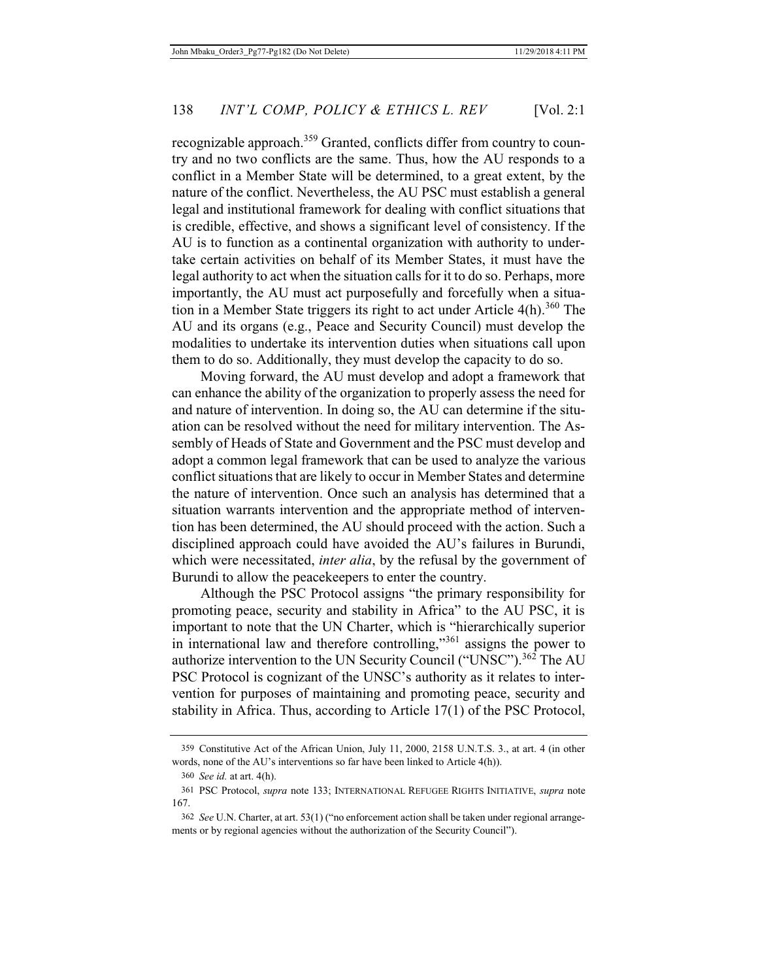recognizable approach.<sup>359</sup> Granted, conflicts differ from country to country and no two conflicts are the same. Thus, how the AU responds to a conflict in a Member State will be determined, to a great extent, by the nature of the conflict. Nevertheless, the AU PSC must establish a general legal and institutional framework for dealing with conflict situations that is credible, effective, and shows a significant level of consistency. If the AU is to function as a continental organization with authority to undertake certain activities on behalf of its Member States, it must have the legal authority to act when the situation calls for it to do so. Perhaps, more importantly, the AU must act purposefully and forcefully when a situation in a Member State triggers its right to act under Article  $4(h)$ .<sup>360</sup> The AU and its organs (e.g., Peace and Security Council) must develop the modalities to undertake its intervention duties when situations call upon them to do so. Additionally, they must develop the capacity to do so.

Moving forward, the AU must develop and adopt a framework that can enhance the ability of the organization to properly assess the need for and nature of intervention. In doing so, the AU can determine if the situation can be resolved without the need for military intervention. The Assembly of Heads of State and Government and the PSC must develop and adopt a common legal framework that can be used to analyze the various conflict situations that are likely to occur in Member States and determine the nature of intervention. Once such an analysis has determined that a situation warrants intervention and the appropriate method of intervention has been determined, the AU should proceed with the action. Such a disciplined approach could have avoided the AU's failures in Burundi, which were necessitated, *inter alia*, by the refusal by the government of Burundi to allow the peacekeepers to enter the country.

Although the PSC Protocol assigns "the primary responsibility for promoting peace, security and stability in Africa" to the AU PSC, it is important to note that the UN Charter, which is "hierarchically superior in international law and therefore controlling,"361 assigns the power to authorize intervention to the UN Security Council ("UNSC").<sup>362</sup> The AU PSC Protocol is cognizant of the UNSC's authority as it relates to intervention for purposes of maintaining and promoting peace, security and stability in Africa. Thus, according to Article 17(1) of the PSC Protocol,

<sup>359</sup> Constitutive Act of the African Union, July 11, 2000, 2158 U.N.T.S. 3., at art. 4 (in other words, none of the AU's interventions so far have been linked to Article 4(h)).

<sup>360</sup> *See id.* at art. 4(h).

<sup>361</sup> PSC Protocol, *supra* note 133; INTERNATIONAL REFUGEE RIGHTS INITIATIVE, *supra* note 167.

<sup>362</sup> *See* U.N. Charter, at art. 53(1) ("no enforcement action shall be taken under regional arrangements or by regional agencies without the authorization of the Security Council").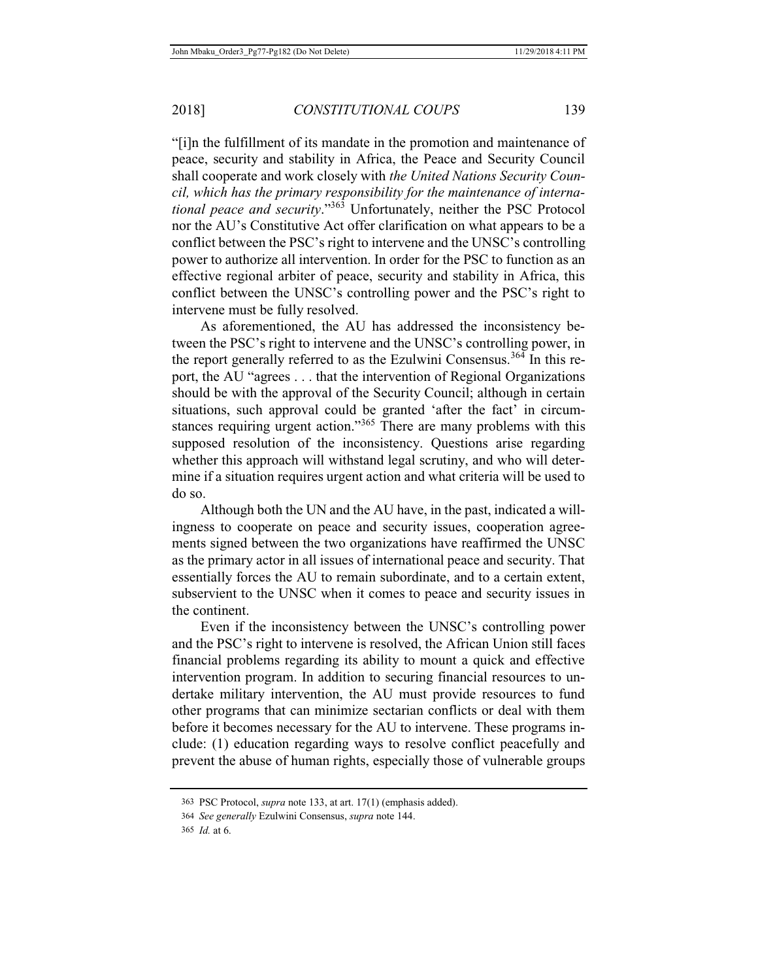"[i]n the fulfillment of its mandate in the promotion and maintenance of peace, security and stability in Africa, the Peace and Security Council shall cooperate and work closely with *the United Nations Security Council, which has the primary responsibility for the maintenance of international peace and security*."363 Unfortunately, neither the PSC Protocol nor the AU's Constitutive Act offer clarification on what appears to be a conflict between the PSC's right to intervene and the UNSC's controlling power to authorize all intervention. In order for the PSC to function as an effective regional arbiter of peace, security and stability in Africa, this conflict between the UNSC's controlling power and the PSC's right to intervene must be fully resolved.

As aforementioned, the AU has addressed the inconsistency between the PSC's right to intervene and the UNSC's controlling power, in the report generally referred to as the Ezulwini Consensus.<sup>364</sup> In this report, the AU "agrees . . . that the intervention of Regional Organizations should be with the approval of the Security Council; although in certain situations, such approval could be granted 'after the fact' in circumstances requiring urgent action."<sup>365</sup> There are many problems with this supposed resolution of the inconsistency. Questions arise regarding whether this approach will withstand legal scrutiny, and who will determine if a situation requires urgent action and what criteria will be used to do so.

Although both the UN and the AU have, in the past, indicated a willingness to cooperate on peace and security issues, cooperation agreements signed between the two organizations have reaffirmed the UNSC as the primary actor in all issues of international peace and security. That essentially forces the AU to remain subordinate, and to a certain extent, subservient to the UNSC when it comes to peace and security issues in the continent.

Even if the inconsistency between the UNSC's controlling power and the PSC's right to intervene is resolved, the African Union still faces financial problems regarding its ability to mount a quick and effective intervention program. In addition to securing financial resources to undertake military intervention, the AU must provide resources to fund other programs that can minimize sectarian conflicts or deal with them before it becomes necessary for the AU to intervene. These programs include: (1) education regarding ways to resolve conflict peacefully and prevent the abuse of human rights, especially those of vulnerable groups

<sup>363</sup> PSC Protocol, *supra* note 133, at art. 17(1) (emphasis added).

<sup>364</sup> *See generally* Ezulwini Consensus, *supra* note 144.

<sup>365</sup> *Id.* at 6.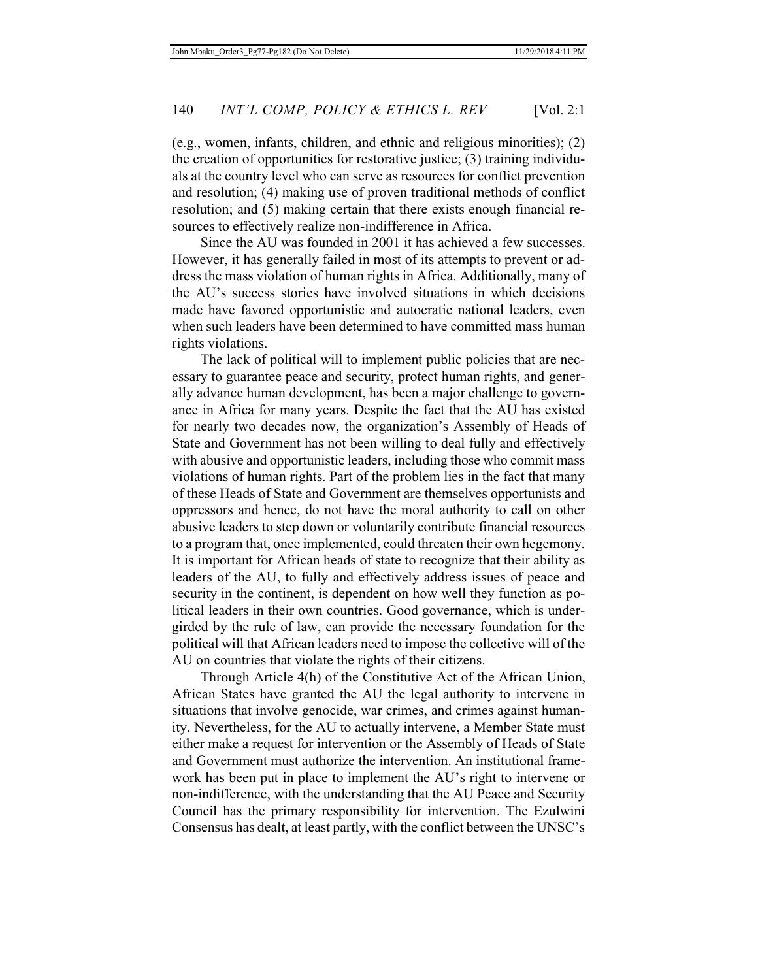(e.g., women, infants, children, and ethnic and religious minorities); (2) the creation of opportunities for restorative justice; (3) training individuals at the country level who can serve as resources for conflict prevention and resolution; (4) making use of proven traditional methods of conflict resolution; and (5) making certain that there exists enough financial resources to effectively realize non-indifference in Africa.

Since the AU was founded in 2001 it has achieved a few successes. However, it has generally failed in most of its attempts to prevent or address the mass violation of human rights in Africa. Additionally, many of the AU's success stories have involved situations in which decisions made have favored opportunistic and autocratic national leaders, even when such leaders have been determined to have committed mass human rights violations.

The lack of political will to implement public policies that are necessary to guarantee peace and security, protect human rights, and generally advance human development, has been a major challenge to governance in Africa for many years. Despite the fact that the AU has existed for nearly two decades now, the organization's Assembly of Heads of State and Government has not been willing to deal fully and effectively with abusive and opportunistic leaders, including those who commit mass violations of human rights. Part of the problem lies in the fact that many of these Heads of State and Government are themselves opportunists and oppressors and hence, do not have the moral authority to call on other abusive leaders to step down or voluntarily contribute financial resources to a program that, once implemented, could threaten their own hegemony. It is important for African heads of state to recognize that their ability as leaders of the AU, to fully and effectively address issues of peace and security in the continent, is dependent on how well they function as political leaders in their own countries. Good governance, which is undergirded by the rule of law, can provide the necessary foundation for the political will that African leaders need to impose the collective will of the AU on countries that violate the rights of their citizens.

Through Article 4(h) of the Constitutive Act of the African Union, African States have granted the AU the legal authority to intervene in situations that involve genocide, war crimes, and crimes against humanity. Nevertheless, for the AU to actually intervene, a Member State must either make a request for intervention or the Assembly of Heads of State and Government must authorize the intervention. An institutional framework has been put in place to implement the AU's right to intervene or non-indifference, with the understanding that the AU Peace and Security Council has the primary responsibility for intervention. The Ezulwini Consensus has dealt, at least partly, with the conflict between the UNSC's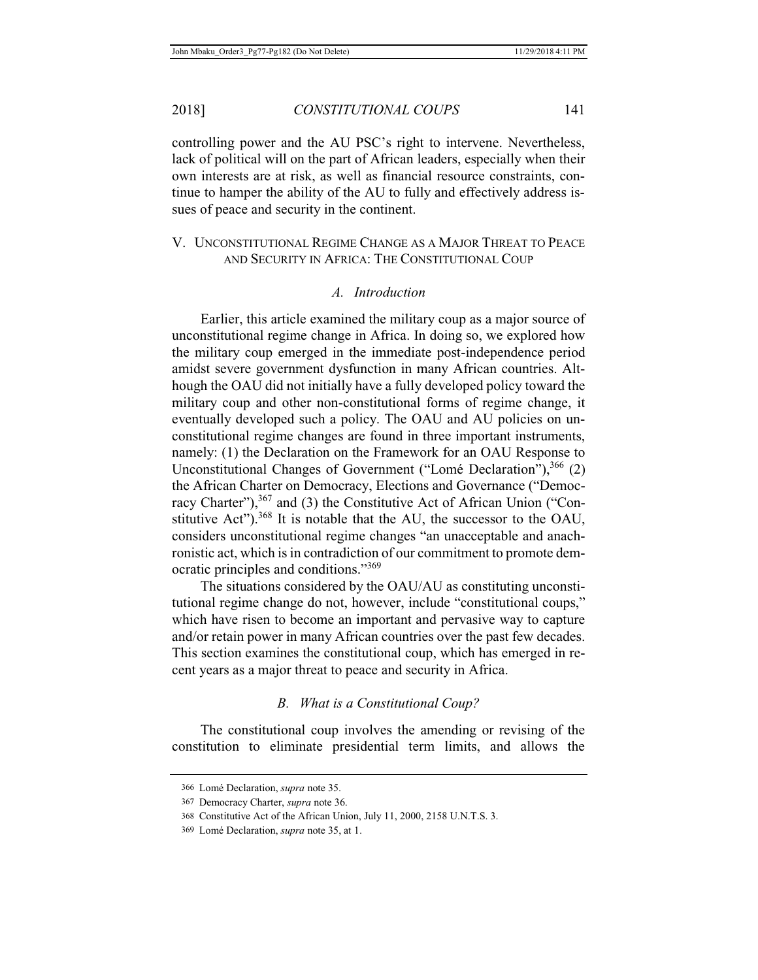controlling power and the AU PSC's right to intervene. Nevertheless, lack of political will on the part of African leaders, especially when their own interests are at risk, as well as financial resource constraints, continue to hamper the ability of the AU to fully and effectively address issues of peace and security in the continent.

### V. UNCONSTITUTIONAL REGIME CHANGE AS A MAJOR THREAT TO PEACE AND SECURITY IN AFRICA: THE CONSTITUTIONAL COUP

#### *A. Introduction*

Earlier, this article examined the military coup as a major source of unconstitutional regime change in Africa. In doing so, we explored how the military coup emerged in the immediate post-independence period amidst severe government dysfunction in many African countries. Although the OAU did not initially have a fully developed policy toward the military coup and other non-constitutional forms of regime change, it eventually developed such a policy. The OAU and AU policies on unconstitutional regime changes are found in three important instruments, namely: (1) the Declaration on the Framework for an OAU Response to Unconstitutional Changes of Government ("Lomé Declaration"),  $366$  (2) the African Charter on Democracy, Elections and Governance ("Democracy Charter"),<sup>367</sup> and (3) the Constitutive Act of African Union ("Constitutive Act").<sup>368</sup> It is notable that the AU, the successor to the OAU, considers unconstitutional regime changes "an unacceptable and anachronistic act, which is in contradiction of our commitment to promote democratic principles and conditions."<sup>369</sup>

The situations considered by the OAU/AU as constituting unconstitutional regime change do not, however, include "constitutional coups," which have risen to become an important and pervasive way to capture and/or retain power in many African countries over the past few decades. This section examines the constitutional coup, which has emerged in recent years as a major threat to peace and security in Africa.

# *B. What is a Constitutional Coup?*

The constitutional coup involves the amending or revising of the constitution to eliminate presidential term limits, and allows the

<sup>366</sup> Lomé Declaration, *supra* note 35.

<sup>367</sup> Democracy Charter, *supra* note 36.

<sup>368</sup> Constitutive Act of the African Union, July 11, 2000, 2158 U.N.T.S. 3.

<sup>369</sup> Lomé Declaration, *supra* note 35, at 1.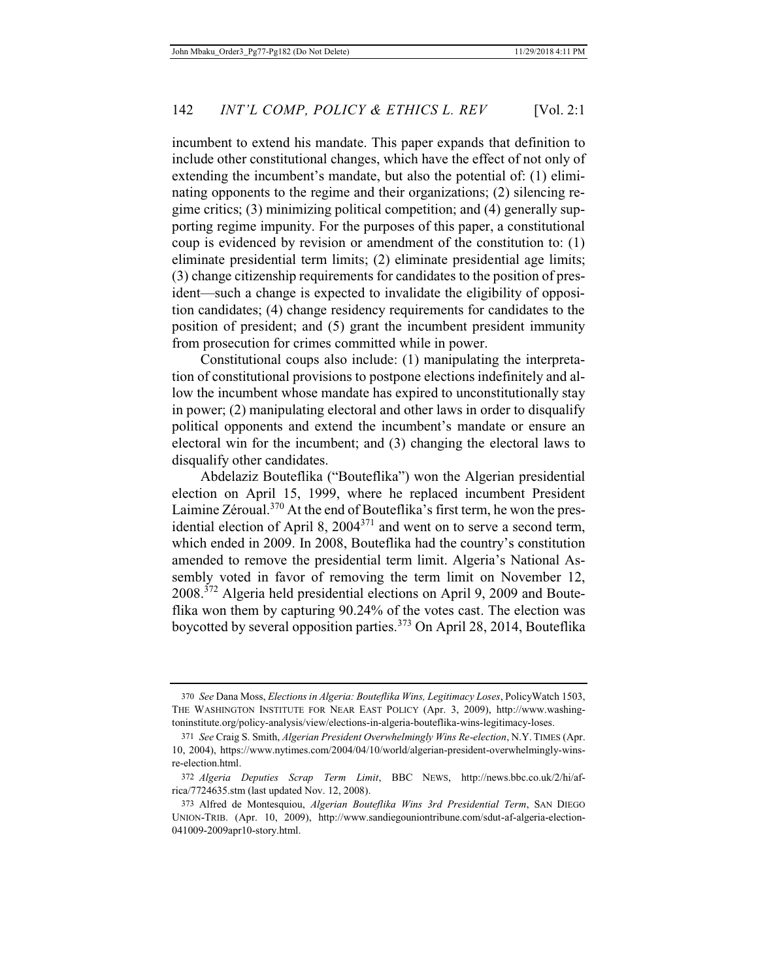incumbent to extend his mandate. This paper expands that definition to include other constitutional changes, which have the effect of not only of extending the incumbent's mandate, but also the potential of: (1) eliminating opponents to the regime and their organizations; (2) silencing regime critics; (3) minimizing political competition; and (4) generally supporting regime impunity. For the purposes of this paper, a constitutional coup is evidenced by revision or amendment of the constitution to: (1) eliminate presidential term limits; (2) eliminate presidential age limits; (3) change citizenship requirements for candidates to the position of president—such a change is expected to invalidate the eligibility of opposition candidates; (4) change residency requirements for candidates to the position of president; and (5) grant the incumbent president immunity from prosecution for crimes committed while in power.

Constitutional coups also include: (1) manipulating the interpretation of constitutional provisions to postpone elections indefinitely and allow the incumbent whose mandate has expired to unconstitutionally stay in power; (2) manipulating electoral and other laws in order to disqualify political opponents and extend the incumbent's mandate or ensure an electoral win for the incumbent; and (3) changing the electoral laws to disqualify other candidates.

Abdelaziz Bouteflika ("Bouteflika") won the Algerian presidential election on April 15, 1999, where he replaced incumbent President Laimine Zéroual.<sup>370</sup> At the end of Bouteflika's first term, he won the presidential election of April 8, 2004371 and went on to serve a second term, which ended in 2009. In 2008, Bouteflika had the country's constitution amended to remove the presidential term limit. Algeria's National Assembly voted in favor of removing the term limit on November 12, 2008.<sup>372</sup> Algeria held presidential elections on April 9, 2009 and Bouteflika won them by capturing 90.24% of the votes cast. The election was boycotted by several opposition parties.<sup>373</sup> On April 28, 2014, Bouteflika

<sup>370</sup> *See* Dana Moss, *Elections in Algeria: Bouteflika Wins, Legitimacy Loses*, PolicyWatch 1503, THE WASHINGTON INSTITUTE FOR NEAR EAST POLICY (Apr. 3, 2009), http://www.washingtoninstitute.org/policy-analysis/view/elections-in-algeria-bouteflika-wins-legitimacy-loses.

<sup>371</sup> *See* Craig S. Smith, *Algerian President Overwhelmingly Wins Re-election*, N.Y. TIMES (Apr. 10, 2004), https://www.nytimes.com/2004/04/10/world/algerian-president-overwhelmingly-winsre-election.html.

<sup>372</sup> *Algeria Deputies Scrap Term Limit*, BBC NEWS, http://news.bbc.co.uk/2/hi/africa/7724635.stm (last updated Nov. 12, 2008).

<sup>373</sup> Alfred de Montesquiou, *Algerian Bouteflika Wins 3rd Presidential Term*, SAN DIEGO UNION-TRIB. (Apr. 10, 2009), http://www.sandiegouniontribune.com/sdut-af-algeria-election-041009-2009apr10-story.html.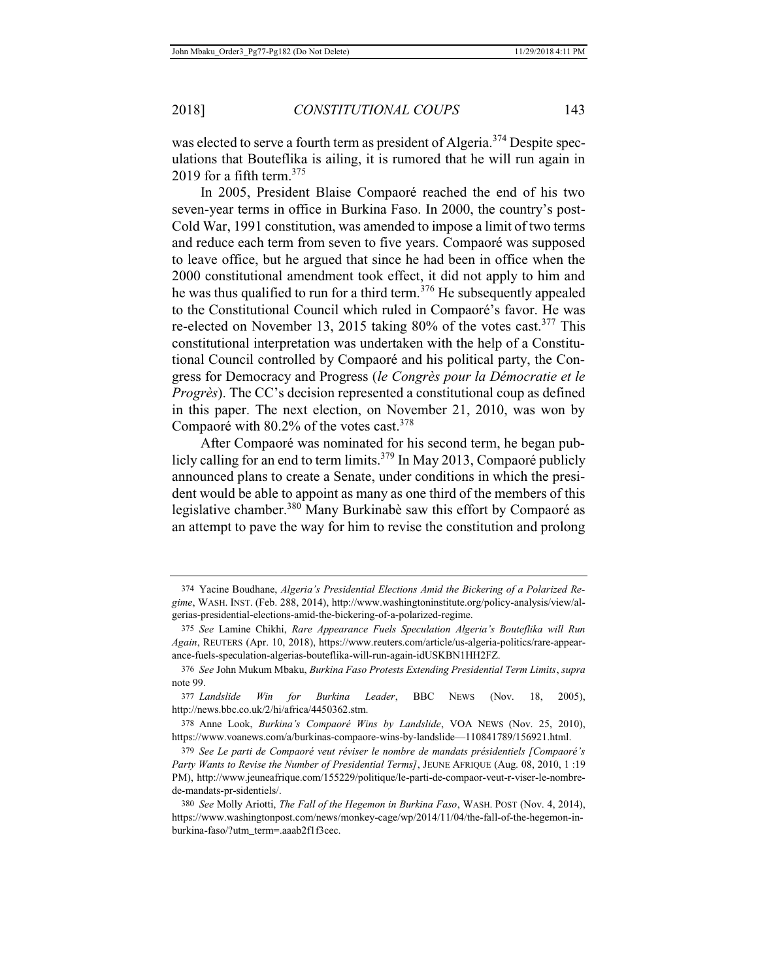was elected to serve a fourth term as president of Algeria.<sup>374</sup> Despite speculations that Bouteflika is ailing, it is rumored that he will run again in 2019 for a fifth term.<sup>375</sup>

In 2005, President Blaise Compaoré reached the end of his two seven-year terms in office in Burkina Faso. In 2000, the country's post-Cold War, 1991 constitution, was amended to impose a limit of two terms and reduce each term from seven to five years. Compaoré was supposed to leave office, but he argued that since he had been in office when the 2000 constitutional amendment took effect, it did not apply to him and he was thus qualified to run for a third term.<sup>376</sup> He subsequently appealed to the Constitutional Council which ruled in Compaoré's favor. He was re-elected on November 13, 2015 taking 80% of the votes cast.<sup>377</sup> This constitutional interpretation was undertaken with the help of a Constitutional Council controlled by Compaoré and his political party, the Congress for Democracy and Progress (*le Congrès pour la Démocratie et le Progrès*). The CC's decision represented a constitutional coup as defined in this paper. The next election, on November 21, 2010, was won by Compaoré with 80.2% of the votes cast.<sup>378</sup>

After Compaoré was nominated for his second term, he began publicly calling for an end to term limits.<sup>379</sup> In May 2013, Compaoré publicly announced plans to create a Senate, under conditions in which the president would be able to appoint as many as one third of the members of this legislative chamber.<sup>380</sup> Many Burkinabè saw this effort by Compaoré as an attempt to pave the way for him to revise the constitution and prolong

378 Anne Look, *Burkina's Compaoré Wins by Landslide*, VOA NEWS (Nov. 25, 2010), https://www.voanews.com/a/burkinas-compaore-wins-by-landslide—110841789/156921.html.

379 *See Le parti de Compaoré veut réviser le nombre de mandats présidentiels [Compaoré's Party Wants to Revise the Number of Presidential Terms]*, JEUNE AFRIQUE (Aug. 08, 2010, 1 :19 PM), http://www.jeuneafrique.com/155229/politique/le-parti-de-compaor-veut-r-viser-le-nombrede-mandats-pr-sidentiels/.

380 *See* Molly Ariotti, *The Fall of the Hegemon in Burkina Faso*, WASH. POST (Nov. 4, 2014), https://www.washingtonpost.com/news/monkey-cage/wp/2014/11/04/the-fall-of-the-hegemon-inburkina-faso/?utm\_term=.aaab2f1f3cec.

<sup>374</sup> Yacine Boudhane, *Algeria's Presidential Elections Amid the Bickering of a Polarized Regime*, WASH. INST. (Feb. 288, 2014), http://www.washingtoninstitute.org/policy-analysis/view/algerias-presidential-elections-amid-the-bickering-of-a-polarized-regime.

<sup>375</sup> *See* Lamine Chikhi, *Rare Appearance Fuels Speculation Algeria's Bouteflika will Run Again*, REUTERS (Apr. 10, 2018), https://www.reuters.com/article/us-algeria-politics/rare-appearance-fuels-speculation-algerias-bouteflika-will-run-again-idUSKBN1HH2FZ.

<sup>376</sup> *See* John Mukum Mbaku, *Burkina Faso Protests Extending Presidential Term Limits*, *supra*  note 99.

<sup>377</sup> *Landslide Win for Burkina Leader*, BBC NEWS (Nov. 18, 2005), http://news.bbc.co.uk/2/hi/africa/4450362.stm.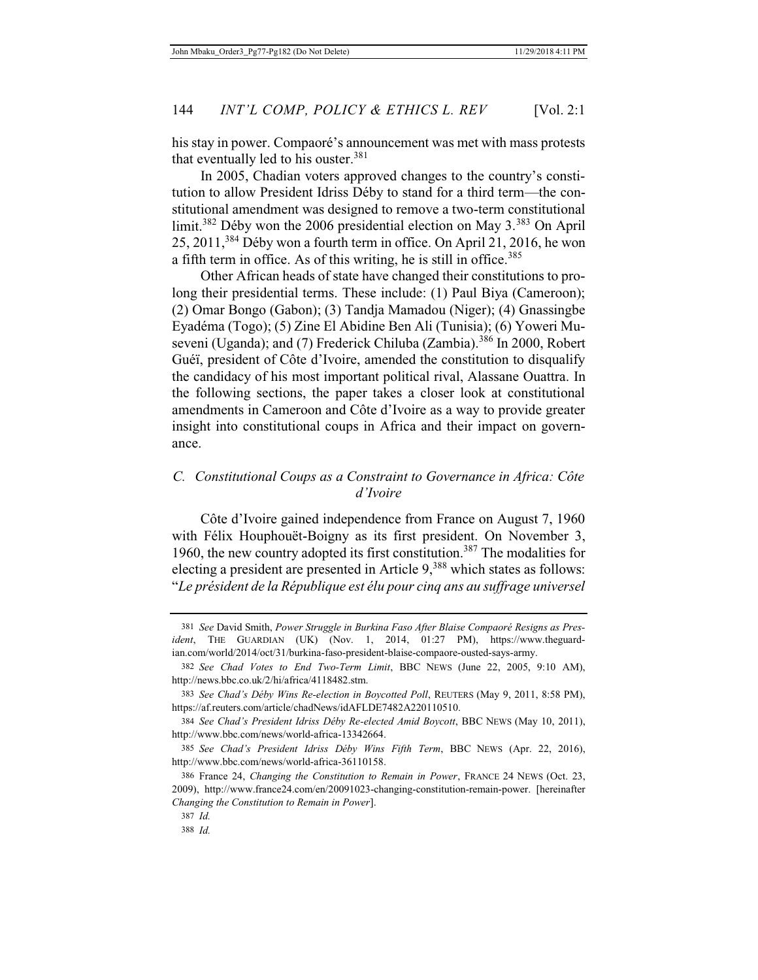his stay in power. Compaoré's announcement was met with mass protests that eventually led to his ouster. $381$ 

In 2005, Chadian voters approved changes to the country's constitution to allow President Idriss Déby to stand for a third term—the constitutional amendment was designed to remove a two-term constitutional limit.382 Déby won the 2006 presidential election on May 3.383 On April 25, 2011,384 Déby won a fourth term in office. On April 21, 2016, he won a fifth term in office. As of this writing, he is still in office.<sup>385</sup>

Other African heads of state have changed their constitutions to prolong their presidential terms. These include: (1) Paul Biya (Cameroon); (2) Omar Bongo (Gabon); (3) Tandja Mamadou (Niger); (4) Gnassingbe Eyadéma (Togo); (5) Zine El Abidine Ben Ali (Tunisia); (6) Yoweri Museveni (Uganda); and (7) Frederick Chiluba (Zambia).<sup>386</sup> In 2000, Robert Guéï, president of Côte d'Ivoire, amended the constitution to disqualify the candidacy of his most important political rival, Alassane Ouattra. In the following sections, the paper takes a closer look at constitutional amendments in Cameroon and Côte d'Ivoire as a way to provide greater insight into constitutional coups in Africa and their impact on governance.

## *C. Constitutional Coups as a Constraint to Governance in Africa: Côte d'Ivoire*

Côte d'Ivoire gained independence from France on August 7, 1960 with Félix Houphouët-Boigny as its first president. On November 3, 1960, the new country adopted its first constitution.<sup>387</sup> The modalities for electing a president are presented in Article  $9<sub>388</sub>$  which states as follows: "*Le président de la République est élu pour cinq ans au suffrage universel* 

<sup>381</sup> *See* David Smith, *Power Struggle in Burkina Faso After Blaise Compaoré Resigns as President*, THE GUARDIAN (UK) (Nov. 1, 2014, 01:27 PM), https://www.theguardian.com/world/2014/oct/31/burkina-faso-president-blaise-compaore-ousted-says-army.

<sup>382</sup> *See Chad Votes to End Two-Term Limit*, BBC NEWS (June 22, 2005, 9:10 AM), http://news.bbc.co.uk/2/hi/africa/4118482.stm.

<sup>383</sup> *See Chad's Déby Wins Re-election in Boycotted Poll*, REUTERS (May 9, 2011, 8:58 PM), https://af.reuters.com/article/chadNews/idAFLDE7482A220110510.

<sup>384</sup> *See Chad's President Idriss Déby Re-elected Amid Boycott*, BBC NEWS (May 10, 2011), http://www.bbc.com/news/world-africa-13342664.

<sup>385</sup> *See Chad's President Idriss Déby Wins Fifth Term*, BBC NEWS (Apr. 22, 2016), http://www.bbc.com/news/world-africa-36110158.

<sup>386</sup> France 24, *Changing the Constitution to Remain in Power*, FRANCE 24 NEWS (Oct. 23, 2009), http://www.france24.com/en/20091023-changing-constitution-remain-power. [hereinafter *Changing the Constitution to Remain in Power*].

<sup>387</sup> *Id.*

<sup>388</sup> *Id.*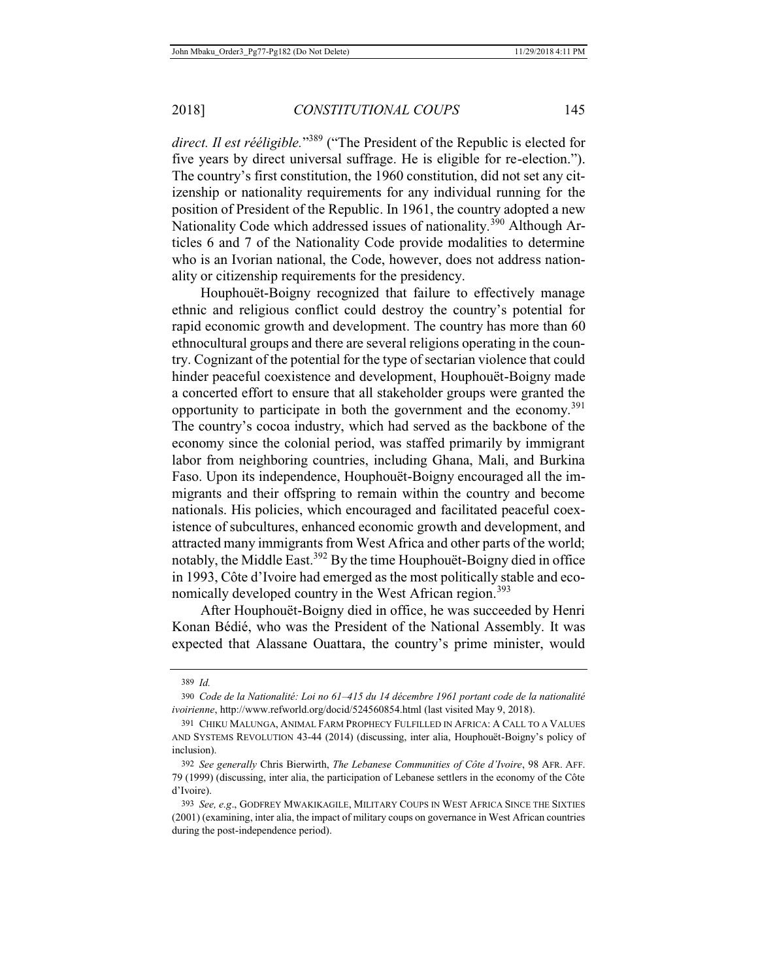*direct. Il est rééligible.*"<sup>389</sup> ("The President of the Republic is elected for five years by direct universal suffrage. He is eligible for re-election."). The country's first constitution, the 1960 constitution, did not set any citizenship or nationality requirements for any individual running for the position of President of the Republic. In 1961, the country adopted a new Nationality Code which addressed issues of nationality.<sup>390</sup> Although Articles 6 and 7 of the Nationality Code provide modalities to determine who is an Ivorian national, the Code, however, does not address nationality or citizenship requirements for the presidency.

Houphouët-Boigny recognized that failure to effectively manage ethnic and religious conflict could destroy the country's potential for rapid economic growth and development. The country has more than 60 ethnocultural groups and there are several religions operating in the country. Cognizant of the potential for the type of sectarian violence that could hinder peaceful coexistence and development, Houphouët-Boigny made a concerted effort to ensure that all stakeholder groups were granted the opportunity to participate in both the government and the economy.<sup>391</sup> The country's cocoa industry, which had served as the backbone of the economy since the colonial period, was staffed primarily by immigrant labor from neighboring countries, including Ghana, Mali, and Burkina Faso. Upon its independence, Houphouët-Boigny encouraged all the immigrants and their offspring to remain within the country and become nationals. His policies, which encouraged and facilitated peaceful coexistence of subcultures, enhanced economic growth and development, and attracted many immigrants from West Africa and other parts of the world; notably, the Middle East.392 By the time Houphouët-Boigny died in office in 1993, Côte d'Ivoire had emerged as the most politically stable and economically developed country in the West African region.<sup>393</sup>

After Houphouët-Boigny died in office, he was succeeded by Henri Konan Bédié, who was the President of the National Assembly. It was expected that Alassane Ouattara, the country's prime minister, would

<sup>389</sup> *Id.*

<sup>390</sup> *Code de la Nationalité: Loi no 61–415 du 14 décembre 1961 portant code de la nationalité ivoirienne*, http://www.refworld.org/docid/524560854.html (last visited May 9, 2018).

<sup>391</sup> CHIKU MALUNGA, ANIMAL FARM PROPHECY FULFILLED IN AFRICA: A CALL TO A VALUES AND SYSTEMS REVOLUTION 43-44 (2014) (discussing, inter alia, Houphouët-Boigny's policy of inclusion).

<sup>392</sup> *See generally* Chris Bierwirth, *The Lebanese Communities of Côte d'Ivoire*, 98 AFR. AFF. 79 (1999) (discussing, inter alia, the participation of Lebanese settlers in the economy of the Côte d'Ivoire).

<sup>393</sup> *See, e.g*., GODFREY MWAKIKAGILE, MILITARY COUPS IN WEST AFRICA SINCE THE SIXTIES (2001) (examining, inter alia, the impact of military coups on governance in West African countries during the post-independence period).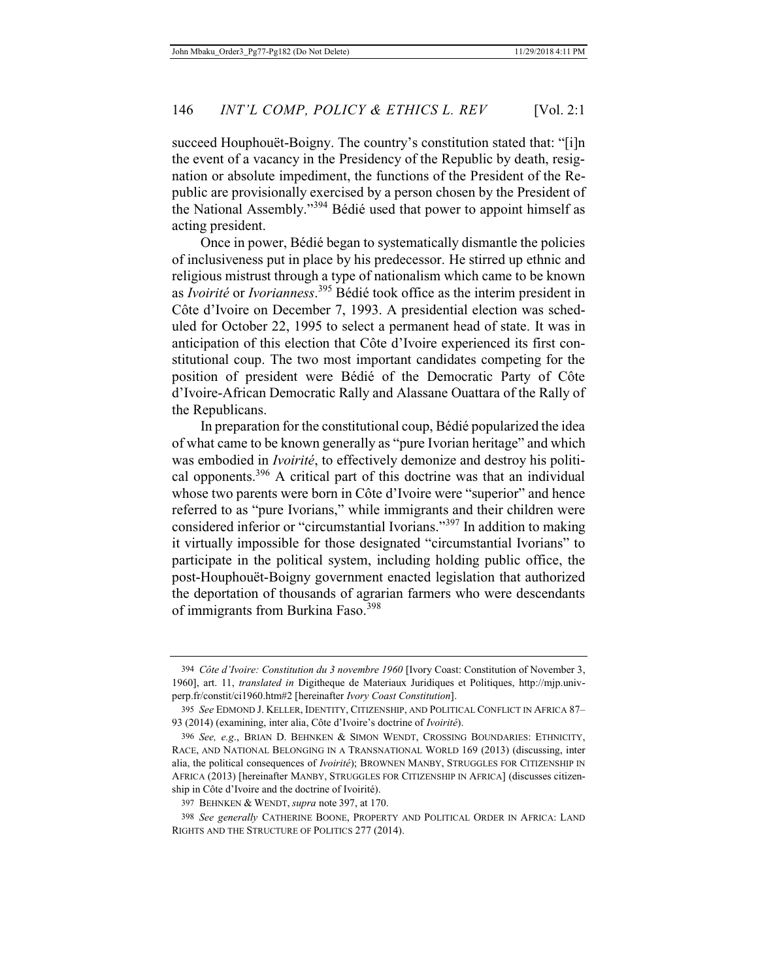succeed Houphouët-Boigny. The country's constitution stated that: "[i]n the event of a vacancy in the Presidency of the Republic by death, resignation or absolute impediment, the functions of the President of the Republic are provisionally exercised by a person chosen by the President of the National Assembly."394 Bédié used that power to appoint himself as acting president.

Once in power, Bédié began to systematically dismantle the policies of inclusiveness put in place by his predecessor. He stirred up ethnic and religious mistrust through a type of nationalism which came to be known as *Ivoirité* or *Ivorianness*. 395 Bédié took office as the interim president in Côte d'Ivoire on December 7, 1993. A presidential election was scheduled for October 22, 1995 to select a permanent head of state. It was in anticipation of this election that Côte d'Ivoire experienced its first constitutional coup. The two most important candidates competing for the position of president were Bédié of the Democratic Party of Côte d'Ivoire-African Democratic Rally and Alassane Ouattara of the Rally of the Republicans.

In preparation for the constitutional coup, Bédié popularized the idea of what came to be known generally as "pure Ivorian heritage" and which was embodied in *Ivoirité*, to effectively demonize and destroy his political opponents.396 A critical part of this doctrine was that an individual whose two parents were born in Côte d'Ivoire were "superior" and hence referred to as "pure Ivorians," while immigrants and their children were considered inferior or "circumstantial Ivorians."397 In addition to making it virtually impossible for those designated "circumstantial Ivorians" to participate in the political system, including holding public office, the post-Houphouët-Boigny government enacted legislation that authorized the deportation of thousands of agrarian farmers who were descendants of immigrants from Burkina Faso.<sup>398</sup>

<sup>394</sup> *Côte d'Ivoire: Constitution du 3 novembre 1960* [Ivory Coast: Constitution of November 3, 1960], art. 11, *translated in* Digitheque de Materiaux Juridiques et Politiques, http://mjp.univperp.fr/constit/ci1960.htm#2 [hereinafter *Ivory Coast Constitution*].

<sup>395</sup> *See* EDMOND J. KELLER, IDENTITY, CITIZENSHIP, AND POLITICAL CONFLICT IN AFRICA 87– 93 (2014) (examining, inter alia, Côte d'Ivoire's doctrine of *Ivoirité*).

<sup>396</sup> *See, e.g*., BRIAN D. BEHNKEN & SIMON WENDT, CROSSING BOUNDARIES: ETHNICITY, RACE, AND NATIONAL BELONGING IN A TRANSNATIONAL WORLD 169 (2013) (discussing, inter alia, the political consequences of *Ivoirité*); BROWNEN MANBY, STRUGGLES FOR CITIZENSHIP IN AFRICA (2013) [hereinafter MANBY, STRUGGLES FOR CITIZENSHIP IN AFRICA] (discusses citizenship in Côte d'Ivoire and the doctrine of Ivoirité).

<sup>397</sup> BEHNKEN & WENDT, *supra* note 397, at 170.

<sup>398</sup> *See generally* CATHERINE BOONE, PROPERTY AND POLITICAL ORDER IN AFRICA: LAND RIGHTS AND THE STRUCTURE OF POLITICS 277 (2014).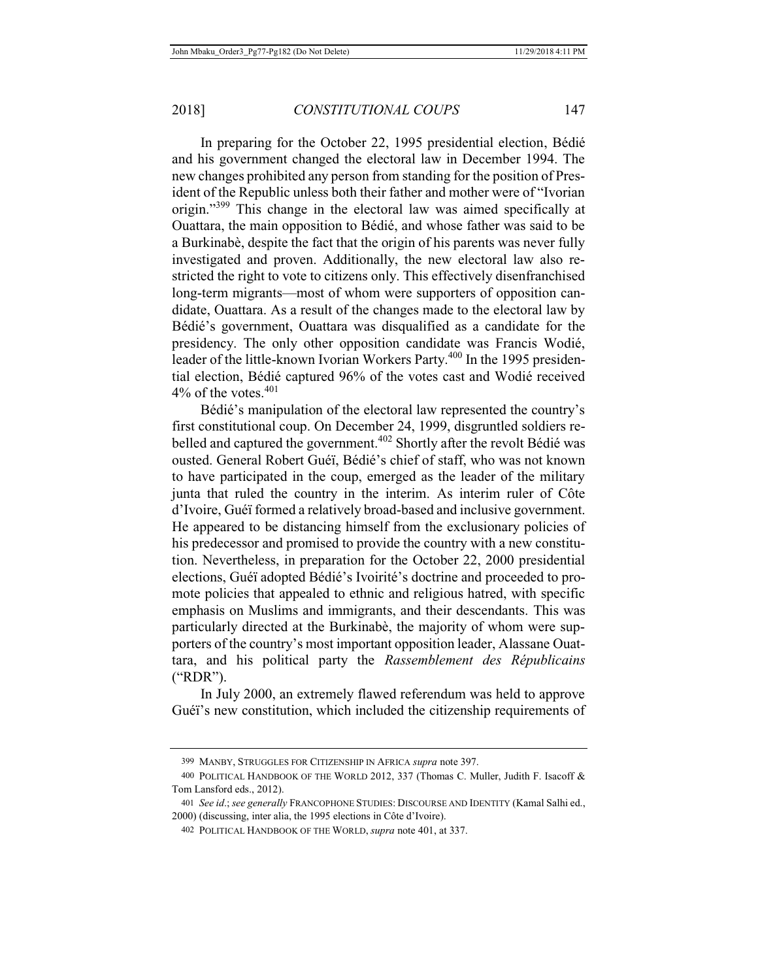In preparing for the October 22, 1995 presidential election, Bédié and his government changed the electoral law in December 1994. The new changes prohibited any person from standing for the position of President of the Republic unless both their father and mother were of "Ivorian origin."399 This change in the electoral law was aimed specifically at Ouattara, the main opposition to Bédié, and whose father was said to be a Burkinabè, despite the fact that the origin of his parents was never fully investigated and proven. Additionally, the new electoral law also restricted the right to vote to citizens only. This effectively disenfranchised long-term migrants—most of whom were supporters of opposition candidate, Ouattara. As a result of the changes made to the electoral law by Bédié's government, Ouattara was disqualified as a candidate for the presidency. The only other opposition candidate was Francis Wodié, leader of the little-known Ivorian Workers Party.<sup>400</sup> In the 1995 presidential election, Bédié captured 96% of the votes cast and Wodié received  $4\%$  of the votes.  $401$ 

Bédié's manipulation of the electoral law represented the country's first constitutional coup. On December 24, 1999, disgruntled soldiers rebelled and captured the government.<sup>402</sup> Shortly after the revolt Bédié was ousted. General Robert Guéï, Bédié's chief of staff, who was not known to have participated in the coup, emerged as the leader of the military junta that ruled the country in the interim. As interim ruler of Côte d'Ivoire, Guéï formed a relatively broad-based and inclusive government. He appeared to be distancing himself from the exclusionary policies of his predecessor and promised to provide the country with a new constitution. Nevertheless, in preparation for the October 22, 2000 presidential elections, Guéï adopted Bédié's Ivoirité's doctrine and proceeded to promote policies that appealed to ethnic and religious hatred, with specific emphasis on Muslims and immigrants, and their descendants. This was particularly directed at the Burkinabè, the majority of whom were supporters of the country's most important opposition leader, Alassane Ouattara, and his political party the *Rassemblement des Républicains* ("RDR").

In July 2000, an extremely flawed referendum was held to approve Guéï's new constitution, which included the citizenship requirements of

<sup>399</sup> MANBY, STRUGGLES FOR CITIZENSHIP IN AFRICA *supra* note 397.

<sup>400</sup> POLITICAL HANDBOOK OF THE WORLD 2012, 337 (Thomas C. Muller, Judith F. Isacoff & Tom Lansford eds., 2012).

<sup>401</sup> *See id*.; *see generally* FRANCOPHONE STUDIES: DISCOURSE AND IDENTITY (Kamal Salhi ed., 2000) (discussing, inter alia, the 1995 elections in Côte d'Ivoire).

<sup>402</sup> POLITICAL HANDBOOK OF THE WORLD, *supra* note 401, at 337.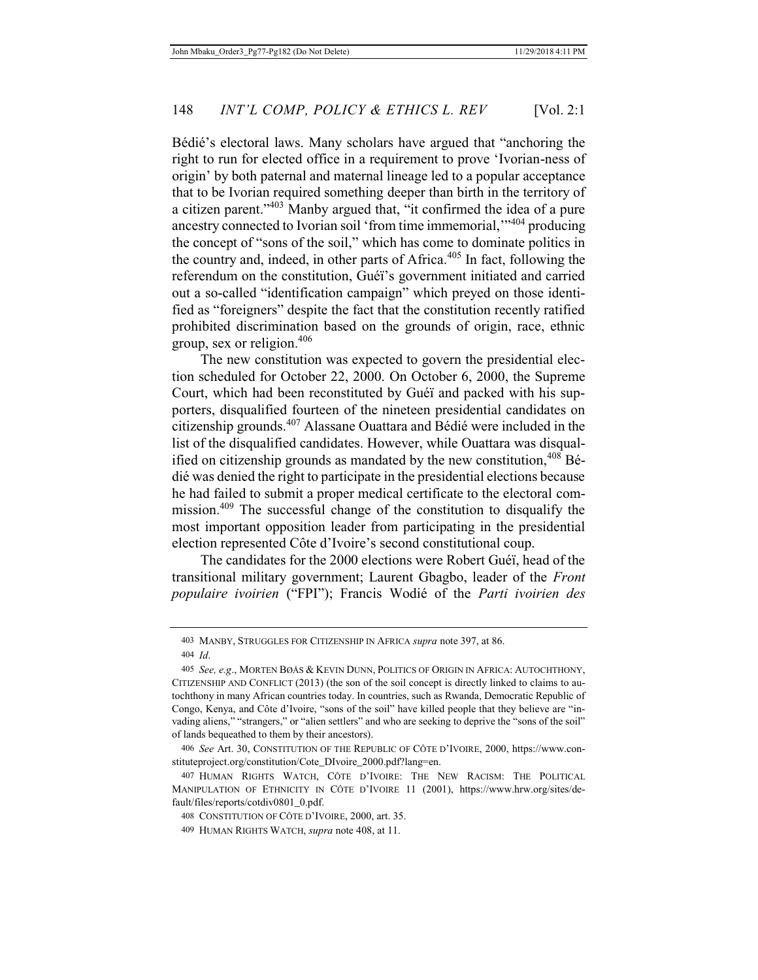Bédié's electoral laws. Many scholars have argued that "anchoring the right to run for elected office in a requirement to prove 'Ivorian-ness of origin' by both paternal and maternal lineage led to a popular acceptance that to be Ivorian required something deeper than birth in the territory of a citizen parent."<sup>403</sup> Manby argued that, "it confirmed the idea of a pure ancestry connected to Ivorian soil 'from time immemorial,'"404 producing the concept of "sons of the soil," which has come to dominate politics in the country and, indeed, in other parts of Africa.<sup>405</sup> In fact, following the referendum on the constitution, Guéï's government initiated and carried out a so-called "identification campaign" which preyed on those identified as "foreigners" despite the fact that the constitution recently ratified prohibited discrimination based on the grounds of origin, race, ethnic group, sex or religion.406

The new constitution was expected to govern the presidential election scheduled for October 22, 2000. On October 6, 2000, the Supreme Court, which had been reconstituted by Guéï and packed with his supporters, disqualified fourteen of the nineteen presidential candidates on citizenship grounds.407 Alassane Ouattara and Bédié were included in the list of the disqualified candidates. However, while Ouattara was disqualified on citizenship grounds as mandated by the new constitution,  $408$  Bédié was denied the right to participate in the presidential elections because he had failed to submit a proper medical certificate to the electoral commission.409 The successful change of the constitution to disqualify the most important opposition leader from participating in the presidential election represented Côte d'Ivoire's second constitutional coup.

The candidates for the 2000 elections were Robert Guéï, head of the transitional military government; Laurent Gbagbo, leader of the *Front populaire ivoirien* ("FPI"); Francis Wodié of the *Parti ivoirien des* 

<sup>403</sup> MANBY, STRUGGLES FOR CITIZENSHIP IN AFRICA *supra* note 397, at 86.

<sup>404</sup> *Id*.

<sup>405</sup> *See, e.g*., MORTEN BØÅS & KEVIN DUNN, POLITICS OF ORIGIN IN AFRICA: AUTOCHTHONY, CITIZENSHIP AND CONFLICT (2013) (the son of the soil concept is directly linked to claims to autochthony in many African countries today. In countries, such as Rwanda, Democratic Republic of Congo, Kenya, and Côte d'Ivoire, "sons of the soil" have killed people that they believe are "invading aliens," "strangers," or "alien settlers" and who are seeking to deprive the "sons of the soil" of lands bequeathed to them by their ancestors).

<sup>406</sup> *See* Art. 30, CONSTITUTION OF THE REPUBLIC OF CÔTE D'IVOIRE, 2000, https://www.constituteproject.org/constitution/Cote\_DIvoire\_2000.pdf?lang=en.

<sup>407</sup> HUMAN RIGHTS WATCH, CÔTE D'IVOIRE: THE NEW RACISM: THE POLITICAL MANIPULATION OF ETHNICITY IN CÔTE D'IVOIRE 11 (2001), https://www.hrw.org/sites/default/files/reports/cotdiv0801\_0.pdf.

<sup>408</sup> CONSTITUTION OF CÔTE D'IVOIRE, 2000, art. 35.

<sup>409</sup> HUMAN RIGHTS WATCH, *supra* note 408, at 11.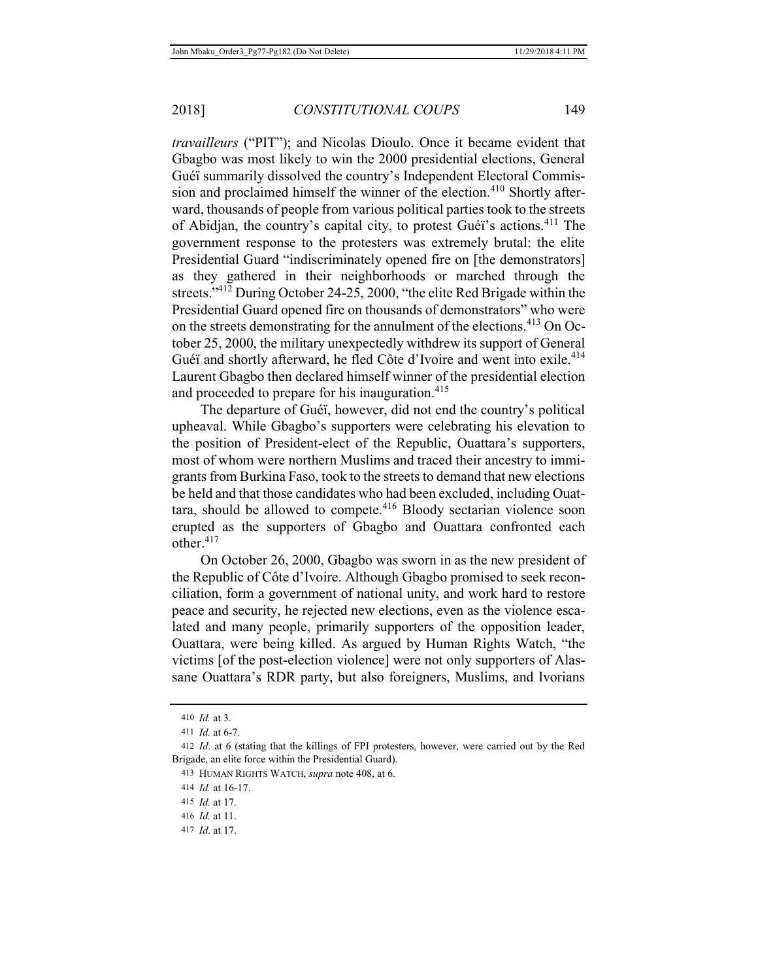*travailleurs* ("PIT"); and Nicolas Dioulo. Once it became evident that Gbagbo was most likely to win the 2000 presidential elections, General Guéï summarily dissolved the country's Independent Electoral Commission and proclaimed himself the winner of the election.<sup>410</sup> Shortly afterward, thousands of people from various political parties took to the streets of Abidjan, the country's capital city, to protest Guéï's actions.411 The government response to the protesters was extremely brutal: the elite Presidential Guard "indiscriminately opened fire on [the demonstrators] as they gathered in their neighborhoods or marched through the streets."<sup>412</sup> During October 24-25, 2000, "the elite Red Brigade within the Presidential Guard opened fire on thousands of demonstrators" who were on the streets demonstrating for the annulment of the elections.<sup>413</sup> On October 25, 2000, the military unexpectedly withdrew its support of General Guéï and shortly afterward, he fled Côte d'Ivoire and went into exile.<sup>414</sup> Laurent Gbagbo then declared himself winner of the presidential election and proceeded to prepare for his inauguration.<sup>415</sup>

The departure of Guéï, however, did not end the country's political upheaval. While Gbagbo's supporters were celebrating his elevation to the position of President-elect of the Republic, Ouattara's supporters, most of whom were northern Muslims and traced their ancestry to immigrants from Burkina Faso, took to the streets to demand that new elections be held and that those candidates who had been excluded, including Ouattara, should be allowed to compete.<sup>416</sup> Bloody sectarian violence soon erupted as the supporters of Gbagbo and Ouattara confronted each other.417

On October 26, 2000, Gbagbo was sworn in as the new president of the Republic of Côte d'Ivoire. Although Gbagbo promised to seek reconciliation, form a government of national unity, and work hard to restore peace and security, he rejected new elections, even as the violence escalated and many people, primarily supporters of the opposition leader, Ouattara, were being killed. As argued by Human Rights Watch, "the victims [of the post-election violence] were not only supporters of Alassane Ouattara's RDR party, but also foreigners, Muslims, and Ivorians

- 416 *Id.* at 11.
- 417 *Id*. at 17.

<sup>410</sup> *Id.* at 3.

<sup>411</sup> *Id.* at 6-7.

<sup>412</sup> *Id*. at 6 (stating that the killings of FPI protesters, however, were carried out by the Red Brigade, an elite force within the Presidential Guard).

<sup>413</sup> HUMAN RIGHTS WATCH, *supra* note 408, at 6.

<sup>414</sup> *Id.* at 16-17.

<sup>415</sup> *Id.* at 17.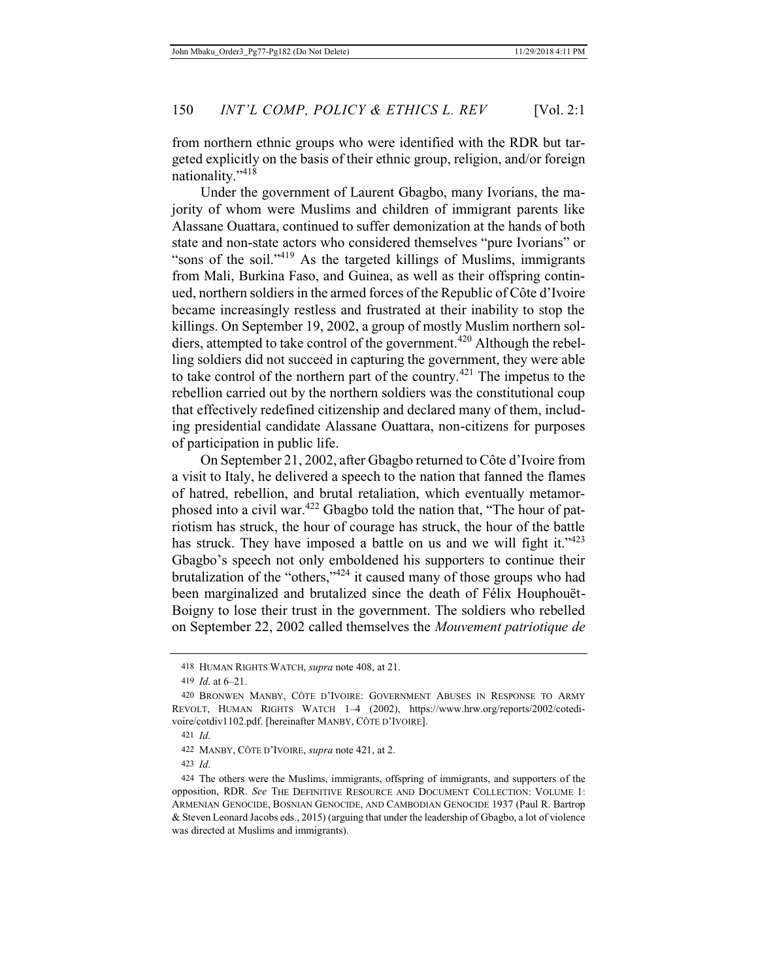from northern ethnic groups who were identified with the RDR but targeted explicitly on the basis of their ethnic group, religion, and/or foreign nationality."<sup>418</sup>

Under the government of Laurent Gbagbo, many Ivorians, the majority of whom were Muslims and children of immigrant parents like Alassane Ouattara, continued to suffer demonization at the hands of both state and non-state actors who considered themselves "pure Ivorians" or "sons of the soil."419 As the targeted killings of Muslims, immigrants from Mali, Burkina Faso, and Guinea, as well as their offspring continued, northern soldiers in the armed forces of the Republic of Côte d'Ivoire became increasingly restless and frustrated at their inability to stop the killings. On September 19, 2002, a group of mostly Muslim northern soldiers, attempted to take control of the government.<sup>420</sup> Although the rebelling soldiers did not succeed in capturing the government, they were able to take control of the northern part of the country.421 The impetus to the rebellion carried out by the northern soldiers was the constitutional coup that effectively redefined citizenship and declared many of them, including presidential candidate Alassane Ouattara, non-citizens for purposes of participation in public life.

On September 21, 2002, after Gbagbo returned to Côte d'Ivoire from a visit to Italy, he delivered a speech to the nation that fanned the flames of hatred, rebellion, and brutal retaliation, which eventually metamorphosed into a civil war.<sup>422</sup> Gbagbo told the nation that, "The hour of patriotism has struck, the hour of courage has struck, the hour of the battle has struck. They have imposed a battle on us and we will fight it."423 Gbagbo's speech not only emboldened his supporters to continue their brutalization of the "others,"424 it caused many of those groups who had been marginalized and brutalized since the death of Félix Houphouët-Boigny to lose their trust in the government. The soldiers who rebelled on September 22, 2002 called themselves the *Mouvement patriotique de* 

<sup>418</sup> HUMAN RIGHTS WATCH, *supra* note 408, at 21.

<sup>419</sup> *Id*. at 6–21.

<sup>420</sup> BRONWEN MANBY, CÔTE D'IVOIRE: GOVERNMENT ABUSES IN RESPONSE TO ARMY REVOLT, HUMAN RIGHTS WATCH 1–4 (2002), https://www.hrw.org/reports/2002/cotedivoire/cotdiv1102.pdf. [hereinafter MANBY, CÔTE D'IVOIRE].

<sup>421</sup> *Id*.

<sup>422</sup> MANBY, CÔTE D'IVOIRE, *supra* note 421, at 2.

<sup>423</sup> *Id*.

<sup>424</sup> The others were the Muslims, immigrants, offspring of immigrants, and supporters of the opposition, RDR. *See* THE DEFINITIVE RESOURCE AND DOCUMENT COLLECTION: VOLUME 1: ARMENIAN GENOCIDE, BOSNIAN GENOCIDE, AND CAMBODIAN GENOCIDE 1937 (Paul R. Bartrop & Steven Leonard Jacobs eds., 2015) (arguing that under the leadership of Gbagbo, a lot of violence was directed at Muslims and immigrants).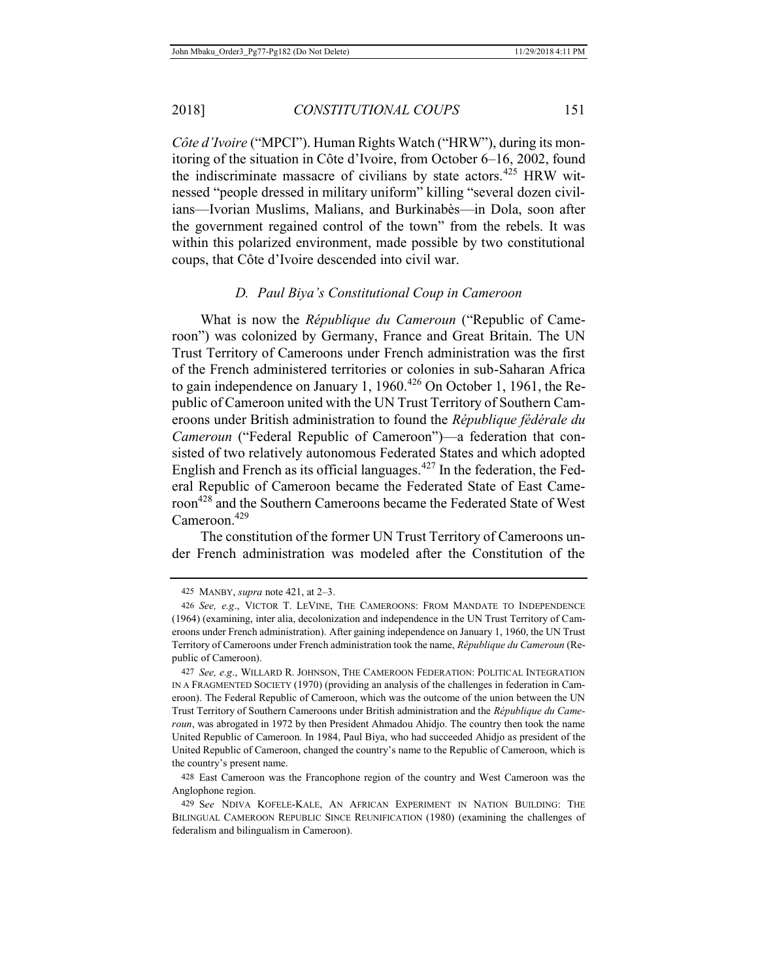*Côte d'Ivoire* ("MPCI"). Human Rights Watch ("HRW"), during its monitoring of the situation in Côte d'Ivoire, from October 6–16, 2002, found the indiscriminate massacre of civilians by state actors.<sup>425</sup> HRW witnessed "people dressed in military uniform" killing "several dozen civilians—Ivorian Muslims, Malians, and Burkinabès—in Dola, soon after the government regained control of the town" from the rebels. It was within this polarized environment, made possible by two constitutional coups, that Côte d'Ivoire descended into civil war.

### *D. Paul Biya's Constitutional Coup in Cameroon*

What is now the *République du Cameroun* ("Republic of Cameroon") was colonized by Germany, France and Great Britain. The UN Trust Territory of Cameroons under French administration was the first of the French administered territories or colonies in sub-Saharan Africa to gain independence on January 1, 1960.<sup>426</sup> On October 1, 1961, the Republic of Cameroon united with the UN Trust Territory of Southern Cameroons under British administration to found the *République fédérale du Cameroun* ("Federal Republic of Cameroon")—a federation that consisted of two relatively autonomous Federated States and which adopted English and French as its official languages. $427$  In the federation, the Federal Republic of Cameroon became the Federated State of East Cameroon<sup>428</sup> and the Southern Cameroons became the Federated State of West Cameroon.<sup>429</sup>

The constitution of the former UN Trust Territory of Cameroons under French administration was modeled after the Constitution of the

<sup>425</sup> MANBY, *supra* note 421, at 2–3.

<sup>426</sup> *See, e.g*., VICTOR T. LEVINE, THE CAMEROONS: FROM MANDATE TO INDEPENDENCE (1964) (examining, inter alia, decolonization and independence in the UN Trust Territory of Cameroons under French administration). After gaining independence on January 1, 1960, the UN Trust Territory of Cameroons under French administration took the name, *République du Cameroun* (Republic of Cameroon).

<sup>427</sup> *See, e.g*., WILLARD R. JOHNSON, THE CAMEROON FEDERATION: POLITICAL INTEGRATION IN A FRAGMENTED SOCIETY (1970) (providing an analysis of the challenges in federation in Cameroon). The Federal Republic of Cameroon, which was the outcome of the union between the UN Trust Territory of Southern Cameroons under British administration and the *République du Cameroun*, was abrogated in 1972 by then President Ahmadou Ahidjo. The country then took the name United Republic of Cameroon. In 1984, Paul Biya, who had succeeded Ahidjo as president of the United Republic of Cameroon, changed the country's name to the Republic of Cameroon, which is the country's present name.

<sup>428</sup> East Cameroon was the Francophone region of the country and West Cameroon was the Anglophone region.

<sup>429</sup> S*ee* NDIVA KOFELE-KALE, AN AFRICAN EXPERIMENT IN NATION BUILDING: THE BILINGUAL CAMEROON REPUBLIC SINCE REUNIFICATION (1980) (examining the challenges of federalism and bilingualism in Cameroon).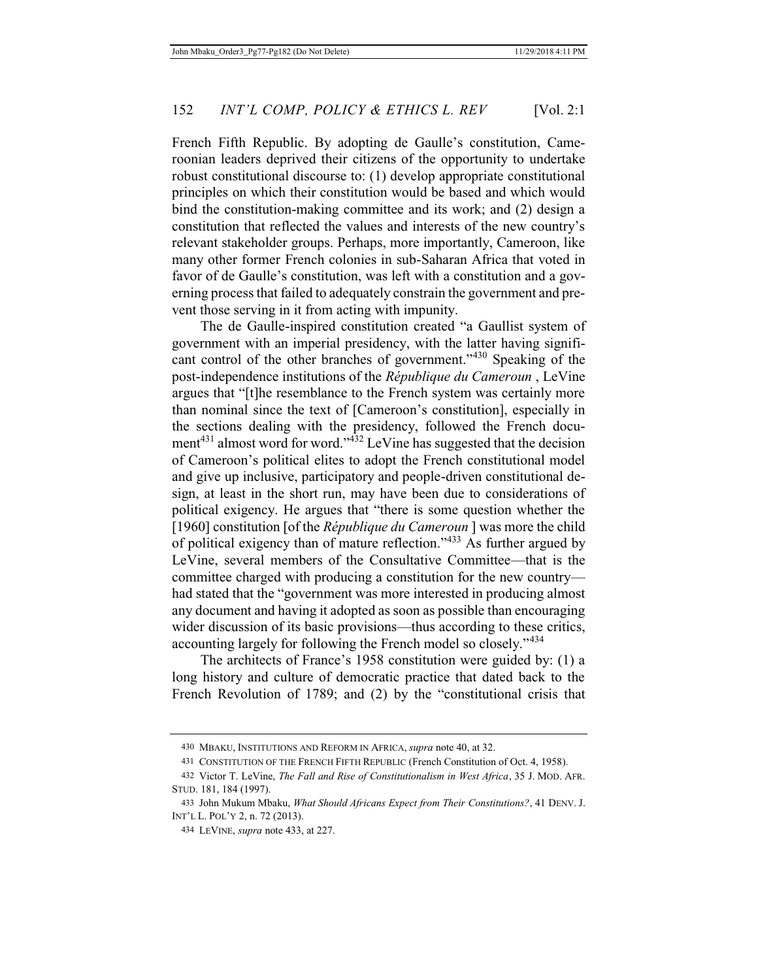French Fifth Republic. By adopting de Gaulle's constitution, Cameroonian leaders deprived their citizens of the opportunity to undertake robust constitutional discourse to: (1) develop appropriate constitutional principles on which their constitution would be based and which would bind the constitution-making committee and its work; and (2) design a constitution that reflected the values and interests of the new country's relevant stakeholder groups. Perhaps, more importantly, Cameroon, like many other former French colonies in sub-Saharan Africa that voted in favor of de Gaulle's constitution, was left with a constitution and a governing process that failed to adequately constrain the government and prevent those serving in it from acting with impunity.

The de Gaulle-inspired constitution created "a Gaullist system of government with an imperial presidency, with the latter having significant control of the other branches of government."430 Speaking of the post-independence institutions of the *République du Cameroun* , LeVine argues that "[t]he resemblance to the French system was certainly more than nominal since the text of [Cameroon's constitution], especially in the sections dealing with the presidency, followed the French document<sup>431</sup> almost word for word." $\frac{32}{4}$  LeVine has suggested that the decision of Cameroon's political elites to adopt the French constitutional model and give up inclusive, participatory and people-driven constitutional design, at least in the short run, may have been due to considerations of political exigency. He argues that "there is some question whether the [1960] constitution [of the *République du Cameroun* ] was more the child of political exigency than of mature reflection."433 As further argued by LeVine, several members of the Consultative Committee—that is the committee charged with producing a constitution for the new country had stated that the "government was more interested in producing almost any document and having it adopted as soon as possible than encouraging wider discussion of its basic provisions—thus according to these critics, accounting largely for following the French model so closely."<sup>434</sup>

The architects of France's 1958 constitution were guided by: (1) a long history and culture of democratic practice that dated back to the French Revolution of 1789; and (2) by the "constitutional crisis that

<sup>430</sup> MBAKU, INSTITUTIONS AND REFORM IN AFRICA, *supra* note 40, at 32.

<sup>431</sup> CONSTITUTION OF THE FRENCH FIFTH REPUBLIC (French Constitution of Oct. 4, 1958).

<sup>432</sup> Victor T. LeVine, *The Fall and Rise of Constitutionalism in West Africa*, 35 J. MOD. AFR. STUD. 181, 184 (1997).

<sup>433</sup> John Mukum Mbaku, *What Should Africans Expect from Their Constitutions?*, 41 DENV. J. INT'L L. POL'Y 2, n. 72 (2013).

<sup>434</sup> LEVINE, *supra* note 433, at 227.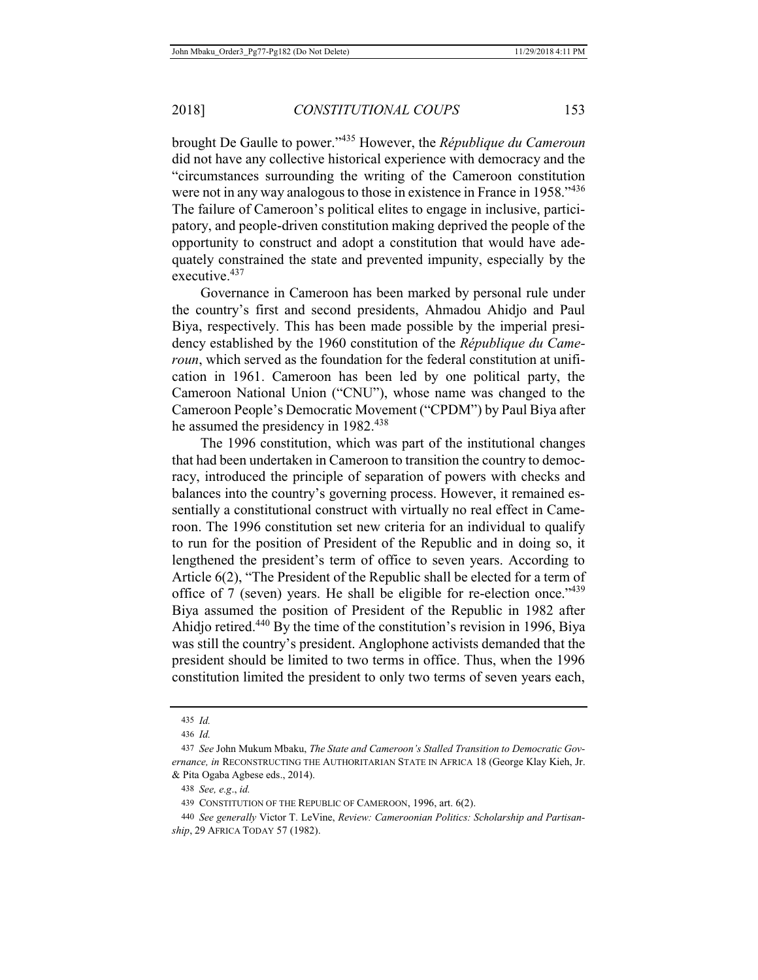brought De Gaulle to power."435 However, the *République du Cameroun* did not have any collective historical experience with democracy and the "circumstances surrounding the writing of the Cameroon constitution were not in any way analogous to those in existence in France in 1958."436 The failure of Cameroon's political elites to engage in inclusive, participatory, and people-driven constitution making deprived the people of the opportunity to construct and adopt a constitution that would have adequately constrained the state and prevented impunity, especially by the executive.<sup>437</sup>

Governance in Cameroon has been marked by personal rule under the country's first and second presidents, Ahmadou Ahidjo and Paul Biya, respectively. This has been made possible by the imperial presidency established by the 1960 constitution of the *République du Cameroun*, which served as the foundation for the federal constitution at unification in 1961. Cameroon has been led by one political party, the Cameroon National Union ("CNU"), whose name was changed to the Cameroon People's Democratic Movement ("CPDM") by Paul Biya after he assumed the presidency in 1982.<sup>438</sup>

The 1996 constitution, which was part of the institutional changes that had been undertaken in Cameroon to transition the country to democracy, introduced the principle of separation of powers with checks and balances into the country's governing process. However, it remained essentially a constitutional construct with virtually no real effect in Cameroon. The 1996 constitution set new criteria for an individual to qualify to run for the position of President of the Republic and in doing so, it lengthened the president's term of office to seven years. According to Article 6(2), "The President of the Republic shall be elected for a term of office of 7 (seven) years. He shall be eligible for re-election once."<sup>439</sup> Biya assumed the position of President of the Republic in 1982 after Ahidjo retired.440 By the time of the constitution's revision in 1996, Biya was still the country's president. Anglophone activists demanded that the president should be limited to two terms in office. Thus, when the 1996 constitution limited the president to only two terms of seven years each,

<sup>435</sup> *Id.*

<sup>436</sup> *Id.*

<sup>437</sup> *See* John Mukum Mbaku, *The State and Cameroon's Stalled Transition to Democratic Governance, in* RECONSTRUCTING THE AUTHORITARIAN STATE IN AFRICA 18 (George Klay Kieh, Jr. & Pita Ogaba Agbese eds., 2014).

<sup>438</sup> *See, e.g*., *id.*

<sup>439</sup> CONSTITUTION OF THE REPUBLIC OF CAMEROON, 1996, art. 6(2).

<sup>440</sup> *See generally* Victor T. LeVine, *Review: Cameroonian Politics: Scholarship and Partisanship*, 29 AFRICA TODAY 57 (1982).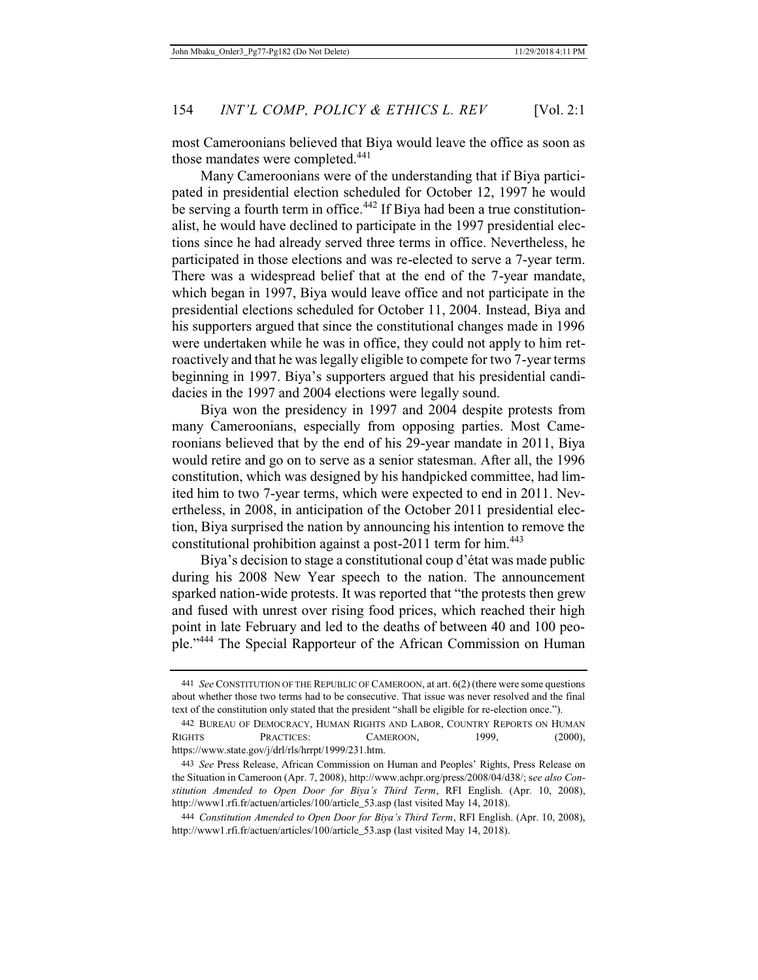most Cameroonians believed that Biya would leave the office as soon as those mandates were completed.<sup>441</sup>

Many Cameroonians were of the understanding that if Biya participated in presidential election scheduled for October 12, 1997 he would be serving a fourth term in office.<sup>442</sup> If Biya had been a true constitutionalist, he would have declined to participate in the 1997 presidential elections since he had already served three terms in office. Nevertheless, he participated in those elections and was re-elected to serve a 7-year term. There was a widespread belief that at the end of the 7-year mandate, which began in 1997, Biya would leave office and not participate in the presidential elections scheduled for October 11, 2004. Instead, Biya and his supporters argued that since the constitutional changes made in 1996 were undertaken while he was in office, they could not apply to him retroactively and that he was legally eligible to compete for two 7-year terms beginning in 1997. Biya's supporters argued that his presidential candidacies in the 1997 and 2004 elections were legally sound.

Biya won the presidency in 1997 and 2004 despite protests from many Cameroonians, especially from opposing parties. Most Cameroonians believed that by the end of his 29-year mandate in 2011, Biya would retire and go on to serve as a senior statesman. After all, the 1996 constitution, which was designed by his handpicked committee, had limited him to two 7-year terms, which were expected to end in 2011. Nevertheless, in 2008, in anticipation of the October 2011 presidential election, Biya surprised the nation by announcing his intention to remove the constitutional prohibition against a post-2011 term for him.<sup>443</sup>

Biya's decision to stage a constitutional coup d'état was made public during his 2008 New Year speech to the nation. The announcement sparked nation-wide protests. It was reported that "the protests then grew and fused with unrest over rising food prices, which reached their high point in late February and led to the deaths of between 40 and 100 people."444 The Special Rapporteur of the African Commission on Human

<sup>441</sup> *See* CONSTITUTION OF THE REPUBLIC OF CAMEROON, at art. 6(2) (there were some questions about whether those two terms had to be consecutive. That issue was never resolved and the final text of the constitution only stated that the president "shall be eligible for re-election once.").

<sup>442</sup> BUREAU OF DEMOCRACY, HUMAN RIGHTS AND LABOR, COUNTRY REPORTS ON HUMAN RIGHTS PRACTICES: CAMEROON, 1999, (2000), https://www.state.gov/j/drl/rls/hrrpt/1999/231.htm.

<sup>443</sup> *See* Press Release, African Commission on Human and Peoples' Rights, Press Release on the Situation in Cameroon (Apr. 7, 2008), http://www.achpr.org/press/2008/04/d38/; s*ee also Constitution Amended to Open Door for Biya's Third Term*, RFI English. (Apr. 10, 2008), http://www1.rfi.fr/actuen/articles/100/article\_53.asp (last visited May 14, 2018).

<sup>444</sup> *Constitution Amended to Open Door for Biya's Third Term*, RFI English. (Apr. 10, 2008), http://www1.rfi.fr/actuen/articles/100/article\_53.asp (last visited May 14, 2018).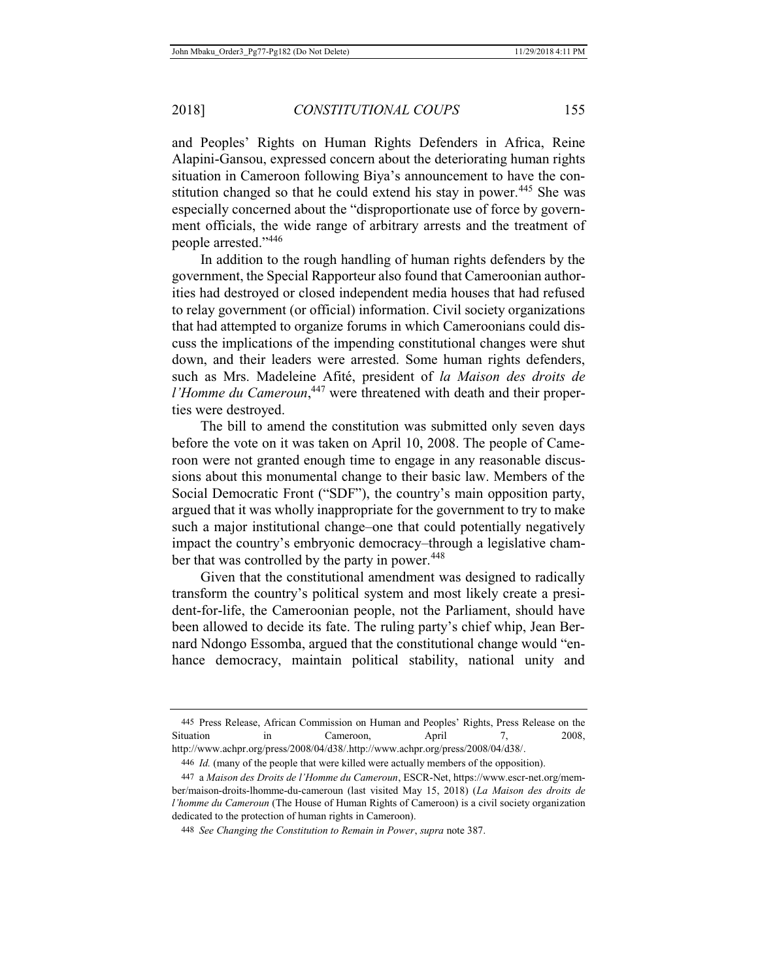and Peoples' Rights on Human Rights Defenders in Africa, Reine Alapini-Gansou, expressed concern about the deteriorating human rights situation in Cameroon following Biya's announcement to have the constitution changed so that he could extend his stay in power.<sup>445</sup> She was especially concerned about the "disproportionate use of force by government officials, the wide range of arbitrary arrests and the treatment of people arrested."<sup>446</sup>

In addition to the rough handling of human rights defenders by the government, the Special Rapporteur also found that Cameroonian authorities had destroyed or closed independent media houses that had refused to relay government (or official) information. Civil society organizations that had attempted to organize forums in which Cameroonians could discuss the implications of the impending constitutional changes were shut down, and their leaders were arrested. Some human rights defenders, such as Mrs. Madeleine Afité, president of *la Maison des droits de l'Homme du Cameroun*, 447 were threatened with death and their properties were destroyed.

The bill to amend the constitution was submitted only seven days before the vote on it was taken on April 10, 2008. The people of Cameroon were not granted enough time to engage in any reasonable discussions about this monumental change to their basic law. Members of the Social Democratic Front ("SDF"), the country's main opposition party, argued that it was wholly inappropriate for the government to try to make such a major institutional change–one that could potentially negatively impact the country's embryonic democracy–through a legislative chamber that was controlled by the party in power.<sup>448</sup>

Given that the constitutional amendment was designed to radically transform the country's political system and most likely create a president-for-life, the Cameroonian people, not the Parliament, should have been allowed to decide its fate. The ruling party's chief whip, Jean Bernard Ndongo Essomba, argued that the constitutional change would "enhance democracy, maintain political stability, national unity and

<sup>445</sup> Press Release, African Commission on Human and Peoples' Rights, Press Release on the Situation in Cameroon, April 7, 2008, http://www.achpr.org/press/2008/04/d38/.http://www.achpr.org/press/2008/04/d38/.

<sup>446</sup> *Id.* (many of the people that were killed were actually members of the opposition).

<sup>447</sup> a *Maison des Droits de l'Homme du Cameroun*, ESCR-Net, https://www.escr-net.org/member/maison-droits-lhomme-du-cameroun (last visited May 15, 2018) (*La Maison des droits de l'homme du Cameroun* (The House of Human Rights of Cameroon) is a civil society organization dedicated to the protection of human rights in Cameroon).

<sup>448</sup> *See Changing the Constitution to Remain in Power*, *supra* note 387.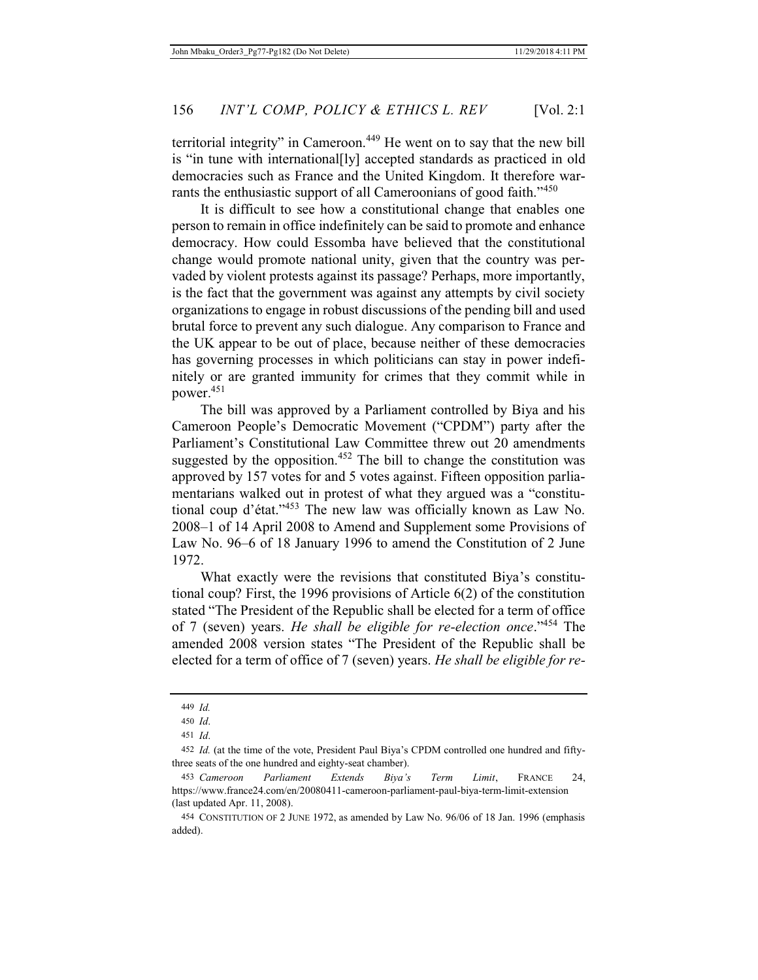territorial integrity" in Cameroon.449 He went on to say that the new bill is "in tune with international[ly] accepted standards as practiced in old democracies such as France and the United Kingdom. It therefore warrants the enthusiastic support of all Cameroonians of good faith."<sup>450</sup>

It is difficult to see how a constitutional change that enables one person to remain in office indefinitely can be said to promote and enhance democracy. How could Essomba have believed that the constitutional change would promote national unity, given that the country was pervaded by violent protests against its passage? Perhaps, more importantly, is the fact that the government was against any attempts by civil society organizations to engage in robust discussions of the pending bill and used brutal force to prevent any such dialogue. Any comparison to France and the UK appear to be out of place, because neither of these democracies has governing processes in which politicians can stay in power indefinitely or are granted immunity for crimes that they commit while in power.451

The bill was approved by a Parliament controlled by Biya and his Cameroon People's Democratic Movement ("CPDM") party after the Parliament's Constitutional Law Committee threw out 20 amendments suggested by the opposition. $452$  The bill to change the constitution was approved by 157 votes for and 5 votes against. Fifteen opposition parliamentarians walked out in protest of what they argued was a "constitutional coup d'état."453 The new law was officially known as Law No. 2008–1 of 14 April 2008 to Amend and Supplement some Provisions of Law No. 96–6 of 18 January 1996 to amend the Constitution of 2 June 1972.

What exactly were the revisions that constituted Biya's constitutional coup? First, the 1996 provisions of Article 6(2) of the constitution stated "The President of the Republic shall be elected for a term of office of 7 (seven) years. *He shall be eligible for re-election once*."454 The amended 2008 version states "The President of the Republic shall be elected for a term of office of 7 (seven) years. *He shall be eligible for re-*

<sup>449</sup> *Id.*

<sup>450</sup> *Id*.

<sup>451</sup> *Id*.

<sup>452</sup> *Id.* (at the time of the vote, President Paul Biya's CPDM controlled one hundred and fiftythree seats of the one hundred and eighty-seat chamber).

<sup>453</sup> *Cameroon Parliament Extends Biya's Term Limit*, FRANCE 24, https://www.france24.com/en/20080411-cameroon-parliament-paul-biya-term-limit-extension (last updated Apr. 11, 2008).

<sup>454</sup> CONSTITUTION OF 2 JUNE 1972, as amended by Law No. 96/06 of 18 Jan. 1996 (emphasis added).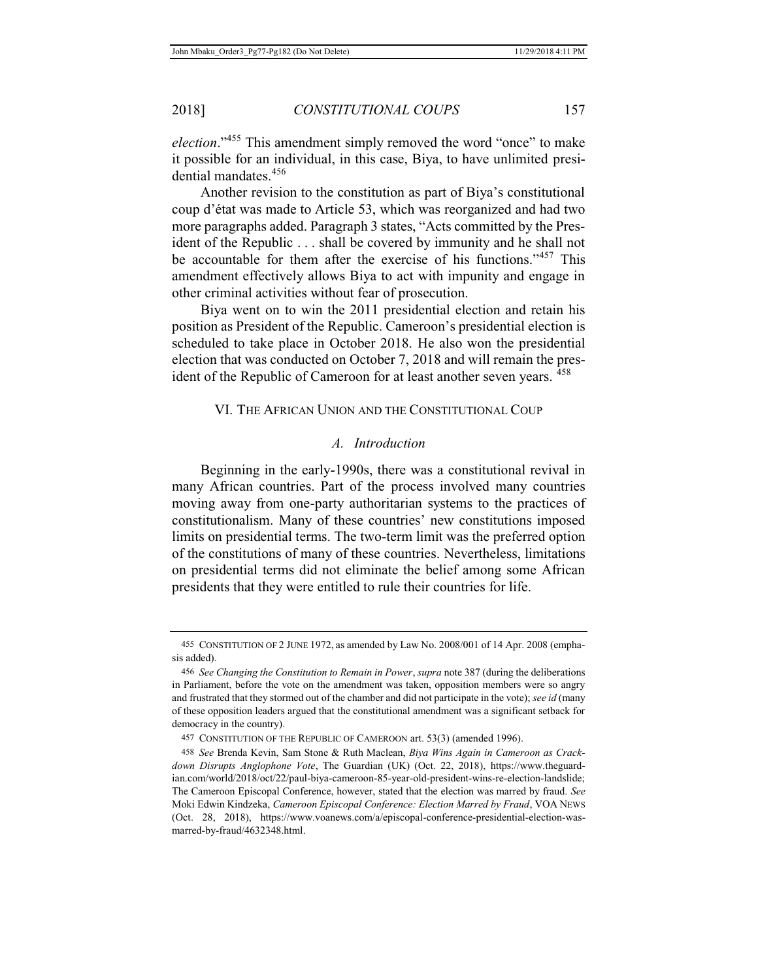*election*."<sup>455</sup> This amendment simply removed the word "once" to make it possible for an individual, in this case, Biya, to have unlimited presidential mandates.<sup>456</sup>

Another revision to the constitution as part of Biya's constitutional coup d'état was made to Article 53, which was reorganized and had two more paragraphs added. Paragraph 3 states, "Acts committed by the President of the Republic . . . shall be covered by immunity and he shall not be accountable for them after the exercise of his functions."<sup>457</sup> This amendment effectively allows Biya to act with impunity and engage in other criminal activities without fear of prosecution.

Biya went on to win the 2011 presidential election and retain his position as President of the Republic. Cameroon's presidential election is scheduled to take place in October 2018. He also won the presidential election that was conducted on October 7, 2018 and will remain the president of the Republic of Cameroon for at least another seven years.  $458$ 

## VI. THE AFRICAN UNION AND THE CONSTITUTIONAL COUP

#### *A. Introduction*

Beginning in the early-1990s, there was a constitutional revival in many African countries. Part of the process involved many countries moving away from one-party authoritarian systems to the practices of constitutionalism. Many of these countries' new constitutions imposed limits on presidential terms. The two-term limit was the preferred option of the constitutions of many of these countries. Nevertheless, limitations on presidential terms did not eliminate the belief among some African presidents that they were entitled to rule their countries for life.

<sup>455</sup> CONSTITUTION OF 2 JUNE 1972, as amended by Law No. 2008/001 of 14 Apr. 2008 (emphasis added).

<sup>456</sup> *See Changing the Constitution to Remain in Power*, *supra* note 387 (during the deliberations in Parliament, before the vote on the amendment was taken, opposition members were so angry and frustrated that they stormed out of the chamber and did not participate in the vote); *see id* (many of these opposition leaders argued that the constitutional amendment was a significant setback for democracy in the country).

<sup>457</sup> CONSTITUTION OF THE REPUBLIC OF CAMEROON art. 53(3) (amended 1996).

<sup>458</sup> *See* Brenda Kevin, Sam Stone & Ruth Maclean, *Biya Wins Again in Cameroon as Crackdown Disrupts Anglophone Vote*, The Guardian (UK) (Oct. 22, 2018), https://www.theguardian.com/world/2018/oct/22/paul-biya-cameroon-85-year-old-president-wins-re-election-landslide; The Cameroon Episcopal Conference, however, stated that the election was marred by fraud. *See*  Moki Edwin Kindzeka, *Cameroon Episcopal Conference: Election Marred by Fraud*, VOA NEWS (Oct. 28, 2018), https://www.voanews.com/a/episcopal-conference-presidential-election-wasmarred-by-fraud/4632348.html.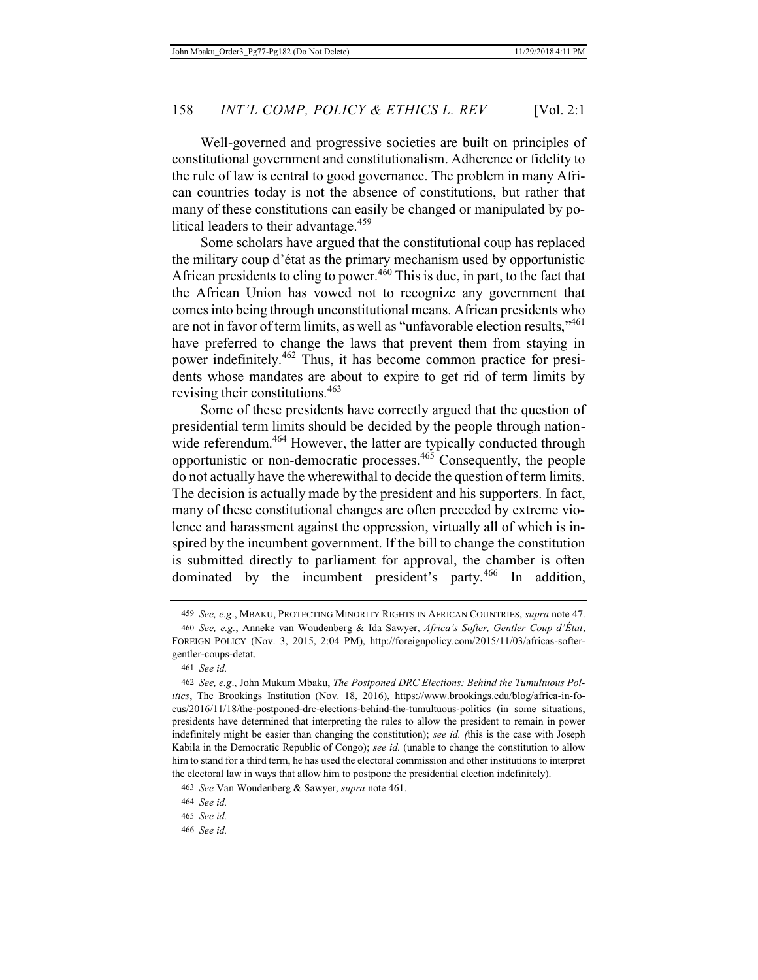Well-governed and progressive societies are built on principles of constitutional government and constitutionalism. Adherence or fidelity to the rule of law is central to good governance. The problem in many African countries today is not the absence of constitutions, but rather that many of these constitutions can easily be changed or manipulated by political leaders to their advantage.<sup>459</sup>

Some scholars have argued that the constitutional coup has replaced the military coup d'état as the primary mechanism used by opportunistic African presidents to cling to power.<sup>460</sup> This is due, in part, to the fact that the African Union has vowed not to recognize any government that comes into being through unconstitutional means. African presidents who are not in favor of term limits, as well as "unfavorable election results,"461 have preferred to change the laws that prevent them from staying in power indefinitely.462 Thus, it has become common practice for presidents whose mandates are about to expire to get rid of term limits by revising their constitutions.<sup>463</sup>

Some of these presidents have correctly argued that the question of presidential term limits should be decided by the people through nationwide referendum.<sup>464</sup> However, the latter are typically conducted through opportunistic or non-democratic processes.465 Consequently, the people do not actually have the wherewithal to decide the question of term limits. The decision is actually made by the president and his supporters. In fact, many of these constitutional changes are often preceded by extreme violence and harassment against the oppression, virtually all of which is inspired by the incumbent government. If the bill to change the constitution is submitted directly to parliament for approval, the chamber is often dominated by the incumbent president's party.<sup>466</sup> In addition,

<sup>459</sup> *See, e.g*., MBAKU, PROTECTING MINORITY RIGHTS IN AFRICAN COUNTRIES, *supra* note 47.

<sup>460</sup> *See, e.g.*, Anneke van Woudenberg & Ida Sawyer, *Africa's Softer, Gentler Coup d'État*, FOREIGN POLICY (Nov. 3, 2015, 2:04 PM), http://foreignpolicy.com/2015/11/03/africas-softergentler-coups-detat.

<sup>461</sup> *See id.*

<sup>462</sup> *See, e.g*., John Mukum Mbaku, *The Postponed DRC Elections: Behind the Tumultuous Politics*, The Brookings Institution (Nov. 18, 2016), https://www.brookings.edu/blog/africa-in-focus/2016/11/18/the-postponed-drc-elections-behind-the-tumultuous-politics (in some situations, presidents have determined that interpreting the rules to allow the president to remain in power indefinitely might be easier than changing the constitution); *see id. (*this is the case with Joseph Kabila in the Democratic Republic of Congo); *see id.* (unable to change the constitution to allow him to stand for a third term, he has used the electoral commission and other institutions to interpret the electoral law in ways that allow him to postpone the presidential election indefinitely).

<sup>463</sup> *See* Van Woudenberg & Sawyer, *supra* note 461.

<sup>464</sup> *See id.*

<sup>465</sup> *See id.*

<sup>466</sup> *See id.*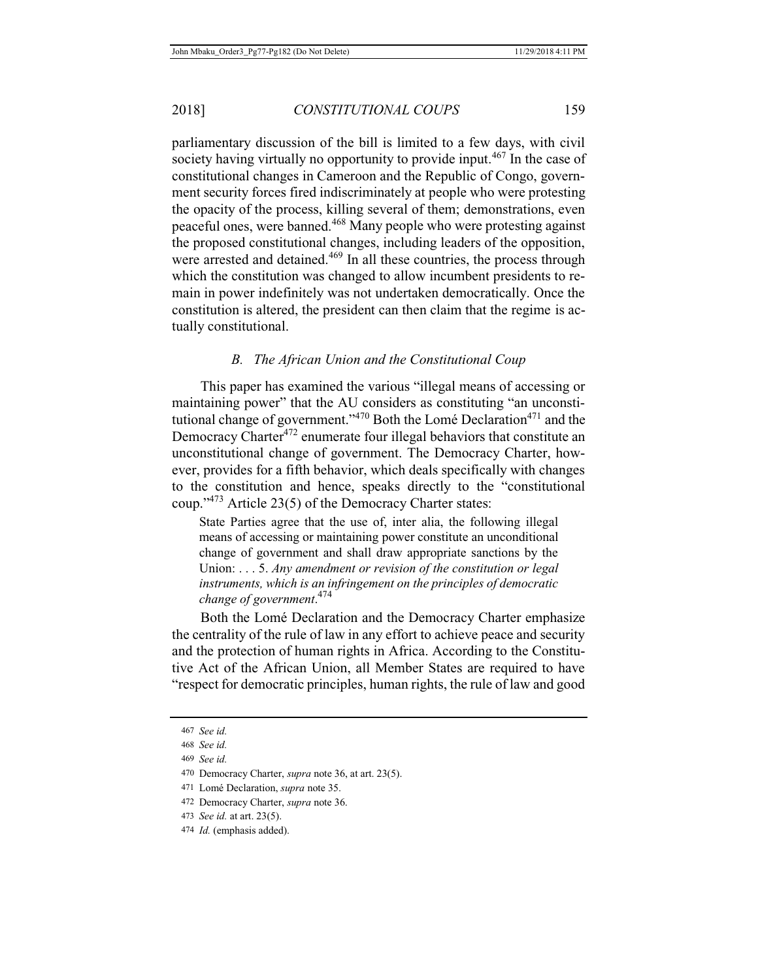parliamentary discussion of the bill is limited to a few days, with civil society having virtually no opportunity to provide input.<sup>467</sup> In the case of constitutional changes in Cameroon and the Republic of Congo, government security forces fired indiscriminately at people who were protesting the opacity of the process, killing several of them; demonstrations, even peaceful ones, were banned.468 Many people who were protesting against the proposed constitutional changes, including leaders of the opposition, were arrested and detained.<sup>469</sup> In all these countries, the process through which the constitution was changed to allow incumbent presidents to remain in power indefinitely was not undertaken democratically. Once the constitution is altered, the president can then claim that the regime is actually constitutional.

## *B. The African Union and the Constitutional Coup*

This paper has examined the various "illegal means of accessing or maintaining power" that the AU considers as constituting "an unconstitutional change of government." $470$  Both the Lomé Declaration $471$  and the Democracy Charter<sup>472</sup> enumerate four illegal behaviors that constitute an unconstitutional change of government. The Democracy Charter, however, provides for a fifth behavior, which deals specifically with changes to the constitution and hence, speaks directly to the "constitutional coup."473 Article 23(5) of the Democracy Charter states:

State Parties agree that the use of, inter alia, the following illegal means of accessing or maintaining power constitute an unconditional change of government and shall draw appropriate sanctions by the Union: . . . 5. *Any amendment or revision of the constitution or legal instruments, which is an infringement on the principles of democratic change of government*. 474

Both the Lomé Declaration and the Democracy Charter emphasize the centrality of the rule of law in any effort to achieve peace and security and the protection of human rights in Africa. According to the Constitutive Act of the African Union, all Member States are required to have "respect for democratic principles, human rights, the rule of law and good

<sup>467</sup> *See id.*

<sup>468</sup> *See id.*

<sup>469</sup> *See id.*

<sup>470</sup> Democracy Charter, *supra* note 36, at art. 23(5).

<sup>471</sup> Lomé Declaration, *supra* note 35.

<sup>472</sup> Democracy Charter, *supra* note 36.

<sup>473</sup> *See id.* at art. 23(5).

<sup>474</sup> *Id.* (emphasis added).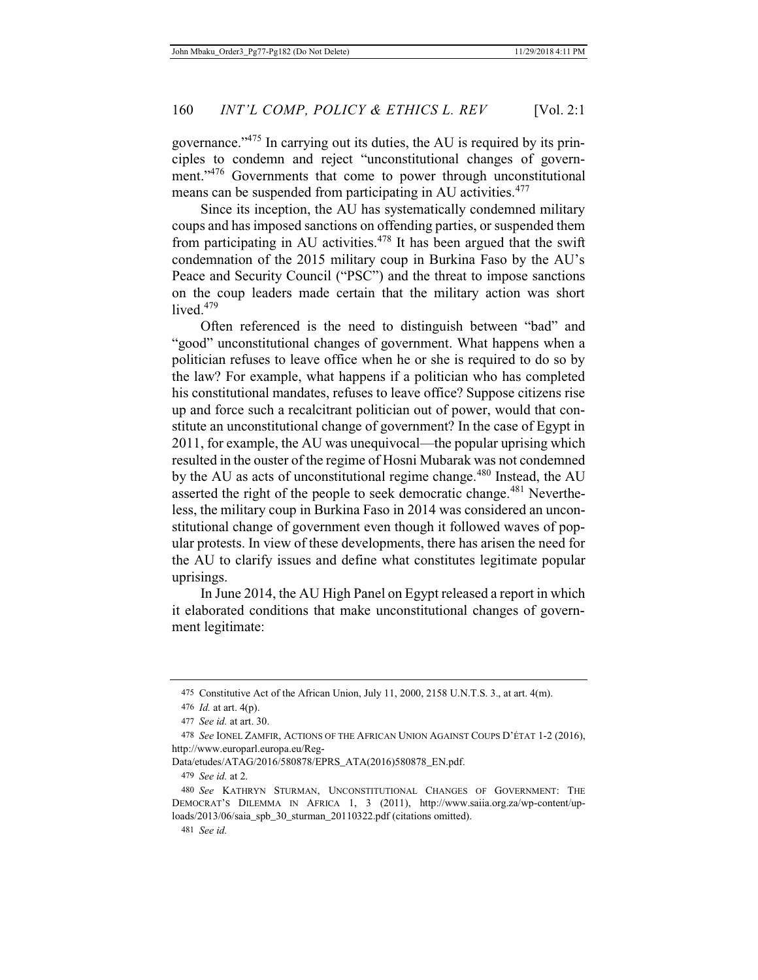governance."475 In carrying out its duties, the AU is required by its principles to condemn and reject "unconstitutional changes of government."<sup>476</sup> Governments that come to power through unconstitutional means can be suspended from participating in AU activities.<sup>477</sup>

Since its inception, the AU has systematically condemned military coups and has imposed sanctions on offending parties, or suspended them from participating in AU activities.<sup> $478$ </sup> It has been argued that the swift condemnation of the 2015 military coup in Burkina Faso by the AU's Peace and Security Council ("PSC") and the threat to impose sanctions on the coup leaders made certain that the military action was short lived. $479$ 

Often referenced is the need to distinguish between "bad" and "good" unconstitutional changes of government. What happens when a politician refuses to leave office when he or she is required to do so by the law? For example, what happens if a politician who has completed his constitutional mandates, refuses to leave office? Suppose citizens rise up and force such a recalcitrant politician out of power, would that constitute an unconstitutional change of government? In the case of Egypt in 2011, for example, the AU was unequivocal—the popular uprising which resulted in the ouster of the regime of Hosni Mubarak was not condemned by the AU as acts of unconstitutional regime change.<sup>480</sup> Instead, the AU asserted the right of the people to seek democratic change.<sup>481</sup> Nevertheless, the military coup in Burkina Faso in 2014 was considered an unconstitutional change of government even though it followed waves of popular protests. In view of these developments, there has arisen the need for the AU to clarify issues and define what constitutes legitimate popular uprisings.

In June 2014, the AU High Panel on Egypt released a report in which it elaborated conditions that make unconstitutional changes of government legitimate:

Data/etudes/ATAG/2016/580878/EPRS\_ATA(2016)580878\_EN.pdf.

479 *See id.* at 2.

<sup>475</sup> Constitutive Act of the African Union, July 11, 2000, 2158 U.N.T.S. 3., at art. 4(m).

<sup>476</sup> *Id.* at art. 4(p).

<sup>477</sup> *See id.* at art. 30.

<sup>478</sup> *See* IONEL ZAMFIR, ACTIONS OF THE AFRICAN UNION AGAINST COUPS D'ÉTAT 1-2 (2016), http://www.europarl.europa.eu/Reg-

<sup>480</sup> *See* KATHRYN STURMAN, UNCONSTITUTIONAL CHANGES OF GOVERNMENT: THE DEMOCRAT'S DILEMMA IN AFRICA 1, 3 (2011), http://www.saiia.org.za/wp-content/uploads/2013/06/saia\_spb\_30\_sturman\_20110322.pdf (citations omitted).

<sup>481</sup> *See id.*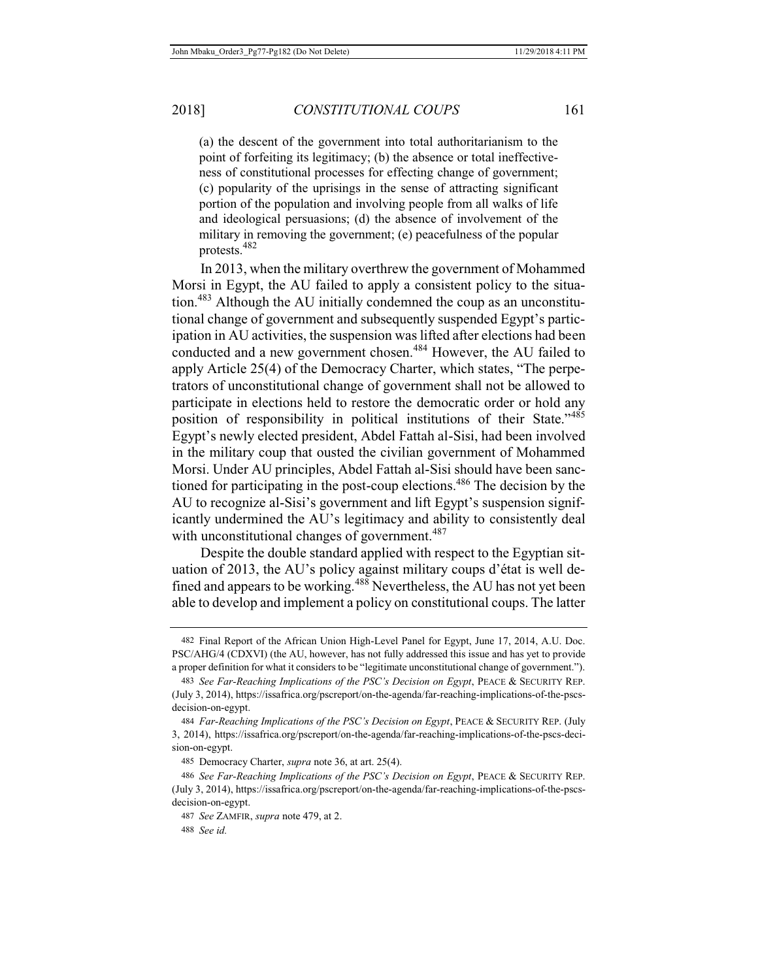(a) the descent of the government into total authoritarianism to the point of forfeiting its legitimacy; (b) the absence or total ineffectiveness of constitutional processes for effecting change of government; (c) popularity of the uprisings in the sense of attracting significant portion of the population and involving people from all walks of life and ideological persuasions; (d) the absence of involvement of the military in removing the government; (e) peacefulness of the popular protests.482

In 2013, when the military overthrew the government of Mohammed Morsi in Egypt, the AU failed to apply a consistent policy to the situation.483 Although the AU initially condemned the coup as an unconstitutional change of government and subsequently suspended Egypt's participation in AU activities, the suspension was lifted after elections had been conducted and a new government chosen.<sup>484</sup> However, the AU failed to apply Article 25(4) of the Democracy Charter, which states, "The perpetrators of unconstitutional change of government shall not be allowed to participate in elections held to restore the democratic order or hold any position of responsibility in political institutions of their State."<sup>485</sup> Egypt's newly elected president, Abdel Fattah al-Sisi, had been involved in the military coup that ousted the civilian government of Mohammed Morsi. Under AU principles, Abdel Fattah al-Sisi should have been sanctioned for participating in the post-coup elections.486 The decision by the AU to recognize al-Sisi's government and lift Egypt's suspension significantly undermined the AU's legitimacy and ability to consistently deal with unconstitutional changes of government.<sup>487</sup>

Despite the double standard applied with respect to the Egyptian situation of 2013, the AU's policy against military coups d'état is well defined and appears to be working.<sup>488</sup> Nevertheless, the AU has not yet been able to develop and implement a policy on constitutional coups. The latter

<sup>482</sup> Final Report of the African Union High-Level Panel for Egypt, June 17, 2014, A.U. Doc. PSC/AHG/4 (CDXVI) (the AU, however, has not fully addressed this issue and has yet to provide a proper definition for what it considers to be "legitimate unconstitutional change of government.").

<sup>483</sup> *See Far-Reaching Implications of the PSC's Decision on Egypt*, PEACE & SECURITY REP. (July 3, 2014), https://issafrica.org/pscreport/on-the-agenda/far-reaching-implications-of-the-pscsdecision-on-egypt.

<sup>484</sup> *Far-Reaching Implications of the PSC's Decision on Egypt*, PEACE & SECURITY REP. (July 3, 2014), https://issafrica.org/pscreport/on-the-agenda/far-reaching-implications-of-the-pscs-decision-on-egypt.

<sup>485</sup> Democracy Charter, *supra* note 36, at art. 25(4).

<sup>486</sup> *See Far-Reaching Implications of the PSC's Decision on Egypt*, PEACE & SECURITY REP. (July 3, 2014), https://issafrica.org/pscreport/on-the-agenda/far-reaching-implications-of-the-pscsdecision-on-egypt.

<sup>487</sup> *See* ZAMFIR, *supra* note 479, at 2.

<sup>488</sup> *See id.*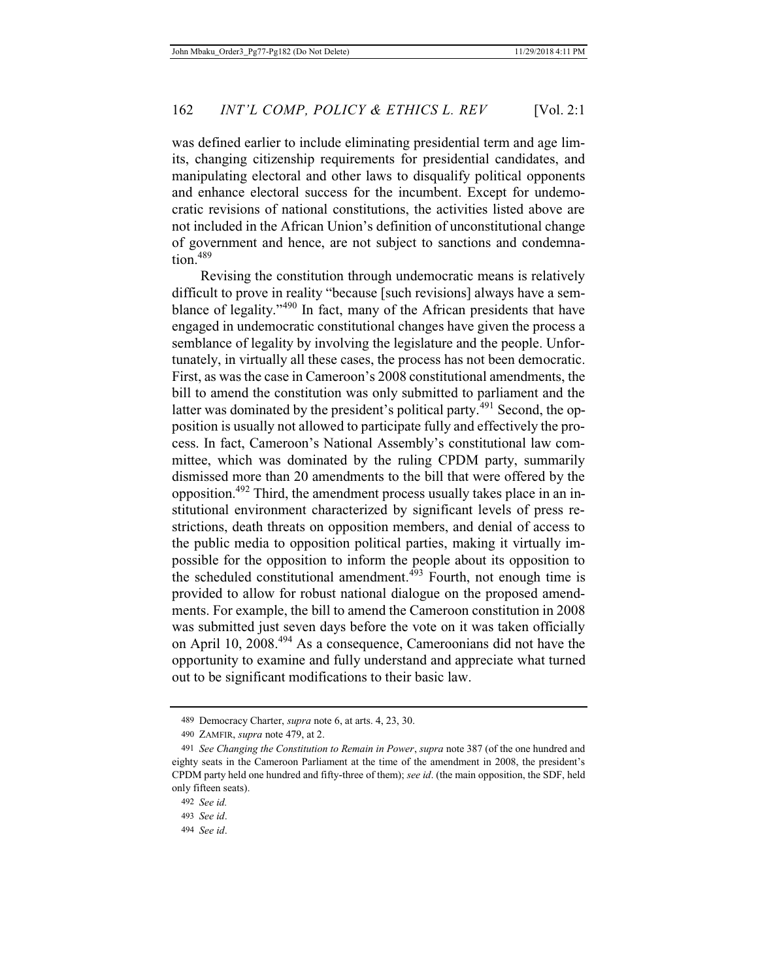was defined earlier to include eliminating presidential term and age limits, changing citizenship requirements for presidential candidates, and manipulating electoral and other laws to disqualify political opponents and enhance electoral success for the incumbent. Except for undemocratic revisions of national constitutions, the activities listed above are not included in the African Union's definition of unconstitutional change of government and hence, are not subject to sanctions and condemnation. $489$ 

Revising the constitution through undemocratic means is relatively difficult to prove in reality "because [such revisions] always have a semblance of legality."490 In fact, many of the African presidents that have engaged in undemocratic constitutional changes have given the process a semblance of legality by involving the legislature and the people. Unfortunately, in virtually all these cases, the process has not been democratic. First, as was the case in Cameroon's 2008 constitutional amendments, the bill to amend the constitution was only submitted to parliament and the latter was dominated by the president's political party.<sup> $491$ </sup> Second, the opposition is usually not allowed to participate fully and effectively the process. In fact, Cameroon's National Assembly's constitutional law committee, which was dominated by the ruling CPDM party, summarily dismissed more than 20 amendments to the bill that were offered by the opposition.492 Third, the amendment process usually takes place in an institutional environment characterized by significant levels of press restrictions, death threats on opposition members, and denial of access to the public media to opposition political parties, making it virtually impossible for the opposition to inform the people about its opposition to the scheduled constitutional amendment. $493$  Fourth, not enough time is provided to allow for robust national dialogue on the proposed amendments. For example, the bill to amend the Cameroon constitution in 2008 was submitted just seven days before the vote on it was taken officially on April 10, 2008.494 As a consequence, Cameroonians did not have the opportunity to examine and fully understand and appreciate what turned out to be significant modifications to their basic law.

<sup>489</sup> Democracy Charter, *supra* note 6, at arts. 4, 23, 30.

<sup>490</sup> ZAMFIR, *supra* note 479, at 2.

<sup>491</sup> *See Changing the Constitution to Remain in Power*, *supra* note 387 (of the one hundred and eighty seats in the Cameroon Parliament at the time of the amendment in 2008, the president's CPDM party held one hundred and fifty-three of them); *see id*. (the main opposition, the SDF, held only fifteen seats).

<sup>492</sup> *See id.*

<sup>493</sup> *See id*.

<sup>494</sup> *See id*.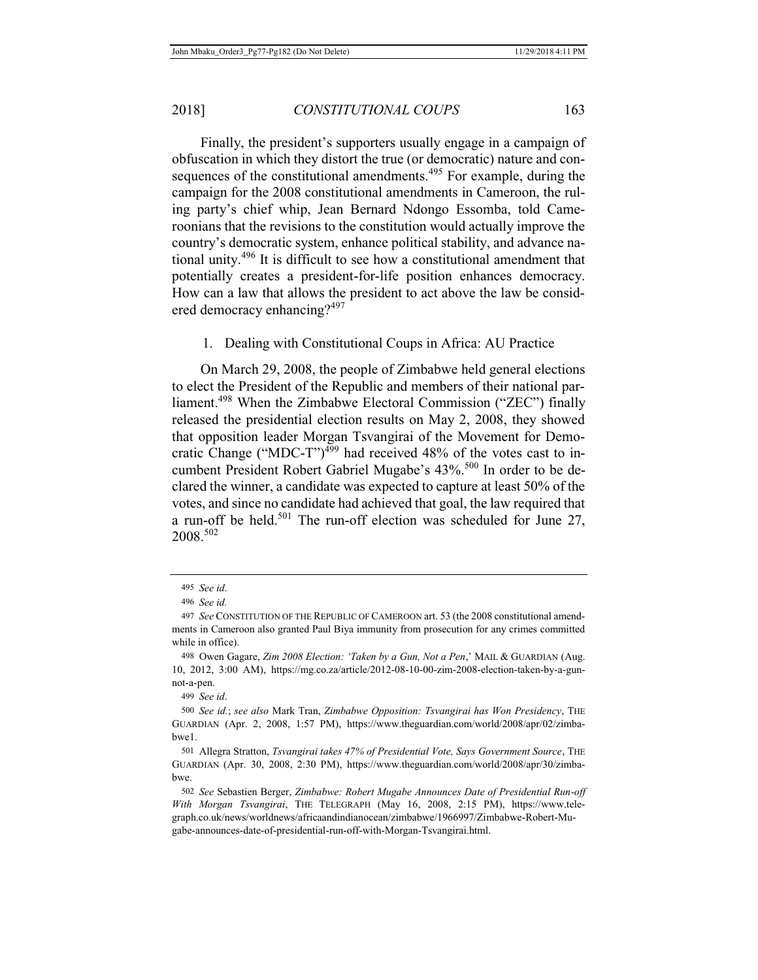Finally, the president's supporters usually engage in a campaign of obfuscation in which they distort the true (or democratic) nature and consequences of the constitutional amendments.<sup>495</sup> For example, during the campaign for the 2008 constitutional amendments in Cameroon, the ruling party's chief whip, Jean Bernard Ndongo Essomba, told Cameroonians that the revisions to the constitution would actually improve the country's democratic system, enhance political stability, and advance national unity.496 It is difficult to see how a constitutional amendment that potentially creates a president-for-life position enhances democracy. How can a law that allows the president to act above the law be considered democracy enhancing?<sup>497</sup>

#### 1. Dealing with Constitutional Coups in Africa: AU Practice

On March 29, 2008, the people of Zimbabwe held general elections to elect the President of the Republic and members of their national parliament.<sup>498</sup> When the Zimbabwe Electoral Commission ("ZEC") finally released the presidential election results on May 2, 2008, they showed that opposition leader Morgan Tsvangirai of the Movement for Democratic Change ("MDC-T") $499$  had received 48% of the votes cast to incumbent President Robert Gabriel Mugabe's 43%.<sup>500</sup> In order to be declared the winner, a candidate was expected to capture at least 50% of the votes, and since no candidate had achieved that goal, the law required that a run-off be held.<sup>501</sup> The run-off election was scheduled for June 27, 2008.502

499 *See id*.

<sup>495</sup> *See id*.

<sup>496</sup> *See id.*

<sup>497</sup> *See* CONSTITUTION OF THE REPUBLIC OF CAMEROON art. 53 (the 2008 constitutional amendments in Cameroon also granted Paul Biya immunity from prosecution for any crimes committed while in office).

<sup>498</sup> Owen Gagare, *Zim 2008 Election: 'Taken by a Gun, Not a Pen*,' MAIL & GUARDIAN (Aug. 10, 2012, 3:00 AM), https://mg.co.za/article/2012-08-10-00-zim-2008-election-taken-by-a-gunnot-a-pen.

<sup>500</sup> *See id.*; *see also* Mark Tran, *Zimbabwe Opposition: Tsvangirai has Won Presidency*, THE GUARDIAN (Apr. 2, 2008, 1:57 PM), https://www.theguardian.com/world/2008/apr/02/zimbabwe1.

<sup>501</sup> Allegra Stratton, *Tsvangirai takes 47% of Presidential Vote, Says Government Source*, THE GUARDIAN (Apr. 30, 2008, 2:30 PM), https://www.theguardian.com/world/2008/apr/30/zimbabwe.

<sup>502</sup> *See* Sebastien Berger, *Zimbabwe: Robert Mugabe Announces Date of Presidential Run-off With Morgan Tsvangirai*, THE TELEGRAPH (May 16, 2008, 2:15 PM), https://www.telegraph.co.uk/news/worldnews/africaandindianocean/zimbabwe/1966997/Zimbabwe-Robert-Mugabe-announces-date-of-presidential-run-off-with-Morgan-Tsvangirai.html.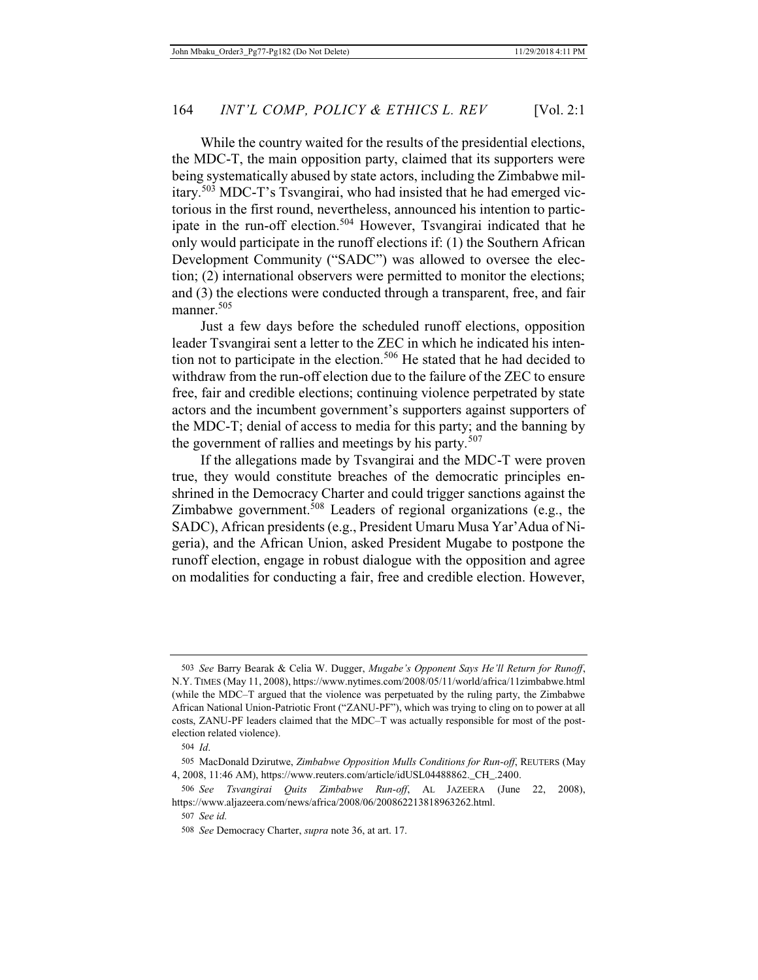While the country waited for the results of the presidential elections, the MDC-T, the main opposition party, claimed that its supporters were being systematically abused by state actors, including the Zimbabwe military.503 MDC-T's Tsvangirai, who had insisted that he had emerged victorious in the first round, nevertheless, announced his intention to participate in the run-off election.<sup>504</sup> However, Tsvangirai indicated that he only would participate in the runoff elections if: (1) the Southern African Development Community ("SADC") was allowed to oversee the election; (2) international observers were permitted to monitor the elections; and (3) the elections were conducted through a transparent, free, and fair manner.<sup>505</sup>

Just a few days before the scheduled runoff elections, opposition leader Tsvangirai sent a letter to the ZEC in which he indicated his intention not to participate in the election.<sup>506</sup> He stated that he had decided to withdraw from the run-off election due to the failure of the ZEC to ensure free, fair and credible elections; continuing violence perpetrated by state actors and the incumbent government's supporters against supporters of the MDC-T; denial of access to media for this party; and the banning by the government of rallies and meetings by his party.<sup>507</sup>

If the allegations made by Tsvangirai and the MDC-T were proven true, they would constitute breaches of the democratic principles enshrined in the Democracy Charter and could trigger sanctions against the Zimbabwe government.<sup>508</sup> Leaders of regional organizations (e.g., the SADC), African presidents (e.g., President Umaru Musa Yar'Adua of Nigeria), and the African Union, asked President Mugabe to postpone the runoff election, engage in robust dialogue with the opposition and agree on modalities for conducting a fair, free and credible election. However,

<sup>503</sup> *See* Barry Bearak & Celia W. Dugger, *Mugabe's Opponent Says He'll Return for Runoff*, N.Y. TIMES (May 11, 2008), https://www.nytimes.com/2008/05/11/world/africa/11zimbabwe.html (while the MDC–T argued that the violence was perpetuated by the ruling party, the Zimbabwe African National Union-Patriotic Front ("ZANU-PF"), which was trying to cling on to power at all costs, ZANU-PF leaders claimed that the MDC–T was actually responsible for most of the postelection related violence).

<sup>504</sup> *Id*.

<sup>505</sup> MacDonald Dzirutwe, *Zimbabwe Opposition Mulls Conditions for Run-off*, REUTERS (May 4, 2008, 11:46 AM), https://www.reuters.com/article/idUSL04488862.\_CH\_.2400.

<sup>506</sup> *See Tsvangirai Quits Zimbabwe Run-off*, AL JAZEERA (June 22, 2008), https://www.aljazeera.com/news/africa/2008/06/200862213818963262.html.

<sup>507</sup> *See id.*

<sup>508</sup> *See* Democracy Charter, *supra* note 36, at art. 17.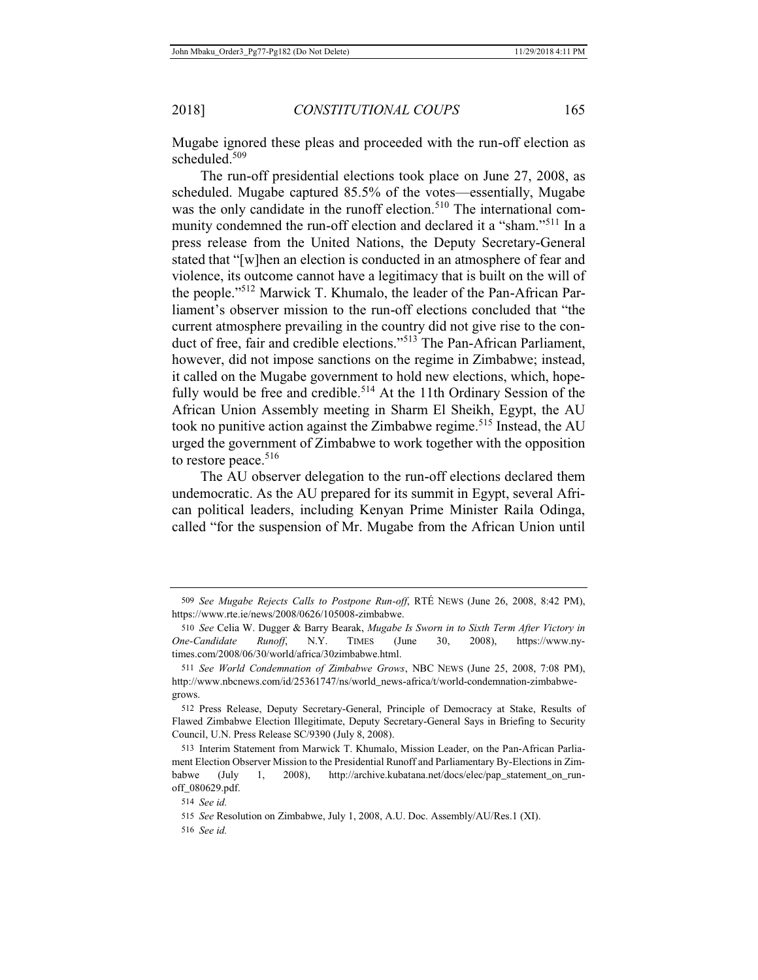Mugabe ignored these pleas and proceeded with the run-off election as scheduled.<sup>509</sup>

The run-off presidential elections took place on June 27, 2008, as scheduled. Mugabe captured 85.5% of the votes—essentially, Mugabe was the only candidate in the runoff election.<sup>510</sup> The international community condemned the run-off election and declared it a "sham."511 In a press release from the United Nations, the Deputy Secretary-General stated that "[w]hen an election is conducted in an atmosphere of fear and violence, its outcome cannot have a legitimacy that is built on the will of the people."512 Marwick T. Khumalo, the leader of the Pan-African Parliament's observer mission to the run-off elections concluded that "the current atmosphere prevailing in the country did not give rise to the conduct of free, fair and credible elections."513 The Pan-African Parliament, however, did not impose sanctions on the regime in Zimbabwe; instead, it called on the Mugabe government to hold new elections, which, hopefully would be free and credible.<sup>514</sup> At the 11th Ordinary Session of the African Union Assembly meeting in Sharm El Sheikh, Egypt, the AU took no punitive action against the Zimbabwe regime.<sup>515</sup> Instead, the AU urged the government of Zimbabwe to work together with the opposition to restore peace.<sup>516</sup>

The AU observer delegation to the run-off elections declared them undemocratic. As the AU prepared for its summit in Egypt, several African political leaders, including Kenyan Prime Minister Raila Odinga, called "for the suspension of Mr. Mugabe from the African Union until

<sup>509</sup> *See Mugabe Rejects Calls to Postpone Run-off*, RTÉ NEWS (June 26, 2008, 8:42 PM), https://www.rte.ie/news/2008/0626/105008-zimbabwe.

<sup>510</sup> *See* Celia W. Dugger & Barry Bearak, *Mugabe Is Sworn in to Sixth Term After Victory in One-Candidate Runoff*, N.Y. TIMES (June 30, 2008), https://www.nytimes.com/2008/06/30/world/africa/30zimbabwe.html.

<sup>511</sup> *See World Condemnation of Zimbabwe Grows*, NBC NEWS (June 25, 2008, 7:08 PM), http://www.nbcnews.com/id/25361747/ns/world\_news-africa/t/world-condemnation-zimbabwegrows.

<sup>512</sup> Press Release, Deputy Secretary-General, Principle of Democracy at Stake, Results of Flawed Zimbabwe Election Illegitimate, Deputy Secretary-General Says in Briefing to Security Council, U.N. Press Release SC/9390 (July 8, 2008).

<sup>513</sup> Interim Statement from Marwick T. Khumalo, Mission Leader, on the Pan-African Parliament Election Observer Mission to the Presidential Runoff and Parliamentary By-Elections in Zimbabwe (July 1, 2008), http://archive.kubatana.net/docs/elec/pap\_statement\_on\_runoff\_080629.pdf.

<sup>514</sup> *See id.*

<sup>515</sup> *See* Resolution on Zimbabwe, July 1, 2008, A.U. Doc. Assembly/AU/Res.1 (XI).

<sup>516</sup> *See id.*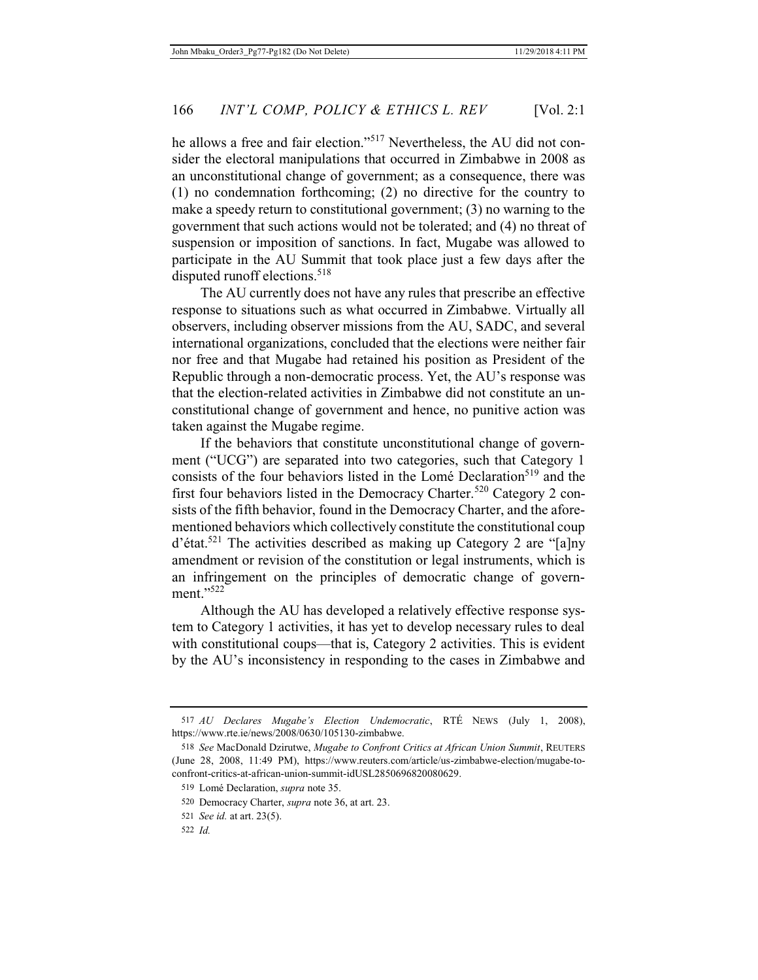he allows a free and fair election."517 Nevertheless, the AU did not consider the electoral manipulations that occurred in Zimbabwe in 2008 as an unconstitutional change of government; as a consequence, there was (1) no condemnation forthcoming; (2) no directive for the country to make a speedy return to constitutional government; (3) no warning to the government that such actions would not be tolerated; and (4) no threat of suspension or imposition of sanctions. In fact, Mugabe was allowed to participate in the AU Summit that took place just a few days after the disputed runoff elections.<sup>518</sup>

The AU currently does not have any rules that prescribe an effective response to situations such as what occurred in Zimbabwe. Virtually all observers, including observer missions from the AU, SADC, and several international organizations, concluded that the elections were neither fair nor free and that Mugabe had retained his position as President of the Republic through a non-democratic process. Yet, the AU's response was that the election-related activities in Zimbabwe did not constitute an unconstitutional change of government and hence, no punitive action was taken against the Mugabe regime.

If the behaviors that constitute unconstitutional change of government ("UCG") are separated into two categories, such that Category 1 consists of the four behaviors listed in the Lomé Declaration<sup>519</sup> and the first four behaviors listed in the Democracy Charter.<sup>520</sup> Category 2 consists of the fifth behavior, found in the Democracy Charter, and the aforementioned behaviors which collectively constitute the constitutional coup d'état.521 The activities described as making up Category 2 are "[a]ny amendment or revision of the constitution or legal instruments, which is an infringement on the principles of democratic change of government."522

Although the AU has developed a relatively effective response system to Category 1 activities, it has yet to develop necessary rules to deal with constitutional coups—that is, Category 2 activities. This is evident by the AU's inconsistency in responding to the cases in Zimbabwe and

<sup>517</sup> *AU Declares Mugabe's Election Undemocratic*, RTÉ NEWS (July 1, 2008), https://www.rte.ie/news/2008/0630/105130-zimbabwe.

<sup>518</sup> *See* MacDonald Dzirutwe, *Mugabe to Confront Critics at African Union Summit*, REUTERS (June 28, 2008, 11:49 PM), https://www.reuters.com/article/us-zimbabwe-election/mugabe-toconfront-critics-at-african-union-summit-idUSL2850696820080629.

<sup>519</sup> Lomé Declaration, *supra* note 35.

<sup>520</sup> Democracy Charter, *supra* note 36, at art. 23.

<sup>521</sup> *See id.* at art. 23(5).

<sup>522</sup> *Id.*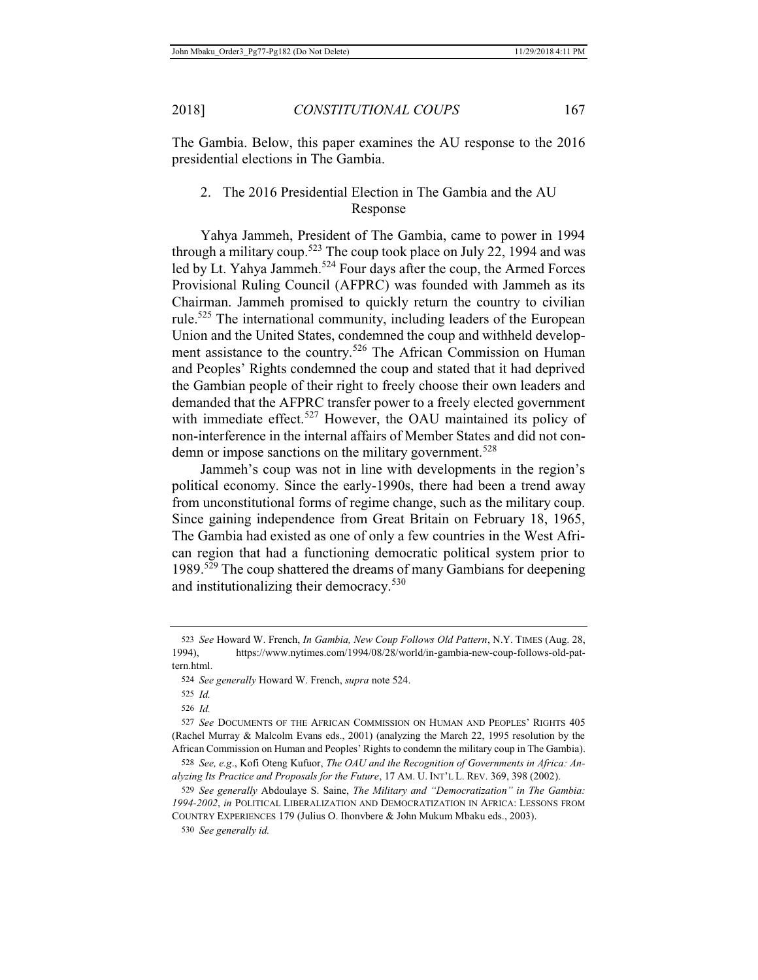The Gambia. Below, this paper examines the AU response to the 2016 presidential elections in The Gambia.

2. The 2016 Presidential Election in The Gambia and the AU Response

Yahya Jammeh, President of The Gambia, came to power in 1994 through a military coup.<sup>523</sup> The coup took place on July 22, 1994 and was led by Lt. Yahya Jammeh.<sup>524</sup> Four days after the coup, the Armed Forces Provisional Ruling Council (AFPRC) was founded with Jammeh as its Chairman. Jammeh promised to quickly return the country to civilian rule.<sup>525</sup> The international community, including leaders of the European Union and the United States, condemned the coup and withheld development assistance to the country.<sup>526</sup> The African Commission on Human and Peoples' Rights condemned the coup and stated that it had deprived the Gambian people of their right to freely choose their own leaders and demanded that the AFPRC transfer power to a freely elected government with immediate effect.<sup>527</sup> However, the OAU maintained its policy of non-interference in the internal affairs of Member States and did not condemn or impose sanctions on the military government.<sup>528</sup>

Jammeh's coup was not in line with developments in the region's political economy. Since the early-1990s, there had been a trend away from unconstitutional forms of regime change, such as the military coup. Since gaining independence from Great Britain on February 18, 1965, The Gambia had existed as one of only a few countries in the West African region that had a functioning democratic political system prior to 1989.<sup>529</sup> The coup shattered the dreams of many Gambians for deepening and institutionalizing their democracy.<sup>530</sup>

<sup>523</sup> *See* Howard W. French, *In Gambia, New Coup Follows Old Pattern*, N.Y. TIMES (Aug. 28, 1994), https://www.nytimes.com/1994/08/28/world/in-gambia-new-coup-follows-old-pattern.html.

<sup>524</sup> *See generally* Howard W. French, *supra* note 524.

<sup>525</sup> *Id.*

<sup>526</sup> *Id.*

<sup>527</sup> *See* DOCUMENTS OF THE AFRICAN COMMISSION ON HUMAN AND PEOPLES' RIGHTS 405 (Rachel Murray & Malcolm Evans eds., 2001) (analyzing the March 22, 1995 resolution by the African Commission on Human and Peoples' Rights to condemn the military coup in The Gambia).

<sup>528</sup> *See, e.g*., Kofi Oteng Kufuor, *The OAU and the Recognition of Governments in Africa: Analyzing Its Practice and Proposals for the Future*, 17 AM. U. INT'L L. REV. 369, 398 (2002).

<sup>529</sup> *See generally* Abdoulaye S. Saine, *The Military and "Democratization" in The Gambia: 1994-2002*, *in* POLITICAL LIBERALIZATION AND DEMOCRATIZATION IN AFRICA: LESSONS FROM COUNTRY EXPERIENCES 179 (Julius O. Ihonvbere & John Mukum Mbaku eds., 2003).

<sup>530</sup> *See generally id.*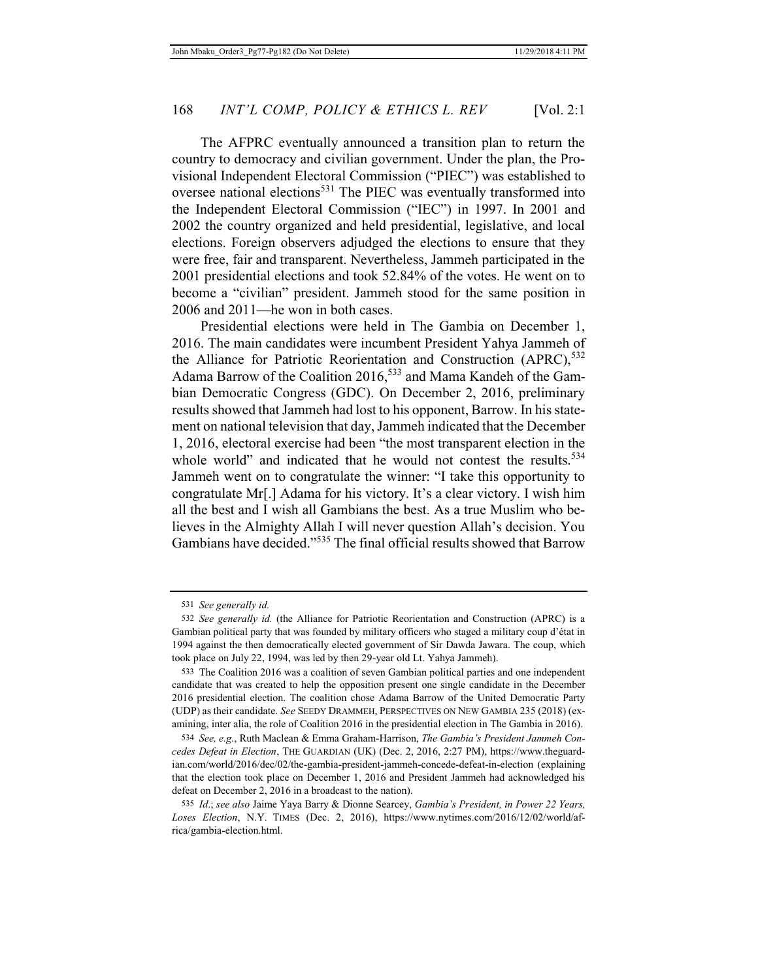The AFPRC eventually announced a transition plan to return the country to democracy and civilian government. Under the plan, the Provisional Independent Electoral Commission ("PIEC") was established to oversee national elections<sup>531</sup> The PIEC was eventually transformed into the Independent Electoral Commission ("IEC") in 1997. In 2001 and 2002 the country organized and held presidential, legislative, and local elections. Foreign observers adjudged the elections to ensure that they were free, fair and transparent. Nevertheless, Jammeh participated in the 2001 presidential elections and took 52.84% of the votes. He went on to become a "civilian" president. Jammeh stood for the same position in 2006 and 2011—he won in both cases.

Presidential elections were held in The Gambia on December 1, 2016. The main candidates were incumbent President Yahya Jammeh of the Alliance for Patriotic Reorientation and Construction (APRC),<sup>532</sup> Adama Barrow of the Coalition 2016,<sup>533</sup> and Mama Kandeh of the Gambian Democratic Congress (GDC). On December 2, 2016, preliminary results showed that Jammeh had lost to his opponent, Barrow. In his statement on national television that day, Jammeh indicated that the December 1, 2016, electoral exercise had been "the most transparent election in the whole world" and indicated that he would not contest the results.<sup>534</sup> Jammeh went on to congratulate the winner: "I take this opportunity to congratulate Mr[.] Adama for his victory. It's a clear victory. I wish him all the best and I wish all Gambians the best. As a true Muslim who believes in the Almighty Allah I will never question Allah's decision. You Gambians have decided."535 The final official results showed that Barrow

<sup>531</sup> *See generally id.*

<sup>532</sup> *See generally id.* (the Alliance for Patriotic Reorientation and Construction (APRC) is a Gambian political party that was founded by military officers who staged a military coup d'état in 1994 against the then democratically elected government of Sir Dawda Jawara. The coup, which took place on July 22, 1994, was led by then 29-year old Lt. Yahya Jammeh).

<sup>533</sup> The Coalition 2016 was a coalition of seven Gambian political parties and one independent candidate that was created to help the opposition present one single candidate in the December 2016 presidential election. The coalition chose Adama Barrow of the United Democratic Party (UDP) as their candidate. *See* SEEDY DRAMMEH, PERSPECTIVES ON NEW GAMBIA 235 (2018) (examining, inter alia, the role of Coalition 2016 in the presidential election in The Gambia in 2016).

<sup>534</sup> *See, e.g.*, Ruth Maclean & Emma Graham-Harrison, *The Gambia's President Jammeh Concedes Defeat in Election*, THE GUARDIAN (UK) (Dec. 2, 2016, 2:27 PM), https://www.theguardian.com/world/2016/dec/02/the-gambia-president-jammeh-concede-defeat-in-election (explaining that the election took place on December 1, 2016 and President Jammeh had acknowledged his defeat on December 2, 2016 in a broadcast to the nation).

<sup>535</sup> *Id*.; *see also* Jaime Yaya Barry & Dionne Searcey, *Gambia's President, in Power 22 Years, Loses Election*, N.Y. TIMES (Dec. 2, 2016), https://www.nytimes.com/2016/12/02/world/africa/gambia-election.html.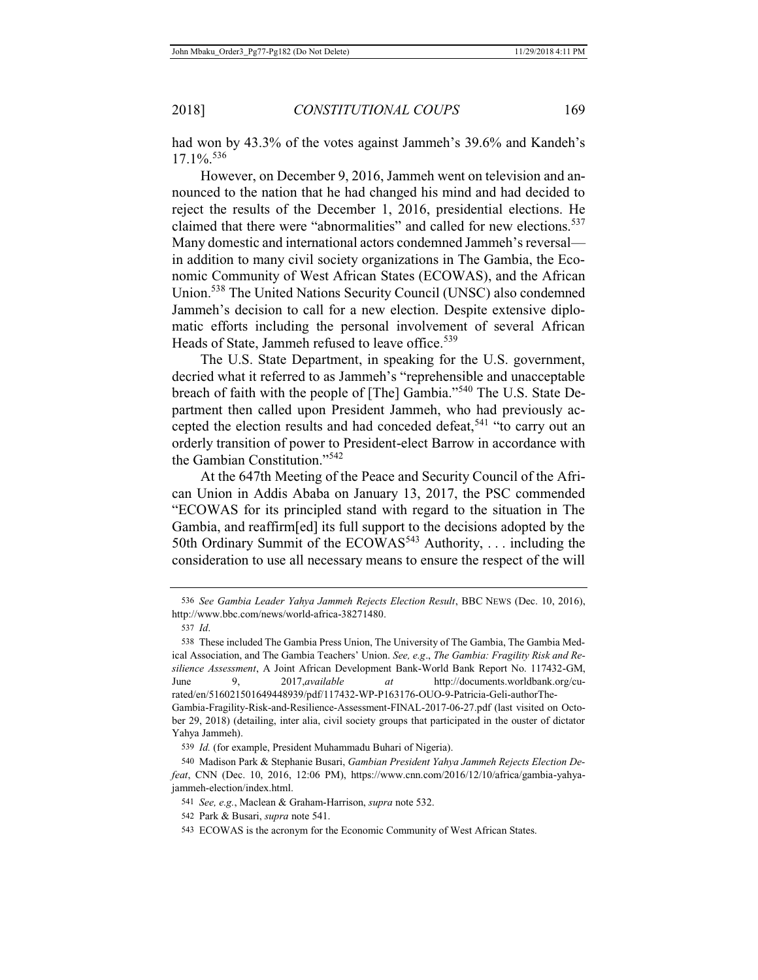had won by 43.3% of the votes against Jammeh's 39.6% and Kandeh's  $17.1\%$ <sup>536</sup>

However, on December 9, 2016, Jammeh went on television and announced to the nation that he had changed his mind and had decided to reject the results of the December 1, 2016, presidential elections. He claimed that there were "abnormalities" and called for new elections.<sup>537</sup> Many domestic and international actors condemned Jammeh's reversal in addition to many civil society organizations in The Gambia, the Economic Community of West African States (ECOWAS), and the African Union.538 The United Nations Security Council (UNSC) also condemned Jammeh's decision to call for a new election. Despite extensive diplomatic efforts including the personal involvement of several African Heads of State, Jammeh refused to leave office.<sup>539</sup>

The U.S. State Department, in speaking for the U.S. government, decried what it referred to as Jammeh's "reprehensible and unacceptable breach of faith with the people of [The] Gambia."<sup>540</sup> The U.S. State Department then called upon President Jammeh, who had previously accepted the election results and had conceded defeat,<sup>541</sup> "to carry out an orderly transition of power to President-elect Barrow in accordance with the Gambian Constitution."<sup>542</sup>

At the 647th Meeting of the Peace and Security Council of the African Union in Addis Ababa on January 13, 2017, the PSC commended "ECOWAS for its principled stand with regard to the situation in The Gambia, and reaffirm[ed] its full support to the decisions adopted by the 50th Ordinary Summit of the  $ECOWAS<sup>543</sup>$  Authority, ... including the consideration to use all necessary means to ensure the respect of the will

<sup>536</sup> *See Gambia Leader Yahya Jammeh Rejects Election Result*, BBC NEWS (Dec. 10, 2016), http://www.bbc.com/news/world-africa-38271480.

<sup>537</sup> *Id*.

<sup>538</sup> These included The Gambia Press Union, The University of The Gambia, The Gambia Medical Association, and The Gambia Teachers' Union. *See, e.g*., *The Gambia: Fragility Risk and Resilience Assessment*, A Joint African Development Bank-World Bank Report No. 117432-GM, June 9, 2017,*available at* http://documents.worldbank.org/curated/en/516021501649448939/pdf/117432-WP-P163176-OUO-9-Patricia-Geli-authorThe-Gambia-Fragility-Risk-and-Resilience-Assessment-FINAL-2017-06-27.pdf (last visited on October 29, 2018) (detailing, inter alia, civil society groups that participated in the ouster of dictator Yahya Jammeh).

<sup>539</sup> *Id.* (for example, President Muhammadu Buhari of Nigeria).

<sup>540</sup> Madison Park & Stephanie Busari, *Gambian President Yahya Jammeh Rejects Election Defeat*, CNN (Dec. 10, 2016, 12:06 PM), https://www.cnn.com/2016/12/10/africa/gambia-yahyajammeh-election/index.html.

<sup>541</sup> *See, e.g.*, Maclean & Graham-Harrison, *supra* note 532.

<sup>542</sup> Park & Busari, *supra* note 541.

<sup>543</sup> ECOWAS is the acronym for the Economic Community of West African States.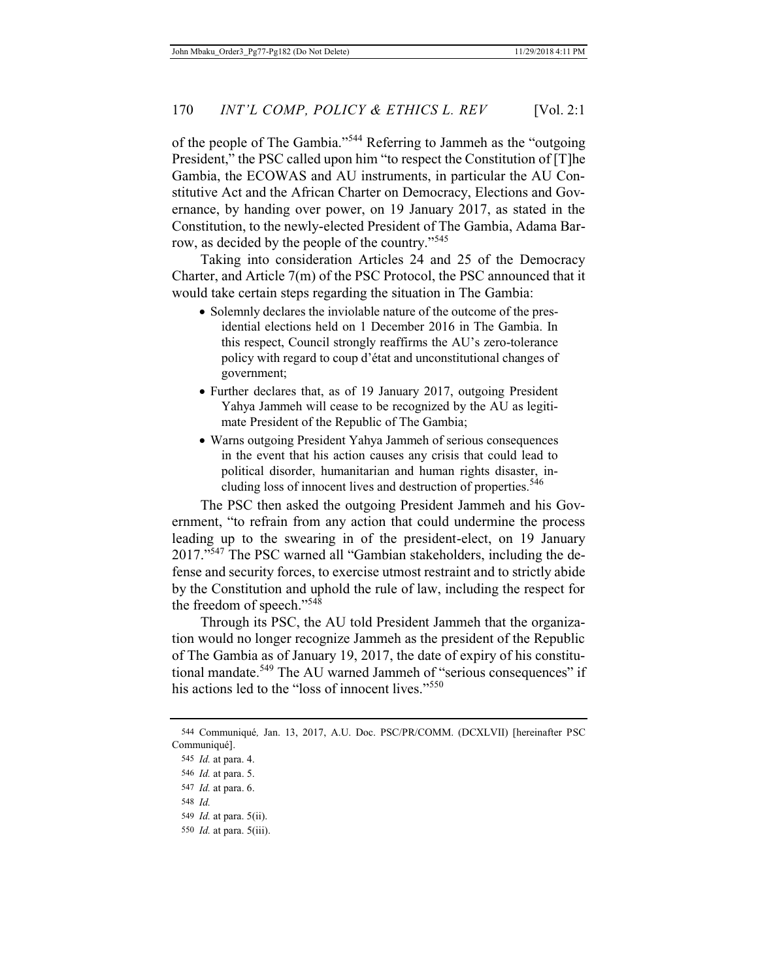of the people of The Gambia."<sup>544</sup> Referring to Jammeh as the "outgoing President," the PSC called upon him "to respect the Constitution of [T]he Gambia, the ECOWAS and AU instruments, in particular the AU Constitutive Act and the African Charter on Democracy, Elections and Governance, by handing over power, on 19 January 2017, as stated in the Constitution, to the newly-elected President of The Gambia, Adama Barrow, as decided by the people of the country."<sup>545</sup>

Taking into consideration Articles 24 and 25 of the Democracy Charter, and Article 7(m) of the PSC Protocol, the PSC announced that it would take certain steps regarding the situation in The Gambia:

- Solemnly declares the inviolable nature of the outcome of the presidential elections held on 1 December 2016 in The Gambia. In this respect, Council strongly reaffirms the AU's zero-tolerance policy with regard to coup d'état and unconstitutional changes of government;
- Further declares that, as of 19 January 2017, outgoing President Yahya Jammeh will cease to be recognized by the AU as legitimate President of the Republic of The Gambia;
- Warns outgoing President Yahya Jammeh of serious consequences in the event that his action causes any crisis that could lead to political disorder, humanitarian and human rights disaster, including loss of innocent lives and destruction of properties.<sup>546</sup>

The PSC then asked the outgoing President Jammeh and his Government, "to refrain from any action that could undermine the process leading up to the swearing in of the president-elect, on 19 January 2017."<sup>547</sup> The PSC warned all "Gambian stakeholders, including the defense and security forces, to exercise utmost restraint and to strictly abide by the Constitution and uphold the rule of law, including the respect for the freedom of speech."<sup>548</sup>

Through its PSC, the AU told President Jammeh that the organization would no longer recognize Jammeh as the president of the Republic of The Gambia as of January 19, 2017, the date of expiry of his constitutional mandate.<sup>549</sup> The AU warned Jammeh of "serious consequences" if his actions led to the "loss of innocent lives."<sup>550</sup>

548 *Id.*

550 *Id.* at para. 5(iii).

<sup>544</sup> Communiqué*,* Jan. 13, 2017, A.U. Doc. PSC/PR/COMM. (DCXLVII) [hereinafter PSC Communiqué].

<sup>545</sup> *Id.* at para. 4.

<sup>546</sup> *Id.* at para. 5.

<sup>547</sup> *Id.* at para. 6.

<sup>549</sup> *Id.* at para. 5(ii).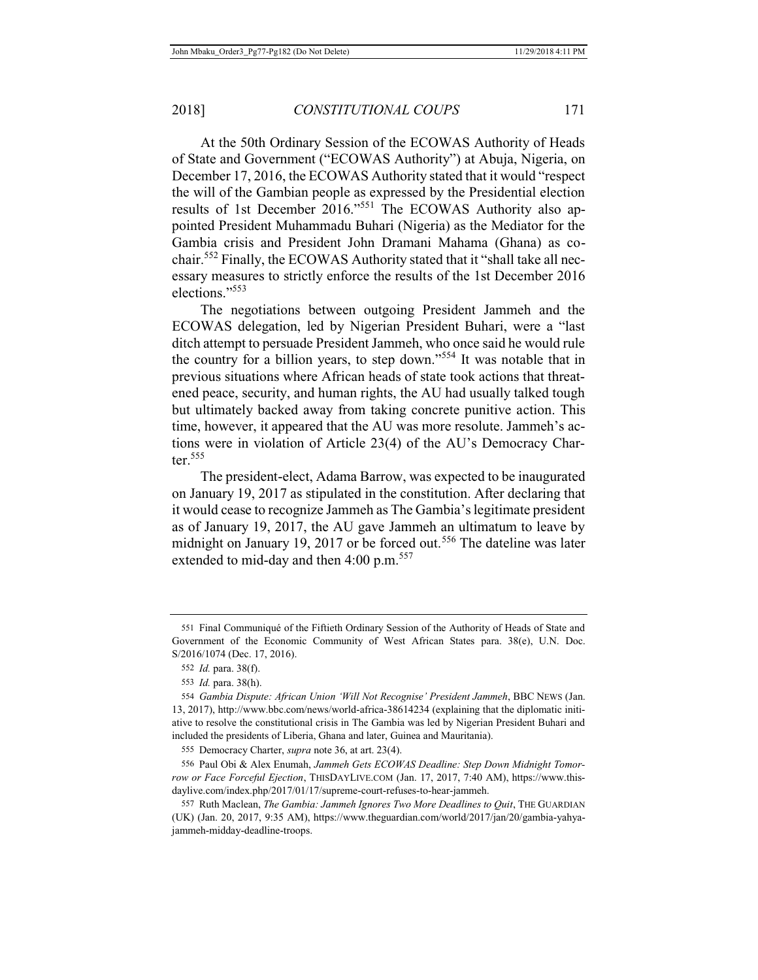At the 50th Ordinary Session of the ECOWAS Authority of Heads of State and Government ("ECOWAS Authority") at Abuja, Nigeria, on December 17, 2016, the ECOWAS Authority stated that it would "respect the will of the Gambian people as expressed by the Presidential election results of 1st December 2016."551 The ECOWAS Authority also appointed President Muhammadu Buhari (Nigeria) as the Mediator for the Gambia crisis and President John Dramani Mahama (Ghana) as cochair.552 Finally, the ECOWAS Authority stated that it "shall take all necessary measures to strictly enforce the results of the 1st December 2016 elections<sup>"553</sup>

The negotiations between outgoing President Jammeh and the ECOWAS delegation, led by Nigerian President Buhari, were a "last ditch attempt to persuade President Jammeh, who once said he would rule the country for a billion years, to step down."554 It was notable that in previous situations where African heads of state took actions that threatened peace, security, and human rights, the AU had usually talked tough but ultimately backed away from taking concrete punitive action. This time, however, it appeared that the AU was more resolute. Jammeh's actions were in violation of Article 23(4) of the AU's Democracy Charter. $555$ 

The president-elect, Adama Barrow, was expected to be inaugurated on January 19, 2017 as stipulated in the constitution. After declaring that it would cease to recognize Jammeh as The Gambia's legitimate president as of January 19, 2017, the AU gave Jammeh an ultimatum to leave by midnight on January 19, 2017 or be forced out.<sup>556</sup> The dateline was later extended to mid-day and then 4:00 p.m.<sup>557</sup>

<sup>551</sup> Final Communiqué of the Fiftieth Ordinary Session of the Authority of Heads of State and Government of the Economic Community of West African States para. 38(e), U.N. Doc. S/2016/1074 (Dec. 17, 2016).

<sup>552</sup> *Id.* para. 38(f).

<sup>553</sup> *Id.* para. 38(h).

<sup>554</sup> *Gambia Dispute: African Union 'Will Not Recognise' President Jammeh*, BBC NEWS (Jan. 13, 2017), http://www.bbc.com/news/world-africa-38614234 (explaining that the diplomatic initiative to resolve the constitutional crisis in The Gambia was led by Nigerian President Buhari and included the presidents of Liberia, Ghana and later, Guinea and Mauritania).

<sup>555</sup> Democracy Charter, *supra* note 36, at art. 23(4).

<sup>556</sup> Paul Obi & Alex Enumah, *Jammeh Gets ECOWAS Deadline: Step Down Midnight Tomorrow or Face Forceful Ejection*, THISDAYLIVE.COM (Jan. 17, 2017, 7:40 AM), https://www.thisdaylive.com/index.php/2017/01/17/supreme-court-refuses-to-hear-jammeh.

<sup>557</sup> Ruth Maclean, *The Gambia: Jammeh Ignores Two More Deadlines to Quit*, THE GUARDIAN (UK) (Jan. 20, 2017, 9:35 AM), https://www.theguardian.com/world/2017/jan/20/gambia-yahyajammeh-midday-deadline-troops.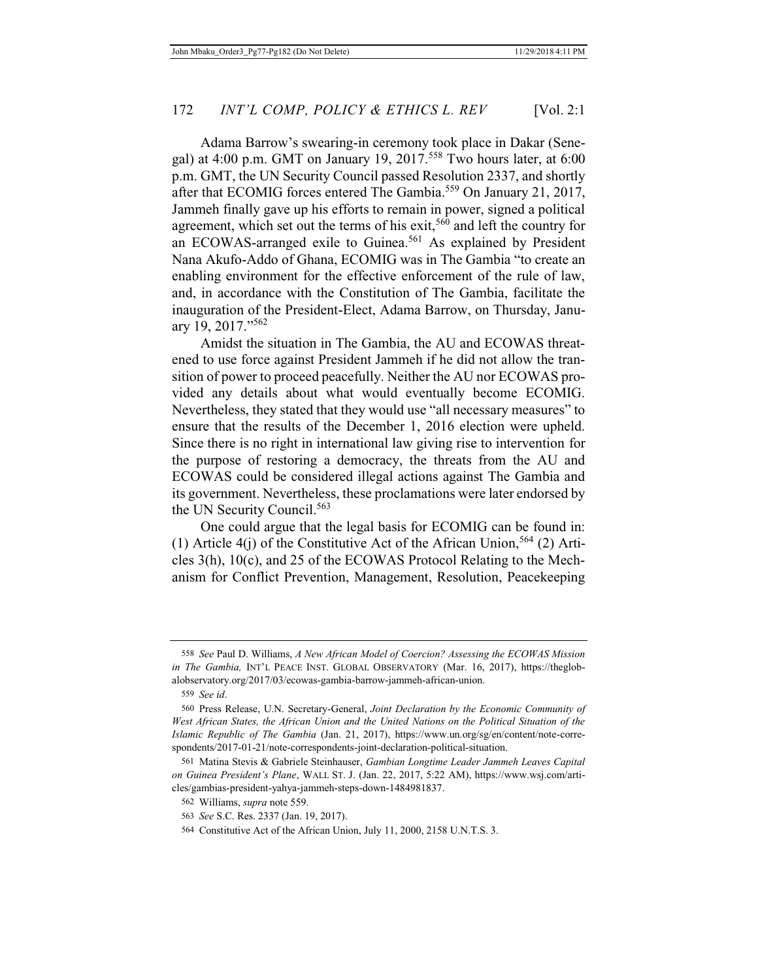Adama Barrow's swearing-in ceremony took place in Dakar (Senegal) at 4:00 p.m. GMT on January 19, 2017.<sup>558</sup> Two hours later, at  $6:00$ p.m. GMT, the UN Security Council passed Resolution 2337, and shortly after that ECOMIG forces entered The Gambia.<sup>559</sup> On January 21, 2017, Jammeh finally gave up his efforts to remain in power, signed a political agreement, which set out the terms of his exit,<sup>560</sup> and left the country for an ECOWAS-arranged exile to Guinea.<sup>561</sup> As explained by President Nana Akufo-Addo of Ghana, ECOMIG was in The Gambia "to create an enabling environment for the effective enforcement of the rule of law, and, in accordance with the Constitution of The Gambia, facilitate the inauguration of the President-Elect, Adama Barrow, on Thursday, January 19, 2017."<sup>562</sup>

Amidst the situation in The Gambia, the AU and ECOWAS threatened to use force against President Jammeh if he did not allow the transition of power to proceed peacefully. Neither the AU nor ECOWAS provided any details about what would eventually become ECOMIG. Nevertheless, they stated that they would use "all necessary measures" to ensure that the results of the December 1, 2016 election were upheld. Since there is no right in international law giving rise to intervention for the purpose of restoring a democracy, the threats from the AU and ECOWAS could be considered illegal actions against The Gambia and its government. Nevertheless, these proclamations were later endorsed by the UN Security Council.<sup>563</sup>

One could argue that the legal basis for ECOMIG can be found in: (1) Article  $4(i)$  of the Constitutive Act of the African Union,<sup>564</sup> (2) Articles 3(h), 10(c), and 25 of the ECOWAS Protocol Relating to the Mechanism for Conflict Prevention, Management, Resolution, Peacekeeping

<sup>558</sup> *See* Paul D. Williams, *A New African Model of Coercion? Assessing the ECOWAS Mission in The Gambia,* INT'L PEACE INST. GLOBAL OBSERVATORY (Mar. 16, 2017), https://theglobalobservatory.org/2017/03/ecowas-gambia-barrow-jammeh-african-union.

<sup>559</sup> *See id*.

<sup>560</sup> Press Release, U.N. Secretary-General, *Joint Declaration by the Economic Community of West African States, the African Union and the United Nations on the Political Situation of the Islamic Republic of The Gambia* (Jan. 21, 2017), https://www.un.org/sg/en/content/note-correspondents/2017-01-21/note-correspondents-joint-declaration-political-situation.

<sup>561</sup> Matina Stevis & Gabriele Steinhauser, *Gambian Longtime Leader Jammeh Leaves Capital on Guinea President's Plane*, WALL ST. J. (Jan. 22, 2017, 5:22 AM), https://www.wsj.com/articles/gambias-president-yahya-jammeh-steps-down-1484981837.

<sup>562</sup> Williams, *supra* note 559.

<sup>563</sup> *See* S.C. Res. 2337 (Jan. 19, 2017).

<sup>564</sup> Constitutive Act of the African Union, July 11, 2000, 2158 U.N.T.S. 3.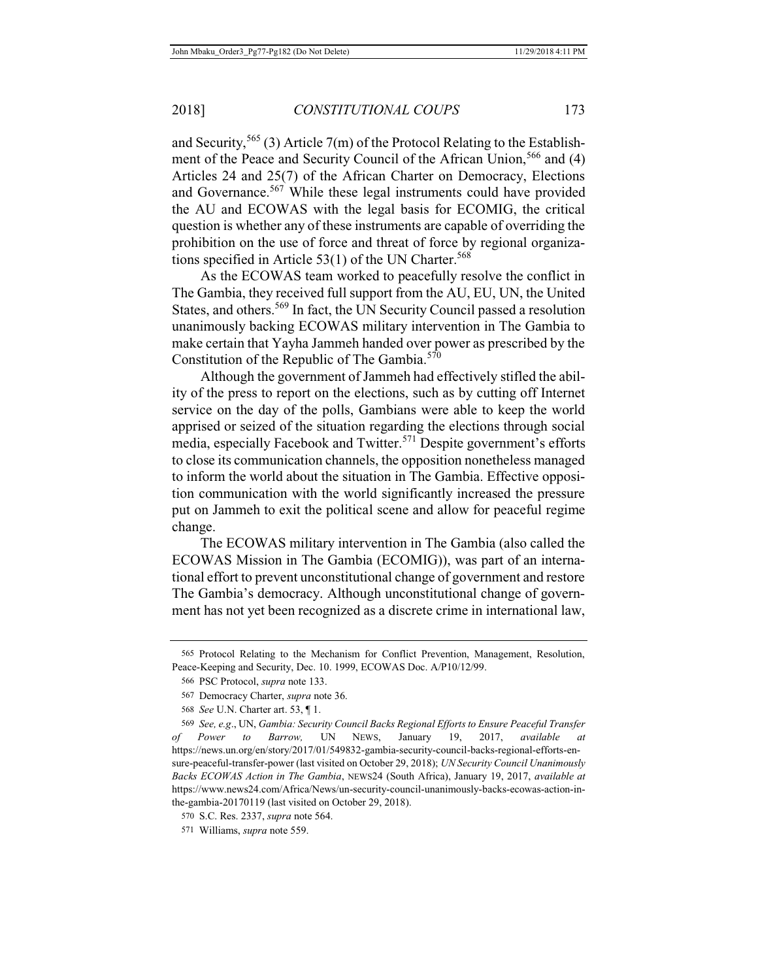and Security,<sup>565</sup> (3) Article 7(m) of the Protocol Relating to the Establishment of the Peace and Security Council of the African Union,<sup>566</sup> and (4) Articles 24 and 25(7) of the African Charter on Democracy, Elections and Governance.<sup>567</sup> While these legal instruments could have provided the AU and ECOWAS with the legal basis for ECOMIG, the critical question is whether any of these instruments are capable of overriding the prohibition on the use of force and threat of force by regional organizations specified in Article  $53(1)$  of the UN Charter.<sup>568</sup>

As the ECOWAS team worked to peacefully resolve the conflict in The Gambia, they received full support from the AU, EU, UN, the United States, and others.<sup>569</sup> In fact, the UN Security Council passed a resolution unanimously backing ECOWAS military intervention in The Gambia to make certain that Yayha Jammeh handed over power as prescribed by the Constitution of the Republic of The Gambia.<sup>570</sup>

Although the government of Jammeh had effectively stifled the ability of the press to report on the elections, such as by cutting off Internet service on the day of the polls, Gambians were able to keep the world apprised or seized of the situation regarding the elections through social media, especially Facebook and Twitter.<sup>571</sup> Despite government's efforts to close its communication channels, the opposition nonetheless managed to inform the world about the situation in The Gambia. Effective opposition communication with the world significantly increased the pressure put on Jammeh to exit the political scene and allow for peaceful regime change.

The ECOWAS military intervention in The Gambia (also called the ECOWAS Mission in The Gambia (ECOMIG)), was part of an international effort to prevent unconstitutional change of government and restore The Gambia's democracy. Although unconstitutional change of government has not yet been recognized as a discrete crime in international law,

<sup>565</sup> Protocol Relating to the Mechanism for Conflict Prevention, Management, Resolution, Peace-Keeping and Security, Dec. 10. 1999, ECOWAS Doc. A/P10/12/99.

<sup>566</sup> PSC Protocol, *supra* note 133.

<sup>567</sup> Democracy Charter, *supra* note 36.

<sup>568</sup> *See* U.N. Charter art. 53, ¶ 1.

<sup>569</sup> *See, e.g*., UN, *Gambia: Security Council Backs Regional Efforts to Ensure Peaceful Transfer of Power to Barrow,* UN NEWS, January 19, 2017, *available at* https://news.un.org/en/story/2017/01/549832-gambia-security-council-backs-regional-efforts-ensure-peaceful-transfer-power (last visited on October 29, 2018); *UN Security Council Unanimously Backs ECOWAS Action in The Gambia*, NEWS24 (South Africa), January 19, 2017, *available at* https://www.news24.com/Africa/News/un-security-council-unanimously-backs-ecowas-action-inthe-gambia-20170119 (last visited on October 29, 2018).

<sup>570</sup> S.C. Res. 2337, *supra* note 564.

<sup>571</sup> Williams, *supra* note 559.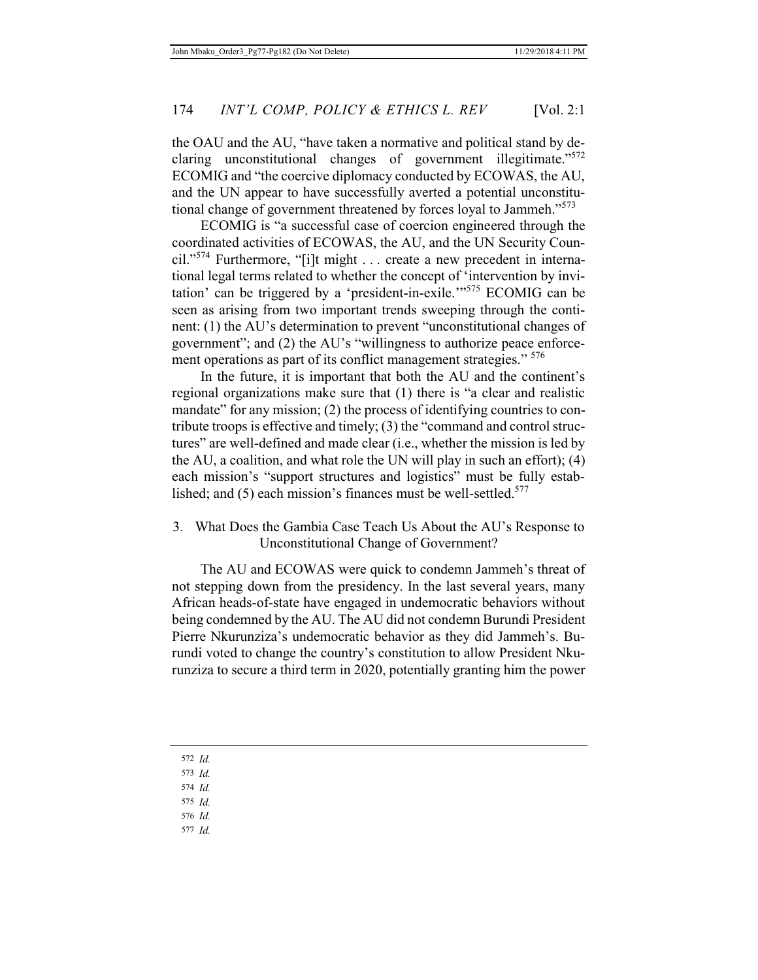the OAU and the AU, "have taken a normative and political stand by declaring unconstitutional changes of government illegitimate."<sup>572</sup> ECOMIG and "the coercive diplomacy conducted by ECOWAS, the AU, and the UN appear to have successfully averted a potential unconstitutional change of government threatened by forces loyal to Jammeh."<sup>573</sup>

ECOMIG is "a successful case of coercion engineered through the coordinated activities of ECOWAS, the AU, and the UN Security Council."<sup>574</sup> Furthermore, "[i]t might . . . create a new precedent in international legal terms related to whether the concept of 'intervention by invitation' can be triggered by a 'president-in-exile.'"575 ECOMIG can be seen as arising from two important trends sweeping through the continent: (1) the AU's determination to prevent "unconstitutional changes of government"; and (2) the AU's "willingness to authorize peace enforcement operations as part of its conflict management strategies." <sup>576</sup>

In the future, it is important that both the AU and the continent's regional organizations make sure that (1) there is "a clear and realistic mandate" for any mission; (2) the process of identifying countries to contribute troops is effective and timely; (3) the "command and control structures" are well-defined and made clear (i.e., whether the mission is led by the AU, a coalition, and what role the UN will play in such an effort); (4) each mission's "support structures and logistics" must be fully established; and  $(5)$  each mission's finances must be well-settled.<sup>577</sup>

# 3. What Does the Gambia Case Teach Us About the AU's Response to Unconstitutional Change of Government?

The AU and ECOWAS were quick to condemn Jammeh's threat of not stepping down from the presidency. In the last several years, many African heads-of-state have engaged in undemocratic behaviors without being condemned by the AU. The AU did not condemn Burundi President Pierre Nkurunziza's undemocratic behavior as they did Jammeh's. Burundi voted to change the country's constitution to allow President Nkurunziza to secure a third term in 2020, potentially granting him the power

572 *Id.*

573 *Id.*

- 574 *Id.*
- 575 *Id.*
- 576 *Id.*
- 577 *Id.*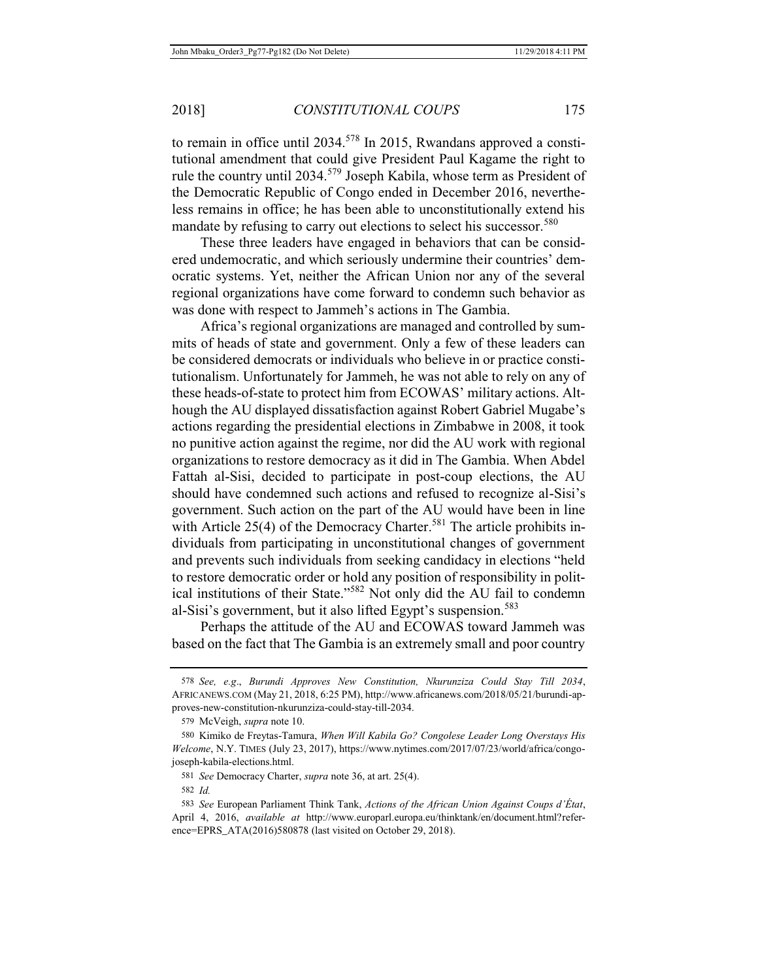to remain in office until 2034.<sup>578</sup> In 2015, Rwandans approved a constitutional amendment that could give President Paul Kagame the right to rule the country until 2034.579 Joseph Kabila, whose term as President of the Democratic Republic of Congo ended in December 2016, nevertheless remains in office; he has been able to unconstitutionally extend his mandate by refusing to carry out elections to select his successor.<sup>580</sup>

These three leaders have engaged in behaviors that can be considered undemocratic, and which seriously undermine their countries' democratic systems. Yet, neither the African Union nor any of the several regional organizations have come forward to condemn such behavior as was done with respect to Jammeh's actions in The Gambia.

Africa's regional organizations are managed and controlled by summits of heads of state and government. Only a few of these leaders can be considered democrats or individuals who believe in or practice constitutionalism. Unfortunately for Jammeh, he was not able to rely on any of these heads-of-state to protect him from ECOWAS' military actions. Although the AU displayed dissatisfaction against Robert Gabriel Mugabe's actions regarding the presidential elections in Zimbabwe in 2008, it took no punitive action against the regime, nor did the AU work with regional organizations to restore democracy as it did in The Gambia. When Abdel Fattah al-Sisi, decided to participate in post-coup elections, the AU should have condemned such actions and refused to recognize al-Sisi's government. Such action on the part of the AU would have been in line with Article 25(4) of the Democracy Charter.<sup>581</sup> The article prohibits individuals from participating in unconstitutional changes of government and prevents such individuals from seeking candidacy in elections "held to restore democratic order or hold any position of responsibility in political institutions of their State."582 Not only did the AU fail to condemn al-Sisi's government, but it also lifted Egypt's suspension.<sup>583</sup>

Perhaps the attitude of the AU and ECOWAS toward Jammeh was based on the fact that The Gambia is an extremely small and poor country

<sup>578</sup> *See, e.g*., *Burundi Approves New Constitution, Nkurunziza Could Stay Till 2034*, AFRICANEWS.COM (May 21, 2018, 6:25 PM), http://www.africanews.com/2018/05/21/burundi-approves-new-constitution-nkurunziza-could-stay-till-2034.

<sup>579</sup> McVeigh, *supra* note 10.

<sup>580</sup> Kimiko de Freytas-Tamura, *When Will Kabila Go? Congolese Leader Long Overstays His Welcome*, N.Y. TIMES (July 23, 2017), https://www.nytimes.com/2017/07/23/world/africa/congojoseph-kabila-elections.html.

<sup>581</sup> *See* Democracy Charter, *supra* note 36, at art. 25(4).

<sup>582</sup> *Id.*

<sup>583</sup> *See* European Parliament Think Tank, *Actions of the African Union Against Coups d'État*, April 4, 2016, *available at* http://www.europarl.europa.eu/thinktank/en/document.html?reference=EPRS\_ATA(2016)580878 (last visited on October 29, 2018).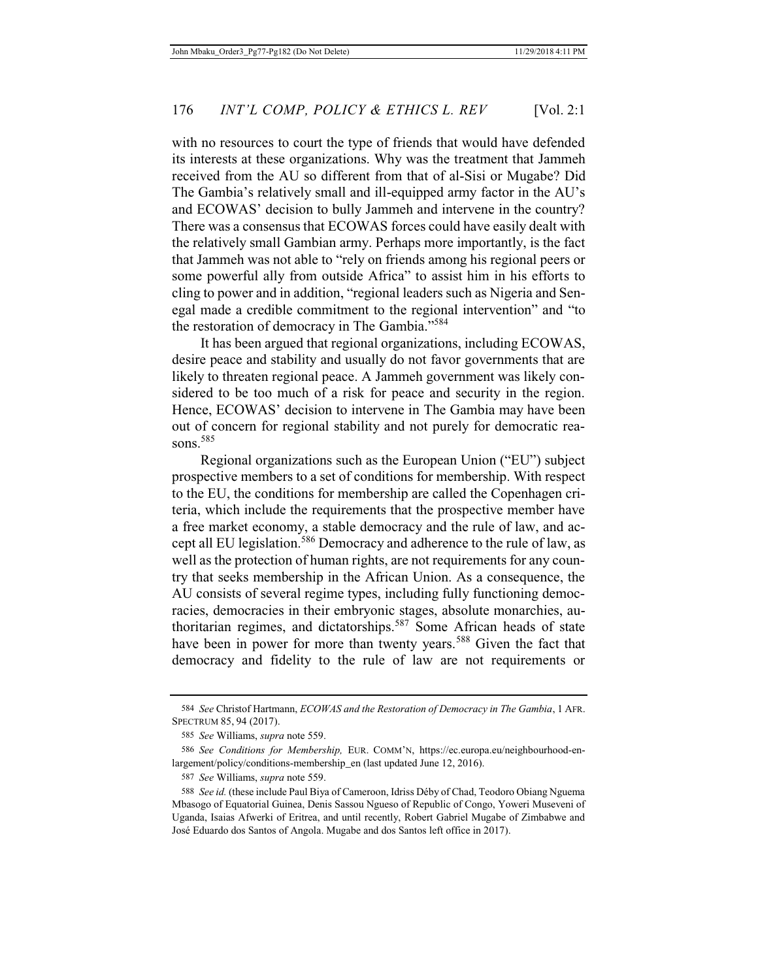with no resources to court the type of friends that would have defended its interests at these organizations. Why was the treatment that Jammeh received from the AU so different from that of al-Sisi or Mugabe? Did The Gambia's relatively small and ill-equipped army factor in the AU's and ECOWAS' decision to bully Jammeh and intervene in the country? There was a consensus that ECOWAS forces could have easily dealt with the relatively small Gambian army. Perhaps more importantly, is the fact that Jammeh was not able to "rely on friends among his regional peers or some powerful ally from outside Africa" to assist him in his efforts to cling to power and in addition, "regional leaders such as Nigeria and Senegal made a credible commitment to the regional intervention" and "to the restoration of democracy in The Gambia."<sup>584</sup>

It has been argued that regional organizations, including ECOWAS, desire peace and stability and usually do not favor governments that are likely to threaten regional peace. A Jammeh government was likely considered to be too much of a risk for peace and security in the region. Hence, ECOWAS' decision to intervene in The Gambia may have been out of concern for regional stability and not purely for democratic reasons. $585$ 

Regional organizations such as the European Union ("EU") subject prospective members to a set of conditions for membership. With respect to the EU, the conditions for membership are called the Copenhagen criteria, which include the requirements that the prospective member have a free market economy, a stable democracy and the rule of law, and accept all EU legislation.<sup>586</sup> Democracy and adherence to the rule of law, as well as the protection of human rights, are not requirements for any country that seeks membership in the African Union. As a consequence, the AU consists of several regime types, including fully functioning democracies, democracies in their embryonic stages, absolute monarchies, authoritarian regimes, and dictatorships.<sup>587</sup> Some African heads of state have been in power for more than twenty years.<sup>588</sup> Given the fact that democracy and fidelity to the rule of law are not requirements or

<sup>584</sup> *See* Christof Hartmann, *ECOWAS and the Restoration of Democracy in The Gambia*, 1 AFR. SPECTRUM 85, 94 (2017).

<sup>585</sup> *See* Williams, *supra* note 559.

<sup>586</sup> *See Conditions for Membership,* EUR. COMM'N, https://ec.europa.eu/neighbourhood-enlargement/policy/conditions-membership\_en (last updated June 12, 2016).

<sup>587</sup> *See* Williams, *supra* note 559.

<sup>588</sup> *See id.* (these include Paul Biya of Cameroon, Idriss Déby of Chad, Teodoro Obiang Nguema Mbasogo of Equatorial Guinea, Denis Sassou Ngueso of Republic of Congo, Yoweri Museveni of Uganda, Isaias Afwerki of Eritrea, and until recently, Robert Gabriel Mugabe of Zimbabwe and José Eduardo dos Santos of Angola. Mugabe and dos Santos left office in 2017).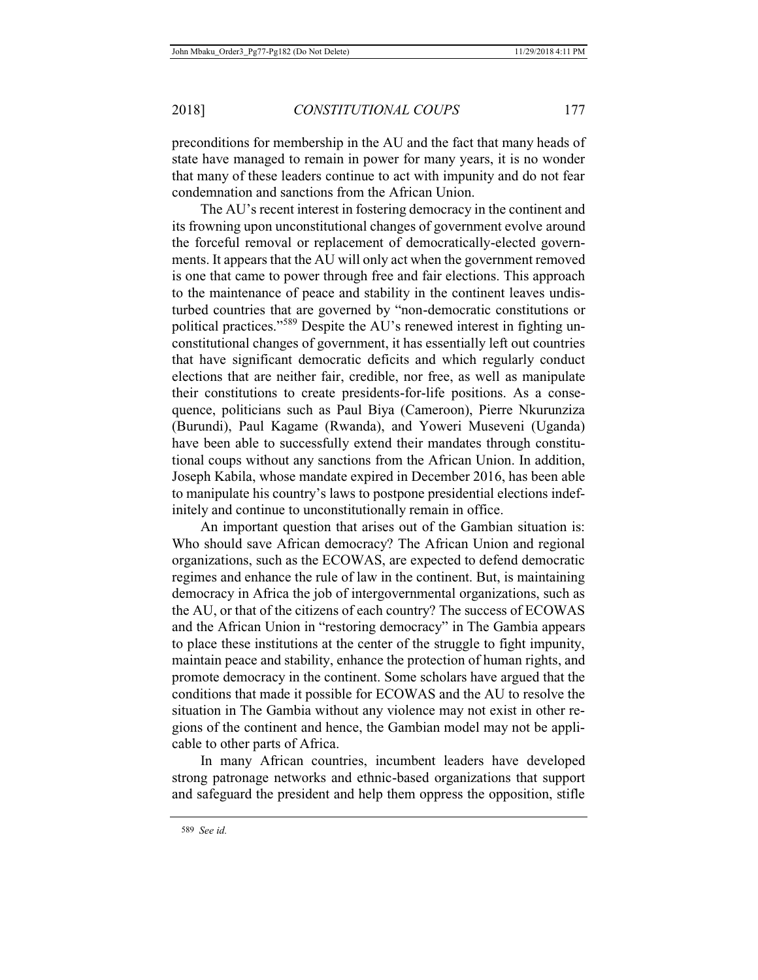preconditions for membership in the AU and the fact that many heads of state have managed to remain in power for many years, it is no wonder that many of these leaders continue to act with impunity and do not fear condemnation and sanctions from the African Union.

The AU's recent interest in fostering democracy in the continent and its frowning upon unconstitutional changes of government evolve around the forceful removal or replacement of democratically-elected governments. It appears that the AU will only act when the government removed is one that came to power through free and fair elections. This approach to the maintenance of peace and stability in the continent leaves undisturbed countries that are governed by "non-democratic constitutions or political practices."<sup>589</sup> Despite the AU's renewed interest in fighting unconstitutional changes of government, it has essentially left out countries that have significant democratic deficits and which regularly conduct elections that are neither fair, credible, nor free, as well as manipulate their constitutions to create presidents-for-life positions. As a consequence, politicians such as Paul Biya (Cameroon), Pierre Nkurunziza (Burundi), Paul Kagame (Rwanda), and Yoweri Museveni (Uganda) have been able to successfully extend their mandates through constitutional coups without any sanctions from the African Union. In addition, Joseph Kabila, whose mandate expired in December 2016, has been able to manipulate his country's laws to postpone presidential elections indefinitely and continue to unconstitutionally remain in office.

An important question that arises out of the Gambian situation is: Who should save African democracy? The African Union and regional organizations, such as the ECOWAS, are expected to defend democratic regimes and enhance the rule of law in the continent. But, is maintaining democracy in Africa the job of intergovernmental organizations, such as the AU, or that of the citizens of each country? The success of ECOWAS and the African Union in "restoring democracy" in The Gambia appears to place these institutions at the center of the struggle to fight impunity, maintain peace and stability, enhance the protection of human rights, and promote democracy in the continent. Some scholars have argued that the conditions that made it possible for ECOWAS and the AU to resolve the situation in The Gambia without any violence may not exist in other regions of the continent and hence, the Gambian model may not be applicable to other parts of Africa.

In many African countries, incumbent leaders have developed strong patronage networks and ethnic-based organizations that support and safeguard the president and help them oppress the opposition, stifle

<sup>589</sup> *See id.*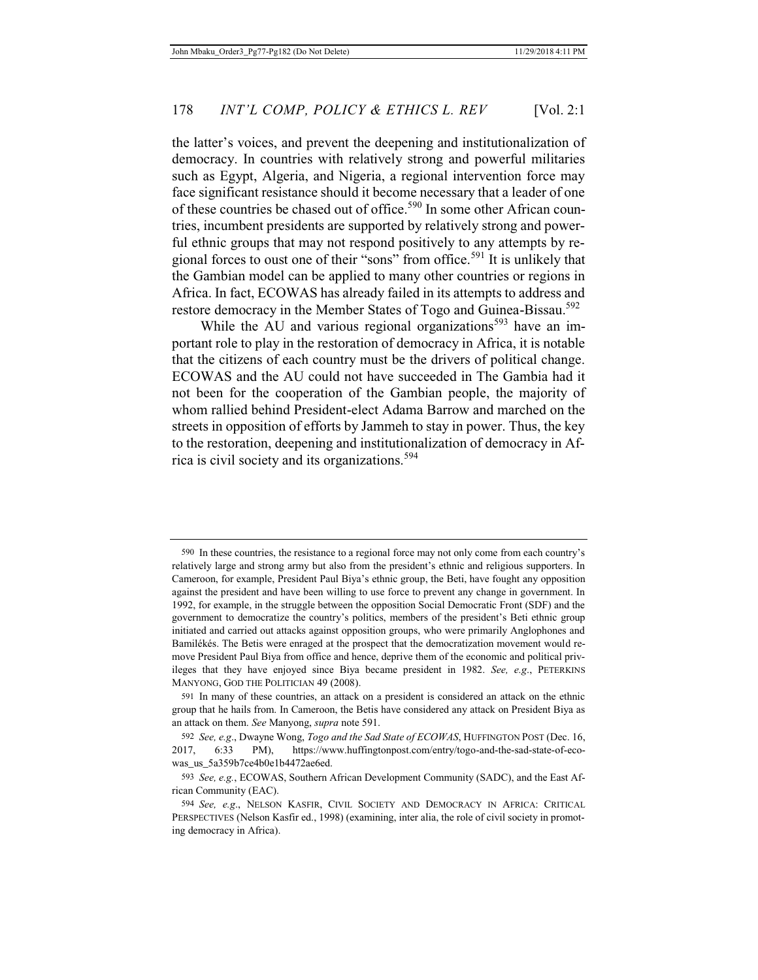the latter's voices, and prevent the deepening and institutionalization of democracy. In countries with relatively strong and powerful militaries such as Egypt, Algeria, and Nigeria, a regional intervention force may face significant resistance should it become necessary that a leader of one of these countries be chased out of office.<sup>590</sup> In some other African countries, incumbent presidents are supported by relatively strong and powerful ethnic groups that may not respond positively to any attempts by regional forces to oust one of their "sons" from office.<sup>591</sup> It is unlikely that the Gambian model can be applied to many other countries or regions in Africa. In fact, ECOWAS has already failed in its attempts to address and restore democracy in the Member States of Togo and Guinea-Bissau.<sup>592</sup>

While the AU and various regional organizations<sup>593</sup> have an important role to play in the restoration of democracy in Africa, it is notable that the citizens of each country must be the drivers of political change. ECOWAS and the AU could not have succeeded in The Gambia had it not been for the cooperation of the Gambian people, the majority of whom rallied behind President-elect Adama Barrow and marched on the streets in opposition of efforts by Jammeh to stay in power. Thus, the key to the restoration, deepening and institutionalization of democracy in Africa is civil society and its organizations.<sup>594</sup>

<sup>590</sup> In these countries, the resistance to a regional force may not only come from each country's relatively large and strong army but also from the president's ethnic and religious supporters. In Cameroon, for example, President Paul Biya's ethnic group, the Beti, have fought any opposition against the president and have been willing to use force to prevent any change in government. In 1992, for example, in the struggle between the opposition Social Democratic Front (SDF) and the government to democratize the country's politics, members of the president's Beti ethnic group initiated and carried out attacks against opposition groups, who were primarily Anglophones and Bamilékés. The Betis were enraged at the prospect that the democratization movement would remove President Paul Biya from office and hence, deprive them of the economic and political privileges that they have enjoyed since Biya became president in 1982. *See, e.g*., PETERKINS MANYONG, GOD THE POLITICIAN 49 (2008).

<sup>591</sup> In many of these countries, an attack on a president is considered an attack on the ethnic group that he hails from. In Cameroon, the Betis have considered any attack on President Biya as an attack on them. *See* Manyong, *supra* note 591.

<sup>592</sup> *See, e.g*., Dwayne Wong, *Togo and the Sad State of ECOWAS*, HUFFINGTON POST (Dec. 16, 2017, 6:33 PM), https://www.huffingtonpost.com/entry/togo-and-the-sad-state-of-ecowas\_us\_5a359b7ce4b0e1b4472ae6ed.

<sup>593</sup> *See, e.g.*, ECOWAS, Southern African Development Community (SADC), and the East African Community (EAC).

<sup>594</sup> *See, e.g*., NELSON KASFIR, CIVIL SOCIETY AND DEMOCRACY IN AFRICA: CRITICAL PERSPECTIVES (Nelson Kasfir ed., 1998) (examining, inter alia, the role of civil society in promoting democracy in Africa).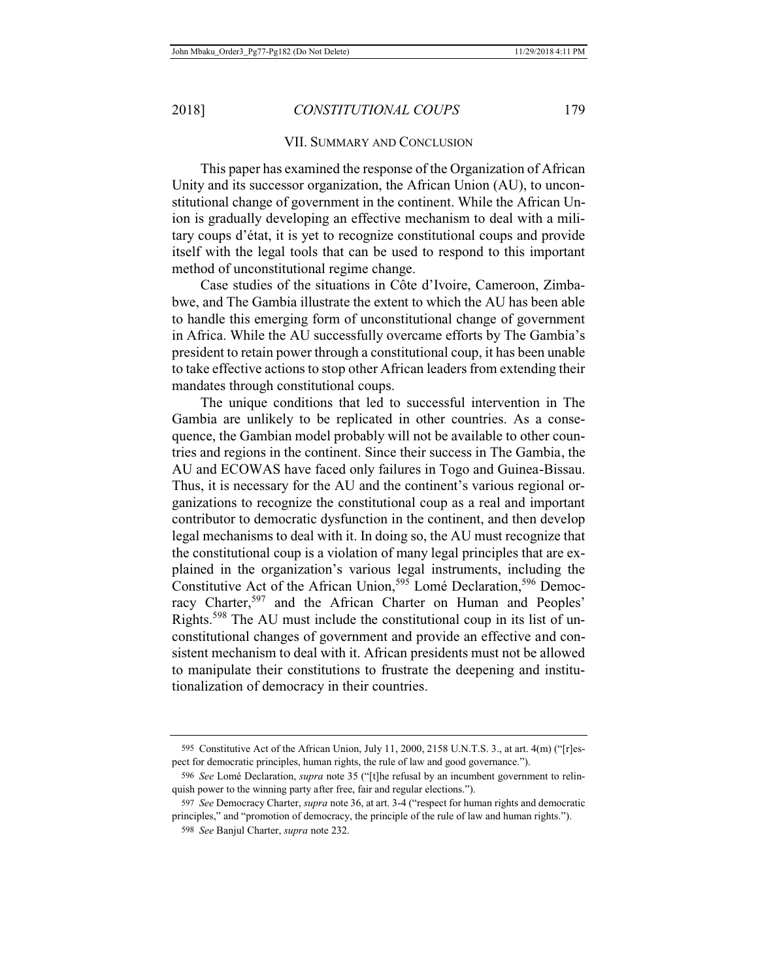#### VII. SUMMARY AND CONCLUSION

This paper has examined the response of the Organization of African Unity and its successor organization, the African Union (AU), to unconstitutional change of government in the continent. While the African Union is gradually developing an effective mechanism to deal with a military coups d'état, it is yet to recognize constitutional coups and provide itself with the legal tools that can be used to respond to this important method of unconstitutional regime change.

Case studies of the situations in Côte d'Ivoire, Cameroon, Zimbabwe, and The Gambia illustrate the extent to which the AU has been able to handle this emerging form of unconstitutional change of government in Africa. While the AU successfully overcame efforts by The Gambia's president to retain power through a constitutional coup, it has been unable to take effective actions to stop other African leaders from extending their mandates through constitutional coups.

The unique conditions that led to successful intervention in The Gambia are unlikely to be replicated in other countries. As a consequence, the Gambian model probably will not be available to other countries and regions in the continent. Since their success in The Gambia, the AU and ECOWAS have faced only failures in Togo and Guinea-Bissau. Thus, it is necessary for the AU and the continent's various regional organizations to recognize the constitutional coup as a real and important contributor to democratic dysfunction in the continent, and then develop legal mechanisms to deal with it. In doing so, the AU must recognize that the constitutional coup is a violation of many legal principles that are explained in the organization's various legal instruments, including the Constitutive Act of the African Union,<sup>595</sup> Lomé Declaration,<sup>596</sup> Democracy Charter,<sup>597</sup> and the African Charter on Human and Peoples' Rights.598 The AU must include the constitutional coup in its list of unconstitutional changes of government and provide an effective and consistent mechanism to deal with it. African presidents must not be allowed to manipulate their constitutions to frustrate the deepening and institutionalization of democracy in their countries.

<sup>595</sup> Constitutive Act of the African Union, July 11, 2000, 2158 U.N.T.S. 3., at art. 4(m) ("[r]espect for democratic principles, human rights, the rule of law and good governance.").

<sup>596</sup> *See* Lomé Declaration, *supra* note 35 ("[t]he refusal by an incumbent government to relinquish power to the winning party after free, fair and regular elections.").

<sup>597</sup> *See* Democracy Charter, *supra* note 36, at art. 3-4 ("respect for human rights and democratic principles," and "promotion of democracy, the principle of the rule of law and human rights.").

<sup>598</sup> *See* Banjul Charter, *supra* note 232.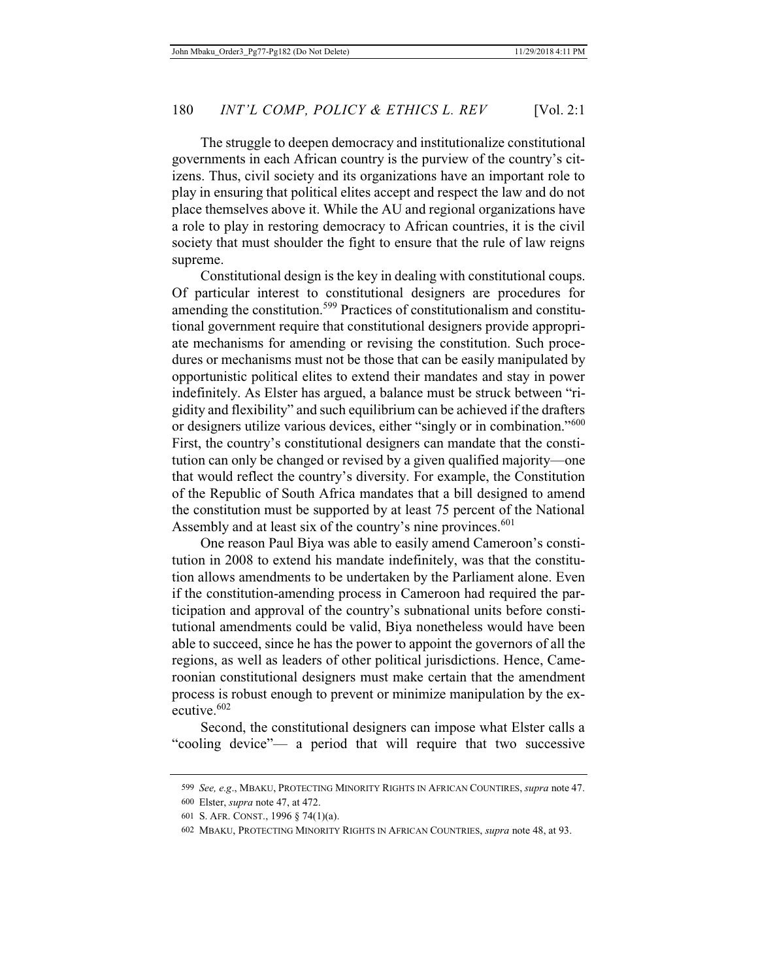The struggle to deepen democracy and institutionalize constitutional governments in each African country is the purview of the country's citizens. Thus, civil society and its organizations have an important role to play in ensuring that political elites accept and respect the law and do not place themselves above it. While the AU and regional organizations have a role to play in restoring democracy to African countries, it is the civil society that must shoulder the fight to ensure that the rule of law reigns supreme.

Constitutional design is the key in dealing with constitutional coups. Of particular interest to constitutional designers are procedures for amending the constitution.599 Practices of constitutionalism and constitutional government require that constitutional designers provide appropriate mechanisms for amending or revising the constitution. Such procedures or mechanisms must not be those that can be easily manipulated by opportunistic political elites to extend their mandates and stay in power indefinitely. As Elster has argued, a balance must be struck between "rigidity and flexibility" and such equilibrium can be achieved if the drafters or designers utilize various devices, either "singly or in combination."<sup>600</sup> First, the country's constitutional designers can mandate that the constitution can only be changed or revised by a given qualified majority—one that would reflect the country's diversity. For example, the Constitution of the Republic of South Africa mandates that a bill designed to amend the constitution must be supported by at least 75 percent of the National Assembly and at least six of the country's nine provinces.<sup>601</sup>

One reason Paul Biya was able to easily amend Cameroon's constitution in 2008 to extend his mandate indefinitely, was that the constitution allows amendments to be undertaken by the Parliament alone. Even if the constitution-amending process in Cameroon had required the participation and approval of the country's subnational units before constitutional amendments could be valid, Biya nonetheless would have been able to succeed, since he has the power to appoint the governors of all the regions, as well as leaders of other political jurisdictions. Hence, Cameroonian constitutional designers must make certain that the amendment process is robust enough to prevent or minimize manipulation by the executive.<sup>602</sup>

Second, the constitutional designers can impose what Elster calls a "cooling device"— a period that will require that two successive

<sup>599</sup> *See, e.g*., MBAKU, PROTECTING MINORITY RIGHTS IN AFRICAN COUNTIRES, *supra* note 47.

<sup>600</sup> Elster, *supra* note 47, at 472.

<sup>601</sup> S. AFR. CONST., 1996 § 74(1)(a).

<sup>602</sup> MBAKU, PROTECTING MINORITY RIGHTS IN AFRICAN COUNTRIES, *supra* note 48, at 93.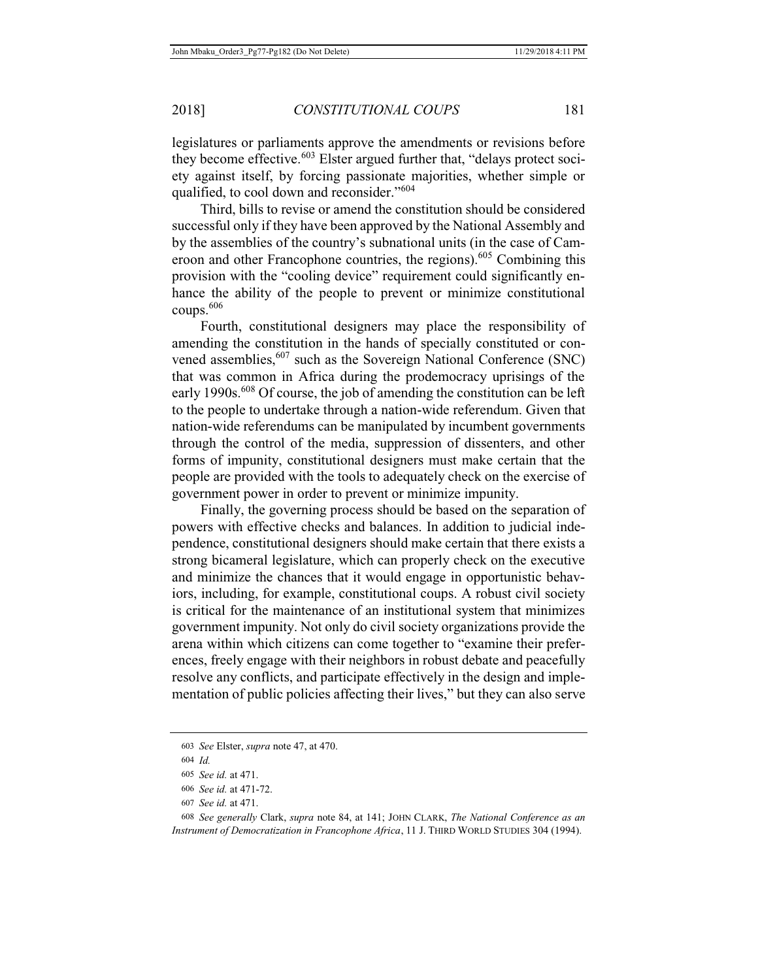legislatures or parliaments approve the amendments or revisions before they become effective.<sup>603</sup> Elster argued further that, "delays protect society against itself, by forcing passionate majorities, whether simple or qualified, to cool down and reconsider."<sup>604</sup>

Third, bills to revise or amend the constitution should be considered successful only if they have been approved by the National Assembly and by the assemblies of the country's subnational units (in the case of Cameroon and other Francophone countries, the regions).<sup>605</sup> Combining this provision with the "cooling device" requirement could significantly enhance the ability of the people to prevent or minimize constitutional coups.<sup>606</sup>

Fourth, constitutional designers may place the responsibility of amending the constitution in the hands of specially constituted or convened assemblies,<sup>607</sup> such as the Sovereign National Conference (SNC) that was common in Africa during the prodemocracy uprisings of the early 1990s.<sup>608</sup> Of course, the job of amending the constitution can be left to the people to undertake through a nation-wide referendum. Given that nation-wide referendums can be manipulated by incumbent governments through the control of the media, suppression of dissenters, and other forms of impunity, constitutional designers must make certain that the people are provided with the tools to adequately check on the exercise of government power in order to prevent or minimize impunity.

Finally, the governing process should be based on the separation of powers with effective checks and balances. In addition to judicial independence, constitutional designers should make certain that there exists a strong bicameral legislature, which can properly check on the executive and minimize the chances that it would engage in opportunistic behaviors, including, for example, constitutional coups. A robust civil society is critical for the maintenance of an institutional system that minimizes government impunity. Not only do civil society organizations provide the arena within which citizens can come together to "examine their preferences, freely engage with their neighbors in robust debate and peacefully resolve any conflicts, and participate effectively in the design and implementation of public policies affecting their lives," but they can also serve

<sup>603</sup> *See* Elster, *supra* note 47, at 470.

<sup>604</sup> *Id.*

<sup>605</sup> *See id.* at 471.

<sup>606</sup> *See id.* at 471-72.

<sup>607</sup> *See id.* at 471.

<sup>608</sup> *See generally* Clark, *supra* note 84, at 141; JOHN CLARK, *The National Conference as an Instrument of Democratization in Francophone Africa*, 11 J. THIRD WORLD STUDIES 304 (1994).